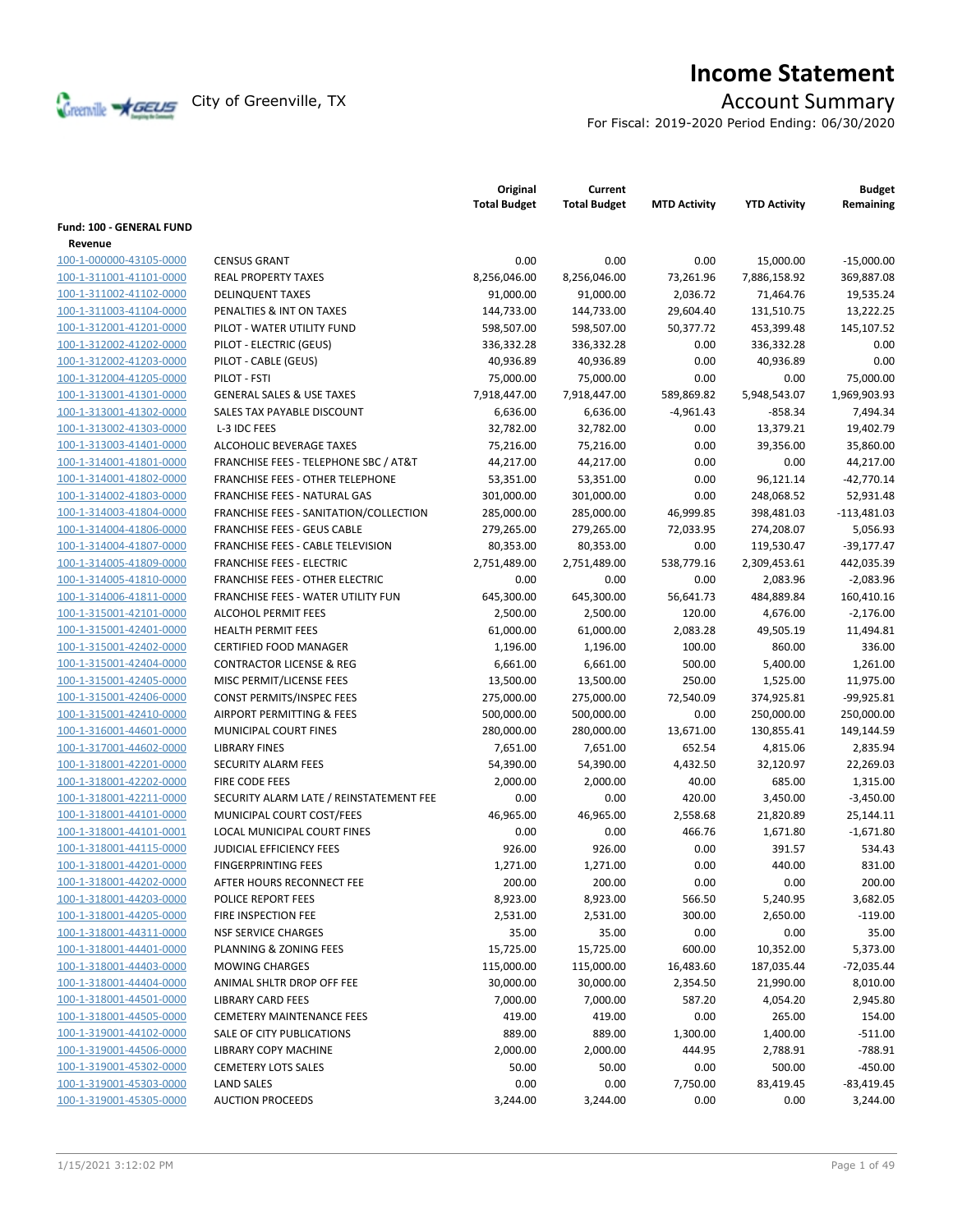

# **Income Statement**

For Fiscal: 2019-2020 Period Ending: 06/30/2020

|                          |                                                  | Original<br><b>Total Budget</b> | Current<br><b>Total Budget</b> | <b>MTD Activity</b> | <b>YTD Activity</b> | <b>Budget</b><br>Remaining |
|--------------------------|--------------------------------------------------|---------------------------------|--------------------------------|---------------------|---------------------|----------------------------|
| Fund: 100 - GENERAL FUND |                                                  |                                 |                                |                     |                     |                            |
| Revenue                  |                                                  |                                 |                                |                     |                     |                            |
| 100-1-000000-43105-0000  | <b>CENSUS GRANT</b>                              | 0.00                            | 0.00                           | 0.00                | 15,000.00           | $-15,000.00$               |
| 100-1-311001-41101-0000  | <b>REAL PROPERTY TAXES</b>                       | 8,256,046.00                    | 8,256,046.00                   | 73,261.96           | 7,886,158.92        | 369,887.08                 |
| 100-1-311002-41102-0000  | <b>DELINQUENT TAXES</b>                          | 91,000.00                       | 91,000.00                      | 2,036.72            | 71,464.76           | 19,535.24                  |
| 100-1-311003-41104-0000  | PENALTIES & INT ON TAXES                         | 144,733.00                      | 144,733.00                     | 29,604.40           | 131,510.75          | 13,222.25                  |
| 100-1-312001-41201-0000  | PILOT - WATER UTILITY FUND                       | 598,507.00                      | 598,507.00                     | 50,377.72           | 453,399.48          | 145,107.52                 |
| 100-1-312002-41202-0000  | PILOT - ELECTRIC (GEUS)                          | 336,332.28                      | 336,332.28                     | 0.00                | 336,332.28          | 0.00                       |
| 100-1-312002-41203-0000  | PILOT - CABLE (GEUS)                             | 40,936.89                       | 40,936.89                      | 0.00                | 40,936.89           | 0.00                       |
| 100-1-312004-41205-0000  | PILOT - FSTI                                     | 75,000.00                       | 75,000.00                      | 0.00                | 0.00                | 75,000.00                  |
| 100-1-313001-41301-0000  | <b>GENERAL SALES &amp; USE TAXES</b>             | 7,918,447.00                    | 7,918,447.00                   | 589,869.82          | 5,948,543.07        | 1,969,903.93               |
| 100-1-313001-41302-0000  | SALES TAX PAYABLE DISCOUNT                       | 6,636.00                        | 6,636.00                       | $-4,961.43$         | $-858.34$           | 7,494.34                   |
| 100-1-313002-41303-0000  | L-3 IDC FEES                                     | 32,782.00                       | 32,782.00                      | 0.00                | 13,379.21           | 19,402.79                  |
| 100-1-313003-41401-0000  | ALCOHOLIC BEVERAGE TAXES                         | 75,216.00                       | 75,216.00                      | 0.00                | 39,356.00           | 35,860.00                  |
| 100-1-314001-41801-0000  | <b>FRANCHISE FEES - TELEPHONE SBC / AT&amp;T</b> | 44,217.00                       | 44,217.00                      | 0.00                | 0.00                | 44,217.00                  |
| 100-1-314001-41802-0000  | <b>FRANCHISE FEES - OTHER TELEPHONE</b>          | 53,351.00                       | 53,351.00                      | 0.00                | 96,121.14           | $-42,770.14$               |
| 100-1-314002-41803-0000  | FRANCHISE FEES - NATURAL GAS                     | 301,000.00                      | 301,000.00                     | 0.00                | 248,068.52          | 52,931.48                  |
| 100-1-314003-41804-0000  | FRANCHISE FEES - SANITATION/COLLECTION           | 285,000.00                      | 285,000.00                     | 46,999.85           | 398,481.03          | $-113,481.03$              |
| 100-1-314004-41806-0000  | <b>FRANCHISE FEES - GEUS CABLE</b>               | 279,265.00                      | 279,265.00                     | 72,033.95           | 274,208.07          | 5,056.93                   |
| 100-1-314004-41807-0000  | FRANCHISE FEES - CABLE TELEVISION                | 80,353.00                       | 80,353.00                      | 0.00                | 119,530.47          | $-39,177.47$               |
| 100-1-314005-41809-0000  | <b>FRANCHISE FEES - ELECTRIC</b>                 | 2,751,489.00                    | 2,751,489.00                   | 538,779.16          | 2,309,453.61        | 442,035.39                 |
| 100-1-314005-41810-0000  | <b>FRANCHISE FEES - OTHER ELECTRIC</b>           | 0.00                            | 0.00                           | 0.00                | 2,083.96            | $-2,083.96$                |
| 100-1-314006-41811-0000  | <b>FRANCHISE FEES - WATER UTILITY FUN</b>        | 645,300.00                      | 645.300.00                     | 56.641.73           | 484,889.84          | 160,410.16                 |
| 100-1-315001-42101-0000  | <b>ALCOHOL PERMIT FEES</b>                       | 2,500.00                        | 2,500.00                       | 120.00              | 4,676.00            | $-2,176.00$                |
| 100-1-315001-42401-0000  | <b>HEALTH PERMIT FEES</b>                        | 61,000.00                       | 61,000.00                      | 2,083.28            | 49,505.19           | 11,494.81                  |
| 100-1-315001-42402-0000  | <b>CERTIFIED FOOD MANAGER</b>                    | 1,196.00                        | 1,196.00                       | 100.00              | 860.00              | 336.00                     |
| 100-1-315001-42404-0000  | <b>CONTRACTOR LICENSE &amp; REG</b>              | 6,661.00                        | 6,661.00                       | 500.00              | 5,400.00            | 1,261.00                   |
| 100-1-315001-42405-0000  | MISC PERMIT/LICENSE FEES                         | 13,500.00                       | 13,500.00                      | 250.00              | 1,525.00            | 11,975.00                  |
| 100-1-315001-42406-0000  | CONST PERMITS/INSPEC FEES                        | 275,000.00                      | 275,000.00                     | 72,540.09           | 374,925.81          | $-99,925.81$               |
| 100-1-315001-42410-0000  | AIRPORT PERMITTING & FEES                        | 500,000.00                      | 500,000.00                     | 0.00                | 250,000.00          | 250,000.00                 |
| 100-1-316001-44601-0000  | MUNICIPAL COURT FINES                            | 280,000.00                      | 280,000.00                     | 13,671.00           | 130,855.41          | 149,144.59                 |
| 100-1-317001-44602-0000  | <b>LIBRARY FINES</b>                             | 7,651.00                        | 7,651.00                       | 652.54              | 4,815.06            | 2,835.94                   |
| 100-1-318001-42201-0000  | SECURITY ALARM FEES                              | 54,390.00                       | 54,390.00                      | 4,432.50            | 32,120.97           | 22,269.03                  |
| 100-1-318001-42202-0000  | <b>FIRE CODE FEES</b>                            | 2,000.00                        | 2,000.00                       | 40.00               | 685.00              | 1,315.00                   |
| 100-1-318001-42211-0000  | SECURITY ALARM LATE / REINSTATEMENT FEE          | 0.00                            | 0.00                           | 420.00              | 3,450.00            | $-3,450.00$                |
| 100-1-318001-44101-0000  | MUNICIPAL COURT COST/FEES                        | 46,965.00                       | 46,965.00                      | 2,558.68            | 21,820.89           | 25,144.11                  |
| 100-1-318001-44101-0001  | LOCAL MUNICIPAL COURT FINES                      | 0.00                            | 0.00                           | 466.76              | 1,671.80            | $-1,671.80$                |
| 100-1-318001-44115-0000  | <b>JUDICIAL EFFICIENCY FEES</b>                  | 926.00                          | 926.00                         | 0.00                | 391.57              | 534.43                     |
| 100-1-318001-44201-0000  | <b>FINGERPRINTING FEES</b>                       | 1,271.00                        | 1,271.00                       | 0.00                | 440.00              | 831.00                     |
| 100-1-318001-44202-0000  | AFTER HOURS RECONNECT FEE                        | 200.00                          | 200.00                         | 0.00                | 0.00                | 200.00                     |
| 100-1-318001-44203-0000  | POLICE REPORT FEES                               | 8,923.00                        | 8,923.00                       | 566.50              | 5,240.95            | 3,682.05                   |
| 100-1-318001-44205-0000  | FIRE INSPECTION FEE                              | 2,531.00                        | 2,531.00                       | 300.00              | 2,650.00            | $-119.00$                  |
| 100-1-318001-44311-0000  | <b>NSF SERVICE CHARGES</b>                       | 35.00                           | 35.00                          | 0.00                | 0.00                | 35.00                      |
| 100-1-318001-44401-0000  | PLANNING & ZONING FEES                           | 15,725.00                       | 15,725.00                      | 600.00              | 10,352.00           | 5,373.00                   |
| 100-1-318001-44403-0000  | <b>MOWING CHARGES</b>                            | 115,000.00                      | 115,000.00                     | 16,483.60           | 187,035.44          | $-72,035.44$               |
| 100-1-318001-44404-0000  | ANIMAL SHLTR DROP OFF FEE                        | 30,000.00                       | 30,000.00                      | 2,354.50            | 21,990.00           | 8,010.00                   |
| 100-1-318001-44501-0000  | <b>LIBRARY CARD FEES</b>                         | 7,000.00                        | 7,000.00                       | 587.20              | 4,054.20            | 2,945.80                   |
| 100-1-318001-44505-0000  | <b>CEMETERY MAINTENANCE FEES</b>                 | 419.00                          | 419.00                         | 0.00                | 265.00              | 154.00                     |
| 100-1-319001-44102-0000  | SALE OF CITY PUBLICATIONS                        | 889.00                          | 889.00                         | 1,300.00            | 1,400.00            | $-511.00$                  |
| 100-1-319001-44506-0000  | <b>LIBRARY COPY MACHINE</b>                      | 2,000.00                        | 2,000.00                       | 444.95              | 2,788.91            | -788.91                    |
| 100-1-319001-45302-0000  | <b>CEMETERY LOTS SALES</b>                       | 50.00                           | 50.00                          | 0.00                | 500.00              | -450.00                    |
| 100-1-319001-45303-0000  | <b>LAND SALES</b>                                | 0.00                            | 0.00                           | 7,750.00            | 83,419.45           | $-83,419.45$               |
| 100-1-319001-45305-0000  | <b>AUCTION PROCEEDS</b>                          | 3,244.00                        | 3,244.00                       | 0.00                | 0.00                | 3,244.00                   |
|                          |                                                  |                                 |                                |                     |                     |                            |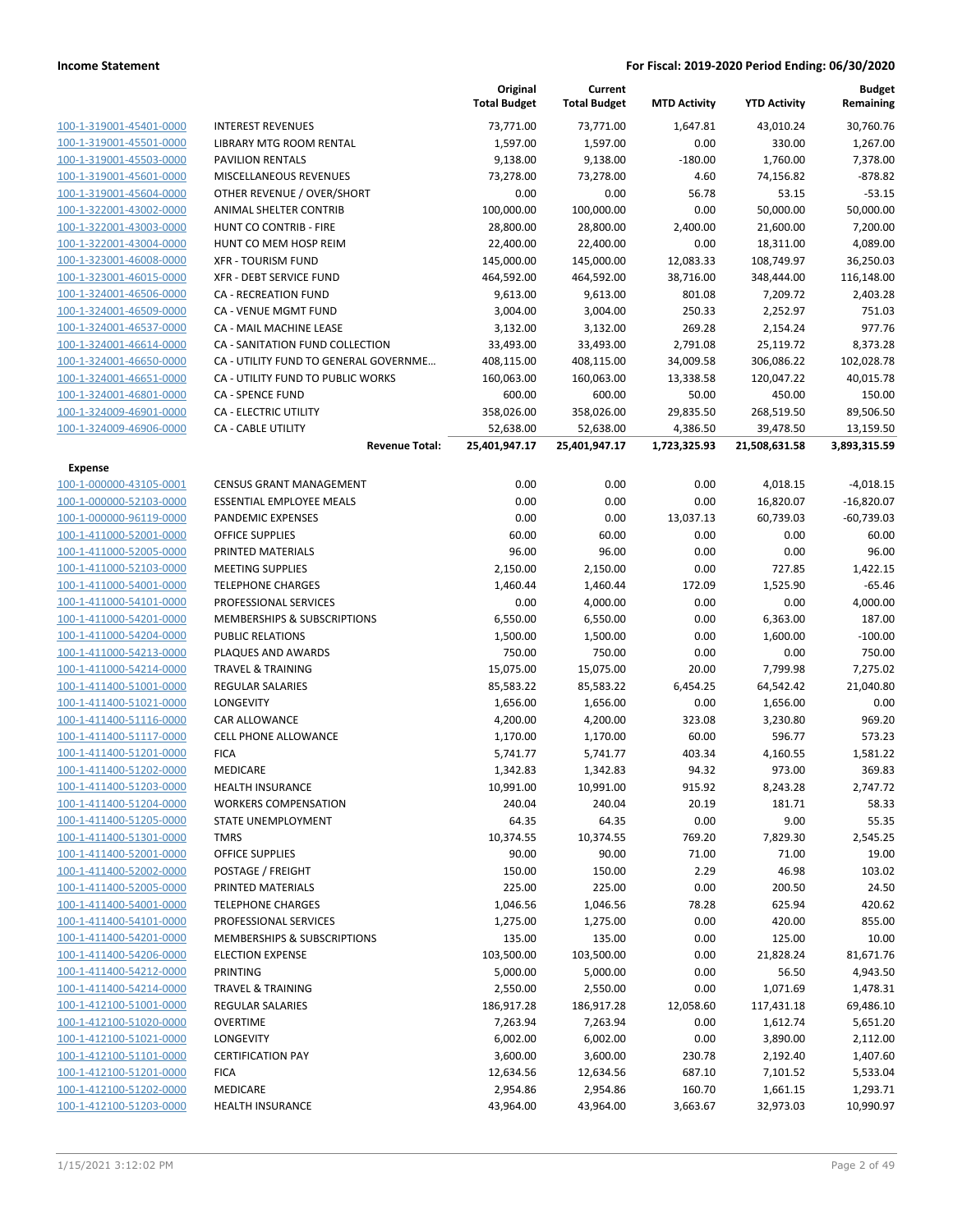|                         |                                        | Original<br><b>Total Budget</b> | Current<br><b>Total Budget</b> | <b>MTD Activity</b> | <b>YTD Activity</b> | Budget<br>Remaining |
|-------------------------|----------------------------------------|---------------------------------|--------------------------------|---------------------|---------------------|---------------------|
| 100-1-319001-45401-0000 | <b>INTEREST REVENUES</b>               | 73,771.00                       | 73,771.00                      | 1,647.81            | 43,010.24           | 30,760.76           |
| 100-1-319001-45501-0000 | LIBRARY MTG ROOM RENTAL                | 1,597.00                        | 1,597.00                       | 0.00                | 330.00              | 1,267.00            |
| 100-1-319001-45503-0000 | <b>PAVILION RENTALS</b>                | 9,138.00                        | 9,138.00                       | $-180.00$           | 1,760.00            | 7,378.00            |
| 100-1-319001-45601-0000 | MISCELLANEOUS REVENUES                 | 73,278.00                       | 73,278.00                      | 4.60                | 74,156.82           | $-878.82$           |
| 100-1-319001-45604-0000 | OTHER REVENUE / OVER/SHORT             | 0.00                            | 0.00                           | 56.78               | 53.15               | $-53.15$            |
| 100-1-322001-43002-0000 | ANIMAL SHELTER CONTRIB                 | 100,000.00                      | 100,000.00                     | 0.00                | 50,000.00           | 50,000.00           |
| 100-1-322001-43003-0000 | HUNT CO CONTRIB - FIRE                 | 28,800.00                       | 28,800.00                      | 2,400.00            | 21,600.00           | 7,200.00            |
| 100-1-322001-43004-0000 | HUNT CO MEM HOSP REIM                  | 22,400.00                       | 22,400.00                      | 0.00                | 18,311.00           | 4,089.00            |
| 100-1-323001-46008-0000 | <b>XFR - TOURISM FUND</b>              | 145,000.00                      | 145,000.00                     | 12,083.33           | 108,749.97          | 36,250.03           |
| 100-1-323001-46015-0000 | XFR - DEBT SERVICE FUND                | 464,592.00                      | 464,592.00                     | 38,716.00           | 348,444.00          | 116,148.00          |
| 100-1-324001-46506-0000 | <b>CA - RECREATION FUND</b>            | 9,613.00                        | 9,613.00                       | 801.08              | 7,209.72            | 2,403.28            |
| 100-1-324001-46509-0000 | CA - VENUE MGMT FUND                   | 3,004.00                        | 3,004.00                       | 250.33              | 2,252.97            | 751.03              |
| 100-1-324001-46537-0000 | CA - MAIL MACHINE LEASE                | 3,132.00                        | 3,132.00                       | 269.28              | 2,154.24            | 977.76              |
| 100-1-324001-46614-0000 | CA - SANITATION FUND COLLECTION        | 33,493.00                       | 33,493.00                      | 2,791.08            | 25,119.72           | 8,373.28            |
| 100-1-324001-46650-0000 | CA - UTILITY FUND TO GENERAL GOVERNME  | 408,115.00                      | 408,115.00                     | 34,009.58           | 306,086.22          | 102,028.78          |
| 100-1-324001-46651-0000 | CA - UTILITY FUND TO PUBLIC WORKS      | 160,063.00                      | 160,063.00                     | 13,338.58           | 120,047.22          | 40,015.78           |
| 100-1-324001-46801-0000 | <b>CA - SPENCE FUND</b>                | 600.00                          | 600.00                         | 50.00               | 450.00              | 150.00              |
| 100-1-324009-46901-0000 | CA - ELECTRIC UTILITY                  | 358,026.00                      | 358,026.00                     | 29,835.50           | 268,519.50          | 89,506.50           |
| 100-1-324009-46906-0000 | CA - CABLE UTILITY                     | 52,638.00                       | 52,638.00                      | 4,386.50            | 39,478.50           | 13,159.50           |
|                         | <b>Revenue Total:</b>                  | 25,401,947.17                   | 25,401,947.17                  | 1,723,325.93        | 21,508,631.58       | 3,893,315.59        |
| <b>Expense</b>          |                                        |                                 |                                |                     |                     |                     |
| 100-1-000000-43105-0001 | CENSUS GRANT MANAGEMENT                | 0.00                            | 0.00                           | 0.00                | 4,018.15            | $-4,018.15$         |
| 100-1-000000-52103-0000 | ESSENTIAL EMPLOYEE MEALS               | 0.00                            | 0.00                           | 0.00                | 16,820.07           | $-16,820.07$        |
| 100-1-000000-96119-0000 | PANDEMIC EXPENSES                      | 0.00                            | 0.00                           | 13,037.13           | 60,739.03           | $-60,739.03$        |
| 100-1-411000-52001-0000 | <b>OFFICE SUPPLIES</b>                 | 60.00                           | 60.00                          | 0.00                | 0.00                | 60.00               |
| 100-1-411000-52005-0000 | PRINTED MATERIALS                      | 96.00                           | 96.00                          | 0.00                | 0.00                | 96.00               |
| 100-1-411000-52103-0000 | <b>MEETING SUPPLIES</b>                | 2,150.00                        | 2,150.00                       | 0.00                | 727.85              | 1,422.15            |
| 100-1-411000-54001-0000 | <b>TELEPHONE CHARGES</b>               | 1,460.44                        | 1,460.44                       | 172.09              | 1,525.90            | $-65.46$            |
| 100-1-411000-54101-0000 | PROFESSIONAL SERVICES                  | 0.00                            | 4,000.00                       | 0.00                | 0.00                | 4,000.00            |
| 100-1-411000-54201-0000 | MEMBERSHIPS & SUBSCRIPTIONS            | 6,550.00                        | 6,550.00                       | 0.00                | 6,363.00            | 187.00              |
| 100-1-411000-54204-0000 | <b>PUBLIC RELATIONS</b>                | 1,500.00                        | 1,500.00                       | 0.00                | 1,600.00            | $-100.00$           |
| 100-1-411000-54213-0000 | PLAQUES AND AWARDS                     | 750.00                          | 750.00                         | 0.00                | 0.00                | 750.00              |
| 100-1-411000-54214-0000 | <b>TRAVEL &amp; TRAINING</b>           | 15,075.00                       | 15,075.00                      | 20.00               | 7,799.98            | 7,275.02            |
| 100-1-411400-51001-0000 | REGULAR SALARIES                       | 85,583.22                       | 85,583.22                      | 6,454.25            | 64,542.42           | 21,040.80           |
| 100-1-411400-51021-0000 | <b>LONGEVITY</b>                       | 1,656.00                        | 1,656.00                       | 0.00                | 1,656.00            | 0.00                |
| 100-1-411400-51116-0000 | CAR ALLOWANCE                          | 4,200.00                        | 4,200.00                       | 323.08              | 3,230.80            | 969.20              |
| 100-1-411400-51117-0000 | <b>CELL PHONE ALLOWANCE</b>            | 1,170.00                        | 1,170.00                       | 60.00               | 596.77              | 573.23              |
| 100-1-411400-51201-0000 | <b>FICA</b>                            | 5,741.77                        | 5,741.77                       | 403.34              | 4,160.55            | 1,581.22            |
| 100-1-411400-51202-0000 | MEDICARE                               | 1,342.83                        | 1,342.83                       | 94.32               | 973.00              | 369.83              |
| 100-1-411400-51203-0000 | <b>HEALTH INSURANCE</b>                | 10,991.00                       | 10,991.00                      | 915.92              | 8,243.28            | 2,747.72            |
| 100-1-411400-51204-0000 | <b>WORKERS COMPENSATION</b>            | 240.04                          | 240.04                         | 20.19               | 181.71              | 58.33               |
| 100-1-411400-51205-0000 | STATE UNEMPLOYMENT                     | 64.35                           | 64.35                          | 0.00                | 9.00                | 55.35               |
| 100-1-411400-51301-0000 | <b>TMRS</b>                            | 10,374.55                       | 10,374.55                      | 769.20              | 7,829.30            | 2,545.25            |
| 100-1-411400-52001-0000 | <b>OFFICE SUPPLIES</b>                 | 90.00                           | 90.00                          | 71.00               | 71.00               | 19.00               |
| 100-1-411400-52002-0000 | POSTAGE / FREIGHT                      | 150.00                          | 150.00                         | 2.29                | 46.98               | 103.02              |
| 100-1-411400-52005-0000 | PRINTED MATERIALS                      | 225.00                          | 225.00                         | 0.00                | 200.50              | 24.50               |
| 100-1-411400-54001-0000 | <b>TELEPHONE CHARGES</b>               | 1,046.56                        | 1,046.56                       | 78.28               | 625.94              | 420.62              |
| 100-1-411400-54101-0000 | PROFESSIONAL SERVICES                  | 1,275.00                        | 1,275.00                       | 0.00                | 420.00              | 855.00              |
| 100-1-411400-54201-0000 | <b>MEMBERSHIPS &amp; SUBSCRIPTIONS</b> | 135.00                          | 135.00                         | 0.00                | 125.00              | 10.00               |
| 100-1-411400-54206-0000 | <b>ELECTION EXPENSE</b>                | 103,500.00                      | 103,500.00                     | 0.00                | 21,828.24           | 81,671.76           |
| 100-1-411400-54212-0000 | <b>PRINTING</b>                        | 5,000.00                        | 5,000.00                       | 0.00                | 56.50               | 4,943.50            |
| 100-1-411400-54214-0000 | <b>TRAVEL &amp; TRAINING</b>           | 2,550.00                        | 2,550.00                       | 0.00                | 1,071.69            | 1,478.31            |
| 100-1-412100-51001-0000 | REGULAR SALARIES                       | 186,917.28                      | 186,917.28                     | 12,058.60           | 117,431.18          | 69,486.10           |
| 100-1-412100-51020-0000 | <b>OVERTIME</b>                        | 7,263.94                        | 7,263.94                       | 0.00                | 1,612.74            | 5,651.20            |
| 100-1-412100-51021-0000 | LONGEVITY                              | 6,002.00                        | 6,002.00                       | 0.00                | 3,890.00            | 2,112.00            |
| 100-1-412100-51101-0000 | <b>CERTIFICATION PAY</b>               | 3,600.00                        | 3,600.00                       | 230.78              | 2,192.40            | 1,407.60            |
| 100-1-412100-51201-0000 | <b>FICA</b>                            | 12,634.56                       | 12,634.56                      | 687.10              | 7,101.52            | 5,533.04            |
| 100-1-412100-51202-0000 | MEDICARE                               | 2,954.86                        | 2,954.86                       | 160.70              | 1,661.15            | 1,293.71            |
| 100-1-412100-51203-0000 | <b>HEALTH INSURANCE</b>                | 43,964.00                       | 43,964.00                      | 3,663.67            | 32,973.03           | 10,990.97           |
|                         |                                        |                                 |                                |                     |                     |                     |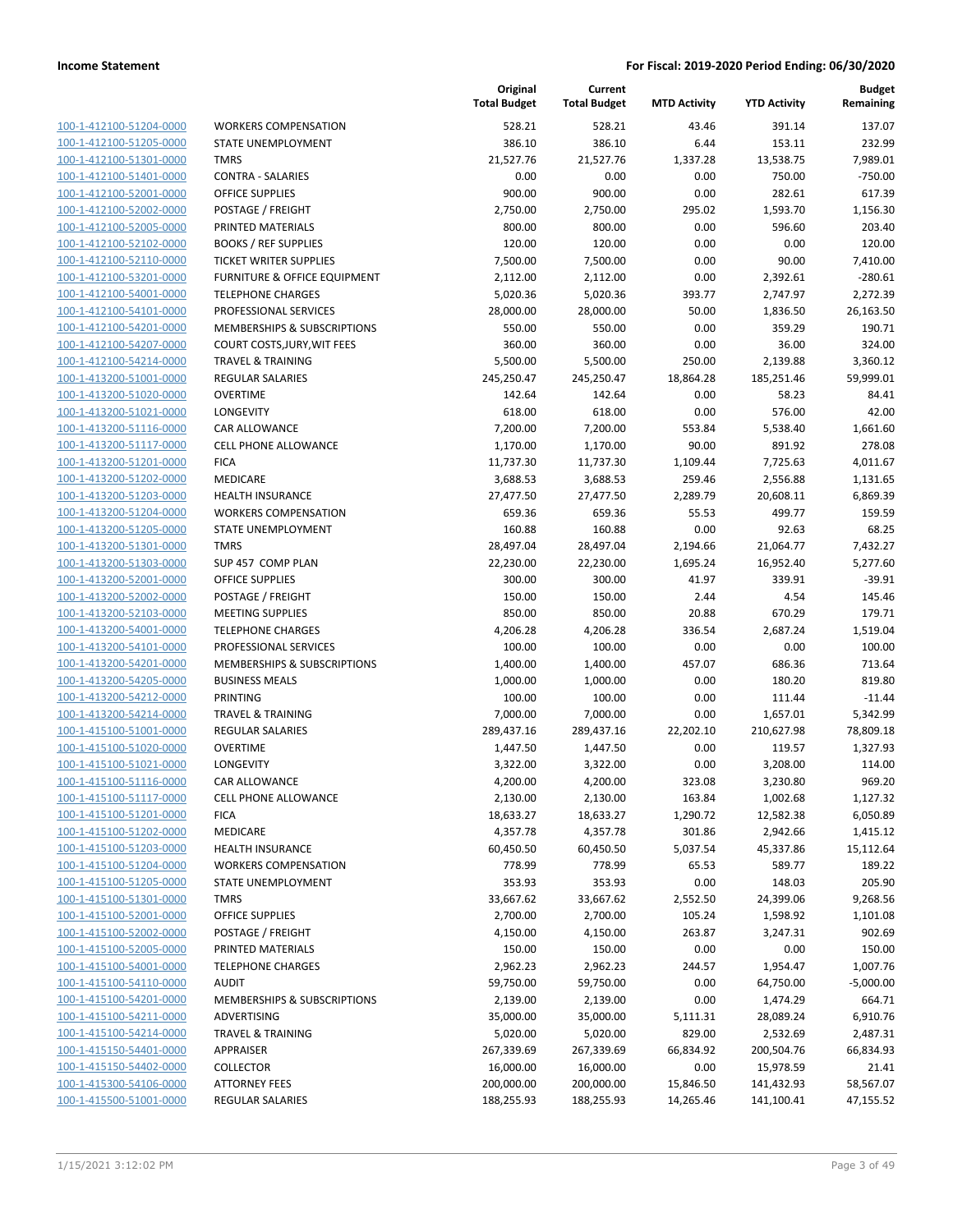| 100-1-412100-51204-0000        |
|--------------------------------|
| 100-1-412100-51205-0000        |
| <u>100-1-412100-51301-0000</u> |
| 100-1-412100-51401-0000        |
| 100-1-412100-52001-0000        |
|                                |
| 100-1-412100-52002-0000        |
| 100-1-412100-52005-0000        |
| 100-1-412100-52102-0000        |
| 100-1-412100-52110-0000        |
| 100-1-412100-53201-0000        |
| 100-1-412100-54001-0000        |
| 100-1-412100-54101-0000        |
| <u>100-1-412100-54201-0000</u> |
| 100-1-412100-54207-0000        |
| 100-1-412100-54214-0000        |
| 100-1-413200-51001-0000        |
|                                |
| 100-1-413200-51020-0000        |
| 100-1-413200-51021-0000        |
| 100-1-413200-51116-0000        |
| 100-1-413200-51117-0000        |
| 100-1-413200-51201-0000        |
| 100-1-413200-51202-0000        |
| <u>100-1-413200-51203-0000</u> |
| 100-1-413200-51204-0000        |
| 100-1-413200-51205-0000        |
| 100-1-413200-51301-0000        |
| 100-1-413200-51303-0000        |
| 100-1-413200-52001-0000        |
| 100-1-413200-52002-0000        |
|                                |
| 100-1-413200-52103-0000        |
| 100-1-413200-54001-0000        |
| 100-1-413200-54101-0000        |
| <u>100-1-413200-54201-0000</u> |
| 100-1-413200-54205-0000        |
| 100-1-413200-54212-0000        |
| 100-1-413200-54214-0000        |
| 100-1-415100-51001-0000        |
| <u>100-1-415100-51020-0000</u> |
| 100-1-415100-51021-0000        |
| 100-1-415100-51116-0000        |
| 100-1-415100-51117-0000        |
| 100-1-415100-51201-0000        |
|                                |
| <u>100-1-415100-51202-0000</u> |
| 100-1-415100-51203-0000        |
| 100-1-415100-51204-0000        |
| 100-1-415100-51205-0000        |
| 100-1-415100-51301-0000        |
| <u>100-1-415100-52001-0000</u> |
| <u>100-1-415100-52002-0000</u> |
| 100-1-415100-52005-0000        |
| 100-1-415100-54001-0000        |
| 100-1-415100-54110-0000        |
| <u>100-1-415100-54201-0000</u> |
| 100-1-415100-54211-0000        |
| <u>100-1-415100-54214-0000</u> |
| 100-1-415150-54401-0000        |
| 100-1-415150-54402-0000        |
| <u>100-1-415300-54106-0000</u> |
|                                |
| <u>100-1-415500-51001-0000</u> |

|                         |                               | Original<br><b>Total Budget</b> | Current<br><b>Total Budget</b> | <b>MTD Activity</b> | <b>YTD Activity</b> | <b>Budget</b><br>Remaining |
|-------------------------|-------------------------------|---------------------------------|--------------------------------|---------------------|---------------------|----------------------------|
| 100-1-412100-51204-0000 | <b>WORKERS COMPENSATION</b>   | 528.21                          | 528.21                         | 43.46               | 391.14              | 137.07                     |
| 100-1-412100-51205-0000 | <b>STATE UNEMPLOYMENT</b>     | 386.10                          | 386.10                         | 6.44                | 153.11              | 232.99                     |
| 100-1-412100-51301-0000 | <b>TMRS</b>                   | 21,527.76                       | 21,527.76                      | 1,337.28            | 13,538.75           | 7,989.01                   |
| 100-1-412100-51401-0000 | <b>CONTRA - SALARIES</b>      | 0.00                            | 0.00                           | 0.00                | 750.00              | $-750.00$                  |
| 100-1-412100-52001-0000 | <b>OFFICE SUPPLIES</b>        | 900.00                          | 900.00                         | 0.00                | 282.61              | 617.39                     |
| 100-1-412100-52002-0000 | POSTAGE / FREIGHT             | 2,750.00                        | 2,750.00                       | 295.02              | 1,593.70            | 1,156.30                   |
| 100-1-412100-52005-0000 | PRINTED MATERIALS             | 800.00                          | 800.00                         | 0.00                | 596.60              | 203.40                     |
| 100-1-412100-52102-0000 | <b>BOOKS / REF SUPPLIES</b>   | 120.00                          | 120.00                         | 0.00                | 0.00                | 120.00                     |
| 100-1-412100-52110-0000 | <b>TICKET WRITER SUPPLIES</b> | 7,500.00                        | 7,500.00                       | 0.00                | 90.00               | 7,410.00                   |
| 100-1-412100-53201-0000 | FURNITURE & OFFICE EQUIPMENT  | 2,112.00                        | 2,112.00                       | 0.00                | 2,392.61            | $-280.61$                  |
| 100-1-412100-54001-0000 | <b>TELEPHONE CHARGES</b>      | 5,020.36                        | 5,020.36                       | 393.77              | 2,747.97            | 2,272.39                   |
| 100-1-412100-54101-0000 | PROFESSIONAL SERVICES         | 28,000.00                       | 28,000.00                      | 50.00               | 1,836.50            | 26,163.50                  |
| 100-1-412100-54201-0000 | MEMBERSHIPS & SUBSCRIPTIONS   | 550.00                          | 550.00                         | 0.00                | 359.29              | 190.71                     |
| 100-1-412100-54207-0000 | COURT COSTS, JURY, WIT FEES   | 360.00                          | 360.00                         | 0.00                | 36.00               | 324.00                     |
| 100-1-412100-54214-0000 | TRAVEL & TRAINING             | 5,500.00                        | 5,500.00                       | 250.00              | 2,139.88            | 3,360.12                   |
| 100-1-413200-51001-0000 | REGULAR SALARIES              | 245,250.47                      | 245,250.47                     | 18,864.28           | 185,251.46          | 59,999.01                  |
| 100-1-413200-51020-0000 | <b>OVERTIME</b>               | 142.64                          | 142.64                         | 0.00                | 58.23               | 84.41                      |
| 100-1-413200-51021-0000 | LONGEVITY                     | 618.00                          | 618.00                         | 0.00                | 576.00              | 42.00                      |
| 100-1-413200-51116-0000 | <b>CAR ALLOWANCE</b>          | 7,200.00                        | 7,200.00                       | 553.84              | 5,538.40            | 1,661.60                   |
| 100-1-413200-51117-0000 | <b>CELL PHONE ALLOWANCE</b>   | 1,170.00                        | 1,170.00                       | 90.00               | 891.92              | 278.08                     |
| 100-1-413200-51201-0000 | <b>FICA</b>                   | 11,737.30                       | 11,737.30                      | 1,109.44            | 7,725.63            | 4,011.67                   |
| 100-1-413200-51202-0000 | MEDICARE                      | 3,688.53                        | 3,688.53                       | 259.46              | 2,556.88            | 1,131.65                   |
| 100-1-413200-51203-0000 | <b>HEALTH INSURANCE</b>       | 27,477.50                       | 27,477.50                      | 2,289.79            | 20,608.11           | 6,869.39                   |
| 100-1-413200-51204-0000 | <b>WORKERS COMPENSATION</b>   | 659.36                          | 659.36                         | 55.53               | 499.77              | 159.59                     |
| 100-1-413200-51205-0000 | STATE UNEMPLOYMENT            | 160.88                          | 160.88                         | 0.00                | 92.63               | 68.25                      |
| 100-1-413200-51301-0000 | <b>TMRS</b>                   | 28,497.04                       | 28,497.04                      | 2,194.66            | 21,064.77           | 7,432.27                   |
| 100-1-413200-51303-0000 | SUP 457 COMP PLAN             | 22,230.00                       | 22,230.00                      | 1,695.24            | 16,952.40           | 5,277.60                   |
| 100-1-413200-52001-0000 | <b>OFFICE SUPPLIES</b>        | 300.00                          | 300.00                         | 41.97               | 339.91              | $-39.91$                   |
| 100-1-413200-52002-0000 | POSTAGE / FREIGHT             | 150.00                          | 150.00                         | 2.44                | 4.54                | 145.46                     |
| 100-1-413200-52103-0000 | <b>MEETING SUPPLIES</b>       | 850.00                          | 850.00                         | 20.88               | 670.29              | 179.71                     |
| 100-1-413200-54001-0000 | <b>TELEPHONE CHARGES</b>      | 4,206.28                        | 4,206.28                       | 336.54              | 2,687.24            | 1,519.04                   |
| 100-1-413200-54101-0000 | PROFESSIONAL SERVICES         | 100.00                          | 100.00                         | 0.00                | 0.00                | 100.00                     |
| 100-1-413200-54201-0000 | MEMBERSHIPS & SUBSCRIPTIONS   | 1,400.00                        | 1,400.00                       | 457.07              | 686.36              | 713.64                     |
| 100-1-413200-54205-0000 | <b>BUSINESS MEALS</b>         | 1,000.00                        | 1,000.00                       | 0.00                | 180.20              | 819.80                     |
| 100-1-413200-54212-0000 | <b>PRINTING</b>               | 100.00                          | 100.00                         | 0.00                | 111.44              | $-11.44$                   |
| 100-1-413200-54214-0000 | <b>TRAVEL &amp; TRAINING</b>  | 7,000.00                        | 7,000.00                       | 0.00                | 1,657.01            | 5,342.99                   |
| 100-1-415100-51001-0000 | REGULAR SALARIES              | 289,437.16                      | 289,437.16                     | 22,202.10           | 210,627.98          | 78,809.18                  |
| 100-1-415100-51020-0000 | <b>OVERTIME</b>               | 1,447.50                        | 1,447.50                       | 0.00                | 119.57              | 1,327.93                   |
| 100-1-415100-51021-0000 | LONGEVITY                     | 3,322.00                        | 3,322.00                       | 0.00                | 3,208.00            | 114.00                     |
| 100-1-415100-51116-0000 | <b>CAR ALLOWANCE</b>          | 4,200.00                        | 4,200.00                       | 323.08              | 3,230.80            | 969.20                     |
| 100-1-415100-51117-0000 | <b>CELL PHONE ALLOWANCE</b>   | 2,130.00                        | 2,130.00                       | 163.84              | 1,002.68            | 1,127.32                   |
| 100-1-415100-51201-0000 | <b>FICA</b>                   | 18,633.27                       | 18,633.27                      | 1,290.72            | 12,582.38           | 6,050.89                   |
| 100-1-415100-51202-0000 | MEDICARE                      | 4,357.78                        | 4,357.78                       | 301.86              | 2,942.66            | 1,415.12                   |
| 100-1-415100-51203-0000 | <b>HEALTH INSURANCE</b>       | 60,450.50                       | 60,450.50                      | 5,037.54            | 45,337.86           | 15,112.64                  |
| 100-1-415100-51204-0000 | <b>WORKERS COMPENSATION</b>   | 778.99                          | 778.99                         | 65.53               | 589.77              | 189.22                     |
| 100-1-415100-51205-0000 | STATE UNEMPLOYMENT            | 353.93                          | 353.93                         | 0.00                | 148.03              | 205.90                     |
| 100-1-415100-51301-0000 | <b>TMRS</b>                   | 33,667.62                       | 33,667.62                      | 2,552.50            | 24,399.06           | 9,268.56                   |
| 100-1-415100-52001-0000 | <b>OFFICE SUPPLIES</b>        | 2,700.00                        | 2,700.00                       | 105.24              | 1,598.92            | 1,101.08                   |
| 100-1-415100-52002-0000 | POSTAGE / FREIGHT             | 4,150.00                        | 4,150.00                       | 263.87              | 3,247.31            | 902.69                     |
| 100-1-415100-52005-0000 | PRINTED MATERIALS             | 150.00                          | 150.00                         | 0.00                | 0.00                | 150.00                     |
| 100-1-415100-54001-0000 | <b>TELEPHONE CHARGES</b>      | 2,962.23                        | 2,962.23                       | 244.57              | 1,954.47            | 1,007.76                   |
| 100-1-415100-54110-0000 | <b>AUDIT</b>                  | 59,750.00                       | 59,750.00                      | 0.00                | 64,750.00           | $-5,000.00$                |
| 100-1-415100-54201-0000 | MEMBERSHIPS & SUBSCRIPTIONS   | 2,139.00                        | 2,139.00                       | 0.00                | 1,474.29            | 664.71                     |
| 100-1-415100-54211-0000 | ADVERTISING                   | 35,000.00                       | 35,000.00                      | 5,111.31            | 28,089.24           | 6,910.76                   |
| 100-1-415100-54214-0000 | TRAVEL & TRAINING             | 5,020.00                        | 5,020.00                       | 829.00              | 2,532.69            | 2,487.31                   |
| 100-1-415150-54401-0000 | APPRAISER                     | 267,339.69                      | 267,339.69                     | 66,834.92           | 200,504.76          | 66,834.93                  |
| 100-1-415150-54402-0000 | <b>COLLECTOR</b>              | 16,000.00                       | 16,000.00                      | 0.00                | 15,978.59           | 21.41                      |
| 100-1-415300-54106-0000 | <b>ATTORNEY FEES</b>          | 200,000.00                      | 200,000.00                     | 15,846.50           | 141,432.93          | 58,567.07                  |
| 100-1-415500-51001-0000 | REGULAR SALARIES              | 188,255.93                      | 188,255.93                     | 14,265.46           | 141,100.41          | 47,155.52                  |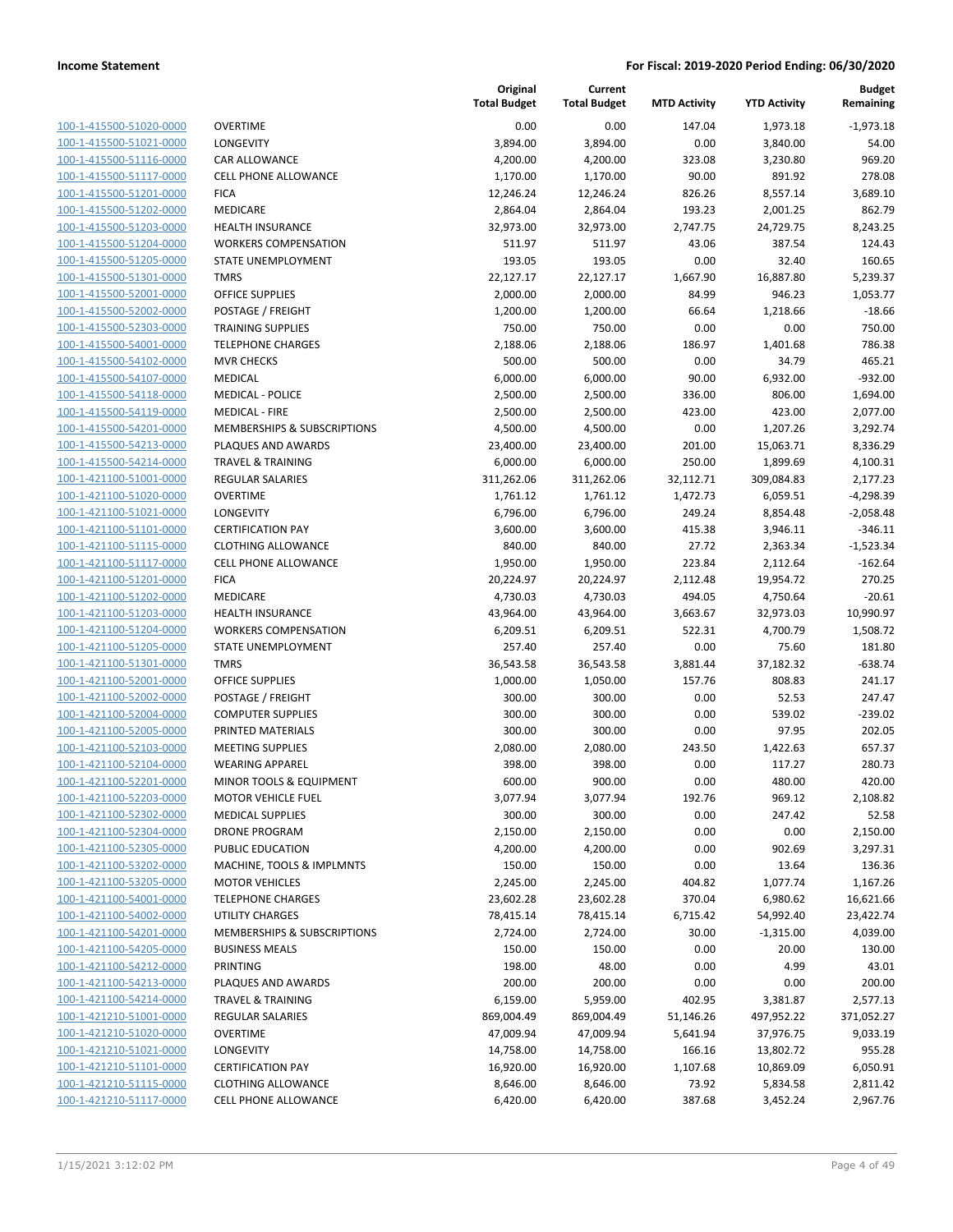| 100-1-415500-51020-0000        |
|--------------------------------|
| 100-1-415500-51021-0000        |
| 100-1-415500-51116-0000        |
| <u>100-1-415500-51117-0000</u> |
| 100-1-415500-51201-0000        |
| 100-1-415500-51202-0000        |
| 100-1-415500-51203-0000        |
| 100-1-415500-51204-0000        |
|                                |
| <u>100-1-415500-51205-0000</u> |
| 100-1-415500-51301-0000        |
| 100-1-415500-52001-0000        |
| 100-1-415500-52002-0000        |
| 100-1-415500-52303-0000        |
| <u>100-1-415500-54001-0000</u> |
| 100-1-415500-54102-0000        |
| 100-1-415500-54107-0000        |
| 100-1-415500-54118-0000        |
| 100-1-415500-54119-0000        |
| 100-1-415500-54201-0000        |
| 100-1-415500-54213-0000        |
|                                |
| 100-1-415500-54214-0000        |
| 100-1-421100-51001-0000        |
| 100-1-421100-51020-0000        |
| <u>100-1-421100-51021-0000</u> |
| 100-1-421100-51101-0000        |
| 100-1-421100-51115-0000        |
| 100-1-421100-51117-0000        |
| 100-1-421100-51201-0000        |
| <u>100-1-421100-51202-0000</u> |
| 100-1-421100-51203-0000        |
| 100-1-421100-51204-0000        |
| 100-1-421100-51205-0000        |
| 100-1-421100-51301-0000        |
|                                |
| <u>100-1-421100-52001-0000</u> |
| 100-1-421100-52002-0000        |
| 100-1-421100-52004-0000        |
| 100-1-421100-52005-0000        |
| 100-1-421100-52103-0000        |
| 100-1-421100-52104-0000        |
| 100-1-421100-52201-0000        |
| 100-1-421100-52203-0000        |
| <u>100-1-421100-52302-0000</u> |
| 100-1-421100-52304-0000        |
| 100-1-421100-52305-0000        |
| 100-1-421100-53202-0000        |
|                                |
| 100-1-421100-53205-0000        |
| 100-1-421100-54001-0000        |
| 100-1-421100-54002-0000        |
| 100-1-421100-54201-0000        |
| <u>100-1-421100-54205-0000</u> |
| 100-1-421100-54212-0000        |
| 100-1-421100-54213-0000        |
| 100-1-421100-54214-0000        |
| 100-1-421210-51001-0000        |
| <u>100-1-421210-51020-0000</u> |
| <u>100-1-421210-51021-0000</u> |
| <u>100-1-421210-51101-0000</u> |
| 100-1-421210-51115-0000        |
|                                |
| <u>100-1-421210-51117-0000</u> |

|                                                    |                                        | Original<br><b>Total Budget</b> | Current<br><b>Total Budget</b> | <b>MTD Activity</b> | <b>YTD Activity</b> | <b>Budget</b><br>Remaining |
|----------------------------------------------------|----------------------------------------|---------------------------------|--------------------------------|---------------------|---------------------|----------------------------|
| 100-1-415500-51020-0000                            | <b>OVERTIME</b>                        | 0.00                            | 0.00                           | 147.04              | 1,973.18            | $-1,973.18$                |
| 100-1-415500-51021-0000                            | LONGEVITY                              | 3,894.00                        | 3,894.00                       | 0.00                | 3,840.00            | 54.00                      |
| 100-1-415500-51116-0000                            | <b>CAR ALLOWANCE</b>                   | 4,200.00                        | 4,200.00                       | 323.08              | 3,230.80            | 969.20                     |
| 100-1-415500-51117-0000                            | <b>CELL PHONE ALLOWANCE</b>            | 1,170.00                        | 1,170.00                       | 90.00               | 891.92              | 278.08                     |
| 100-1-415500-51201-0000                            | <b>FICA</b>                            | 12,246.24                       | 12,246.24                      | 826.26              | 8,557.14            | 3,689.10                   |
| 100-1-415500-51202-0000                            | MEDICARE                               | 2,864.04                        | 2,864.04                       | 193.23              | 2,001.25            | 862.79                     |
| 100-1-415500-51203-0000                            | <b>HEALTH INSURANCE</b>                | 32,973.00                       | 32,973.00                      | 2,747.75            | 24,729.75           | 8,243.25                   |
| 100-1-415500-51204-0000                            | <b>WORKERS COMPENSATION</b>            | 511.97                          | 511.97                         | 43.06               | 387.54              | 124.43                     |
| 100-1-415500-51205-0000                            | STATE UNEMPLOYMENT                     | 193.05                          | 193.05                         | 0.00                | 32.40               | 160.65                     |
| 100-1-415500-51301-0000                            | <b>TMRS</b>                            | 22,127.17                       | 22,127.17                      | 1,667.90            | 16,887.80           | 5,239.37                   |
| 100-1-415500-52001-0000                            | <b>OFFICE SUPPLIES</b>                 | 2,000.00                        | 2,000.00                       | 84.99               | 946.23              | 1,053.77                   |
| 100-1-415500-52002-0000                            | POSTAGE / FREIGHT                      | 1,200.00                        | 1,200.00                       | 66.64               | 1,218.66            | $-18.66$                   |
| 100-1-415500-52303-0000                            | TRAINING SUPPLIES                      | 750.00                          | 750.00                         | 0.00                | 0.00                | 750.00                     |
| 100-1-415500-54001-0000                            | <b>TELEPHONE CHARGES</b>               | 2,188.06                        | 2,188.06                       | 186.97              | 1,401.68            | 786.38                     |
| 100-1-415500-54102-0000                            | <b>MVR CHECKS</b>                      | 500.00                          | 500.00                         | 0.00                | 34.79               | 465.21                     |
| 100-1-415500-54107-0000                            | <b>MEDICAL</b>                         | 6,000.00                        | 6,000.00                       | 90.00               | 6,932.00            | $-932.00$                  |
| 100-1-415500-54118-0000                            | <b>MEDICAL - POLICE</b>                | 2,500.00                        | 2,500.00                       | 336.00              | 806.00              | 1,694.00                   |
| 100-1-415500-54119-0000                            | <b>MEDICAL - FIRE</b>                  | 2,500.00                        | 2,500.00                       | 423.00              | 423.00              | 2,077.00                   |
| 100-1-415500-54201-0000                            | <b>MEMBERSHIPS &amp; SUBSCRIPTIONS</b> | 4,500.00                        | 4,500.00                       | 0.00                | 1,207.26            | 3,292.74                   |
| 100-1-415500-54213-0000                            | PLAQUES AND AWARDS                     | 23,400.00                       | 23,400.00                      | 201.00              | 15,063.71           | 8,336.29                   |
| 100-1-415500-54214-0000                            | <b>TRAVEL &amp; TRAINING</b>           | 6,000.00                        | 6,000.00                       | 250.00              | 1,899.69            | 4,100.31                   |
| 100-1-421100-51001-0000                            | <b>REGULAR SALARIES</b>                | 311,262.06                      | 311,262.06                     | 32,112.71           | 309,084.83          | 2,177.23                   |
| 100-1-421100-51020-0000                            | <b>OVERTIME</b>                        | 1,761.12                        | 1,761.12                       | 1,472.73            | 6,059.51            | $-4,298.39$                |
| 100-1-421100-51021-0000                            | LONGEVITY                              | 6,796.00                        | 6,796.00                       | 249.24              | 8,854.48            | $-2,058.48$                |
| 100-1-421100-51101-0000                            | <b>CERTIFICATION PAY</b>               | 3,600.00                        | 3,600.00                       | 415.38              | 3,946.11            | $-346.11$                  |
| 100-1-421100-51115-0000                            | <b>CLOTHING ALLOWANCE</b>              | 840.00                          | 840.00                         | 27.72               | 2,363.34            | $-1,523.34$                |
| 100-1-421100-51117-0000                            | CELL PHONE ALLOWANCE                   | 1,950.00                        | 1,950.00                       | 223.84              | 2,112.64            | $-162.64$                  |
| 100-1-421100-51201-0000                            | <b>FICA</b>                            | 20,224.97                       | 20,224.97                      | 2,112.48            | 19,954.72           | 270.25                     |
| 100-1-421100-51202-0000                            | MEDICARE                               | 4,730.03                        | 4,730.03                       | 494.05              | 4,750.64            | $-20.61$                   |
| 100-1-421100-51203-0000                            | HEALTH INSURANCE                       | 43,964.00                       | 43,964.00                      | 3,663.67            | 32,973.03           | 10,990.97                  |
| 100-1-421100-51204-0000                            | <b>WORKERS COMPENSATION</b>            | 6,209.51                        | 6,209.51                       | 522.31              | 4,700.79            | 1,508.72                   |
| 100-1-421100-51205-0000                            | STATE UNEMPLOYMENT<br><b>TMRS</b>      | 257.40                          | 257.40                         | 0.00                | 75.60               | 181.80                     |
| 100-1-421100-51301-0000<br>100-1-421100-52001-0000 | <b>OFFICE SUPPLIES</b>                 | 36,543.58<br>1,000.00           | 36,543.58<br>1,050.00          | 3,881.44<br>157.76  | 37,182.32<br>808.83 | $-638.74$<br>241.17        |
| 100-1-421100-52002-0000                            | POSTAGE / FREIGHT                      | 300.00                          | 300.00                         | 0.00                | 52.53               | 247.47                     |
| 100-1-421100-52004-0000                            | <b>COMPUTER SUPPLIES</b>               | 300.00                          | 300.00                         | 0.00                | 539.02              | $-239.02$                  |
| 100-1-421100-52005-0000                            | PRINTED MATERIALS                      | 300.00                          | 300.00                         | 0.00                | 97.95               | 202.05                     |
| 100-1-421100-52103-0000                            | <b>MEETING SUPPLIES</b>                | 2,080.00                        | 2,080.00                       | 243.50              | 1,422.63            | 657.37                     |
| 100-1-421100-52104-0000                            | <b>WEARING APPAREL</b>                 | 398.00                          | 398.00                         | 0.00                | 117.27              | 280.73                     |
| 100-1-421100-52201-0000                            | MINOR TOOLS & EQUIPMENT                | 600.00                          | 900.00                         | 0.00                | 480.00              | 420.00                     |
| 100-1-421100-52203-0000                            | <b>MOTOR VEHICLE FUEL</b>              | 3,077.94                        | 3,077.94                       | 192.76              | 969.12              | 2,108.82                   |
| 100-1-421100-52302-0000                            | <b>MEDICAL SUPPLIES</b>                | 300.00                          | 300.00                         | 0.00                | 247.42              | 52.58                      |
| 100-1-421100-52304-0000                            | <b>DRONE PROGRAM</b>                   | 2,150.00                        | 2,150.00                       | 0.00                | 0.00                | 2,150.00                   |
| 100-1-421100-52305-0000                            | PUBLIC EDUCATION                       | 4,200.00                        | 4,200.00                       | 0.00                | 902.69              | 3,297.31                   |
| 100-1-421100-53202-0000                            | MACHINE, TOOLS & IMPLMNTS              | 150.00                          | 150.00                         | 0.00                | 13.64               | 136.36                     |
| 100-1-421100-53205-0000                            | <b>MOTOR VEHICLES</b>                  | 2,245.00                        | 2,245.00                       | 404.82              | 1,077.74            | 1,167.26                   |
| 100-1-421100-54001-0000                            | <b>TELEPHONE CHARGES</b>               | 23,602.28                       | 23,602.28                      | 370.04              | 6,980.62            | 16,621.66                  |
| 100-1-421100-54002-0000                            | UTILITY CHARGES                        | 78,415.14                       | 78,415.14                      | 6,715.42            | 54,992.40           | 23,422.74                  |
| 100-1-421100-54201-0000                            | <b>MEMBERSHIPS &amp; SUBSCRIPTIONS</b> | 2,724.00                        | 2,724.00                       | 30.00               | $-1,315.00$         | 4,039.00                   |
| 100-1-421100-54205-0000                            | <b>BUSINESS MEALS</b>                  | 150.00                          | 150.00                         | 0.00                | 20.00               | 130.00                     |
| 100-1-421100-54212-0000                            | PRINTING                               | 198.00                          | 48.00                          | 0.00                | 4.99                | 43.01                      |
| 100-1-421100-54213-0000                            | PLAQUES AND AWARDS                     | 200.00                          | 200.00                         | 0.00                | 0.00                | 200.00                     |
| 100-1-421100-54214-0000                            | <b>TRAVEL &amp; TRAINING</b>           | 6,159.00                        | 5,959.00                       | 402.95              | 3,381.87            | 2,577.13                   |
| 100-1-421210-51001-0000                            | <b>REGULAR SALARIES</b>                | 869,004.49                      | 869,004.49                     | 51,146.26           | 497,952.22          | 371,052.27                 |
| 100-1-421210-51020-0000                            | <b>OVERTIME</b>                        | 47,009.94                       | 47,009.94                      | 5,641.94            | 37,976.75           | 9,033.19                   |
| 100-1-421210-51021-0000                            | LONGEVITY                              | 14,758.00                       | 14,758.00                      | 166.16              | 13,802.72           | 955.28                     |
| 100-1-421210-51101-0000                            | <b>CERTIFICATION PAY</b>               | 16,920.00                       | 16,920.00                      | 1,107.68            | 10,869.09           | 6,050.91                   |
| 100-1-421210-51115-0000                            | <b>CLOTHING ALLOWANCE</b>              | 8,646.00                        | 8,646.00                       | 73.92               | 5,834.58            | 2,811.42                   |
| 100-1-421210-51117-0000                            | <b>CELL PHONE ALLOWANCE</b>            | 6,420.00                        | 6,420.00                       | 387.68              | 3,452.24            | 2,967.76                   |
|                                                    |                                        |                                 |                                |                     |                     |                            |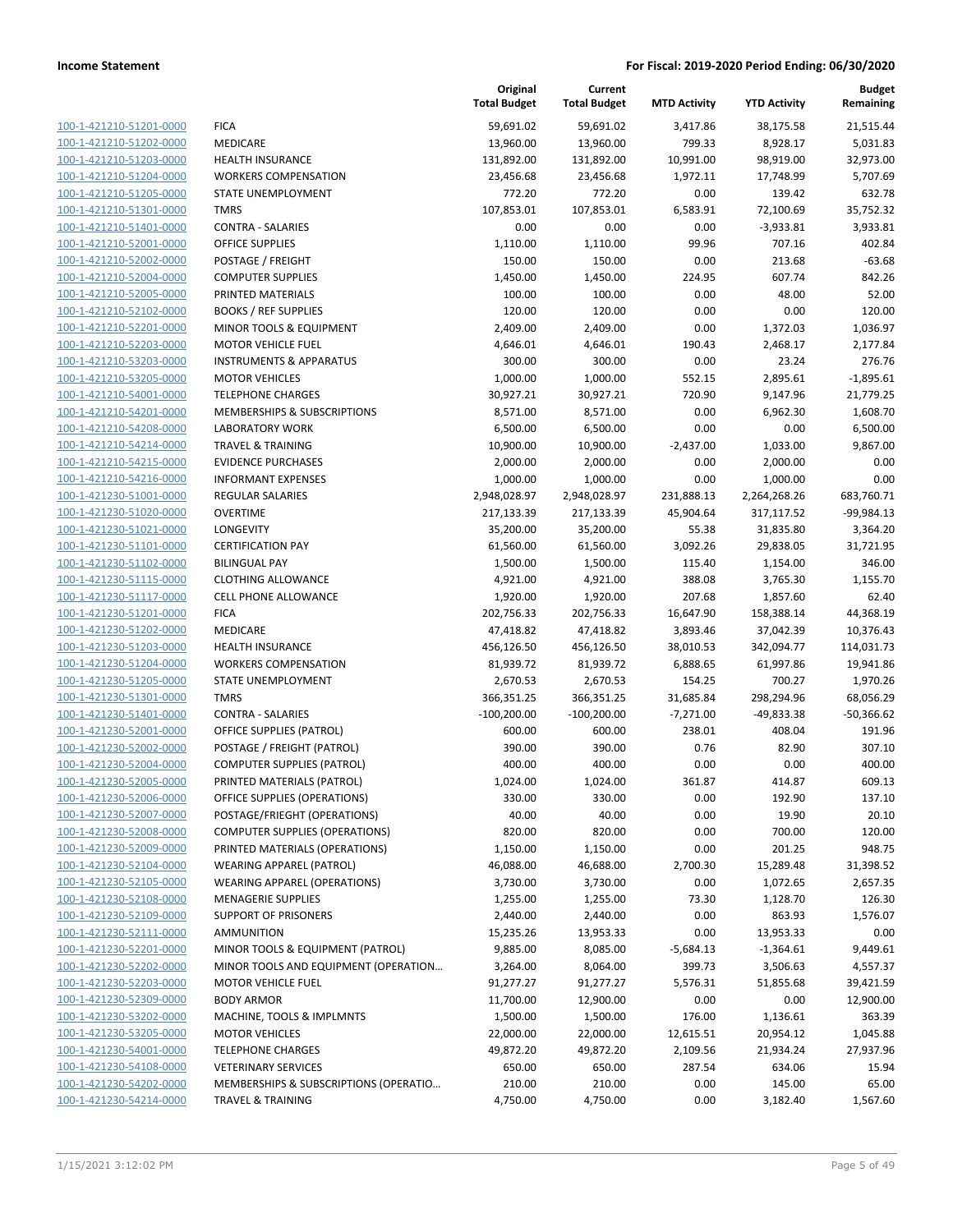| 100-1-421210-51201-0000<br>100-1-421210-51202-0000 | <b>FICA</b><br>MED |
|----------------------------------------------------|--------------------|
|                                                    |                    |
|                                                    |                    |
| 100-1-421210-51203-0000                            | HEAL               |
| 100-1-421210-51204-0000                            | <b>WOR</b>         |
| 100-1-421210-51205-0000                            | <b>STAT</b>        |
| 100-1-421210-51301-0000                            | TMR:               |
| 100-1-421210-51401-0000                            | CON.               |
| 100-1-421210-52001-0000                            | OFFI               |
| 100-1-421210-52002-0000                            | <b>POST</b>        |
| 100-1-421210-52004-0000                            | COM                |
| 100-1-421210-52005-0000                            | PRIN               |
| 100-1-421210-52102-0000                            | <b>BOO</b>         |
| 100-1-421210-52201-0000                            | <b>MIN</b>         |
| 100-1-421210-52203-0000                            | мот                |
| 100-1-421210-53203-0000                            | insti              |
| 100-1-421210-53205-0000                            | MOT                |
| 100-1-421210-54001-0000                            | <b>TELE</b>        |
| 100-1-421210-54201-0000                            | MEN                |
| 100-1-421210-54208-0000                            | LABC               |
| 100-1-421210-54214-0000                            | <b>TRAV</b>        |
| 100-1-421210-54215-0000                            | <b>EVID</b>        |
| 100-1-421210-54216-0000                            | <b>INFO</b>        |
| 100-1-421230-51001-0000                            | REGl               |
| 100-1-421230-51020-0000                            | <b>OVER</b>        |
| 100-1-421230-51021-0000                            | <b>LON</b>         |
| 100-1-421230-51101-0000                            | <b>CERT</b>        |
| 100-1-421230-51102-0000                            | <b>BILIN</b>       |
| 100-1-421230-51115-0000                            | <b>CLOT</b>        |
| 100-1-421230-51117-0000                            | CELL               |
| 100-1-421230-51201-0000                            | <b>FICA</b>        |
| 100-1-421230-51202-0000                            | <b>MED</b>         |
| 100-1-421230-51203-0000                            | HEAL               |
| 100-1-421230-51204-0000                            | WOR                |
| 100-1-421230-51205-0000                            | <b>STAT</b>        |
| 100-1-421230-51301-0000                            | TMR:               |
| 100-1-421230-51401-0000                            | CON.               |
| 100-1-421230-52001-0000                            | OFFI               |
| 100-1-421230-52002-0000                            | POST               |
| 100-1-421230-52004-0000                            | COM                |
| 100-1-421230-52005-0000                            | PRIN               |
| 100-1-421230-52006-0000                            | OFFI               |
| <u>100-1-421230-52007-0000</u>                     | post               |
| <u>100-1-421230-52008-0000</u>                     | COM                |
| 100-1-421230-52009-0000                            | PRIN               |
| 100-1-421230-52104-0000                            | WEA                |
| 100-1-421230-52105-0000                            | WEA                |
| 100-1-421230-52108-0000                            | MEN                |
| <u>100-1-421230-52109-0000</u>                     | SUPF               |
| 100-1-421230-52111-0000                            | AMN                |
| 100-1-421230-52201-0000                            | MIN                |
| 100-1-421230-52202-0000                            | MIN                |
| <u>100-1-421230-52203-0000</u>                     | мот                |
| 100-1-421230-52309-0000                            | BOD'               |
| 100-1-421230-53202-0000                            | MAC                |
| 100-1-421230-53205-0000                            | мот                |
| 100-1-421230-54001-0000                            | TELE               |
| <u>100-1-421230-54108-0000</u>                     | VETE               |
| <u>100-1-421230-54202-0000</u>                     | MEN                |
| 100-1-421230-54214-0000                            | <b>TRAV</b>        |

|                         |                                       | Original<br><b>Total Budget</b> | Current<br><b>Total Budget</b> | <b>MTD Activity</b> | <b>YTD Activity</b> | <b>Budget</b><br>Remaining |
|-------------------------|---------------------------------------|---------------------------------|--------------------------------|---------------------|---------------------|----------------------------|
| 100-1-421210-51201-0000 | <b>FICA</b>                           | 59,691.02                       | 59,691.02                      | 3,417.86            | 38,175.58           | 21,515.44                  |
| 100-1-421210-51202-0000 | MEDICARE                              | 13,960.00                       | 13,960.00                      | 799.33              | 8,928.17            | 5,031.83                   |
| 100-1-421210-51203-0000 | <b>HEALTH INSURANCE</b>               | 131,892.00                      | 131,892.00                     | 10,991.00           | 98,919.00           | 32,973.00                  |
| 100-1-421210-51204-0000 | <b>WORKERS COMPENSATION</b>           | 23,456.68                       | 23,456.68                      | 1,972.11            | 17,748.99           | 5,707.69                   |
| 100-1-421210-51205-0000 | STATE UNEMPLOYMENT                    | 772.20                          | 772.20                         | 0.00                | 139.42              | 632.78                     |
| 100-1-421210-51301-0000 | <b>TMRS</b>                           | 107,853.01                      | 107,853.01                     | 6,583.91            | 72,100.69           | 35,752.32                  |
| 100-1-421210-51401-0000 | <b>CONTRA - SALARIES</b>              | 0.00                            | 0.00                           | 0.00                | $-3,933.81$         | 3,933.81                   |
| 100-1-421210-52001-0000 | <b>OFFICE SUPPLIES</b>                | 1,110.00                        | 1,110.00                       | 99.96               | 707.16              | 402.84                     |
| 100-1-421210-52002-0000 | POSTAGE / FREIGHT                     | 150.00                          | 150.00                         | 0.00                | 213.68              | $-63.68$                   |
| 100-1-421210-52004-0000 | <b>COMPUTER SUPPLIES</b>              | 1,450.00                        | 1,450.00                       | 224.95              | 607.74              | 842.26                     |
| 100-1-421210-52005-0000 | PRINTED MATERIALS                     | 100.00                          | 100.00                         | 0.00                | 48.00               | 52.00                      |
| 100-1-421210-52102-0000 | <b>BOOKS / REF SUPPLIES</b>           | 120.00                          | 120.00                         | 0.00                | 0.00                | 120.00                     |
| 100-1-421210-52201-0000 | MINOR TOOLS & EQUIPMENT               | 2,409.00                        | 2,409.00                       | 0.00                | 1,372.03            | 1,036.97                   |
| 100-1-421210-52203-0000 | <b>MOTOR VEHICLE FUEL</b>             | 4,646.01                        | 4,646.01                       | 190.43              | 2,468.17            | 2,177.84                   |
| 100-1-421210-53203-0000 | <b>INSTRUMENTS &amp; APPARATUS</b>    | 300.00                          | 300.00                         | 0.00                | 23.24               | 276.76                     |
| 100-1-421210-53205-0000 | <b>MOTOR VEHICLES</b>                 | 1,000.00                        | 1,000.00                       | 552.15              | 2,895.61            | $-1,895.61$                |
| 100-1-421210-54001-0000 | <b>TELEPHONE CHARGES</b>              | 30,927.21                       | 30,927.21                      | 720.90              | 9,147.96            | 21,779.25                  |
| 100-1-421210-54201-0000 | MEMBERSHIPS & SUBSCRIPTIONS           | 8,571.00                        | 8,571.00                       | 0.00                | 6,962.30            | 1,608.70                   |
| 100-1-421210-54208-0000 | <b>LABORATORY WORK</b>                | 6,500.00                        | 6,500.00                       | 0.00                | 0.00                | 6,500.00                   |
| 100-1-421210-54214-0000 | <b>TRAVEL &amp; TRAINING</b>          | 10,900.00                       | 10,900.00                      | $-2,437.00$         | 1,033.00            | 9,867.00                   |
| 100-1-421210-54215-0000 | <b>EVIDENCE PURCHASES</b>             | 2,000.00                        | 2,000.00                       | 0.00                | 2,000.00            | 0.00                       |
| 100-1-421210-54216-0000 | <b>INFORMANT EXPENSES</b>             | 1,000.00                        | 1,000.00                       | 0.00                | 1,000.00            | 0.00                       |
| 100-1-421230-51001-0000 | REGULAR SALARIES                      | 2,948,028.97                    | 2,948,028.97                   | 231,888.13          | 2,264,268.26        | 683,760.71                 |
| 100-1-421230-51020-0000 | <b>OVERTIME</b>                       | 217,133.39                      | 217,133.39                     | 45,904.64           | 317,117.52          | -99,984.13                 |
| 100-1-421230-51021-0000 | LONGEVITY                             | 35,200.00                       | 35,200.00                      | 55.38               | 31,835.80           | 3,364.20                   |
| 100-1-421230-51101-0000 | <b>CERTIFICATION PAY</b>              | 61,560.00                       | 61,560.00                      | 3,092.26            | 29,838.05           | 31,721.95                  |
| 100-1-421230-51102-0000 | <b>BILINGUAL PAY</b>                  | 1,500.00                        | 1,500.00                       | 115.40              | 1,154.00            | 346.00                     |
| 100-1-421230-51115-0000 | <b>CLOTHING ALLOWANCE</b>             | 4,921.00                        | 4,921.00                       | 388.08              | 3,765.30            | 1,155.70                   |
| 100-1-421230-51117-0000 | <b>CELL PHONE ALLOWANCE</b>           | 1,920.00                        | 1,920.00                       | 207.68              | 1,857.60            | 62.40                      |
| 100-1-421230-51201-0000 | <b>FICA</b>                           | 202,756.33                      | 202,756.33                     | 16,647.90           | 158,388.14          | 44,368.19                  |
| 100-1-421230-51202-0000 | MEDICARE                              | 47,418.82                       | 47,418.82                      | 3,893.46            | 37,042.39           | 10,376.43                  |
| 100-1-421230-51203-0000 | HEALTH INSURANCE                      | 456,126.50                      | 456,126.50                     | 38,010.53           | 342,094.77          | 114,031.73                 |
| 100-1-421230-51204-0000 | <b>WORKERS COMPENSATION</b>           | 81,939.72                       | 81,939.72                      | 6,888.65            | 61,997.86           | 19,941.86                  |
| 100-1-421230-51205-0000 | STATE UNEMPLOYMENT                    | 2,670.53                        | 2,670.53                       | 154.25              | 700.27              | 1,970.26                   |
| 100-1-421230-51301-0000 | <b>TMRS</b>                           | 366,351.25                      | 366,351.25                     | 31,685.84           | 298,294.96          | 68,056.29                  |
| 100-1-421230-51401-0000 | <b>CONTRA - SALARIES</b>              | $-100,200.00$                   | $-100,200.00$                  | $-7,271.00$         | $-49,833.38$        | $-50,366.62$               |
| 100-1-421230-52001-0000 | <b>OFFICE SUPPLIES (PATROL)</b>       | 600.00                          | 600.00                         | 238.01              | 408.04              | 191.96                     |
| 100-1-421230-52002-0000 | POSTAGE / FREIGHT (PATROL)            | 390.00                          | 390.00                         | 0.76                | 82.90               | 307.10                     |
| 100-1-421230-52004-0000 | <b>COMPUTER SUPPLIES (PATROL)</b>     | 400.00                          | 400.00                         | 0.00                | 0.00                | 400.00                     |
| 100-1-421230-52005-0000 | PRINTED MATERIALS (PATROL)            | 1,024.00                        | 1,024.00                       | 361.87              | 414.87              | 609.13                     |
| 100-1-421230-52006-0000 | OFFICE SUPPLIES (OPERATIONS)          | 330.00                          | 330.00                         | 0.00                | 192.90              | 137.10                     |
| 100-1-421230-52007-0000 | POSTAGE/FRIEGHT (OPERATIONS)          | 40.00                           | 40.00                          | 0.00                | 19.90               | 20.10                      |
| 100-1-421230-52008-0000 | <b>COMPUTER SUPPLIES (OPERATIONS)</b> | 820.00                          | 820.00                         | 0.00                | 700.00              | 120.00                     |
| 100-1-421230-52009-0000 | PRINTED MATERIALS (OPERATIONS)        | 1,150.00                        | 1,150.00                       | 0.00                | 201.25              | 948.75                     |
| 100-1-421230-52104-0000 | <b>WEARING APPAREL (PATROL)</b>       | 46,088.00                       | 46,688.00                      | 2,700.30            | 15,289.48           | 31,398.52                  |
| 100-1-421230-52105-0000 | <b>WEARING APPAREL (OPERATIONS)</b>   | 3,730.00                        | 3,730.00                       | 0.00                | 1,072.65            | 2,657.35                   |
| 100-1-421230-52108-0000 | <b>MENAGERIE SUPPLIES</b>             | 1,255.00                        | 1,255.00                       | 73.30               | 1,128.70            | 126.30                     |
| 100-1-421230-52109-0000 | <b>SUPPORT OF PRISONERS</b>           | 2,440.00                        | 2,440.00                       | 0.00                | 863.93              | 1,576.07                   |
| 100-1-421230-52111-0000 | <b>AMMUNITION</b>                     | 15,235.26                       | 13,953.33                      | 0.00                | 13,953.33           | 0.00                       |
| 100-1-421230-52201-0000 | MINOR TOOLS & EQUIPMENT (PATROL)      | 9,885.00                        | 8,085.00                       | -5,684.13           | $-1,364.61$         | 9,449.61                   |
| 100-1-421230-52202-0000 | MINOR TOOLS AND EQUIPMENT (OPERATION  | 3,264.00                        | 8,064.00                       | 399.73              | 3,506.63            | 4,557.37                   |
| 100-1-421230-52203-0000 | MOTOR VEHICLE FUEL                    | 91,277.27                       | 91,277.27                      | 5,576.31            | 51,855.68           | 39,421.59                  |
| 100-1-421230-52309-0000 | <b>BODY ARMOR</b>                     | 11,700.00                       | 12,900.00                      | 0.00                | 0.00                | 12,900.00                  |
| 100-1-421230-53202-0000 | MACHINE, TOOLS & IMPLMNTS             | 1,500.00                        | 1,500.00                       | 176.00              | 1,136.61            | 363.39                     |
| 100-1-421230-53205-0000 | <b>MOTOR VEHICLES</b>                 | 22,000.00                       | 22,000.00                      | 12,615.51           | 20,954.12           | 1,045.88                   |
| 100-1-421230-54001-0000 | <b>TELEPHONE CHARGES</b>              | 49,872.20                       | 49,872.20                      | 2,109.56            | 21,934.24           | 27,937.96                  |
| 100-1-421230-54108-0000 | <b>VETERINARY SERVICES</b>            | 650.00                          | 650.00                         | 287.54              | 634.06              | 15.94                      |
| 100-1-421230-54202-0000 | MEMBERSHIPS & SUBSCRIPTIONS (OPERATIO | 210.00                          | 210.00                         | 0.00                | 145.00              | 65.00                      |
| 100-1-421230-54214-0000 | TRAVEL & TRAINING                     | 4,750.00                        | 4,750.00                       | 0.00                | 3,182.40            | 1,567.60                   |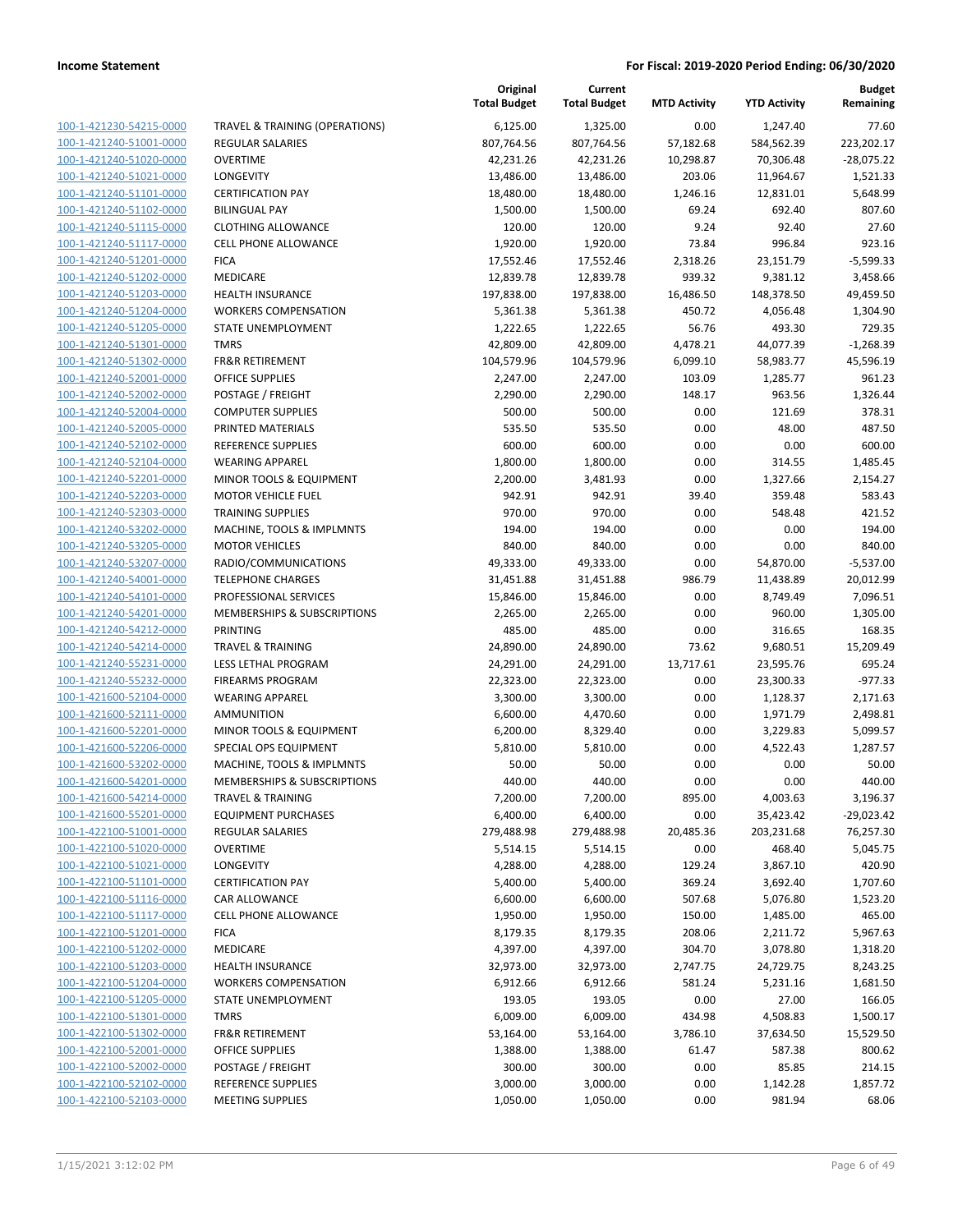|                                                    |                                           | Original<br><b>Total Budget</b> | Current<br><b>Total Budget</b> | <b>MTD Activity</b> | <b>YTD Activity</b> | <b>Budget</b><br>Remaining |
|----------------------------------------------------|-------------------------------------------|---------------------------------|--------------------------------|---------------------|---------------------|----------------------------|
| 100-1-421230-54215-0000                            | <b>TRAVEL &amp; TRAINING (OPERATIONS)</b> | 6,125.00                        | 1,325.00                       | 0.00                | 1,247.40            | 77.60                      |
| 100-1-421240-51001-0000                            | <b>REGULAR SALARIES</b>                   | 807,764.56                      | 807,764.56                     | 57,182.68           | 584,562.39          | 223,202.17                 |
| 100-1-421240-51020-0000                            | <b>OVERTIME</b>                           | 42,231.26                       | 42,231.26                      | 10,298.87           | 70,306.48           | $-28,075.22$               |
| 100-1-421240-51021-0000                            | <b>LONGEVITY</b>                          | 13,486.00                       | 13,486.00                      | 203.06              | 11,964.67           | 1,521.33                   |
| 100-1-421240-51101-0000                            | <b>CERTIFICATION PAY</b>                  | 18,480.00                       | 18,480.00                      | 1,246.16            | 12,831.01           | 5,648.99                   |
| 100-1-421240-51102-0000                            | <b>BILINGUAL PAY</b>                      | 1,500.00                        | 1,500.00                       | 69.24               | 692.40              | 807.60                     |
| 100-1-421240-51115-0000                            | <b>CLOTHING ALLOWANCE</b>                 | 120.00                          | 120.00                         | 9.24                | 92.40               | 27.60                      |
| 100-1-421240-51117-0000                            | <b>CELL PHONE ALLOWANCE</b>               | 1,920.00                        | 1,920.00                       | 73.84               | 996.84              | 923.16                     |
| 100-1-421240-51201-0000                            | <b>FICA</b>                               | 17,552.46                       | 17,552.46                      | 2,318.26            | 23,151.79           | $-5,599.33$                |
| 100-1-421240-51202-0000                            | MEDICARE                                  | 12,839.78                       | 12,839.78                      | 939.32              | 9,381.12            | 3,458.66                   |
| 100-1-421240-51203-0000                            | <b>HEALTH INSURANCE</b>                   | 197,838.00                      | 197,838.00                     | 16,486.50           | 148,378.50          | 49,459.50                  |
| 100-1-421240-51204-0000                            | <b>WORKERS COMPENSATION</b>               | 5,361.38                        | 5,361.38                       | 450.72              | 4,056.48            | 1,304.90                   |
| 100-1-421240-51205-0000                            | STATE UNEMPLOYMENT                        | 1,222.65                        | 1,222.65                       | 56.76               | 493.30              | 729.35                     |
| 100-1-421240-51301-0000                            | <b>TMRS</b>                               | 42,809.00                       | 42,809.00                      | 4,478.21            | 44,077.39           | $-1,268.39$                |
| 100-1-421240-51302-0000                            | <b>FR&amp;R RETIREMENT</b>                | 104,579.96                      | 104,579.96                     | 6,099.10            | 58,983.77           | 45,596.19                  |
| 100-1-421240-52001-0000                            | <b>OFFICE SUPPLIES</b>                    | 2,247.00                        | 2,247.00                       | 103.09              | 1,285.77            | 961.23                     |
| 100-1-421240-52002-0000                            | POSTAGE / FREIGHT                         | 2,290.00                        | 2,290.00                       | 148.17              | 963.56              | 1,326.44                   |
| 100-1-421240-52004-0000                            | <b>COMPUTER SUPPLIES</b>                  | 500.00                          | 500.00                         | 0.00                | 121.69              | 378.31                     |
| 100-1-421240-52005-0000                            | PRINTED MATERIALS                         | 535.50                          | 535.50                         | 0.00                | 48.00               | 487.50                     |
| 100-1-421240-52102-0000                            | REFERENCE SUPPLIES                        | 600.00                          | 600.00                         | 0.00                | 0.00                | 600.00                     |
| 100-1-421240-52104-0000                            | <b>WEARING APPAREL</b>                    | 1,800.00                        | 1,800.00                       | 0.00                | 314.55              | 1,485.45                   |
| 100-1-421240-52201-0000                            | MINOR TOOLS & EQUIPMENT                   | 2,200.00                        | 3,481.93                       | 0.00                | 1,327.66            | 2,154.27                   |
| 100-1-421240-52203-0000                            | <b>MOTOR VEHICLE FUEL</b>                 | 942.91                          | 942.91                         | 39.40               | 359.48              | 583.43                     |
| 100-1-421240-52303-0000                            | <b>TRAINING SUPPLIES</b>                  | 970.00                          | 970.00                         | 0.00                | 548.48              | 421.52                     |
| 100-1-421240-53202-0000                            | MACHINE, TOOLS & IMPLMNTS                 | 194.00                          | 194.00                         | 0.00                | 0.00                | 194.00                     |
| 100-1-421240-53205-0000                            | <b>MOTOR VEHICLES</b>                     | 840.00                          | 840.00                         | 0.00                | 0.00                | 840.00                     |
| 100-1-421240-53207-0000                            | RADIO/COMMUNICATIONS                      | 49,333.00                       | 49,333.00                      | 0.00                | 54,870.00           | $-5,537.00$                |
| 100-1-421240-54001-0000                            | <b>TELEPHONE CHARGES</b>                  | 31,451.88                       | 31,451.88                      | 986.79              | 11,438.89           | 20,012.99                  |
| 100-1-421240-54101-0000                            | PROFESSIONAL SERVICES                     | 15,846.00                       | 15,846.00                      | 0.00                | 8,749.49            | 7,096.51                   |
| 100-1-421240-54201-0000                            | MEMBERSHIPS & SUBSCRIPTIONS               | 2,265.00                        | 2,265.00                       | 0.00                | 960.00              | 1,305.00                   |
| 100-1-421240-54212-0000                            | PRINTING                                  | 485.00                          | 485.00                         | 0.00                | 316.65              | 168.35                     |
| 100-1-421240-54214-0000                            | <b>TRAVEL &amp; TRAINING</b>              | 24,890.00                       | 24,890.00                      | 73.62               | 9,680.51            | 15,209.49                  |
| 100-1-421240-55231-0000                            | LESS LETHAL PROGRAM                       | 24,291.00                       | 24,291.00                      | 13,717.61           | 23,595.76           | 695.24                     |
| 100-1-421240-55232-0000                            | <b>FIREARMS PROGRAM</b>                   | 22,323.00                       | 22,323.00                      | 0.00                | 23,300.33           | $-977.33$                  |
| 100-1-421600-52104-0000                            | <b>WEARING APPAREL</b>                    | 3,300.00                        | 3,300.00                       | 0.00                | 1,128.37            | 2,171.63                   |
| 100-1-421600-52111-0000                            | <b>AMMUNITION</b>                         | 6,600.00                        | 4,470.60                       | 0.00                | 1,971.79            | 2,498.81                   |
| 100-1-421600-52201-0000                            | MINOR TOOLS & EQUIPMENT                   | 6,200.00                        | 8,329.40                       | 0.00                | 3,229.83            | 5,099.57                   |
| 100-1-421600-52206-0000                            | SPECIAL OPS EQUIPMENT                     | 5,810.00                        | 5,810.00                       | 0.00                | 4,522.43            | 1,287.57                   |
| 100-1-421600-53202-0000                            | MACHINE, TOOLS & IMPLMNTS                 | 50.00                           | 50.00                          | 0.00                | 0.00                | 50.00                      |
| 100-1-421600-54201-0000                            | MEMBERSHIPS & SUBSCRIPTIONS               | 440.00                          | 440.00                         | 0.00                | 0.00                | 440.00                     |
| 100-1-421600-54214-0000                            | <b>TRAVEL &amp; TRAINING</b>              | 7,200.00                        | 7,200.00                       | 895.00              | 4,003.63            | 3,196.37                   |
| 100-1-421600-55201-0000                            | <b>EQUIPMENT PURCHASES</b>                | 6,400.00                        | 6,400.00                       | 0.00                | 35,423.42           | $-29,023.42$               |
| 100-1-422100-51001-0000                            | <b>REGULAR SALARIES</b>                   | 279,488.98                      | 279,488.98                     | 20,485.36           | 203,231.68          | 76,257.30                  |
| 100-1-422100-51020-0000                            | <b>OVERTIME</b>                           | 5,514.15                        | 5,514.15                       | 0.00                | 468.40              | 5,045.75                   |
| 100-1-422100-51021-0000                            | LONGEVITY                                 | 4,288.00                        | 4,288.00                       | 129.24              | 3,867.10            | 420.90                     |
| 100-1-422100-51101-0000                            | <b>CERTIFICATION PAY</b>                  | 5,400.00                        | 5,400.00                       | 369.24              | 3,692.40            | 1,707.60                   |
| 100-1-422100-51116-0000                            | CAR ALLOWANCE                             | 6,600.00                        | 6,600.00                       | 507.68              | 5,076.80            | 1,523.20                   |
| 100-1-422100-51117-0000                            | <b>CELL PHONE ALLOWANCE</b>               | 1,950.00                        | 1,950.00                       | 150.00              | 1,485.00            | 465.00                     |
| 100-1-422100-51201-0000<br>100-1-422100-51202-0000 | <b>FICA</b><br>MEDICARE                   | 8,179.35                        | 8,179.35                       | 208.06              | 2,211.72            | 5,967.63                   |
|                                                    | HEALTH INSURANCE                          | 4,397.00                        | 4,397.00                       | 304.70              | 3,078.80            | 1,318.20                   |
| 100-1-422100-51203-0000<br>100-1-422100-51204-0000 | <b>WORKERS COMPENSATION</b>               | 32,973.00                       | 32,973.00                      | 2,747.75<br>581.24  | 24,729.75           | 8,243.25                   |
| 100-1-422100-51205-0000                            | STATE UNEMPLOYMENT                        | 6,912.66<br>193.05              | 6,912.66<br>193.05             | 0.00                | 5,231.16<br>27.00   | 1,681.50<br>166.05         |
| 100-1-422100-51301-0000                            | <b>TMRS</b>                               | 6,009.00                        | 6,009.00                       | 434.98              | 4,508.83            | 1,500.17                   |
| 100-1-422100-51302-0000                            | <b>FR&amp;R RETIREMENT</b>                | 53,164.00                       | 53,164.00                      | 3,786.10            | 37,634.50           | 15,529.50                  |
| 100-1-422100-52001-0000                            | <b>OFFICE SUPPLIES</b>                    | 1,388.00                        | 1,388.00                       | 61.47               | 587.38              | 800.62                     |
| 100-1-422100-52002-0000                            | POSTAGE / FREIGHT                         | 300.00                          | 300.00                         | 0.00                | 85.85               | 214.15                     |
| 100-1-422100-52102-0000                            | REFERENCE SUPPLIES                        | 3,000.00                        | 3,000.00                       | 0.00                | 1,142.28            | 1,857.72                   |
| 100-1-422100-52103-0000                            | <b>MEETING SUPPLIES</b>                   | 1,050.00                        | 1,050.00                       | 0.00                | 981.94              | 68.06                      |
|                                                    |                                           |                                 |                                |                     |                     |                            |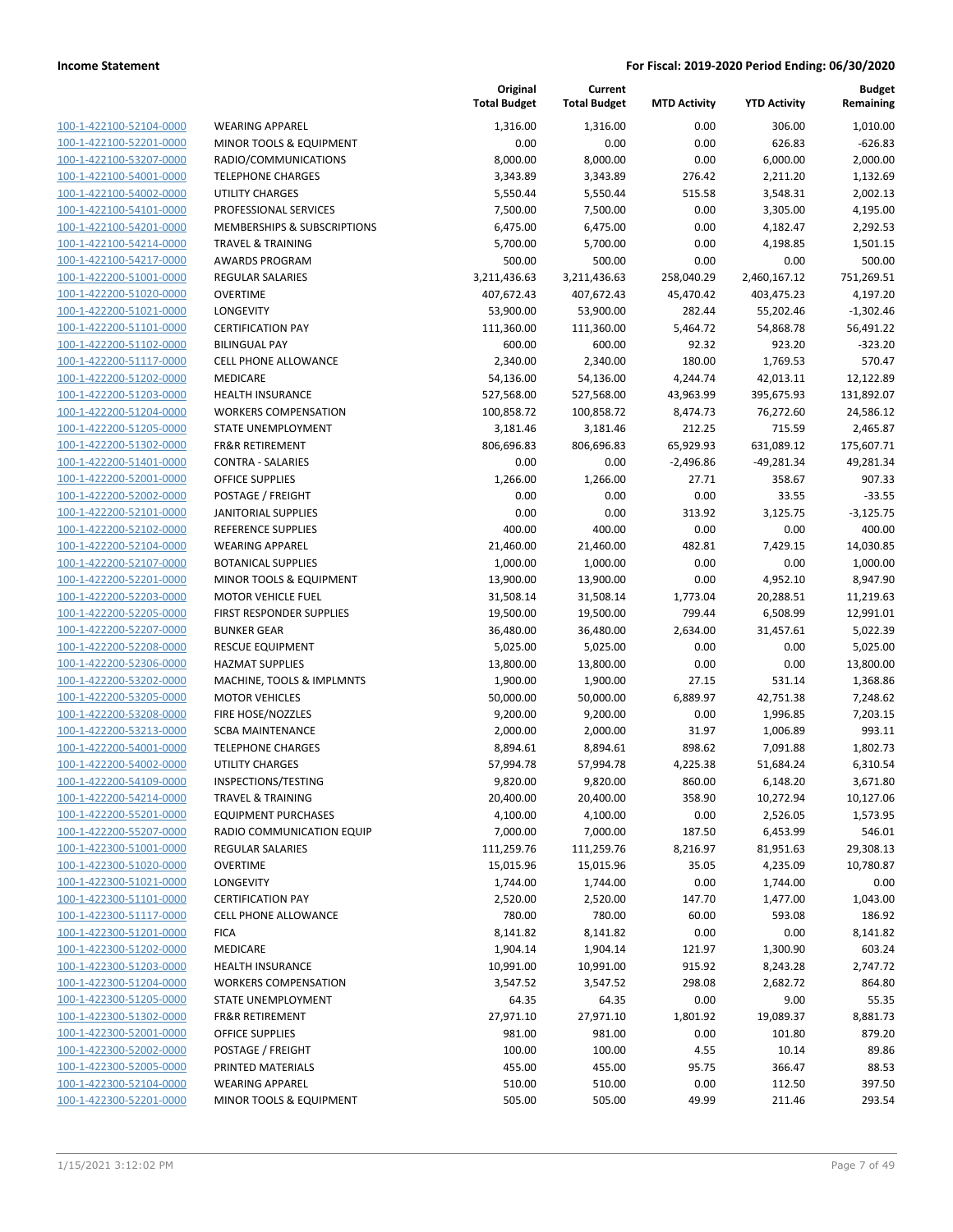| 100-1-422100-52104-0000                            | <b>WEARING APPAREL</b>                 |
|----------------------------------------------------|----------------------------------------|
| 100-1-422100-52201-0000                            | <b>MINOR TOOLS &amp; EQUIPMENT</b>     |
| 100-1-422100-53207-0000                            | RADIO/COMMUNICATIONS                   |
| 100-1-422100-54001-0000                            | <b>TELEPHONE CHARGES</b>               |
| 100-1-422100-54002-0000                            | UTILITY CHARGES                        |
| 100-1-422100-54101-0000                            | PROFESSIONAL SERVICES                  |
|                                                    | <b>MEMBERSHIPS &amp; SUBSCRIPTIONS</b> |
| 100-1-422100-54201-0000                            | <b>TRAVEL &amp; TRAINING</b>           |
| 100-1-422100-54214-0000                            | <b>AWARDS PROGRAM</b>                  |
| 100-1-422100-54217-0000                            |                                        |
| 100-1-422200-51001-0000                            | <b>REGULAR SALARIES</b>                |
| 100-1-422200-51020-0000                            | <b>OVERTIME</b>                        |
| 100-1-422200-51021-0000                            | <b>LONGEVITY</b>                       |
| 100-1-422200-51101-0000                            | <b>CERTIFICATION PAY</b>               |
| 100-1-422200-51102-0000                            | <b>BILINGUAL PAY</b>                   |
| 100-1-422200-51117-0000                            | <b>CELL PHONE ALLOWANCE</b>            |
| 100-1-422200-51202-0000                            | <b>MEDICARE</b>                        |
| 100-1-422200-51203-0000                            | <b>HEALTH INSURANCE</b>                |
| 100-1-422200-51204-0000                            | <b>WORKERS COMPENSATION</b>            |
| 100-1-422200-51205-0000                            | <b>STATE UNEMPLOYMENT</b>              |
| 100-1-422200-51302-0000                            | <b>FR&amp;R RETIREMENT</b>             |
| 100-1-422200-51401-0000                            | <b>CONTRA - SALARIES</b>               |
| 100-1-422200-52001-0000                            | <b>OFFICE SUPPLIES</b>                 |
| 100-1-422200-52002-0000                            | POSTAGE / FREIGHT                      |
| 100-1-422200-52101-0000                            | <b>JANITORIAL SUPPLIES</b>             |
| 100-1-422200-52102-0000                            | <b>REFERENCE SUPPLIES</b>              |
| 100-1-422200-52104-0000                            | <b>WEARING APPAREL</b>                 |
| 100-1-422200-52107-0000                            | <b>BOTANICAL SUPPLIES</b>              |
| 100-1-422200-52201-0000                            | <b>MINOR TOOLS &amp; EQUIPMENT</b>     |
| 100-1-422200-52203-0000                            | <b>MOTOR VEHICLE FUEL</b>              |
| 100-1-422200-52205-0000                            | <b>FIRST RESPONDER SUPPLIES</b>        |
| 100-1-422200-52207-0000                            | <b>BUNKER GEAR</b>                     |
|                                                    | <b>RESCUE EQUIPMENT</b>                |
| 100-1-422200-52208-0000                            | <b>HAZMAT SUPPLIES</b>                 |
| 100-1-422200-52306-0000<br>100-1-422200-53202-0000 |                                        |
|                                                    | MACHINE, TOOLS & IMPLMNTS              |
| 100-1-422200-53205-0000                            | <b>MOTOR VEHICLES</b>                  |
| 100-1-422200-53208-0000                            | FIRE HOSE/NOZZLES                      |
| 100-1-422200-53213-0000                            | <b>SCBA MAINTENANCE</b>                |
| 100-1-422200-54001-0000                            | <b>TELEPHONE CHARGES</b>               |
| 100-1-422200-54002-0000                            | <b>UTILITY CHARGES</b>                 |
| 100-1-422200-54109-0000                            | INSPECTIONS/TESTING                    |
| <u>100-1-422200-54214-0000</u>                     | TRAVEL & TRAINING                      |
| 100-1-422200-55201-0000                            | <b>EQUIPMENT PURCHASES</b>             |
| 100-1-422200-55207-0000                            | RADIO COMMUNICATION EQUIP              |
| 100-1-422300-51001-0000                            | <b>REGULAR SALARIES</b>                |
| 100-1-422300-51020-0000                            | OVERTIME                               |
| 100-1-422300-51021-0000                            | LONGEVITY                              |
| 100-1-422300-51101-0000                            | <b>CERTIFICATION PAY</b>               |
| 100-1-422300-51117-0000                            | <b>CELL PHONE ALLOWANCE</b>            |
| 100-1-422300-51201-0000                            | <b>FICA</b>                            |
| 100-1-422300-51202-0000                            | MEDICARE                               |
| 100-1-422300-51203-0000                            | <b>HEALTH INSURANCE</b>                |
| 100-1-422300-51204-0000                            | <b>WORKERS COMPENSATION</b>            |
| 100-1-422300-51205-0000                            | <b>STATE UNEMPLOYMENT</b>              |
| 100-1-422300-51302-0000                            | <b>FR&amp;R RETIREMENT</b>             |
| 100-1-422300-52001-0000                            | OFFICE SUPPLIES                        |
| 100-1-422300-52002-0000                            | POSTAGE / FREIGHT                      |
|                                                    | PRINTED MATERIALS                      |
| 100-1-422300-52005-0000                            | <b>WEARING APPAREL</b>                 |
| 100-1-422300-52104-0000                            |                                        |
| 100-1-422300-52201-0000                            | MINOR TOOLS & EQUIPMENT                |
|                                                    |                                        |

|                                                    |                                                    | Original<br><b>Total Budget</b> | Current<br><b>Total Budget</b> | <b>MTD Activity</b> | <b>YTD Activity</b> | <b>Budget</b><br>Remaining |
|----------------------------------------------------|----------------------------------------------------|---------------------------------|--------------------------------|---------------------|---------------------|----------------------------|
| 100-1-422100-52104-0000                            | <b>WEARING APPAREL</b>                             | 1.316.00                        | 1,316.00                       | 0.00                | 306.00              | 1,010.00                   |
| 100-1-422100-52201-0000                            | MINOR TOOLS & EQUIPMENT                            | 0.00                            | 0.00                           | 0.00                | 626.83              | $-626.83$                  |
| 100-1-422100-53207-0000                            | RADIO/COMMUNICATIONS                               | 8,000.00                        | 8,000.00                       | 0.00                | 6,000.00            | 2,000.00                   |
| 100-1-422100-54001-0000                            | <b>TELEPHONE CHARGES</b>                           | 3,343.89                        | 3,343.89                       | 276.42              | 2,211.20            | 1,132.69                   |
| 100-1-422100-54002-0000                            | <b>UTILITY CHARGES</b>                             | 5,550.44                        | 5,550.44                       | 515.58              | 3,548.31            | 2,002.13                   |
| 100-1-422100-54101-0000                            | PROFESSIONAL SERVICES                              | 7,500.00                        | 7,500.00                       | 0.00                | 3,305.00            | 4,195.00                   |
| 100-1-422100-54201-0000                            | MEMBERSHIPS & SUBSCRIPTIONS                        | 6,475.00                        | 6,475.00                       | 0.00                | 4,182.47            | 2,292.53                   |
| 100-1-422100-54214-0000                            | <b>TRAVEL &amp; TRAINING</b>                       | 5,700.00                        | 5,700.00                       | 0.00                | 4,198.85            | 1,501.15                   |
| 100-1-422100-54217-0000                            | <b>AWARDS PROGRAM</b>                              | 500.00                          | 500.00                         | 0.00                | 0.00                | 500.00                     |
| 100-1-422200-51001-0000                            | <b>REGULAR SALARIES</b>                            | 3,211,436.63                    | 3,211,436.63                   | 258,040.29          | 2,460,167.12        | 751,269.51                 |
| 100-1-422200-51020-0000                            | <b>OVERTIME</b>                                    | 407,672.43                      | 407,672.43                     | 45,470.42           | 403,475.23          | 4,197.20                   |
| 100-1-422200-51021-0000                            | LONGEVITY                                          | 53,900.00                       | 53,900.00                      | 282.44              | 55,202.46           | $-1,302.46$                |
| 100-1-422200-51101-0000                            | <b>CERTIFICATION PAY</b>                           | 111,360.00                      | 111,360.00                     | 5,464.72            | 54,868.78           | 56,491.22                  |
| 100-1-422200-51102-0000                            | <b>BILINGUAL PAY</b>                               | 600.00                          | 600.00                         | 92.32               | 923.20              | $-323.20$                  |
| 100-1-422200-51117-0000                            | <b>CELL PHONE ALLOWANCE</b>                        | 2,340.00                        | 2,340.00                       | 180.00              | 1,769.53            | 570.47                     |
| 100-1-422200-51202-0000                            | MEDICARE                                           | 54,136.00                       | 54,136.00                      | 4,244.74            | 42,013.11           | 12,122.89                  |
| 100-1-422200-51203-0000                            | <b>HEALTH INSURANCE</b>                            | 527,568.00                      | 527,568.00                     | 43,963.99           | 395,675.93          | 131,892.07                 |
| 100-1-422200-51204-0000                            | <b>WORKERS COMPENSATION</b>                        | 100,858.72                      | 100,858.72                     | 8,474.73            | 76,272.60           | 24,586.12                  |
| 100-1-422200-51205-0000                            | STATE UNEMPLOYMENT                                 | 3,181.46                        | 3,181.46                       | 212.25              | 715.59              | 2,465.87                   |
| 100-1-422200-51302-0000                            | <b>FR&amp;R RETIREMENT</b>                         | 806,696.83                      | 806,696.83                     | 65,929.93           | 631,089.12          | 175,607.71                 |
| 100-1-422200-51401-0000                            | <b>CONTRA - SALARIES</b>                           | 0.00                            | 0.00                           | $-2,496.86$         | $-49,281.34$        | 49,281.34                  |
| 100-1-422200-52001-0000                            | <b>OFFICE SUPPLIES</b>                             | 1,266.00                        | 1,266.00                       | 27.71               | 358.67              | 907.33                     |
| 100-1-422200-52002-0000                            | POSTAGE / FREIGHT                                  | 0.00                            | 0.00                           | 0.00                | 33.55               | $-33.55$                   |
| 100-1-422200-52101-0000                            | <b>JANITORIAL SUPPLIES</b>                         | 0.00                            | 0.00                           | 313.92              | 3,125.75            | $-3,125.75$                |
| 100-1-422200-52102-0000                            | REFERENCE SUPPLIES                                 | 400.00                          | 400.00                         | 0.00                | 0.00                | 400.00                     |
| 100-1-422200-52104-0000                            | <b>WEARING APPAREL</b>                             | 21,460.00                       | 21,460.00                      | 482.81              | 7,429.15            | 14,030.85                  |
| 100-1-422200-52107-0000                            | <b>BOTANICAL SUPPLIES</b>                          | 1,000.00                        | 1,000.00                       | 0.00                | 0.00                | 1,000.00                   |
| 100-1-422200-52201-0000                            | MINOR TOOLS & EQUIPMENT                            | 13,900.00                       | 13,900.00                      | 0.00                | 4,952.10            | 8,947.90                   |
| 100-1-422200-52203-0000                            | <b>MOTOR VEHICLE FUEL</b>                          | 31,508.14                       | 31,508.14                      | 1,773.04            | 20,288.51           | 11,219.63                  |
| 100-1-422200-52205-0000                            | FIRST RESPONDER SUPPLIES                           | 19,500.00                       | 19,500.00                      | 799.44              | 6,508.99            | 12,991.01                  |
| 100-1-422200-52207-0000                            | <b>BUNKER GEAR</b>                                 | 36,480.00                       | 36,480.00                      | 2,634.00            | 31,457.61           | 5,022.39                   |
| 100-1-422200-52208-0000                            | <b>RESCUE EQUIPMENT</b>                            | 5,025.00                        | 5,025.00                       | 0.00                | 0.00                | 5,025.00                   |
| 100-1-422200-52306-0000<br>100-1-422200-53202-0000 | <b>HAZMAT SUPPLIES</b>                             | 13,800.00                       | 13,800.00<br>1,900.00          | 0.00                | 0.00                | 13,800.00                  |
| 100-1-422200-53205-0000                            | MACHINE, TOOLS & IMPLMNTS<br><b>MOTOR VEHICLES</b> | 1,900.00<br>50,000.00           | 50,000.00                      | 27.15<br>6,889.97   | 531.14<br>42,751.38 | 1,368.86<br>7,248.62       |
| 100-1-422200-53208-0000                            | FIRE HOSE/NOZZLES                                  | 9,200.00                        | 9,200.00                       | 0.00                | 1,996.85            | 7,203.15                   |
| 100-1-422200-53213-0000                            | <b>SCBA MAINTENANCE</b>                            | 2,000.00                        | 2,000.00                       | 31.97               | 1,006.89            | 993.11                     |
| 100-1-422200-54001-0000                            | <b>TELEPHONE CHARGES</b>                           | 8,894.61                        | 8,894.61                       | 898.62              | 7,091.88            | 1,802.73                   |
| 100-1-422200-54002-0000                            | <b>UTILITY CHARGES</b>                             | 57,994.78                       | 57,994.78                      | 4,225.38            | 51,684.24           | 6,310.54                   |
| 100-1-422200-54109-0000                            | INSPECTIONS/TESTING                                | 9,820.00                        | 9,820.00                       | 860.00              | 6,148.20            | 3,671.80                   |
| 100-1-422200-54214-0000                            | <b>TRAVEL &amp; TRAINING</b>                       | 20,400.00                       | 20,400.00                      | 358.90              | 10,272.94           | 10,127.06                  |
| 100-1-422200-55201-0000                            | <b>EQUIPMENT PURCHASES</b>                         | 4,100.00                        | 4,100.00                       | 0.00                | 2,526.05            | 1,573.95                   |
| 100-1-422200-55207-0000                            | RADIO COMMUNICATION EQUIP                          | 7,000.00                        | 7,000.00                       | 187.50              | 6,453.99            | 546.01                     |
| 100-1-422300-51001-0000                            | <b>REGULAR SALARIES</b>                            | 111,259.76                      | 111,259.76                     | 8,216.97            | 81,951.63           | 29,308.13                  |
| 100-1-422300-51020-0000                            | <b>OVERTIME</b>                                    | 15,015.96                       | 15,015.96                      | 35.05               | 4,235.09            | 10,780.87                  |
| 100-1-422300-51021-0000                            | LONGEVITY                                          | 1,744.00                        | 1,744.00                       | 0.00                | 1,744.00            | 0.00                       |
| 100-1-422300-51101-0000                            | <b>CERTIFICATION PAY</b>                           | 2,520.00                        | 2,520.00                       | 147.70              | 1,477.00            | 1,043.00                   |
| 100-1-422300-51117-0000                            | <b>CELL PHONE ALLOWANCE</b>                        | 780.00                          | 780.00                         | 60.00               | 593.08              | 186.92                     |
| 100-1-422300-51201-0000                            | <b>FICA</b>                                        | 8,141.82                        | 8,141.82                       | 0.00                | 0.00                | 8,141.82                   |
| 100-1-422300-51202-0000                            | MEDICARE                                           | 1,904.14                        | 1,904.14                       | 121.97              | 1,300.90            | 603.24                     |
| 100-1-422300-51203-0000                            | HEALTH INSURANCE                                   | 10,991.00                       | 10,991.00                      | 915.92              | 8,243.28            | 2,747.72                   |
| 100-1-422300-51204-0000                            | <b>WORKERS COMPENSATION</b>                        | 3,547.52                        | 3,547.52                       | 298.08              | 2,682.72            | 864.80                     |
| 100-1-422300-51205-0000                            | STATE UNEMPLOYMENT                                 | 64.35                           | 64.35                          | 0.00                | 9.00                | 55.35                      |
| 100-1-422300-51302-0000                            | <b>FR&amp;R RETIREMENT</b>                         | 27,971.10                       | 27,971.10                      | 1,801.92            | 19,089.37           | 8,881.73                   |
| 100-1-422300-52001-0000                            | <b>OFFICE SUPPLIES</b>                             | 981.00                          | 981.00                         | 0.00                | 101.80              | 879.20                     |
| 100-1-422300-52002-0000                            | POSTAGE / FREIGHT                                  | 100.00                          | 100.00                         | 4.55                | 10.14               | 89.86                      |
| 100-1-422300-52005-0000                            | PRINTED MATERIALS                                  | 455.00                          | 455.00                         | 95.75               | 366.47              | 88.53                      |
| 100-1-422300-52104-0000                            | <b>WEARING APPAREL</b>                             | 510.00                          | 510.00                         | 0.00                | 112.50              | 397.50                     |
| 100-1-422300-52201-0000                            | MINOR TOOLS & EQUIPMENT                            | 505.00                          | 505.00                         | 49.99               | 211.46              | 293.54                     |
|                                                    |                                                    |                                 |                                |                     |                     |                            |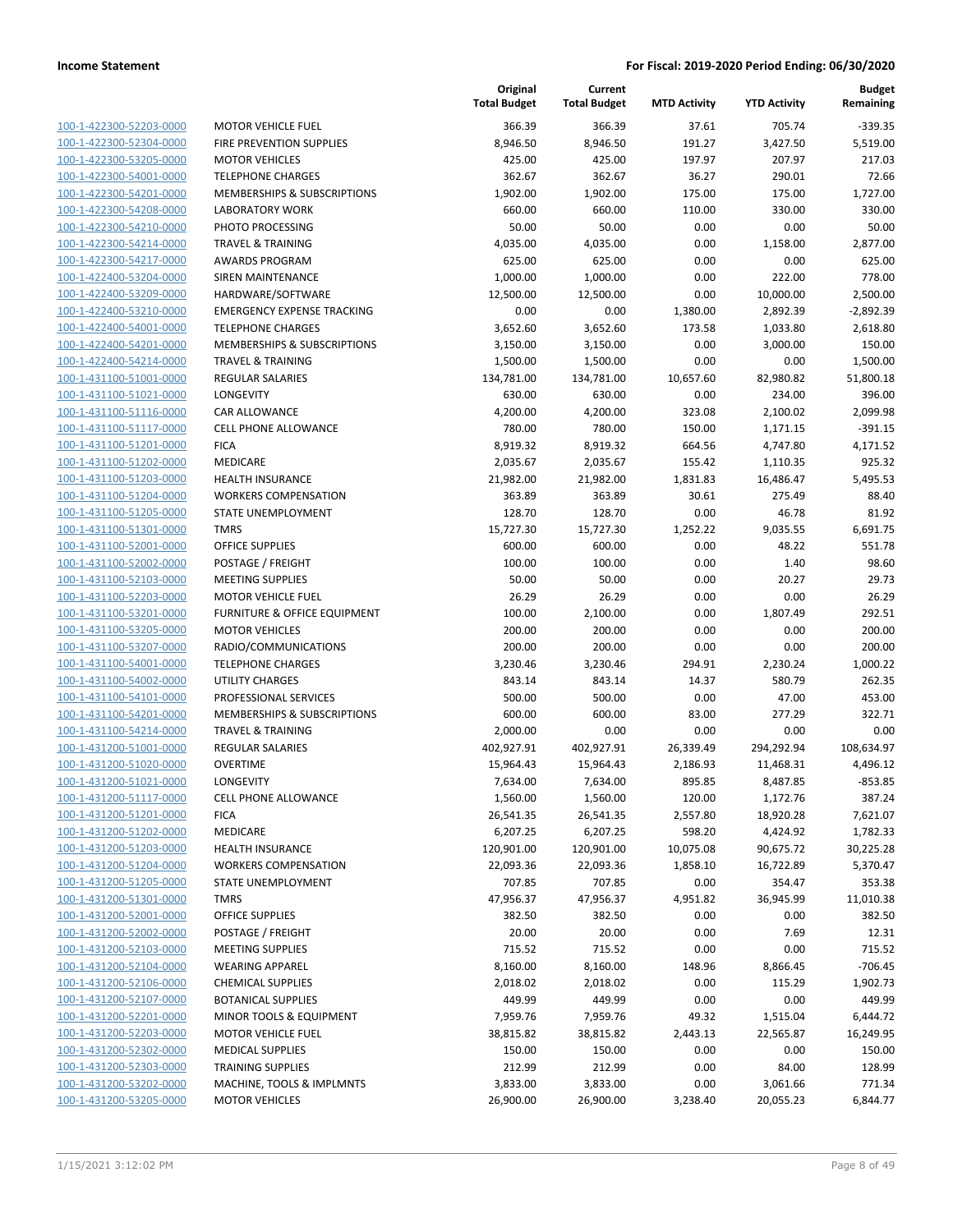| 100-1-422300-52203-0000        |
|--------------------------------|
| 100-1-422300-52304-0000        |
| <u>100-1-422300-53205-0000</u> |
| 100-1-422300-54001-0000        |
| 100-1-422300-54201-0000        |
| 100-1-422300-54208-0000        |
| 100-1-422300-54210-0000        |
| 100-1-422300-54214-0000        |
| 100-1-422300-54217-0000        |
| 100-1-422400-53204-0000        |
| 100-1-422400-53209-0000        |
| 100-1-422400-53210-0000        |
| 100-1-422400-54001-0000        |
| 100-1-422400-54201-0000        |
| 100-1-422400-54214-0000        |
| 100-1-431100-51001-0000        |
| 100-1-431100-51021-0000        |
| 100-1-431100-51116-0000        |
| 100-1-431100-51117-0000        |
| 100-1-431100-51201-0000        |
| 100-1-431100-51202-0000        |
| 100-1-431100-51203-0000        |
| <u>100-1-431100-51204-0000</u> |
| 100-1-431100-51205-0000        |
| 100-1-431100-51301-0000        |
| 100-1-431100-52001-0000        |
| 100-1-431100-52002-0000        |
| 100-1-431100-52103-0000        |
| 100-1-431100-52203-0000        |
| 100-1-431100-53201-0000        |
| 100-1-431100-53205-0000        |
| 100-1-431100-53207-0000        |
| <u>100-1-431100-54001-0000</u> |
| 100-1-431100-54002-0000        |
| 100-1-431100-54101-0000        |
| 100-1-431100-54201-0000        |
| 100-1-431100-54214-0000        |
| 100-1-431200-51001-0000        |
| 100-1-431200-51020-0000        |
| 100-1-431200-51021-0000        |
| 100-1-431200-51117-0000        |
| 100-1-431200-51201-0000        |
| <u>100-1-431200-51202-0000</u> |
| <u>100-1-431200-51203-0000</u> |
| 100-1-431200-51204-0000        |
| 100-1-431200-51205-0000        |
| 100-1-431200-51301-0000        |
| 100-1-431200-52001-0000        |
| 100-1-431200-52002-0000        |
| 100-1-431200-52103-0000        |
| 100-1-431200-52104-0000        |
| <u>100-1-431200-52106-0000</u> |
| <u>100-1-431200-52107-0000</u> |
| 100-1-431200-52201-0000        |
| 100-1-431200-52203-0000        |
| 100-1-431200-52302-0000        |
| <u>100-1-431200-52303-0000</u> |
| 100-1-431200-53202-0000        |
| 100-1-431200-53205-0000        |

|                         |                                   | Original<br><b>Total Budget</b> | Current<br><b>Total Budget</b> | <b>MTD Activity</b> | <b>YTD Activity</b> | Budget<br>Remaining |
|-------------------------|-----------------------------------|---------------------------------|--------------------------------|---------------------|---------------------|---------------------|
| 100-1-422300-52203-0000 | <b>MOTOR VEHICLE FUEL</b>         | 366.39                          | 366.39                         | 37.61               | 705.74              | $-339.35$           |
| 100-1-422300-52304-0000 | FIRE PREVENTION SUPPLIES          | 8,946.50                        | 8,946.50                       | 191.27              | 3,427.50            | 5,519.00            |
| 100-1-422300-53205-0000 | <b>MOTOR VEHICLES</b>             | 425.00                          | 425.00                         | 197.97              | 207.97              | 217.03              |
| 100-1-422300-54001-0000 | <b>TELEPHONE CHARGES</b>          | 362.67                          | 362.67                         | 36.27               | 290.01              | 72.66               |
| 100-1-422300-54201-0000 | MEMBERSHIPS & SUBSCRIPTIONS       | 1,902.00                        | 1,902.00                       | 175.00              | 175.00              | 1,727.00            |
| 100-1-422300-54208-0000 | LABORATORY WORK                   | 660.00                          | 660.00                         | 110.00              | 330.00              | 330.00              |
| 100-1-422300-54210-0000 | PHOTO PROCESSING                  | 50.00                           | 50.00                          | 0.00                | 0.00                | 50.00               |
| 100-1-422300-54214-0000 | <b>TRAVEL &amp; TRAINING</b>      | 4,035.00                        | 4,035.00                       | 0.00                | 1,158.00            | 2,877.00            |
| 100-1-422300-54217-0000 | <b>AWARDS PROGRAM</b>             | 625.00                          | 625.00                         | 0.00                | 0.00                | 625.00              |
| 100-1-422400-53204-0000 | SIREN MAINTENANCE                 | 1,000.00                        | 1,000.00                       | 0.00                | 222.00              | 778.00              |
| 100-1-422400-53209-0000 | HARDWARE/SOFTWARE                 | 12,500.00                       | 12,500.00                      | 0.00                | 10,000.00           | 2,500.00            |
| 100-1-422400-53210-0000 | <b>EMERGENCY EXPENSE TRACKING</b> | 0.00                            | 0.00                           | 1,380.00            | 2,892.39            | $-2,892.39$         |
| 100-1-422400-54001-0000 | <b>TELEPHONE CHARGES</b>          | 3,652.60                        | 3,652.60                       | 173.58              | 1,033.80            | 2,618.80            |
| 100-1-422400-54201-0000 | MEMBERSHIPS & SUBSCRIPTIONS       | 3,150.00                        | 3,150.00                       | 0.00                | 3,000.00            | 150.00              |
| 100-1-422400-54214-0000 | <b>TRAVEL &amp; TRAINING</b>      | 1,500.00                        | 1,500.00                       | 0.00                | 0.00                | 1,500.00            |
| 100-1-431100-51001-0000 | <b>REGULAR SALARIES</b>           | 134,781.00                      | 134,781.00                     | 10,657.60           | 82,980.82           | 51,800.18           |
| 100-1-431100-51021-0000 | LONGEVITY                         | 630.00                          | 630.00                         | 0.00                | 234.00              | 396.00              |
| 100-1-431100-51116-0000 | CAR ALLOWANCE                     | 4,200.00                        | 4,200.00                       | 323.08              | 2,100.02            | 2,099.98            |
| 100-1-431100-51117-0000 | <b>CELL PHONE ALLOWANCE</b>       | 780.00                          | 780.00                         | 150.00              | 1,171.15            | $-391.15$           |
| 100-1-431100-51201-0000 | <b>FICA</b>                       | 8,919.32                        | 8,919.32                       | 664.56              | 4,747.80            | 4,171.52            |
| 100-1-431100-51202-0000 | MEDICARE                          | 2,035.67                        | 2,035.67                       | 155.42              | 1,110.35            | 925.32              |
| 100-1-431100-51203-0000 | HEALTH INSURANCE                  | 21,982.00                       | 21,982.00                      | 1,831.83            | 16,486.47           | 5,495.53            |
| 100-1-431100-51204-0000 | <b>WORKERS COMPENSATION</b>       | 363.89                          | 363.89                         | 30.61               | 275.49              | 88.40               |
| 100-1-431100-51205-0000 | STATE UNEMPLOYMENT                | 128.70                          | 128.70                         | 0.00                | 46.78               | 81.92               |
| 100-1-431100-51301-0000 | <b>TMRS</b>                       | 15,727.30                       | 15,727.30                      | 1,252.22            | 9,035.55            | 6,691.75            |
| 100-1-431100-52001-0000 | <b>OFFICE SUPPLIES</b>            | 600.00                          | 600.00                         | 0.00                | 48.22               | 551.78              |
| 100-1-431100-52002-0000 | POSTAGE / FREIGHT                 | 100.00                          | 100.00                         | 0.00                | 1.40                | 98.60               |
| 100-1-431100-52103-0000 | <b>MEETING SUPPLIES</b>           | 50.00                           | 50.00                          | 0.00                | 20.27               | 29.73               |
| 100-1-431100-52203-0000 | <b>MOTOR VEHICLE FUEL</b>         | 26.29                           | 26.29                          | 0.00                | 0.00                | 26.29               |
| 100-1-431100-53201-0000 | FURNITURE & OFFICE EQUIPMENT      | 100.00                          | 2,100.00                       | 0.00                | 1,807.49            | 292.51              |
| 100-1-431100-53205-0000 | <b>MOTOR VEHICLES</b>             | 200.00                          | 200.00                         | 0.00                | 0.00                | 200.00              |
| 100-1-431100-53207-0000 | RADIO/COMMUNICATIONS              | 200.00                          | 200.00                         | 0.00                | 0.00                | 200.00              |
| 100-1-431100-54001-0000 | <b>TELEPHONE CHARGES</b>          | 3,230.46                        | 3,230.46                       | 294.91              | 2,230.24            | 1,000.22            |
| 100-1-431100-54002-0000 | <b>UTILITY CHARGES</b>            | 843.14                          | 843.14                         | 14.37               | 580.79              | 262.35              |
| 100-1-431100-54101-0000 | PROFESSIONAL SERVICES             | 500.00                          | 500.00                         | 0.00                | 47.00               | 453.00              |
| 100-1-431100-54201-0000 | MEMBERSHIPS & SUBSCRIPTIONS       | 600.00                          | 600.00                         | 83.00               | 277.29              | 322.71              |
| 100-1-431100-54214-0000 | <b>TRAVEL &amp; TRAINING</b>      | 2,000.00                        | 0.00                           | 0.00                | 0.00                | 0.00                |
| 100-1-431200-51001-0000 | REGULAR SALARIES                  | 402,927.91                      | 402,927.91                     | 26,339.49           | 294,292.94          | 108,634.97          |
| 100-1-431200-51020-0000 | <b>OVERTIME</b>                   | 15,964.43                       | 15,964.43                      | 2,186.93            | 11,468.31           | 4,496.12            |
| 100-1-431200-51021-0000 | LONGEVITY                         | 7,634.00                        | 7,634.00                       | 895.85              | 8,487.85            | $-853.85$           |
| 100-1-431200-51117-0000 | <b>CELL PHONE ALLOWANCE</b>       | 1,560.00                        | 1,560.00                       | 120.00              | 1,172.76            | 387.24              |
| 100-1-431200-51201-0000 | <b>FICA</b>                       | 26,541.35                       | 26,541.35                      | 2,557.80            | 18,920.28           | 7,621.07            |
| 100-1-431200-51202-0000 | MEDICARE                          | 6,207.25                        | 6,207.25                       | 598.20              | 4,424.92            | 1,782.33            |
| 100-1-431200-51203-0000 | <b>HEALTH INSURANCE</b>           | 120,901.00                      | 120,901.00                     | 10,075.08           | 90,675.72           | 30,225.28           |
| 100-1-431200-51204-0000 | <b>WORKERS COMPENSATION</b>       | 22,093.36                       | 22,093.36                      | 1,858.10            | 16,722.89           | 5,370.47            |
| 100-1-431200-51205-0000 | STATE UNEMPLOYMENT                | 707.85                          | 707.85                         | 0.00                | 354.47              | 353.38              |
| 100-1-431200-51301-0000 | <b>TMRS</b>                       | 47,956.37                       | 47,956.37                      | 4,951.82            | 36,945.99           | 11,010.38           |
| 100-1-431200-52001-0000 | <b>OFFICE SUPPLIES</b>            | 382.50                          | 382.50                         | 0.00                | 0.00                | 382.50              |
| 100-1-431200-52002-0000 | POSTAGE / FREIGHT                 | 20.00                           | 20.00                          | 0.00                | 7.69                | 12.31               |
| 100-1-431200-52103-0000 | <b>MEETING SUPPLIES</b>           | 715.52                          | 715.52                         | 0.00                | 0.00                | 715.52              |
| 100-1-431200-52104-0000 | <b>WEARING APPAREL</b>            | 8,160.00                        | 8,160.00                       | 148.96              | 8,866.45            | $-706.45$           |
| 100-1-431200-52106-0000 | <b>CHEMICAL SUPPLIES</b>          | 2,018.02                        | 2,018.02                       | 0.00                | 115.29              | 1,902.73            |
| 100-1-431200-52107-0000 | <b>BOTANICAL SUPPLIES</b>         | 449.99                          | 449.99                         | 0.00                | 0.00                | 449.99              |
| 100-1-431200-52201-0000 | MINOR TOOLS & EQUIPMENT           | 7,959.76                        | 7,959.76                       | 49.32               | 1,515.04            | 6,444.72            |
| 100-1-431200-52203-0000 | <b>MOTOR VEHICLE FUEL</b>         | 38,815.82                       | 38,815.82                      | 2,443.13            | 22,565.87           | 16,249.95           |
| 100-1-431200-52302-0000 | <b>MEDICAL SUPPLIES</b>           | 150.00                          | 150.00                         | 0.00                | 0.00                | 150.00              |
| 100-1-431200-52303-0000 | <b>TRAINING SUPPLIES</b>          | 212.99                          | 212.99                         | 0.00                | 84.00               | 128.99              |
| 100-1-431200-53202-0000 | MACHINE, TOOLS & IMPLMNTS         | 3,833.00                        | 3,833.00                       | 0.00                | 3,061.66            | 771.34              |
| 100-1-431200-53205-0000 | <b>MOTOR VEHICLES</b>             | 26,900.00                       | 26,900.00                      | 3,238.40            | 20,055.23           | 6,844.77            |
|                         |                                   |                                 |                                |                     |                     |                     |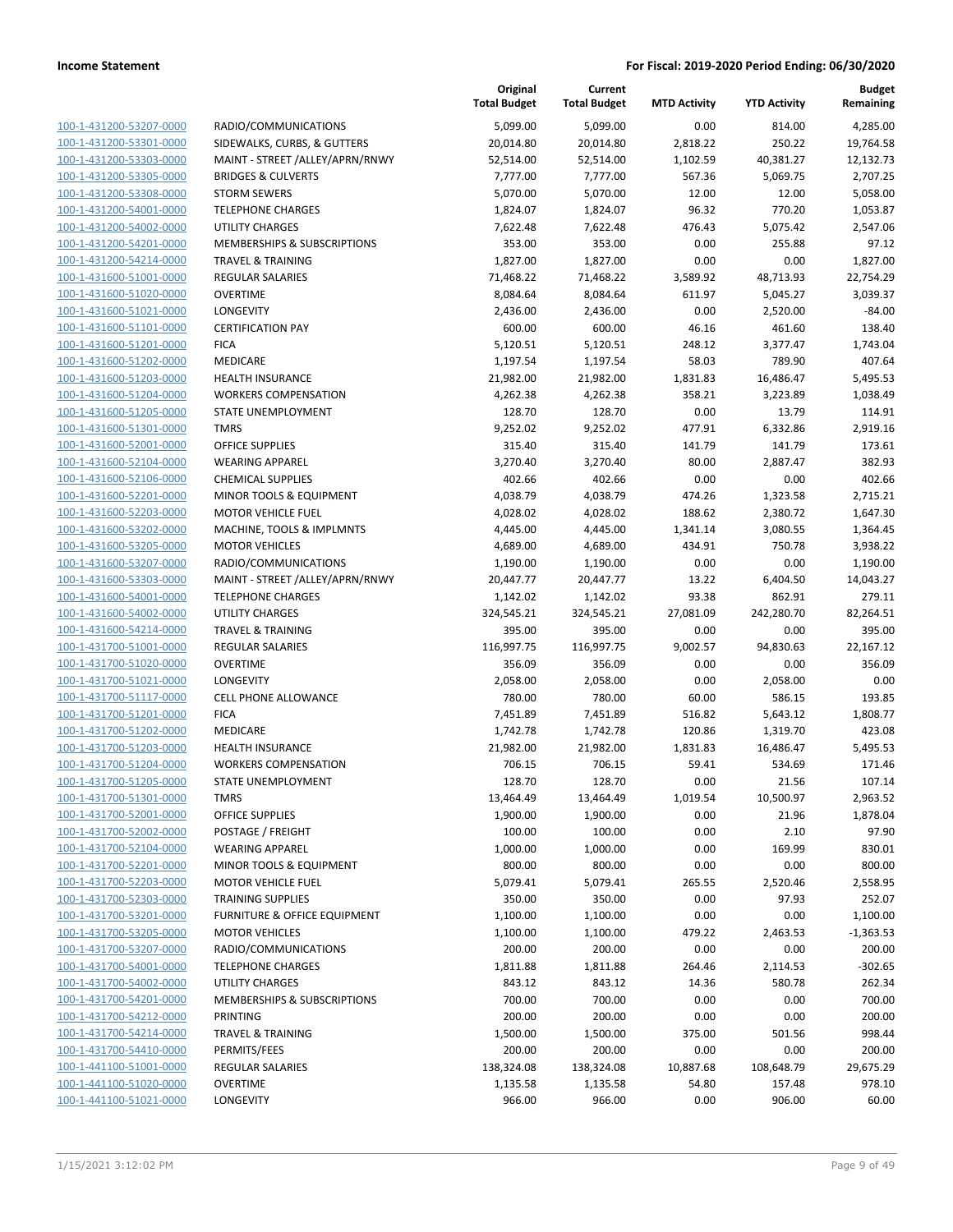| 100-1-431200-53207-0000        |
|--------------------------------|
| 100-1-431200-53301-0000        |
| 100-1-431200-53303-0000        |
| <u>100-1-431200-53305-0000</u> |
| 100-1-431200-53308-0000        |
| 100-1-431200-54001-0000        |
| 100-1-431200-54002-0000        |
|                                |
| 100-1-431200-54201-0000        |
| <u>100-1-431200-54214-0000</u> |
| 100-1-431600-51001-0000        |
| 100-1-431600-51020-0000        |
| 100-1-431600-51021-0000        |
| 100-1-431600-51101-0000        |
| <u>100-1-431600-51201-0000</u> |
| 100-1-431600-51202-0000        |
| 100-1-431600-51203-0000        |
| 100-1-431600-51204-0000        |
| 100-1-431600-51205-0000        |
| <u>100-1-431600-51301-0000</u> |
| 100-1-431600-52001-0000        |
|                                |
| 100-1-431600-52104-0000        |
| 100-1-431600-52106-0000        |
| 100-1-431600-52201-0000        |
| <u>100-1-431600-52203-0000</u> |
| 100-1-431600-53202-0000        |
| 100-1-431600-53205-0000        |
| 100-1-431600-53207-0000        |
| 100-1-431600-53303-0000        |
| <u>100-1-431600-54001-0000</u> |
| 100-1-431600-54002-0000        |
| 100-1-431600-54214-0000        |
| 100-1-431700-51001-0000        |
| 100-1-431700-51020-0000        |
|                                |
| <u>100-1-431700-51021-0000</u> |
| 100-1-431700-51117-0000        |
| 100-1-431700-51201-0000        |
| 100-1-431700-51202-0000        |
| 100-1-431700-51203-0000        |
| 100-1-431700-51204-0000        |
| 100-1-431700-51205-0000        |
| 100-1-431700-51301-0000        |
| 100-1-431700-52001-0000        |
| <u>100-1-431700-52002-0000</u> |
| <u>100-1-431700-52104-0000</u> |
| 100-1-431700-52201-0000        |
| 100-1-431700-52203-0000        |
| 100-1-431700-52303-0000        |
|                                |
| <u>100-1-431700-53201-0000</u> |
| <u>100-1-431700-53205-0000</u> |
| <u>100-1-431700-53207-0000</u> |
| 100-1-431700-54001-0000        |
| 100-1-431700-54002-0000        |
| <u>100-1-431700-54201-0000</u> |
| <u>100-1-431700-54212-0000</u> |
| <u>100-1-431700-54214-0000</u> |
| 100-1-431700-54410-0000        |
| <u>100-1-441100-51001-0000</u> |
| <u>100-1-441100-51020-0000</u> |
| <u>100-1-441100-51021-0000</u> |
|                                |

|                         |                                    | Original<br><b>Total Budget</b> | Current<br><b>Total Budget</b> | <b>MTD Activity</b> | <b>YTD Activity</b> | <b>Budget</b><br>Remaining |
|-------------------------|------------------------------------|---------------------------------|--------------------------------|---------------------|---------------------|----------------------------|
| 100-1-431200-53207-0000 | RADIO/COMMUNICATIONS               | 5,099.00                        | 5,099.00                       | 0.00                | 814.00              | 4,285.00                   |
| 100-1-431200-53301-0000 | SIDEWALKS, CURBS, & GUTTERS        | 20,014.80                       | 20,014.80                      | 2,818.22            | 250.22              | 19,764.58                  |
| 100-1-431200-53303-0000 | MAINT - STREET /ALLEY/APRN/RNWY    | 52,514.00                       | 52,514.00                      | 1,102.59            | 40,381.27           | 12,132.73                  |
| 100-1-431200-53305-0000 | <b>BRIDGES &amp; CULVERTS</b>      | 7,777.00                        | 7,777.00                       | 567.36              | 5,069.75            | 2,707.25                   |
| 100-1-431200-53308-0000 | <b>STORM SEWERS</b>                | 5,070.00                        | 5,070.00                       | 12.00               | 12.00               | 5,058.00                   |
| 100-1-431200-54001-0000 | <b>TELEPHONE CHARGES</b>           | 1,824.07                        | 1,824.07                       | 96.32               | 770.20              | 1,053.87                   |
| 100-1-431200-54002-0000 | <b>UTILITY CHARGES</b>             | 7,622.48                        | 7,622.48                       | 476.43              | 5,075.42            | 2,547.06                   |
| 100-1-431200-54201-0000 | MEMBERSHIPS & SUBSCRIPTIONS        | 353.00                          | 353.00                         | 0.00                | 255.88              | 97.12                      |
| 100-1-431200-54214-0000 | <b>TRAVEL &amp; TRAINING</b>       | 1,827.00                        | 1,827.00                       | 0.00                | 0.00                | 1,827.00                   |
| 100-1-431600-51001-0000 | <b>REGULAR SALARIES</b>            | 71,468.22                       | 71,468.22                      | 3,589.92            | 48,713.93           | 22,754.29                  |
| 100-1-431600-51020-0000 | <b>OVERTIME</b>                    | 8,084.64                        | 8,084.64                       | 611.97              | 5,045.27            | 3,039.37                   |
| 100-1-431600-51021-0000 | LONGEVITY                          | 2,436.00                        | 2,436.00                       | 0.00                | 2,520.00            | $-84.00$                   |
| 100-1-431600-51101-0000 | <b>CERTIFICATION PAY</b>           | 600.00                          | 600.00                         | 46.16               | 461.60              | 138.40                     |
| 100-1-431600-51201-0000 | <b>FICA</b>                        | 5,120.51                        | 5,120.51                       | 248.12              | 3,377.47            | 1,743.04                   |
| 100-1-431600-51202-0000 | MEDICARE                           | 1,197.54                        | 1,197.54                       | 58.03               | 789.90              | 407.64                     |
| 100-1-431600-51203-0000 | <b>HEALTH INSURANCE</b>            | 21,982.00                       | 21,982.00                      | 1,831.83            | 16,486.47           | 5,495.53                   |
| 100-1-431600-51204-0000 | <b>WORKERS COMPENSATION</b>        | 4,262.38                        | 4,262.38                       | 358.21              | 3,223.89            | 1,038.49                   |
| 100-1-431600-51205-0000 | STATE UNEMPLOYMENT                 | 128.70                          | 128.70                         | 0.00                | 13.79               | 114.91                     |
| 100-1-431600-51301-0000 | <b>TMRS</b>                        | 9,252.02                        | 9,252.02                       | 477.91              | 6,332.86            | 2,919.16                   |
| 100-1-431600-52001-0000 | <b>OFFICE SUPPLIES</b>             | 315.40                          | 315.40                         | 141.79              | 141.79              | 173.61                     |
| 100-1-431600-52104-0000 | <b>WEARING APPAREL</b>             | 3,270.40                        | 3,270.40                       | 80.00               | 2,887.47            | 382.93                     |
| 100-1-431600-52106-0000 | <b>CHEMICAL SUPPLIES</b>           | 402.66                          | 402.66                         | 0.00                | 0.00                | 402.66                     |
| 100-1-431600-52201-0000 | MINOR TOOLS & EQUIPMENT            | 4,038.79                        | 4,038.79                       | 474.26              | 1,323.58            | 2,715.21                   |
| 100-1-431600-52203-0000 | <b>MOTOR VEHICLE FUEL</b>          | 4,028.02                        | 4,028.02                       | 188.62              | 2,380.72            | 1,647.30                   |
| 100-1-431600-53202-0000 | MACHINE, TOOLS & IMPLMNTS          | 4,445.00                        | 4,445.00                       | 1,341.14            | 3,080.55            | 1,364.45                   |
| 100-1-431600-53205-0000 | <b>MOTOR VEHICLES</b>              | 4,689.00                        | 4,689.00                       | 434.91              | 750.78              | 3,938.22                   |
| 100-1-431600-53207-0000 | RADIO/COMMUNICATIONS               | 1,190.00                        | 1,190.00                       | 0.00                | 0.00                | 1,190.00                   |
| 100-1-431600-53303-0000 | MAINT - STREET /ALLEY/APRN/RNWY    | 20,447.77                       | 20,447.77                      | 13.22               | 6,404.50            | 14,043.27                  |
| 100-1-431600-54001-0000 | <b>TELEPHONE CHARGES</b>           | 1,142.02                        | 1,142.02                       | 93.38               | 862.91              | 279.11                     |
| 100-1-431600-54002-0000 | <b>UTILITY CHARGES</b>             | 324,545.21                      | 324,545.21                     | 27,081.09           | 242,280.70          | 82,264.51                  |
| 100-1-431600-54214-0000 | <b>TRAVEL &amp; TRAINING</b>       | 395.00                          | 395.00                         | 0.00                | 0.00                | 395.00                     |
| 100-1-431700-51001-0000 | <b>REGULAR SALARIES</b>            | 116,997.75                      | 116,997.75                     | 9,002.57            | 94,830.63           | 22,167.12                  |
| 100-1-431700-51020-0000 | <b>OVERTIME</b>                    | 356.09                          | 356.09                         | 0.00                | 0.00                | 356.09                     |
| 100-1-431700-51021-0000 | <b>LONGEVITY</b>                   | 2,058.00                        | 2,058.00                       | 0.00                | 2,058.00            | 0.00                       |
| 100-1-431700-51117-0000 | <b>CELL PHONE ALLOWANCE</b>        | 780.00                          | 780.00                         | 60.00               | 586.15              | 193.85                     |
| 100-1-431700-51201-0000 | <b>FICA</b>                        | 7,451.89                        | 7,451.89                       | 516.82              | 5,643.12            | 1,808.77                   |
| 100-1-431700-51202-0000 | MEDICARE                           | 1,742.78                        | 1,742.78                       | 120.86              | 1,319.70            | 423.08                     |
| 100-1-431700-51203-0000 | <b>HEALTH INSURANCE</b>            | 21,982.00                       | 21,982.00                      | 1,831.83            | 16,486.47           | 5,495.53                   |
| 100-1-431700-51204-0000 | <b>WORKERS COMPENSATION</b>        | 706.15                          | 706.15                         | 59.41               | 534.69              | 171.46                     |
| 100-1-431700-51205-0000 | STATE UNEMPLOYMENT                 | 128.70                          | 128.70                         | 0.00                | 21.56               | 107.14                     |
| 100-1-431700-51301-0000 | TMRS                               | 13,464.49                       | 13,464.49                      | 1,019.54            | 10,500.97           | 2,963.52                   |
| 100-1-431700-52001-0000 | <b>OFFICE SUPPLIES</b>             | 1,900.00                        | 1,900.00                       | 0.00                | 21.96               | 1,878.04                   |
| 100-1-431700-52002-0000 | POSTAGE / FREIGHT                  | 100.00                          | 100.00                         | 0.00                | 2.10                | 97.90                      |
| 100-1-431700-52104-0000 | <b>WEARING APPAREL</b>             | 1,000.00                        | 1,000.00                       | 0.00                | 169.99              | 830.01                     |
| 100-1-431700-52201-0000 | <b>MINOR TOOLS &amp; EQUIPMENT</b> | 800.00                          | 800.00                         | 0.00                | 0.00                | 800.00                     |
| 100-1-431700-52203-0000 | <b>MOTOR VEHICLE FUEL</b>          | 5,079.41                        | 5,079.41                       | 265.55              | 2,520.46            | 2,558.95                   |
| 100-1-431700-52303-0000 | <b>TRAINING SUPPLIES</b>           | 350.00                          | 350.00                         | 0.00                | 97.93               | 252.07                     |
| 100-1-431700-53201-0000 | FURNITURE & OFFICE EQUIPMENT       | 1,100.00                        | 1,100.00                       | 0.00                | 0.00                | 1,100.00                   |
| 100-1-431700-53205-0000 | <b>MOTOR VEHICLES</b>              | 1,100.00                        | 1,100.00                       | 479.22              | 2,463.53            | $-1,363.53$                |
| 100-1-431700-53207-0000 | RADIO/COMMUNICATIONS               | 200.00                          | 200.00                         | 0.00                | 0.00                | 200.00                     |
| 100-1-431700-54001-0000 | <b>TELEPHONE CHARGES</b>           | 1,811.88                        | 1,811.88                       | 264.46              | 2,114.53            | $-302.65$                  |
| 100-1-431700-54002-0000 | UTILITY CHARGES                    | 843.12                          | 843.12                         | 14.36               | 580.78              | 262.34                     |
| 100-1-431700-54201-0000 | MEMBERSHIPS & SUBSCRIPTIONS        | 700.00                          | 700.00                         | 0.00                | 0.00                | 700.00                     |
| 100-1-431700-54212-0000 | PRINTING                           | 200.00                          | 200.00                         | 0.00                | 0.00                | 200.00                     |
| 100-1-431700-54214-0000 | <b>TRAVEL &amp; TRAINING</b>       | 1,500.00                        | 1,500.00                       | 375.00              | 501.56              | 998.44                     |
| 100-1-431700-54410-0000 | PERMITS/FEES                       | 200.00                          | 200.00                         | 0.00                | 0.00                | 200.00                     |
| 100-1-441100-51001-0000 | <b>REGULAR SALARIES</b>            | 138,324.08                      | 138,324.08                     | 10,887.68           | 108,648.79          | 29,675.29                  |
| 100-1-441100-51020-0000 | <b>OVERTIME</b>                    | 1,135.58                        | 1,135.58                       | 54.80               | 157.48              | 978.10                     |
| 100-1-441100-51021-0000 | <b>LONGEVITY</b>                   | 966.00                          | 966.00                         | 0.00                | 906.00              | 60.00                      |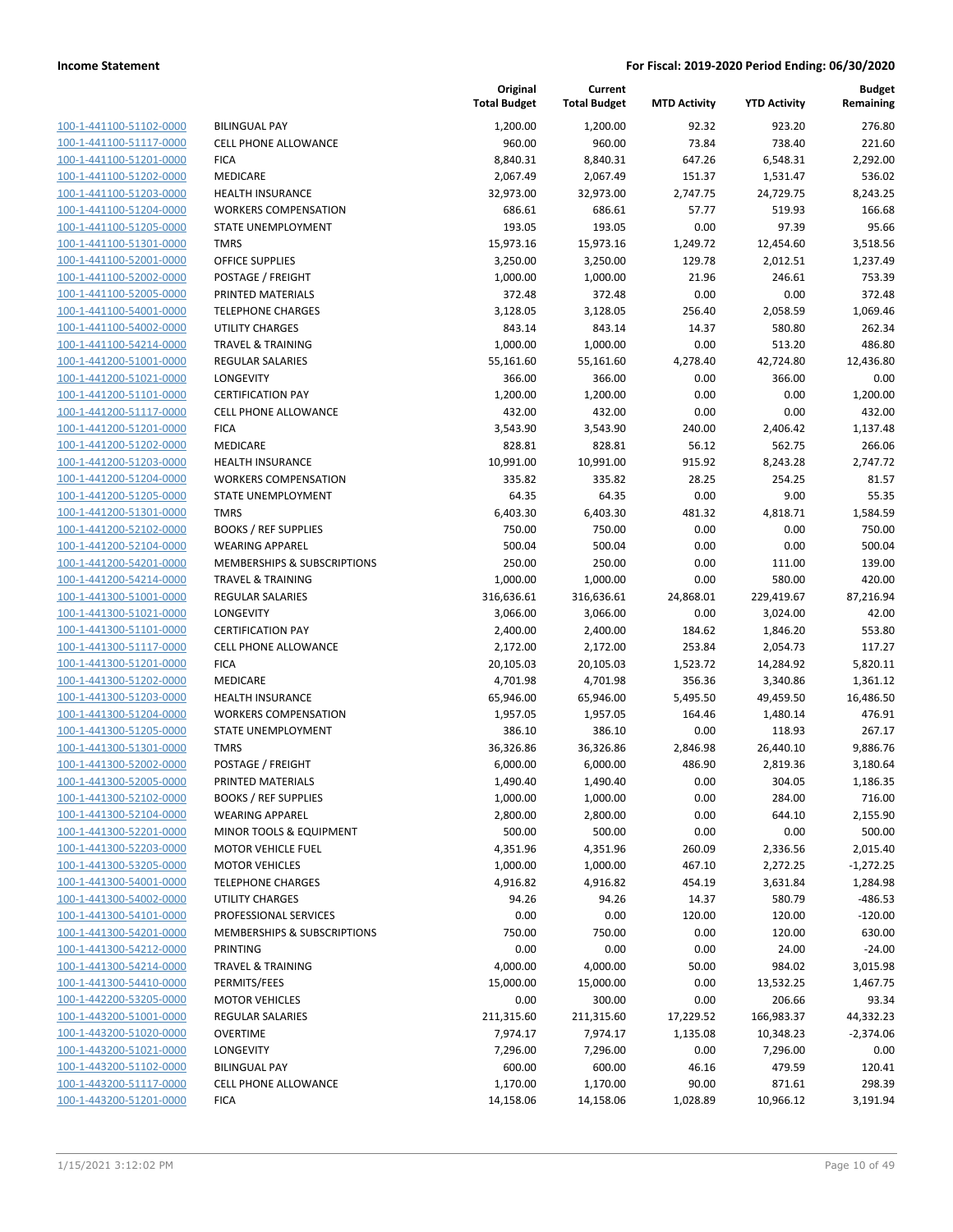| 100-1-441100-51102-0000        |
|--------------------------------|
| 100-1-441100-51117-0000        |
| 100-1-441100-51201-0000        |
| 100-1-441100-51202-0000        |
| 100-1-441100-51203-0000        |
| 100-1-441100-51204-0000        |
| 100-1-441100-51205-0000        |
| 100-1-441100-51301-0000        |
| 100-1-441100-52001-0000        |
| 100-1-441100-52002-0000        |
| 100-1-441100-52005-0000        |
| 100-1-441100-54001-0000        |
| 100-1-441100-54002-0000        |
| 100-1-441100-54214-0000        |
| 100-1-441200-51001-0000        |
| <u>100-1-441200-51021-0000</u> |
| 100-1-441200-51101-0000        |
| 100-1-441200-51117-0000        |
| 100-1-441200-51201-0000        |
| 100-1-441200-51202-0000        |
| 100-1-441200-51203-0000        |
| 100-1-441200-51204-0000        |
| 100-1-441200-51205-0000        |
| 100-1-441200-51301-0000        |
| 100-1-441200-52102-0000        |
| <u>100-1-441200-52104-0000</u> |
| 100-1-441200-54201-0000        |
| 100-1-441200-54214-0000        |
| 100-1-441300-51001-0000        |
| 100-1-441300-51021-0000        |
| 100-1-441300-51101-0000        |
| 100-1-441300-51117-0000        |
| 100-1-441300-51201-0000        |
| 100-1-441300-51202-0000        |
| 100-1-441300-51203-0000        |
| <u>100-1-441300-51204-0000</u> |
| 100-1-441300-51205-0000        |
| 100-1-441300-51301-0000        |
| 100-1-441300-52002-0000        |
| 100-1-441300-52005-0000        |
| 100-1-441300-52102-0000        |
| <u>100-1-441300-52104-0000</u> |
| 100-1-441300-52201-0000        |
| 100-1-441300-52203-0000        |
| <u>100-1-441300-53205-0000</u> |
| <u>100-1-441300-54001-0000</u> |
| 100-1-441300-54002-0000        |
| 100-1-441300-54101-0000        |
| 100-1-441300-54201-0000        |
|                                |
| 100-1-441300-54212-0000        |
| 100-1-441300-54214-0000        |
| 100-1-441300-54410-0000        |
| 100-1-442200-53205-0000        |
| 100-1-443200-51001-0000        |
| <u>100-1-443200-51020-0000</u> |
| <u>100-1-443200-51021-0000</u> |
| 100-1-443200-51102-0000        |
| 100-1-443200-51117-0000        |
| 100-1-443200-51201-0000        |

|                         |                              | Original<br><b>Total Budget</b> | Current<br><b>Total Budget</b> | <b>MTD Activity</b> | <b>YTD Activity</b> | <b>Budget</b><br>Remaining |
|-------------------------|------------------------------|---------------------------------|--------------------------------|---------------------|---------------------|----------------------------|
| 100-1-441100-51102-0000 | <b>BILINGUAL PAY</b>         | 1,200.00                        | 1,200.00                       | 92.32               | 923.20              | 276.80                     |
| 100-1-441100-51117-0000 | <b>CELL PHONE ALLOWANCE</b>  | 960.00                          | 960.00                         | 73.84               | 738.40              | 221.60                     |
| 100-1-441100-51201-0000 | <b>FICA</b>                  | 8,840.31                        | 8,840.31                       | 647.26              | 6,548.31            | 2,292.00                   |
| 100-1-441100-51202-0000 | MEDICARE                     | 2,067.49                        | 2,067.49                       | 151.37              | 1,531.47            | 536.02                     |
| 100-1-441100-51203-0000 | <b>HEALTH INSURANCE</b>      | 32,973.00                       | 32,973.00                      | 2,747.75            | 24,729.75           | 8,243.25                   |
| 100-1-441100-51204-0000 | <b>WORKERS COMPENSATION</b>  | 686.61                          | 686.61                         | 57.77               | 519.93              | 166.68                     |
| 100-1-441100-51205-0000 | STATE UNEMPLOYMENT           | 193.05                          | 193.05                         | 0.00                | 97.39               | 95.66                      |
| 100-1-441100-51301-0000 | <b>TMRS</b>                  | 15,973.16                       | 15,973.16                      | 1,249.72            | 12,454.60           | 3,518.56                   |
| 100-1-441100-52001-0000 | <b>OFFICE SUPPLIES</b>       | 3,250.00                        | 3,250.00                       | 129.78              | 2,012.51            | 1,237.49                   |
| 100-1-441100-52002-0000 | POSTAGE / FREIGHT            | 1,000.00                        | 1,000.00                       | 21.96               | 246.61              | 753.39                     |
| 100-1-441100-52005-0000 | PRINTED MATERIALS            | 372.48                          | 372.48                         | 0.00                | 0.00                | 372.48                     |
| 100-1-441100-54001-0000 | <b>TELEPHONE CHARGES</b>     | 3,128.05                        | 3,128.05                       | 256.40              | 2,058.59            | 1,069.46                   |
| 100-1-441100-54002-0000 | <b>UTILITY CHARGES</b>       | 843.14                          | 843.14                         | 14.37               | 580.80              | 262.34                     |
| 100-1-441100-54214-0000 | <b>TRAVEL &amp; TRAINING</b> | 1,000.00                        | 1,000.00                       | 0.00                | 513.20              | 486.80                     |
| 100-1-441200-51001-0000 | <b>REGULAR SALARIES</b>      | 55,161.60                       | 55,161.60                      | 4,278.40            | 42,724.80           | 12,436.80                  |
| 100-1-441200-51021-0000 | <b>LONGEVITY</b>             | 366.00                          | 366.00                         | 0.00                | 366.00              | 0.00                       |
| 100-1-441200-51101-0000 | <b>CERTIFICATION PAY</b>     | 1,200.00                        | 1,200.00                       | 0.00                | 0.00                | 1,200.00                   |
| 100-1-441200-51117-0000 | <b>CELL PHONE ALLOWANCE</b>  | 432.00                          | 432.00                         | 0.00                | 0.00                | 432.00                     |
| 100-1-441200-51201-0000 | <b>FICA</b>                  | 3,543.90                        | 3,543.90                       | 240.00              | 2,406.42            | 1,137.48                   |
| 100-1-441200-51202-0000 | MEDICARE                     | 828.81                          | 828.81                         | 56.12               | 562.75              | 266.06                     |
| 100-1-441200-51203-0000 | <b>HEALTH INSURANCE</b>      | 10,991.00                       | 10,991.00                      | 915.92              | 8,243.28            | 2,747.72                   |
| 100-1-441200-51204-0000 | <b>WORKERS COMPENSATION</b>  | 335.82                          | 335.82                         | 28.25               | 254.25              | 81.57                      |
| 100-1-441200-51205-0000 | STATE UNEMPLOYMENT           | 64.35                           | 64.35                          | 0.00                | 9.00                | 55.35                      |
| 100-1-441200-51301-0000 | <b>TMRS</b>                  | 6,403.30                        | 6,403.30                       | 481.32              | 4,818.71            | 1,584.59                   |
| 100-1-441200-52102-0000 | <b>BOOKS / REF SUPPLIES</b>  | 750.00                          | 750.00                         | 0.00                | 0.00                | 750.00                     |
| 100-1-441200-52104-0000 | <b>WEARING APPAREL</b>       | 500.04                          | 500.04                         | 0.00                | 0.00                | 500.04                     |
| 100-1-441200-54201-0000 | MEMBERSHIPS & SUBSCRIPTIONS  | 250.00                          | 250.00                         | 0.00                | 111.00              | 139.00                     |
| 100-1-441200-54214-0000 | <b>TRAVEL &amp; TRAINING</b> | 1,000.00                        | 1,000.00                       | 0.00                | 580.00              | 420.00                     |
| 100-1-441300-51001-0000 | <b>REGULAR SALARIES</b>      | 316,636.61                      | 316,636.61                     | 24,868.01           | 229,419.67          | 87,216.94                  |
| 100-1-441300-51021-0000 | <b>LONGEVITY</b>             | 3,066.00                        | 3,066.00                       | 0.00                | 3,024.00            | 42.00                      |
| 100-1-441300-51101-0000 | <b>CERTIFICATION PAY</b>     | 2,400.00                        | 2,400.00                       | 184.62              | 1,846.20            | 553.80                     |
| 100-1-441300-51117-0000 | <b>CELL PHONE ALLOWANCE</b>  | 2,172.00                        | 2,172.00                       | 253.84              | 2,054.73            | 117.27                     |
| 100-1-441300-51201-0000 | <b>FICA</b>                  | 20,105.03                       | 20,105.03                      | 1,523.72            | 14,284.92           | 5,820.11                   |
| 100-1-441300-51202-0000 | MEDICARE                     | 4,701.98                        | 4,701.98                       | 356.36              | 3,340.86            | 1,361.12                   |
| 100-1-441300-51203-0000 | <b>HEALTH INSURANCE</b>      | 65,946.00                       | 65,946.00                      | 5,495.50            | 49,459.50           | 16,486.50                  |
| 100-1-441300-51204-0000 | <b>WORKERS COMPENSATION</b>  | 1,957.05                        | 1,957.05                       | 164.46              | 1,480.14            | 476.91                     |
| 100-1-441300-51205-0000 | STATE UNEMPLOYMENT           | 386.10                          | 386.10                         | 0.00                | 118.93              | 267.17                     |
| 100-1-441300-51301-0000 | <b>TMRS</b>                  | 36,326.86                       | 36,326.86                      | 2,846.98            | 26,440.10           | 9,886.76                   |
| 100-1-441300-52002-0000 | POSTAGE / FREIGHT            | 6,000.00                        | 6,000.00                       | 486.90              | 2,819.36            | 3,180.64                   |
| 100-1-441300-52005-0000 | PRINTED MATERIALS            | 1,490.40                        | 1,490.40                       | 0.00                | 304.05              | 1,186.35                   |
| 100-1-441300-52102-0000 | <b>BOOKS / REF SUPPLIES</b>  | 1,000.00                        | 1,000.00                       | 0.00                | 284.00              | 716.00                     |
| 100-1-441300-52104-0000 | <b>WEARING APPAREL</b>       | 2,800.00                        | 2,800.00                       | 0.00                | 644.10              | 2,155.90                   |
| 100-1-441300-52201-0000 | MINOR TOOLS & EQUIPMENT      | 500.00                          | 500.00                         | 0.00                | 0.00                | 500.00                     |
| 100-1-441300-52203-0000 | <b>MOTOR VEHICLE FUEL</b>    | 4,351.96                        | 4,351.96                       | 260.09              | 2,336.56            | 2,015.40                   |
| 100-1-441300-53205-0000 | <b>MOTOR VEHICLES</b>        | 1,000.00                        | 1,000.00                       | 467.10              | 2,272.25            | $-1,272.25$                |
| 100-1-441300-54001-0000 | <b>TELEPHONE CHARGES</b>     | 4,916.82                        | 4,916.82                       | 454.19              | 3,631.84            | 1,284.98                   |
| 100-1-441300-54002-0000 | UTILITY CHARGES              | 94.26                           | 94.26                          | 14.37               | 580.79              | $-486.53$                  |
| 100-1-441300-54101-0000 | PROFESSIONAL SERVICES        | 0.00                            | 0.00                           | 120.00              | 120.00              | $-120.00$                  |
| 100-1-441300-54201-0000 | MEMBERSHIPS & SUBSCRIPTIONS  | 750.00                          | 750.00                         | 0.00                | 120.00              | 630.00                     |
| 100-1-441300-54212-0000 | PRINTING                     | 0.00                            | 0.00                           | 0.00                | 24.00               | $-24.00$                   |
| 100-1-441300-54214-0000 | <b>TRAVEL &amp; TRAINING</b> | 4,000.00                        | 4,000.00                       | 50.00               | 984.02              | 3,015.98                   |
| 100-1-441300-54410-0000 | PERMITS/FEES                 | 15,000.00                       | 15,000.00                      | 0.00                | 13,532.25           | 1,467.75                   |
| 100-1-442200-53205-0000 | <b>MOTOR VEHICLES</b>        | 0.00                            | 300.00                         | 0.00                | 206.66              | 93.34                      |
| 100-1-443200-51001-0000 | <b>REGULAR SALARIES</b>      | 211,315.60                      | 211,315.60                     | 17,229.52           | 166,983.37          | 44,332.23                  |
| 100-1-443200-51020-0000 | <b>OVERTIME</b>              | 7,974.17                        | 7,974.17                       | 1,135.08            | 10,348.23           | $-2,374.06$                |
| 100-1-443200-51021-0000 | LONGEVITY                    | 7,296.00                        | 7,296.00                       | 0.00                | 7,296.00            | 0.00                       |
| 100-1-443200-51102-0000 | <b>BILINGUAL PAY</b>         | 600.00                          | 600.00                         | 46.16               | 479.59              | 120.41                     |
| 100-1-443200-51117-0000 | CELL PHONE ALLOWANCE         | 1,170.00                        | 1,170.00                       | 90.00               | 871.61              | 298.39                     |
| 100-1-443200-51201-0000 | <b>FICA</b>                  | 14,158.06                       | 14,158.06                      | 1,028.89            | 10,966.12           | 3,191.94                   |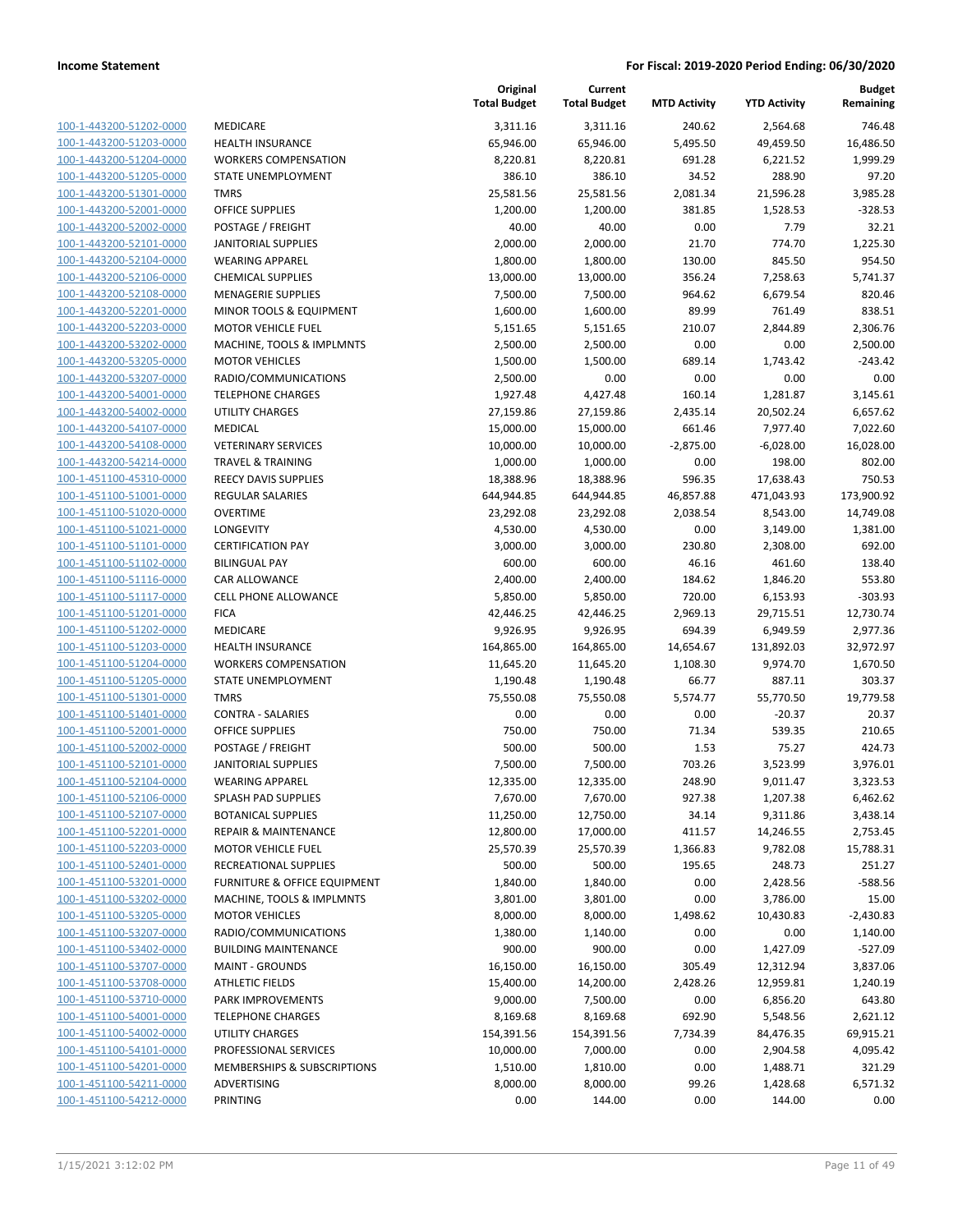| 100-1-443200-51202-0000                            | <b>MEDIC</b>   |
|----------------------------------------------------|----------------|
| 100-1-443200-51203-0000                            | <b>HEALT</b>   |
| 100-1-443200-51204-0000                            | <b>WORK</b>    |
| 100-1-443200-51205-0000                            | STATE          |
| 100-1-443200-51301-0000                            | TMRS           |
| 100-1-443200-52001-0000                            | OFFICE         |
| 100-1-443200-52002-0000                            | POSTA          |
|                                                    | <b>JANITC</b>  |
| 100-1-443200-52101-0000<br>100-1-443200-52104-0000 |                |
|                                                    | <b>WEARI</b>   |
| 100-1-443200-52106-0000                            | <b>CHEMI</b>   |
| 100-1-443200-52108-0000                            | <b>MENA</b>    |
| 100-1-443200-52201-0000                            | <b>MINOF</b>   |
| 100-1-443200-52203-0000                            | <b>MOTO</b>    |
| 100-1-443200-53202-0000                            | MACHI          |
| 100-1-443200-53205-0000                            | MOTO           |
| 100-1-443200-53207-0000                            | <b>RADIO</b>   |
| 100-1-443200-54001-0000                            | TELEPH         |
| 100-1-443200-54002-0000                            | <b>UTILITY</b> |
| 100-1-443200-54107-0000                            | MEDIC          |
| 100-1-443200-54108-0000                            | VETERI         |
| 100-1-443200-54214-0000                            | <b>TRAVE</b>   |
| 100-1-451100-45310-0000                            | REECY          |
| 100-1-451100-51001-0000                            | <b>REGUL</b>   |
| 100-1-451100-51020-0000                            | OVERT          |
| 100-1-451100-51021-0000                            | LONGE          |
| 100-1-451100-51101-0000                            | <b>CERTIF</b>  |
| 100-1-451100-51102-0000                            | <b>BILING</b>  |
| 100-1-451100-51116-0000                            | CAR AL         |
| 100-1-451100-51117-0000                            | CELL PI        |
| 100-1-451100-51201-0000                            | FICA           |
| 100-1-451100-51202-0000                            | MEDIC          |
| 100-1-451100-51203-0000                            | HEALT          |
| 100-1-451100-51204-0000                            | <b>WORK</b>    |
| 100-1-451100-51205-0000                            | STATE          |
| 100-1-451100-51301-0000                            | TMRS           |
| 100-1-451100-51401-0000                            | CONTR          |
| 100-1-451100-52001-0000                            | OFFICE         |
| 100-1-451100-52002-0000                            | <b>POSTA</b>   |
| 100-1-451100-52101-0000                            | <b>JANITC</b>  |
| 100-1-451100-52104-0000                            | WEARI          |
|                                                    | <b>SPLASH</b>  |
| 100-1-451100-52106-0000                            |                |
| 100-1-451100-52107-0000                            | BOTAN          |
| 100-1-451100-52201-0000                            | <b>REPAIF</b>  |
| 100-1-451100-52203-0000                            | MOTO           |
| 100-1-451100-52401-0000                            | RECRE.         |
| <u>100-1-451100-53201-0000</u>                     | <b>FURNI</b>   |
| 100-1-451100-53202-0000                            | <b>MACH</b>    |
| 100-1-451100-53205-0000                            | MOTO           |
| 100-1-451100-53207-0000                            | <b>RADIO</b>   |
| 100-1-451100-53402-0000                            | <b>BUILDI</b>  |
| <u>100-1-451100-53707-0000</u>                     | <b>MAINT</b>   |
| 100-1-451100-53708-0000                            | <b>ATHLE</b>   |
| 100-1-451100-53710-0000                            | PARK I         |
| 100-1-451100-54001-0000                            | <b>TELEPH</b>  |
| 100-1-451100-54002-0000                            | UTILITY        |
| 100-1-451100-54101-0000                            | <b>PROFE</b>   |
| 100-1-451100-54201-0000                            | MEMB           |
| 100-1-451100-54211-0000                            | ADVER          |
| 100-1-451100-54212-0000                            | PRINTI         |
|                                                    |                |

|                                                    |                                   | Original<br><b>Total Budget</b> | Current<br><b>Total Budget</b> | <b>MTD Activity</b> | <b>YTD Activity</b>   | <b>Budget</b><br>Remaining |
|----------------------------------------------------|-----------------------------------|---------------------------------|--------------------------------|---------------------|-----------------------|----------------------------|
| 100-1-443200-51202-0000                            | MEDICARE                          | 3,311.16                        | 3,311.16                       | 240.62              | 2,564.68              | 746.48                     |
| 100-1-443200-51203-0000                            | <b>HEALTH INSURANCE</b>           | 65,946.00                       | 65,946.00                      | 5,495.50            | 49,459.50             | 16,486.50                  |
| 100-1-443200-51204-0000                            | <b>WORKERS COMPENSATION</b>       | 8,220.81                        | 8,220.81                       | 691.28              | 6,221.52              | 1,999.29                   |
| 100-1-443200-51205-0000                            | STATE UNEMPLOYMENT                | 386.10                          | 386.10                         | 34.52               | 288.90                | 97.20                      |
| 100-1-443200-51301-0000                            | <b>TMRS</b>                       | 25,581.56                       | 25,581.56                      | 2,081.34            | 21,596.28             | 3,985.28                   |
| 100-1-443200-52001-0000                            | <b>OFFICE SUPPLIES</b>            | 1,200.00                        | 1,200.00                       | 381.85              | 1,528.53              | $-328.53$                  |
| 100-1-443200-52002-0000                            | POSTAGE / FREIGHT                 | 40.00                           | 40.00                          | 0.00                | 7.79                  | 32.21                      |
| 100-1-443200-52101-0000                            | <b>JANITORIAL SUPPLIES</b>        | 2,000.00                        | 2,000.00                       | 21.70               | 774.70                | 1,225.30                   |
| 100-1-443200-52104-0000                            | <b>WEARING APPAREL</b>            | 1,800.00                        | 1,800.00                       | 130.00              | 845.50                | 954.50                     |
| 100-1-443200-52106-0000                            | <b>CHEMICAL SUPPLIES</b>          | 13,000.00                       | 13,000.00                      | 356.24              | 7,258.63              | 5,741.37                   |
| 100-1-443200-52108-0000                            | <b>MENAGERIE SUPPLIES</b>         | 7,500.00                        | 7,500.00                       | 964.62              | 6,679.54              | 820.46                     |
| 100-1-443200-52201-0000                            | MINOR TOOLS & EQUIPMENT           | 1,600.00                        | 1,600.00                       | 89.99               | 761.49                | 838.51                     |
| 100-1-443200-52203-0000                            | <b>MOTOR VEHICLE FUEL</b>         | 5,151.65                        | 5,151.65                       | 210.07              | 2,844.89              | 2,306.76                   |
| 100-1-443200-53202-0000                            | MACHINE, TOOLS & IMPLMNTS         | 2,500.00                        | 2,500.00                       | 0.00                | 0.00                  | 2,500.00                   |
| 100-1-443200-53205-0000                            | <b>MOTOR VEHICLES</b>             | 1,500.00                        | 1,500.00                       | 689.14              | 1,743.42              | $-243.42$                  |
| 100-1-443200-53207-0000                            | RADIO/COMMUNICATIONS              | 2,500.00                        | 0.00                           | 0.00                | 0.00                  | 0.00                       |
| 100-1-443200-54001-0000                            | <b>TELEPHONE CHARGES</b>          | 1,927.48                        | 4,427.48                       | 160.14              | 1,281.87              | 3,145.61                   |
| 100-1-443200-54002-0000                            | <b>UTILITY CHARGES</b>            | 27,159.86                       | 27,159.86                      | 2,435.14            | 20,502.24             | 6,657.62                   |
| 100-1-443200-54107-0000                            | <b>MEDICAL</b>                    | 15,000.00                       | 15,000.00                      | 661.46              | 7,977.40              | 7,022.60                   |
| 100-1-443200-54108-0000                            | <b>VETERINARY SERVICES</b>        | 10,000.00                       | 10,000.00                      | $-2,875.00$         | $-6,028.00$           | 16,028.00                  |
| 100-1-443200-54214-0000                            | <b>TRAVEL &amp; TRAINING</b>      | 1,000.00                        | 1,000.00                       | 0.00                | 198.00                | 802.00                     |
| 100-1-451100-45310-0000                            | <b>REECY DAVIS SUPPLIES</b>       | 18,388.96                       | 18,388.96                      | 596.35              | 17,638.43             | 750.53                     |
| 100-1-451100-51001-0000                            | <b>REGULAR SALARIES</b>           | 644,944.85                      | 644,944.85                     | 46,857.88           | 471,043.93            | 173,900.92                 |
| 100-1-451100-51020-0000                            | <b>OVERTIME</b>                   | 23,292.08                       | 23,292.08                      | 2,038.54            | 8,543.00              | 14,749.08                  |
| 100-1-451100-51021-0000                            | LONGEVITY                         | 4,530.00                        | 4,530.00                       | 0.00                | 3,149.00              | 1,381.00                   |
| 100-1-451100-51101-0000                            | <b>CERTIFICATION PAY</b>          | 3,000.00                        | 3,000.00                       | 230.80              | 2,308.00              | 692.00                     |
| 100-1-451100-51102-0000                            | <b>BILINGUAL PAY</b>              | 600.00                          | 600.00                         | 46.16               | 461.60                | 138.40                     |
| 100-1-451100-51116-0000                            | <b>CAR ALLOWANCE</b>              | 2,400.00                        | 2,400.00                       | 184.62              | 1,846.20              | 553.80                     |
| 100-1-451100-51117-0000                            | CELL PHONE ALLOWANCE              | 5,850.00                        | 5,850.00                       | 720.00              | 6,153.93              | $-303.93$                  |
| 100-1-451100-51201-0000                            | <b>FICA</b>                       | 42,446.25                       | 42,446.25                      | 2,969.13            | 29,715.51             | 12,730.74                  |
| 100-1-451100-51202-0000                            | MEDICARE                          | 9,926.95                        | 9,926.95                       | 694.39              | 6,949.59              | 2,977.36                   |
| 100-1-451100-51203-0000                            | <b>HEALTH INSURANCE</b>           | 164,865.00                      | 164,865.00                     | 14,654.67           | 131,892.03            | 32,972.97                  |
| 100-1-451100-51204-0000                            | <b>WORKERS COMPENSATION</b>       | 11,645.20                       | 11,645.20                      | 1,108.30            | 9,974.70              | 1,670.50                   |
| 100-1-451100-51205-0000                            | STATE UNEMPLOYMENT<br><b>TMRS</b> | 1,190.48                        | 1,190.48<br>75,550.08          | 66.77<br>5,574.77   | 887.11                | 303.37                     |
| 100-1-451100-51301-0000<br>100-1-451100-51401-0000 | <b>CONTRA - SALARIES</b>          | 75,550.08<br>0.00               | 0.00                           | 0.00                | 55,770.50<br>$-20.37$ | 19,779.58<br>20.37         |
| 100-1-451100-52001-0000                            | <b>OFFICE SUPPLIES</b>            | 750.00                          | 750.00                         | 71.34               | 539.35                | 210.65                     |
| 100-1-451100-52002-0000                            | POSTAGE / FREIGHT                 | 500.00                          | 500.00                         | 1.53                | 75.27                 | 424.73                     |
| 100-1-451100-52101-0000                            | <b>JANITORIAL SUPPLIES</b>        | 7,500.00                        | 7,500.00                       | 703.26              | 3,523.99              | 3,976.01                   |
| 100-1-451100-52104-0000                            | <b>WEARING APPAREL</b>            | 12,335.00                       | 12,335.00                      | 248.90              | 9,011.47              | 3,323.53                   |
| 100-1-451100-52106-0000                            | SPLASH PAD SUPPLIES               | 7,670.00                        | 7,670.00                       | 927.38              | 1,207.38              | 6,462.62                   |
| 100-1-451100-52107-0000                            | <b>BOTANICAL SUPPLIES</b>         | 11,250.00                       | 12,750.00                      | 34.14               | 9,311.86              | 3,438.14                   |
| 100-1-451100-52201-0000                            | <b>REPAIR &amp; MAINTENANCE</b>   | 12,800.00                       | 17,000.00                      | 411.57              | 14,246.55             | 2,753.45                   |
| 100-1-451100-52203-0000                            | <b>MOTOR VEHICLE FUEL</b>         | 25,570.39                       | 25,570.39                      | 1,366.83            | 9,782.08              | 15,788.31                  |
| 100-1-451100-52401-0000                            | RECREATIONAL SUPPLIES             | 500.00                          | 500.00                         | 195.65              | 248.73                | 251.27                     |
| 100-1-451100-53201-0000                            | FURNITURE & OFFICE EQUIPMENT      | 1,840.00                        | 1,840.00                       | 0.00                | 2,428.56              | $-588.56$                  |
| 100-1-451100-53202-0000                            | MACHINE, TOOLS & IMPLMNTS         | 3,801.00                        | 3,801.00                       | 0.00                | 3,786.00              | 15.00                      |
| 100-1-451100-53205-0000                            | <b>MOTOR VEHICLES</b>             | 8,000.00                        | 8,000.00                       | 1,498.62            | 10,430.83             | $-2,430.83$                |
| 100-1-451100-53207-0000                            | RADIO/COMMUNICATIONS              | 1,380.00                        | 1,140.00                       | 0.00                | 0.00                  | 1,140.00                   |
| 100-1-451100-53402-0000                            | <b>BUILDING MAINTENANCE</b>       | 900.00                          | 900.00                         | 0.00                | 1,427.09              | $-527.09$                  |
| 100-1-451100-53707-0000                            | <b>MAINT - GROUNDS</b>            | 16,150.00                       | 16,150.00                      | 305.49              | 12,312.94             | 3,837.06                   |
| 100-1-451100-53708-0000                            | <b>ATHLETIC FIELDS</b>            | 15,400.00                       | 14,200.00                      | 2,428.26            | 12,959.81             | 1,240.19                   |
| 100-1-451100-53710-0000                            | PARK IMPROVEMENTS                 | 9,000.00                        | 7,500.00                       | 0.00                | 6,856.20              | 643.80                     |
| 100-1-451100-54001-0000                            | <b>TELEPHONE CHARGES</b>          | 8,169.68                        | 8,169.68                       | 692.90              | 5,548.56              | 2,621.12                   |
| 100-1-451100-54002-0000                            | UTILITY CHARGES                   | 154,391.56                      | 154,391.56                     | 7,734.39            | 84,476.35             | 69,915.21                  |
| 100-1-451100-54101-0000                            | PROFESSIONAL SERVICES             | 10,000.00                       | 7,000.00                       | 0.00                | 2,904.58              | 4,095.42                   |
| 100-1-451100-54201-0000                            | MEMBERSHIPS & SUBSCRIPTIONS       | 1,510.00                        | 1,810.00                       | 0.00                | 1,488.71              | 321.29                     |
| 100-1-451100-54211-0000                            | ADVERTISING                       | 8,000.00                        | 8,000.00                       | 99.26               | 1,428.68              | 6,571.32                   |
| 100-1-451100-54212-0000                            | PRINTING                          | 0.00                            | 144.00                         | 0.00                | 144.00                | 0.00                       |
|                                                    |                                   |                                 |                                |                     |                       |                            |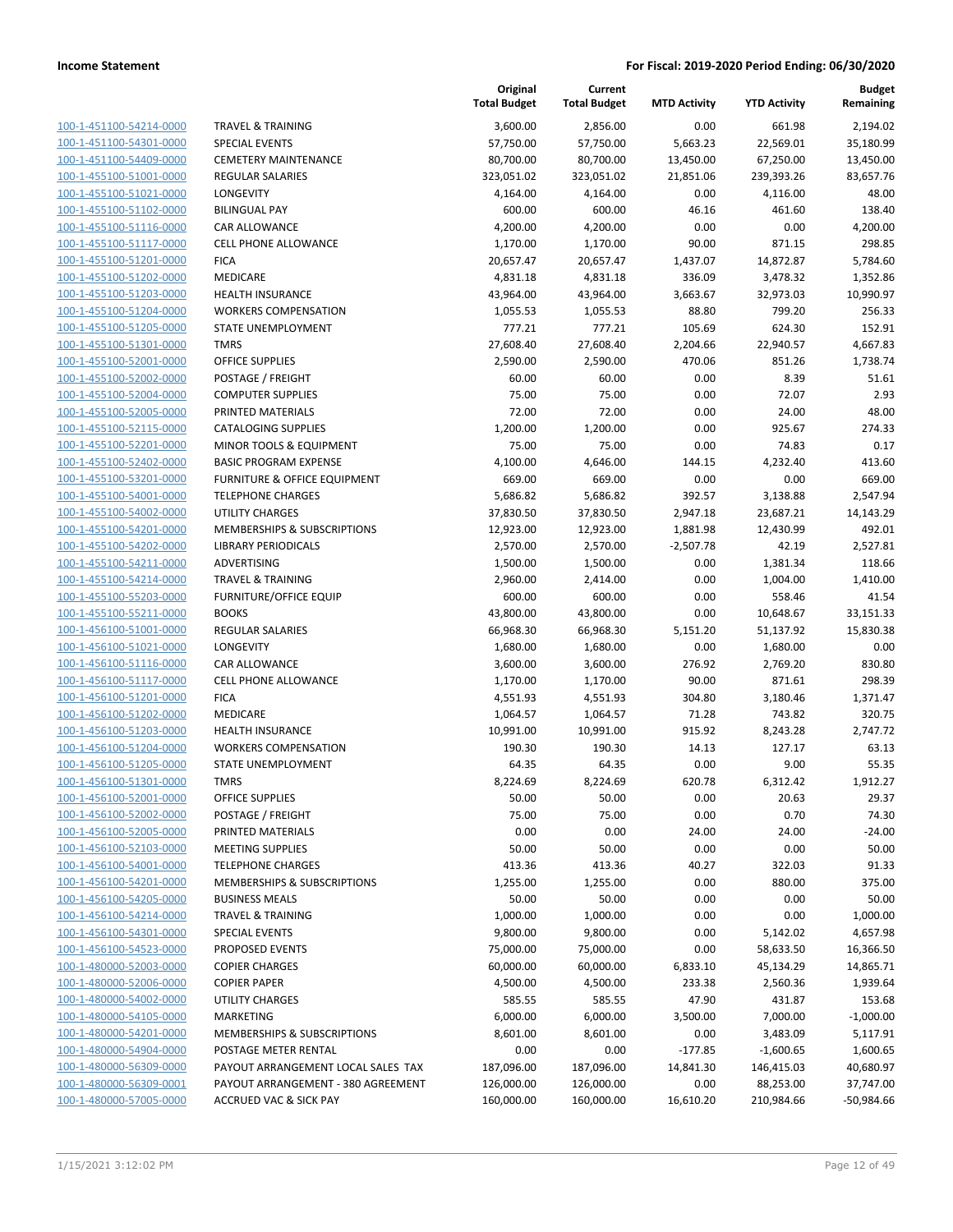**Current**

**Original**

**Budget Remaining**

|                         |                                    | <b>Total Budget</b> | <b>Total Budget</b> | <b>MTD Activity</b> | <b>YTD Activity</b> | Remaining    |
|-------------------------|------------------------------------|---------------------|---------------------|---------------------|---------------------|--------------|
| 100-1-451100-54214-0000 | <b>TRAVEL &amp; TRAINING</b>       | 3,600.00            | 2,856.00            | 0.00                | 661.98              | 2,194.02     |
| 100-1-451100-54301-0000 | <b>SPECIAL EVENTS</b>              | 57,750.00           | 57,750.00           | 5,663.23            | 22,569.01           | 35,180.99    |
| 100-1-451100-54409-0000 | <b>CEMETERY MAINTENANCE</b>        | 80,700.00           | 80,700.00           | 13,450.00           | 67,250.00           | 13,450.00    |
| 100-1-455100-51001-0000 | <b>REGULAR SALARIES</b>            | 323,051.02          | 323,051.02          | 21,851.06           | 239,393.26          | 83,657.76    |
| 100-1-455100-51021-0000 | LONGEVITY                          | 4,164.00            | 4,164.00            | 0.00                | 4,116.00            | 48.00        |
| 100-1-455100-51102-0000 | <b>BILINGUAL PAY</b>               | 600.00              | 600.00              | 46.16               | 461.60              | 138.40       |
| 100-1-455100-51116-0000 | CAR ALLOWANCE                      | 4,200.00            | 4,200.00            | 0.00                | 0.00                | 4,200.00     |
| 100-1-455100-51117-0000 | <b>CELL PHONE ALLOWANCE</b>        | 1,170.00            | 1,170.00            | 90.00               | 871.15              | 298.85       |
| 100-1-455100-51201-0000 | <b>FICA</b>                        | 20,657.47           | 20,657.47           | 1,437.07            | 14,872.87           | 5,784.60     |
| 100-1-455100-51202-0000 | MEDICARE                           | 4,831.18            | 4,831.18            | 336.09              | 3,478.32            | 1,352.86     |
| 100-1-455100-51203-0000 | <b>HEALTH INSURANCE</b>            | 43,964.00           | 43,964.00           | 3,663.67            | 32,973.03           | 10,990.97    |
| 100-1-455100-51204-0000 | <b>WORKERS COMPENSATION</b>        | 1,055.53            | 1,055.53            | 88.80               | 799.20              | 256.33       |
| 100-1-455100-51205-0000 | STATE UNEMPLOYMENT                 | 777.21              | 777.21              | 105.69              | 624.30              | 152.91       |
| 100-1-455100-51301-0000 | <b>TMRS</b>                        | 27,608.40           | 27,608.40           | 2,204.66            | 22,940.57           | 4,667.83     |
| 100-1-455100-52001-0000 | <b>OFFICE SUPPLIES</b>             | 2,590.00            | 2,590.00            | 470.06              | 851.26              | 1,738.74     |
| 100-1-455100-52002-0000 | POSTAGE / FREIGHT                  | 60.00               | 60.00               | 0.00                | 8.39                | 51.61        |
| 100-1-455100-52004-0000 | <b>COMPUTER SUPPLIES</b>           | 75.00               | 75.00               | 0.00                | 72.07               | 2.93         |
| 100-1-455100-52005-0000 | PRINTED MATERIALS                  | 72.00               | 72.00               | 0.00                | 24.00               | 48.00        |
| 100-1-455100-52115-0000 | <b>CATALOGING SUPPLIES</b>         | 1,200.00            | 1,200.00            | 0.00                | 925.67              | 274.33       |
| 100-1-455100-52201-0000 | MINOR TOOLS & EQUIPMENT            | 75.00               | 75.00               | 0.00                | 74.83               | 0.17         |
| 100-1-455100-52402-0000 | <b>BASIC PROGRAM EXPENSE</b>       | 4,100.00            | 4,646.00            | 144.15              | 4,232.40            | 413.60       |
| 100-1-455100-53201-0000 | FURNITURE & OFFICE EQUIPMENT       | 669.00              | 669.00              | 0.00                | 0.00                | 669.00       |
| 100-1-455100-54001-0000 | <b>TELEPHONE CHARGES</b>           | 5,686.82            | 5,686.82            | 392.57              | 3,138.88            | 2,547.94     |
| 100-1-455100-54002-0000 | <b>UTILITY CHARGES</b>             | 37,830.50           | 37,830.50           | 2,947.18            | 23,687.21           | 14,143.29    |
| 100-1-455100-54201-0000 | MEMBERSHIPS & SUBSCRIPTIONS        | 12,923.00           | 12,923.00           | 1,881.98            | 12,430.99           | 492.01       |
| 100-1-455100-54202-0000 | <b>LIBRARY PERIODICALS</b>         | 2,570.00            | 2,570.00            | $-2,507.78$         | 42.19               | 2,527.81     |
| 100-1-455100-54211-0000 | ADVERTISING                        | 1,500.00            | 1,500.00            | 0.00                | 1,381.34            | 118.66       |
| 100-1-455100-54214-0000 | <b>TRAVEL &amp; TRAINING</b>       | 2,960.00            | 2,414.00            | 0.00                | 1,004.00            | 1,410.00     |
| 100-1-455100-55203-0000 | <b>FURNITURE/OFFICE EQUIP</b>      | 600.00              | 600.00              | 0.00                | 558.46              | 41.54        |
| 100-1-455100-55211-0000 | <b>BOOKS</b>                       | 43,800.00           | 43,800.00           | 0.00                | 10,648.67           | 33,151.33    |
| 100-1-456100-51001-0000 | <b>REGULAR SALARIES</b>            | 66,968.30           | 66,968.30           | 5,151.20            | 51,137.92           | 15,830.38    |
| 100-1-456100-51021-0000 | LONGEVITY                          | 1,680.00            | 1,680.00            | 0.00                | 1,680.00            | 0.00         |
| 100-1-456100-51116-0000 | <b>CAR ALLOWANCE</b>               | 3,600.00            | 3,600.00            | 276.92              | 2,769.20            | 830.80       |
| 100-1-456100-51117-0000 | <b>CELL PHONE ALLOWANCE</b>        | 1,170.00            | 1,170.00            | 90.00               | 871.61              | 298.39       |
| 100-1-456100-51201-0000 | <b>FICA</b>                        | 4,551.93            | 4,551.93            | 304.80              | 3,180.46            | 1,371.47     |
| 100-1-456100-51202-0000 | MEDICARE                           | 1,064.57            | 1,064.57            | 71.28               | 743.82              | 320.75       |
| 100-1-456100-51203-0000 | <b>HEALTH INSURANCE</b>            | 10,991.00           | 10,991.00           | 915.92              | 8,243.28            | 2,747.72     |
| 100-1-456100-51204-0000 | <b>WORKERS COMPENSATION</b>        | 190.30              | 190.30              | 14.13               | 127.17              | 63.13        |
| 100-1-456100-51205-0000 | <b>STATE UNEMPLOYMENT</b>          | 64.35               | 64.35               | 0.00                | 9.00                | 55.35        |
| 100-1-456100-51301-0000 | <b>TMRS</b>                        | 8,224.69            | 8,224.69            | 620.78              | 6,312.42            | 1,912.27     |
| 100-1-456100-52001-0000 | OFFICE SUPPLIES                    | 50.00               | 50.00               | 0.00                | 20.63               | 29.37        |
| 100-1-456100-52002-0000 | POSTAGE / FREIGHT                  | 75.00               | 75.00               | 0.00                | 0.70                | 74.30        |
| 100-1-456100-52005-0000 | PRINTED MATERIALS                  | 0.00                | 0.00                | 24.00               | 24.00               | $-24.00$     |
| 100-1-456100-52103-0000 | <b>MEETING SUPPLIES</b>            | 50.00               | 50.00               | 0.00                | 0.00                | 50.00        |
| 100-1-456100-54001-0000 | <b>TELEPHONE CHARGES</b>           | 413.36              | 413.36              | 40.27               | 322.03              | 91.33        |
| 100-1-456100-54201-0000 | MEMBERSHIPS & SUBSCRIPTIONS        | 1,255.00            | 1,255.00            | 0.00                | 880.00              | 375.00       |
| 100-1-456100-54205-0000 | <b>BUSINESS MEALS</b>              | 50.00               | 50.00               | 0.00                | 0.00                | 50.00        |
| 100-1-456100-54214-0000 | <b>TRAVEL &amp; TRAINING</b>       | 1,000.00            | 1,000.00            | 0.00                | 0.00                | 1,000.00     |
| 100-1-456100-54301-0000 | <b>SPECIAL EVENTS</b>              | 9,800.00            | 9,800.00            | 0.00                | 5,142.02            | 4,657.98     |
| 100-1-456100-54523-0000 | PROPOSED EVENTS                    | 75,000.00           | 75,000.00           | 0.00                | 58,633.50           | 16,366.50    |
| 100-1-480000-52003-0000 | <b>COPIER CHARGES</b>              | 60,000.00           | 60,000.00           | 6,833.10            | 45,134.29           | 14,865.71    |
| 100-1-480000-52006-0000 | <b>COPIER PAPER</b>                | 4,500.00            | 4,500.00            | 233.38              | 2,560.36            | 1,939.64     |
| 100-1-480000-54002-0000 | <b>UTILITY CHARGES</b>             | 585.55              | 585.55              | 47.90               | 431.87              | 153.68       |
| 100-1-480000-54105-0000 | MARKETING                          | 6,000.00            | 6,000.00            | 3,500.00            | 7,000.00            | $-1,000.00$  |
| 100-1-480000-54201-0000 | MEMBERSHIPS & SUBSCRIPTIONS        | 8,601.00            | 8,601.00            | 0.00                | 3,483.09            | 5,117.91     |
| 100-1-480000-54904-0000 | POSTAGE METER RENTAL               | 0.00                | 0.00                | $-177.85$           | $-1,600.65$         | 1,600.65     |
| 100-1-480000-56309-0000 | PAYOUT ARRANGEMENT LOCAL SALES TAX | 187,096.00          | 187,096.00          | 14,841.30           | 146,415.03          | 40,680.97    |
| 100-1-480000-56309-0001 | PAYOUT ARRANGEMENT - 380 AGREEMENT | 126,000.00          | 126,000.00          | 0.00                | 88,253.00           | 37,747.00    |
| 100-1-480000-57005-0000 | <b>ACCRUED VAC &amp; SICK PAY</b>  | 160,000.00          | 160,000.00          | 16,610.20           | 210,984.66          | $-50,984.66$ |
|                         |                                    |                     |                     |                     |                     |              |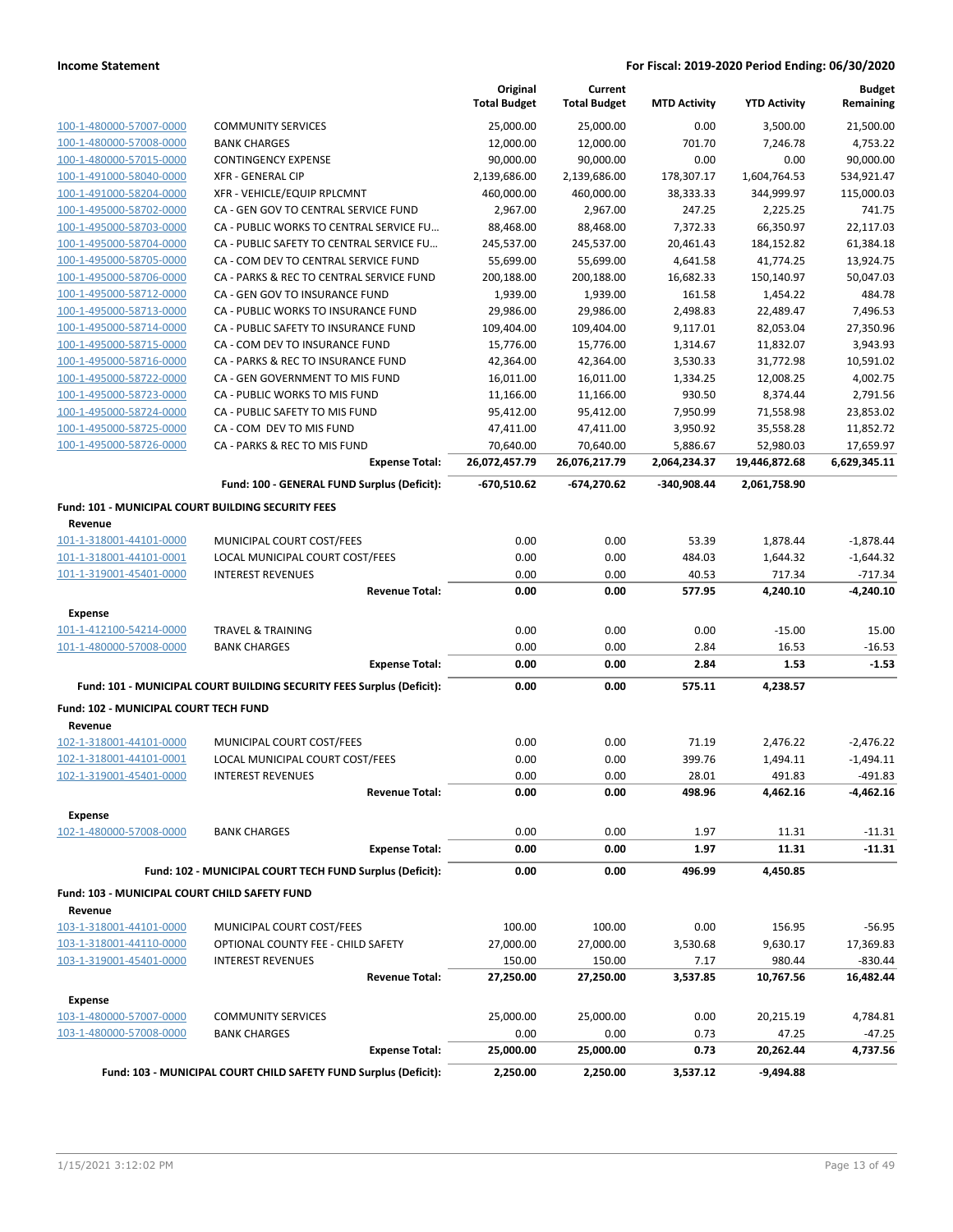|                                                                      |                                                                       | Original<br><b>Total Budget</b> | Current<br><b>Total Budget</b> | <b>MTD Activity</b> | <b>YTD Activity</b> | <b>Budget</b><br>Remaining |
|----------------------------------------------------------------------|-----------------------------------------------------------------------|---------------------------------|--------------------------------|---------------------|---------------------|----------------------------|
| 100-1-480000-57007-0000                                              | <b>COMMUNITY SERVICES</b>                                             | 25,000.00                       | 25,000.00                      | 0.00                | 3,500.00            | 21,500.00                  |
| 100-1-480000-57008-0000                                              | <b>BANK CHARGES</b>                                                   | 12,000.00                       | 12,000.00                      | 701.70              | 7,246.78            | 4,753.22                   |
| 100-1-480000-57015-0000                                              | <b>CONTINGENCY EXPENSE</b>                                            | 90,000.00                       | 90,000.00                      | 0.00                | 0.00                | 90,000.00                  |
| 100-1-491000-58040-0000                                              | <b>XFR - GENERAL CIP</b>                                              | 2,139,686.00                    | 2,139,686.00                   | 178,307.17          | 1,604,764.53        | 534,921.47                 |
| 100-1-491000-58204-0000                                              | XFR - VEHICLE/EQUIP RPLCMNT                                           | 460,000.00                      | 460,000.00                     | 38,333.33           | 344,999.97          | 115,000.03                 |
| 100-1-495000-58702-0000                                              | CA - GEN GOV TO CENTRAL SERVICE FUND                                  | 2,967.00                        | 2,967.00                       | 247.25              | 2,225.25            | 741.75                     |
| 100-1-495000-58703-0000                                              | CA - PUBLIC WORKS TO CENTRAL SERVICE FU                               | 88,468.00                       | 88,468.00                      | 7,372.33            | 66,350.97           | 22,117.03                  |
| 100-1-495000-58704-0000                                              | CA - PUBLIC SAFETY TO CENTRAL SERVICE FU                              | 245,537.00                      | 245,537.00                     | 20,461.43           | 184,152.82          | 61,384.18                  |
| 100-1-495000-58705-0000                                              | CA - COM DEV TO CENTRAL SERVICE FUND                                  | 55,699.00                       | 55,699.00                      | 4,641.58            | 41,774.25           | 13,924.75                  |
| 100-1-495000-58706-0000                                              | CA - PARKS & REC TO CENTRAL SERVICE FUND                              | 200,188.00                      | 200,188.00                     | 16,682.33           | 150,140.97          | 50,047.03                  |
| 100-1-495000-58712-0000                                              | CA - GEN GOV TO INSURANCE FUND                                        | 1,939.00                        | 1,939.00                       | 161.58              | 1,454.22            | 484.78                     |
| 100-1-495000-58713-0000                                              | CA - PUBLIC WORKS TO INSURANCE FUND                                   | 29,986.00                       | 29,986.00                      | 2,498.83            | 22,489.47           | 7,496.53                   |
| 100-1-495000-58714-0000                                              | CA - PUBLIC SAFETY TO INSURANCE FUND                                  | 109,404.00                      | 109,404.00                     | 9,117.01            | 82,053.04           | 27,350.96                  |
| 100-1-495000-58715-0000                                              | CA - COM DEV TO INSURANCE FUND                                        | 15,776.00                       | 15,776.00                      | 1,314.67            | 11,832.07           | 3,943.93                   |
| 100-1-495000-58716-0000                                              | CA - PARKS & REC TO INSURANCE FUND                                    | 42,364.00                       | 42,364.00                      | 3,530.33            | 31,772.98           | 10,591.02                  |
| 100-1-495000-58722-0000                                              | CA - GEN GOVERNMENT TO MIS FUND                                       | 16,011.00                       | 16,011.00                      | 1,334.25            | 12,008.25           | 4,002.75                   |
| 100-1-495000-58723-0000                                              | CA - PUBLIC WORKS TO MIS FUND                                         | 11,166.00                       | 11,166.00                      | 930.50              | 8,374.44            | 2,791.56                   |
| 100-1-495000-58724-0000                                              | CA - PUBLIC SAFETY TO MIS FUND                                        | 95,412.00                       | 95,412.00                      | 7,950.99            | 71,558.98           | 23,853.02                  |
| 100-1-495000-58725-0000                                              | CA - COM DEV TO MIS FUND                                              | 47,411.00                       | 47,411.00                      | 3,950.92            | 35,558.28           | 11,852.72                  |
| 100-1-495000-58726-0000                                              | CA - PARKS & REC TO MIS FUND                                          | 70,640.00                       | 70,640.00                      | 5,886.67            | 52,980.03           | 17,659.97                  |
|                                                                      | <b>Expense Total:</b>                                                 | 26,072,457.79                   | 26,076,217.79                  | 2,064,234.37        | 19,446,872.68       | 6,629,345.11               |
|                                                                      | Fund: 100 - GENERAL FUND Surplus (Deficit):                           | -670,510.62                     | -674,270.62                    | -340,908.44         | 2,061,758.90        |                            |
| <b>Fund: 101 - MUNICIPAL COURT BUILDING SECURITY FEES</b><br>Revenue |                                                                       |                                 |                                |                     |                     |                            |
| 101-1-318001-44101-0000                                              | MUNICIPAL COURT COST/FEES                                             | 0.00                            | 0.00                           | 53.39               | 1,878.44            | $-1,878.44$                |
| 101-1-318001-44101-0001                                              | LOCAL MUNICIPAL COURT COST/FEES                                       | 0.00                            | 0.00                           | 484.03              | 1,644.32            | $-1,644.32$                |
| 101-1-319001-45401-0000                                              | <b>INTEREST REVENUES</b>                                              | 0.00                            | 0.00                           | 40.53               | 717.34              | $-717.34$                  |
|                                                                      | <b>Revenue Total:</b>                                                 | 0.00                            | 0.00                           | 577.95              | 4,240.10            | $-4,240.10$                |
| <b>Expense</b>                                                       |                                                                       |                                 |                                |                     |                     |                            |
| 101-1-412100-54214-0000                                              | <b>TRAVEL &amp; TRAINING</b>                                          | 0.00                            | 0.00                           | 0.00                | $-15.00$            | 15.00                      |
| 101-1-480000-57008-0000                                              | <b>BANK CHARGES</b>                                                   | 0.00                            | 0.00                           | 2.84                | 16.53               | $-16.53$                   |
|                                                                      | <b>Expense Total:</b>                                                 | 0.00                            | 0.00                           | 2.84                | 1.53                | $-1.53$                    |
|                                                                      | Fund: 101 - MUNICIPAL COURT BUILDING SECURITY FEES Surplus (Deficit): | 0.00                            | 0.00                           | 575.11              | 4,238.57            |                            |
| Fund: 102 - MUNICIPAL COURT TECH FUND                                |                                                                       |                                 |                                |                     |                     |                            |
| Revenue                                                              |                                                                       |                                 |                                |                     |                     |                            |
| 102-1-318001-44101-0000                                              | MUNICIPAL COURT COST/FEES                                             | 0.00                            | 0.00                           | 71.19               | 2,476.22            | $-2,476.22$                |
| 102-1-318001-44101-0001                                              | LOCAL MUNICIPAL COURT COST/FEES                                       | 0.00                            | 0.00                           | 399.76              | 1,494.11            | $-1,494.11$                |
| 102-1-319001-45401-0000                                              | <b>INTEREST REVENUES</b>                                              | 0.00                            | 0.00                           | 28.01               | 491.83              | $-491.83$                  |
|                                                                      | <b>Revenue Total:</b>                                                 | 0.00                            | 0.00                           | 498.96              | 4,462.16            | $-4,462.16$                |
| <b>Expense</b>                                                       |                                                                       |                                 |                                |                     |                     |                            |
| 102-1-480000-57008-0000                                              | <b>BANK CHARGES</b><br><b>Expense Total:</b>                          | 0.00<br>0.00                    | 0.00<br>0.00                   | 1.97<br>1.97        | 11.31<br>11.31      | $-11.31$<br>$-11.31$       |
|                                                                      | Fund: 102 - MUNICIPAL COURT TECH FUND Surplus (Deficit):              | 0.00                            | 0.00                           | 496.99              | 4,450.85            |                            |
| Fund: 103 - MUNICIPAL COURT CHILD SAFETY FUND                        |                                                                       |                                 |                                |                     |                     |                            |
| Revenue                                                              |                                                                       |                                 |                                |                     |                     |                            |
| 103-1-318001-44101-0000                                              | MUNICIPAL COURT COST/FEES                                             | 100.00                          | 100.00                         | 0.00                | 156.95              | $-56.95$                   |
| 103-1-318001-44110-0000                                              | OPTIONAL COUNTY FEE - CHILD SAFETY                                    | 27,000.00                       | 27,000.00                      | 3,530.68            | 9,630.17            | 17,369.83                  |
| 103-1-319001-45401-0000                                              | <b>INTEREST REVENUES</b>                                              | 150.00                          | 150.00                         | 7.17                | 980.44              | $-830.44$                  |
|                                                                      | <b>Revenue Total:</b>                                                 | 27,250.00                       | 27,250.00                      | 3,537.85            | 10,767.56           | 16,482.44                  |
| <b>Expense</b>                                                       |                                                                       |                                 |                                |                     |                     |                            |
| 103-1-480000-57007-0000                                              | <b>COMMUNITY SERVICES</b>                                             | 25,000.00                       | 25,000.00                      | 0.00                | 20,215.19           | 4,784.81                   |
| 103-1-480000-57008-0000                                              | <b>BANK CHARGES</b>                                                   | 0.00                            | 0.00                           | 0.73                | 47.25               | $-47.25$                   |
|                                                                      | <b>Expense Total:</b>                                                 | 25,000.00                       | 25,000.00                      | 0.73                | 20,262.44           | 4,737.56                   |
|                                                                      | Fund: 103 - MUNICIPAL COURT CHILD SAFETY FUND Surplus (Deficit):      | 2,250.00                        | 2,250.00                       | 3,537.12            | -9,494.88           |                            |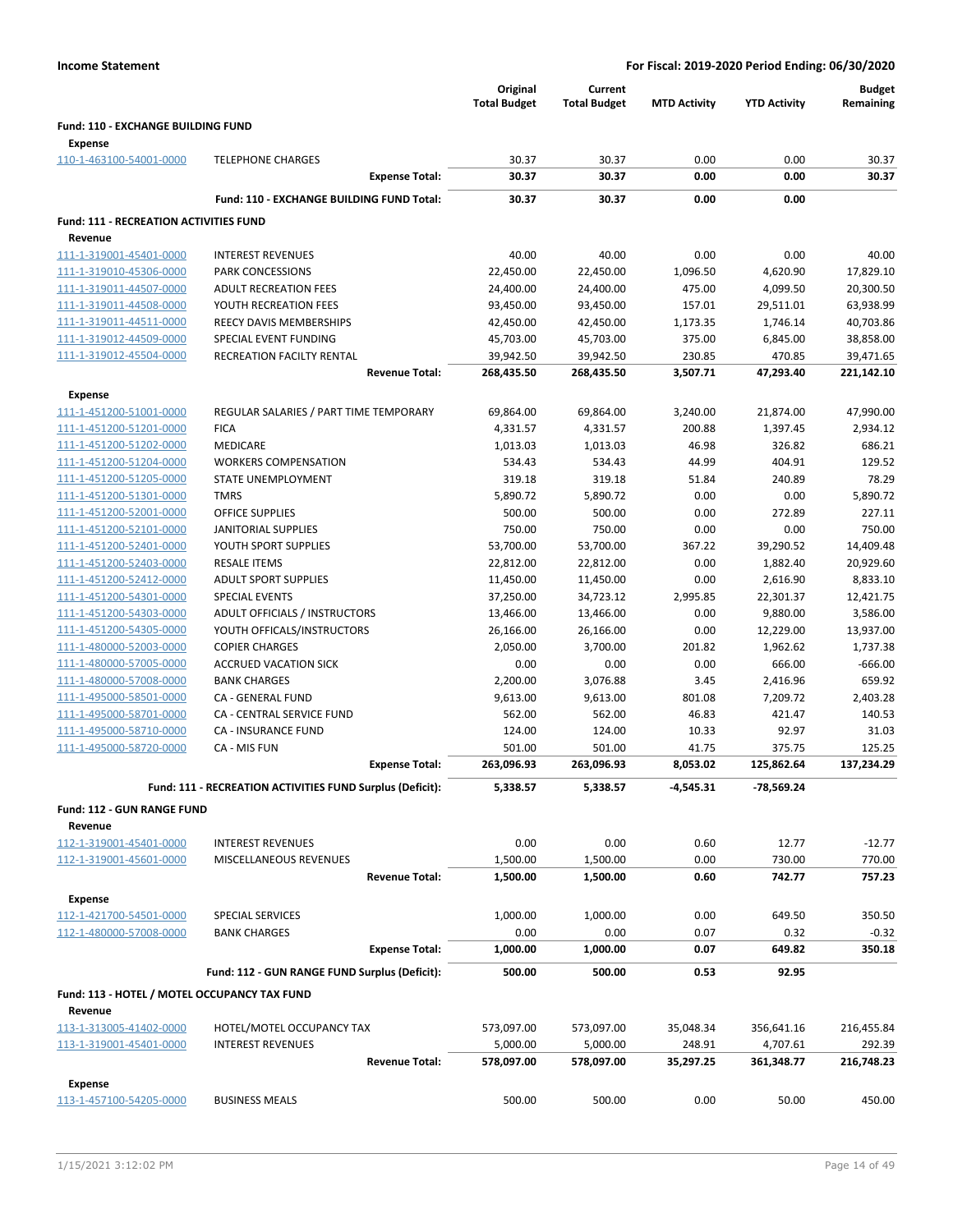|                                                             |                                                           | Original            | Current             |                     |                     | <b>Budget</b>   |
|-------------------------------------------------------------|-----------------------------------------------------------|---------------------|---------------------|---------------------|---------------------|-----------------|
|                                                             |                                                           | <b>Total Budget</b> | <b>Total Budget</b> | <b>MTD Activity</b> | <b>YTD Activity</b> | Remaining       |
| <b>Fund: 110 - EXCHANGE BUILDING FUND</b><br><b>Expense</b> |                                                           |                     |                     |                     |                     |                 |
| 110-1-463100-54001-0000                                     | <b>TELEPHONE CHARGES</b>                                  | 30.37               | 30.37               | 0.00                | 0.00                | 30.37           |
|                                                             | <b>Expense Total:</b>                                     | 30.37               | 30.37               | 0.00                | 0.00                | 30.37           |
|                                                             | Fund: 110 - EXCHANGE BUILDING FUND Total:                 | 30.37               | 30.37               | 0.00                | 0.00                |                 |
| <b>Fund: 111 - RECREATION ACTIVITIES FUND</b><br>Revenue    |                                                           |                     |                     |                     |                     |                 |
| 111-1-319001-45401-0000                                     | <b>INTEREST REVENUES</b>                                  | 40.00               | 40.00               | 0.00                | 0.00                | 40.00           |
| 111-1-319010-45306-0000                                     | PARK CONCESSIONS                                          | 22,450.00           | 22,450.00           | 1,096.50            | 4,620.90            | 17,829.10       |
| 111-1-319011-44507-0000                                     | <b>ADULT RECREATION FEES</b>                              | 24,400.00           | 24,400.00           | 475.00              | 4,099.50            | 20,300.50       |
| 111-1-319011-44508-0000                                     | YOUTH RECREATION FEES                                     | 93,450.00           | 93,450.00           | 157.01              | 29,511.01           | 63,938.99       |
| 111-1-319011-44511-0000                                     | REECY DAVIS MEMBERSHIPS                                   | 42,450.00           | 42,450.00           | 1,173.35            | 1,746.14            | 40,703.86       |
| 111-1-319012-44509-0000                                     | SPECIAL EVENT FUNDING                                     | 45,703.00           | 45,703.00           | 375.00              | 6,845.00            | 38,858.00       |
| 111-1-319012-45504-0000                                     | RECREATION FACILTY RENTAL                                 | 39,942.50           | 39,942.50           | 230.85              | 470.85              | 39,471.65       |
|                                                             | <b>Revenue Total:</b>                                     | 268,435.50          | 268,435.50          | 3,507.71            | 47,293.40           | 221,142.10      |
| <b>Expense</b>                                              |                                                           |                     |                     |                     |                     |                 |
| 111-1-451200-51001-0000                                     | REGULAR SALARIES / PART TIME TEMPORARY                    | 69,864.00           | 69,864.00           | 3,240.00            | 21,874.00           | 47,990.00       |
| 111-1-451200-51201-0000                                     | <b>FICA</b>                                               | 4,331.57            | 4,331.57            | 200.88              | 1,397.45            | 2,934.12        |
| 111-1-451200-51202-0000                                     | <b>MEDICARE</b>                                           | 1,013.03            | 1,013.03            | 46.98               | 326.82              | 686.21          |
| 111-1-451200-51204-0000                                     | <b>WORKERS COMPENSATION</b>                               | 534.43              | 534.43              | 44.99               | 404.91              | 129.52          |
| 111-1-451200-51205-0000                                     | STATE UNEMPLOYMENT                                        | 319.18              | 319.18              | 51.84               | 240.89              | 78.29           |
| 111-1-451200-51301-0000                                     | <b>TMRS</b>                                               | 5,890.72            | 5,890.72            | 0.00                | 0.00                | 5,890.72        |
| 111-1-451200-52001-0000                                     | <b>OFFICE SUPPLIES</b>                                    | 500.00              | 500.00              | 0.00                | 272.89              | 227.11          |
| 111-1-451200-52101-0000                                     | JANITORIAL SUPPLIES                                       | 750.00              | 750.00              | 0.00                | 0.00                | 750.00          |
| 111-1-451200-52401-0000                                     | YOUTH SPORT SUPPLIES                                      | 53,700.00           | 53,700.00           | 367.22              | 39,290.52           | 14,409.48       |
| 111-1-451200-52403-0000                                     | <b>RESALE ITEMS</b>                                       | 22,812.00           | 22,812.00           | 0.00                | 1,882.40            | 20,929.60       |
| 111-1-451200-52412-0000                                     | <b>ADULT SPORT SUPPLIES</b>                               | 11,450.00           | 11,450.00           | 0.00                | 2,616.90            | 8,833.10        |
| 111-1-451200-54301-0000                                     | <b>SPECIAL EVENTS</b>                                     | 37,250.00           | 34,723.12           | 2,995.85            | 22,301.37           | 12,421.75       |
| 111-1-451200-54303-0000                                     | ADULT OFFICIALS / INSTRUCTORS                             | 13,466.00           | 13,466.00           | 0.00                | 9,880.00            | 3,586.00        |
| 111-1-451200-54305-0000                                     | YOUTH OFFICALS/INSTRUCTORS                                | 26,166.00           | 26,166.00           | 0.00                | 12,229.00           | 13,937.00       |
| 111-1-480000-52003-0000                                     | <b>COPIER CHARGES</b>                                     | 2,050.00            | 3,700.00            | 201.82              | 1,962.62            | 1,737.38        |
| 111-1-480000-57005-0000                                     | <b>ACCRUED VACATION SICK</b>                              | 0.00                | 0.00                | 0.00                | 666.00              | $-666.00$       |
| 111-1-480000-57008-0000                                     | <b>BANK CHARGES</b>                                       | 2,200.00            | 3,076.88            | 3.45                | 2,416.96            | 659.92          |
| 111-1-495000-58501-0000                                     | CA - GENERAL FUND<br><b>CA - CENTRAL SERVICE FUND</b>     | 9,613.00            | 9,613.00            | 801.08              | 7,209.72            | 2,403.28        |
| 111-1-495000-58701-0000                                     | <b>CA - INSURANCE FUND</b>                                | 562.00              | 562.00              | 46.83               | 421.47              | 140.53<br>31.03 |
| 111-1-495000-58710-0000<br>111-1-495000-58720-0000          | CA - MIS FUN                                              | 124.00<br>501.00    | 124.00<br>501.00    | 10.33<br>41.75      | 92.97<br>375.75     | 125.25          |
|                                                             | <b>Expense Total:</b>                                     | 263,096.93          | 263,096.93          | 8,053.02            | 125,862.64          | 137,234.29      |
|                                                             | Fund: 111 - RECREATION ACTIVITIES FUND Surplus (Deficit): | 5,338.57            | 5,338.57            | -4,545.31           | -78,569.24          |                 |
| Fund: 112 - GUN RANGE FUND                                  |                                                           |                     |                     |                     |                     |                 |
| Revenue                                                     |                                                           |                     |                     |                     |                     |                 |
| 112-1-319001-45401-0000                                     | <b>INTEREST REVENUES</b>                                  | 0.00                | 0.00                | 0.60                | 12.77               | $-12.77$        |
| 112-1-319001-45601-0000                                     | MISCELLANEOUS REVENUES                                    | 1,500.00            | 1,500.00            | 0.00                | 730.00              | 770.00          |
|                                                             | <b>Revenue Total:</b>                                     | 1,500.00            | 1,500.00            | 0.60                | 742.77              | 757.23          |
| <b>Expense</b>                                              |                                                           |                     |                     |                     |                     |                 |
| 112-1-421700-54501-0000                                     | SPECIAL SERVICES                                          | 1,000.00            | 1,000.00            | 0.00                | 649.50              | 350.50          |
| 112-1-480000-57008-0000                                     | <b>BANK CHARGES</b>                                       | 0.00                | 0.00                | 0.07                | 0.32                | $-0.32$         |
|                                                             | <b>Expense Total:</b>                                     | 1,000.00            | 1,000.00            | 0.07                | 649.82              | 350.18          |
|                                                             | Fund: 112 - GUN RANGE FUND Surplus (Deficit):             | 500.00              | 500.00              | 0.53                | 92.95               |                 |
| Fund: 113 - HOTEL / MOTEL OCCUPANCY TAX FUND                |                                                           |                     |                     |                     |                     |                 |
| Revenue                                                     |                                                           |                     |                     |                     |                     |                 |
| 113-1-313005-41402-0000                                     | HOTEL/MOTEL OCCUPANCY TAX                                 | 573,097.00          | 573,097.00          | 35,048.34           | 356,641.16          | 216,455.84      |
| 113-1-319001-45401-0000                                     | <b>INTEREST REVENUES</b>                                  | 5,000.00            | 5,000.00            | 248.91              | 4,707.61            | 292.39          |
|                                                             | <b>Revenue Total:</b>                                     | 578,097.00          | 578,097.00          | 35,297.25           | 361,348.77          | 216,748.23      |
| Expense                                                     |                                                           |                     |                     |                     |                     |                 |
| 113-1-457100-54205-0000                                     | <b>BUSINESS MEALS</b>                                     | 500.00              | 500.00              | 0.00                | 50.00               | 450.00          |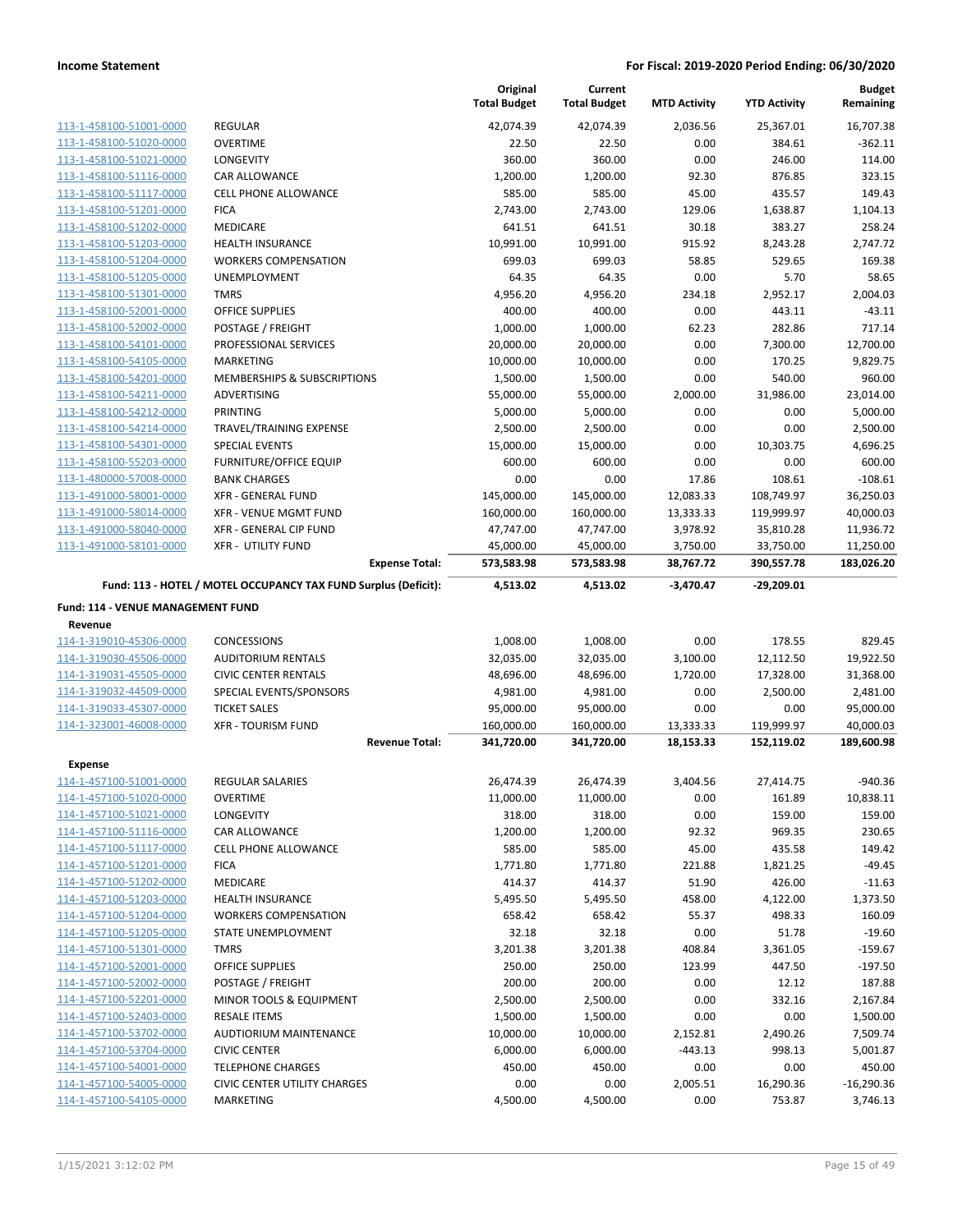|                                    |                                                                                          | Original<br><b>Total Budget</b> | Current<br><b>Total Budget</b> | <b>MTD Activity</b> | <b>YTD Activity</b>        | <b>Budget</b><br>Remaining |
|------------------------------------|------------------------------------------------------------------------------------------|---------------------------------|--------------------------------|---------------------|----------------------------|----------------------------|
| 113-1-458100-51001-0000            | <b>REGULAR</b>                                                                           | 42,074.39                       | 42,074.39                      | 2,036.56            | 25,367.01                  | 16,707.38                  |
| 113-1-458100-51020-0000            | <b>OVERTIME</b>                                                                          | 22.50                           | 22.50                          | 0.00                | 384.61                     | $-362.11$                  |
| 113-1-458100-51021-0000            | <b>LONGEVITY</b>                                                                         | 360.00                          | 360.00                         | 0.00                | 246.00                     | 114.00                     |
| 113-1-458100-51116-0000            | CAR ALLOWANCE                                                                            | 1,200.00                        | 1,200.00                       | 92.30               | 876.85                     | 323.15                     |
| 113-1-458100-51117-0000            | <b>CELL PHONE ALLOWANCE</b>                                                              | 585.00                          | 585.00                         | 45.00               | 435.57                     | 149.43                     |
| 113-1-458100-51201-0000            | <b>FICA</b>                                                                              | 2,743.00                        | 2,743.00                       | 129.06              | 1,638.87                   | 1,104.13                   |
| 113-1-458100-51202-0000            | <b>MEDICARE</b>                                                                          | 641.51                          | 641.51                         | 30.18               | 383.27                     | 258.24                     |
| 113-1-458100-51203-0000            | <b>HEALTH INSURANCE</b>                                                                  | 10,991.00                       | 10,991.00                      | 915.92              | 8,243.28                   | 2,747.72                   |
| 113-1-458100-51204-0000            | <b>WORKERS COMPENSATION</b>                                                              | 699.03                          | 699.03                         | 58.85               | 529.65                     | 169.38                     |
| 113-1-458100-51205-0000            | <b>UNEMPLOYMENT</b>                                                                      | 64.35                           | 64.35                          | 0.00                | 5.70                       | 58.65                      |
| 113-1-458100-51301-0000            | <b>TMRS</b>                                                                              | 4,956.20                        | 4,956.20                       | 234.18              | 2,952.17                   | 2,004.03                   |
| 113-1-458100-52001-0000            | <b>OFFICE SUPPLIES</b>                                                                   | 400.00                          | 400.00                         | 0.00                | 443.11                     | $-43.11$                   |
| 113-1-458100-52002-0000            | POSTAGE / FREIGHT                                                                        | 1,000.00                        | 1,000.00                       | 62.23               | 282.86                     | 717.14                     |
| 113-1-458100-54101-0000            | PROFESSIONAL SERVICES                                                                    | 20,000.00                       | 20,000.00                      | 0.00                | 7,300.00                   | 12,700.00                  |
| 113-1-458100-54105-0000            | MARKETING                                                                                | 10,000.00                       | 10,000.00                      | 0.00                | 170.25                     | 9,829.75                   |
| 113-1-458100-54201-0000            | MEMBERSHIPS & SUBSCRIPTIONS                                                              | 1,500.00                        | 1,500.00                       | 0.00                | 540.00                     | 960.00                     |
| 113-1-458100-54211-0000            | ADVERTISING                                                                              | 55,000.00                       | 55,000.00                      | 2,000.00            | 31,986.00                  | 23,014.00                  |
| 113-1-458100-54212-0000            | PRINTING                                                                                 | 5,000.00                        | 5,000.00                       | 0.00                | 0.00                       | 5.000.00                   |
| 113-1-458100-54214-0000            | TRAVEL/TRAINING EXPENSE                                                                  | 2,500.00                        | 2,500.00                       | 0.00                | 0.00                       | 2,500.00                   |
| 113-1-458100-54301-0000            | <b>SPECIAL EVENTS</b>                                                                    | 15,000.00                       | 15,000.00                      | 0.00                | 10,303.75                  | 4,696.25                   |
| 113-1-458100-55203-0000            | FURNITURE/OFFICE EQUIP                                                                   | 600.00                          | 600.00                         | 0.00                | 0.00                       | 600.00                     |
| 113-1-480000-57008-0000            | <b>BANK CHARGES</b>                                                                      | 0.00                            | 0.00                           | 17.86               | 108.61                     | $-108.61$                  |
| 113-1-491000-58001-0000            | <b>XFR - GENERAL FUND</b>                                                                | 145,000.00                      | 145,000.00                     | 12,083.33           | 108,749.97                 | 36,250.03                  |
| 113-1-491000-58014-0000            | <b>XFR - VENUE MGMT FUND</b>                                                             | 160,000.00                      | 160,000.00                     | 13,333.33           | 119,999.97                 | 40,000.03                  |
| 113-1-491000-58040-0000            | XFR - GENERAL CIP FUND                                                                   | 47,747.00                       | 47,747.00                      | 3,978.92            | 35,810.28                  | 11,936.72                  |
| 113-1-491000-58101-0000            | <b>XFR - UTILITY FUND</b>                                                                | 45,000.00                       | 45,000.00                      | 3,750.00            | 33,750.00                  | 11,250.00                  |
|                                    | <b>Expense Total:</b><br>Fund: 113 - HOTEL / MOTEL OCCUPANCY TAX FUND Surplus (Deficit): | 573,583.98                      | 573,583.98                     | 38,767.72           | 390,557.78<br>$-29,209.01$ | 183,026.20                 |
|                                    |                                                                                          | 4,513.02                        | 4,513.02                       | $-3,470.47$         |                            |                            |
| Fund: 114 - VENUE MANAGEMENT FUND  |                                                                                          |                                 |                                |                     |                            |                            |
| Revenue<br>114-1-319010-45306-0000 | <b>CONCESSIONS</b>                                                                       | 1,008.00                        | 1,008.00                       | 0.00                | 178.55                     | 829.45                     |
| 114-1-319030-45506-0000            | <b>AUDITORIUM RENTALS</b>                                                                | 32,035.00                       | 32,035.00                      | 3,100.00            | 12,112.50                  | 19,922.50                  |
| 114-1-319031-45505-0000            | <b>CIVIC CENTER RENTALS</b>                                                              | 48,696.00                       | 48,696.00                      | 1,720.00            | 17,328.00                  | 31,368.00                  |
| 114-1-319032-44509-0000            | SPECIAL EVENTS/SPONSORS                                                                  | 4,981.00                        | 4,981.00                       | 0.00                | 2,500.00                   | 2,481.00                   |
| 114-1-319033-45307-0000            | <b>TICKET SALES</b>                                                                      | 95,000.00                       | 95,000.00                      | 0.00                | 0.00                       | 95,000.00                  |
| 114-1-323001-46008-0000            | <b>XFR - TOURISM FUND</b>                                                                | 160,000.00                      | 160,000.00                     | 13,333.33           | 119,999.97                 | 40,000.03                  |
|                                    | <b>Revenue Total:</b>                                                                    | 341,720.00                      | 341,720.00                     | 18,153.33           | 152,119.02                 | 189,600.98                 |
| <b>Expense</b>                     |                                                                                          |                                 |                                |                     |                            |                            |
| 114-1-457100-51001-0000            | REGULAR SALARIES                                                                         | 26,474.39                       | 26,474.39                      | 3,404.56            | 27,414.75                  | $-940.36$                  |
| 114-1-457100-51020-0000            | <b>OVERTIME</b>                                                                          | 11,000.00                       | 11,000.00                      | 0.00                | 161.89                     | 10,838.11                  |
| 114-1-457100-51021-0000            | <b>LONGEVITY</b>                                                                         | 318.00                          | 318.00                         | 0.00                | 159.00                     | 159.00                     |
| 114-1-457100-51116-0000            | CAR ALLOWANCE                                                                            | 1,200.00                        | 1,200.00                       | 92.32               | 969.35                     | 230.65                     |
| 114-1-457100-51117-0000            | <b>CELL PHONE ALLOWANCE</b>                                                              | 585.00                          | 585.00                         | 45.00               | 435.58                     | 149.42                     |
| 114-1-457100-51201-0000            | <b>FICA</b>                                                                              | 1,771.80                        | 1,771.80                       | 221.88              | 1,821.25                   | $-49.45$                   |
| 114-1-457100-51202-0000            | MEDICARE                                                                                 | 414.37                          | 414.37                         | 51.90               | 426.00                     | $-11.63$                   |
| 114-1-457100-51203-0000            | HEALTH INSURANCE                                                                         | 5,495.50                        | 5,495.50                       | 458.00              | 4,122.00                   | 1,373.50                   |
| 114-1-457100-51204-0000            | <b>WORKERS COMPENSATION</b>                                                              | 658.42                          | 658.42                         | 55.37               | 498.33                     | 160.09                     |
| 114-1-457100-51205-0000            | STATE UNEMPLOYMENT                                                                       | 32.18                           | 32.18                          | 0.00                | 51.78                      | $-19.60$                   |
| 114-1-457100-51301-0000            | <b>TMRS</b>                                                                              | 3,201.38                        | 3,201.38                       | 408.84              | 3,361.05                   | $-159.67$                  |
| 114-1-457100-52001-0000            | <b>OFFICE SUPPLIES</b>                                                                   | 250.00                          | 250.00                         | 123.99              | 447.50                     | $-197.50$                  |
| 114-1-457100-52002-0000            | POSTAGE / FREIGHT                                                                        | 200.00                          | 200.00                         | 0.00                | 12.12                      | 187.88                     |
| 114-1-457100-52201-0000            | MINOR TOOLS & EQUIPMENT                                                                  | 2,500.00                        | 2,500.00                       | 0.00                | 332.16                     | 2,167.84                   |
| 114-1-457100-52403-0000            | <b>RESALE ITEMS</b>                                                                      | 1,500.00                        | 1,500.00                       | 0.00                | 0.00                       | 1,500.00                   |
| 114-1-457100-53702-0000            | AUDTIORIUM MAINTENANCE                                                                   | 10,000.00                       | 10,000.00                      | 2,152.81            | 2,490.26                   | 7,509.74                   |
| 114-1-457100-53704-0000            | <b>CIVIC CENTER</b>                                                                      | 6,000.00                        | 6,000.00                       | $-443.13$           | 998.13                     | 5,001.87                   |
| 114-1-457100-54001-0000            | <b>TELEPHONE CHARGES</b>                                                                 | 450.00                          | 450.00                         | 0.00                | 0.00                       | 450.00                     |
| 114-1-457100-54005-0000            | <b>CIVIC CENTER UTILITY CHARGES</b>                                                      | 0.00                            | 0.00                           | 2,005.51            | 16,290.36                  | $-16,290.36$               |
| 114-1-457100-54105-0000            | MARKETING                                                                                | 4,500.00                        | 4,500.00                       | 0.00                | 753.87                     | 3,746.13                   |
|                                    |                                                                                          |                                 |                                |                     |                            |                            |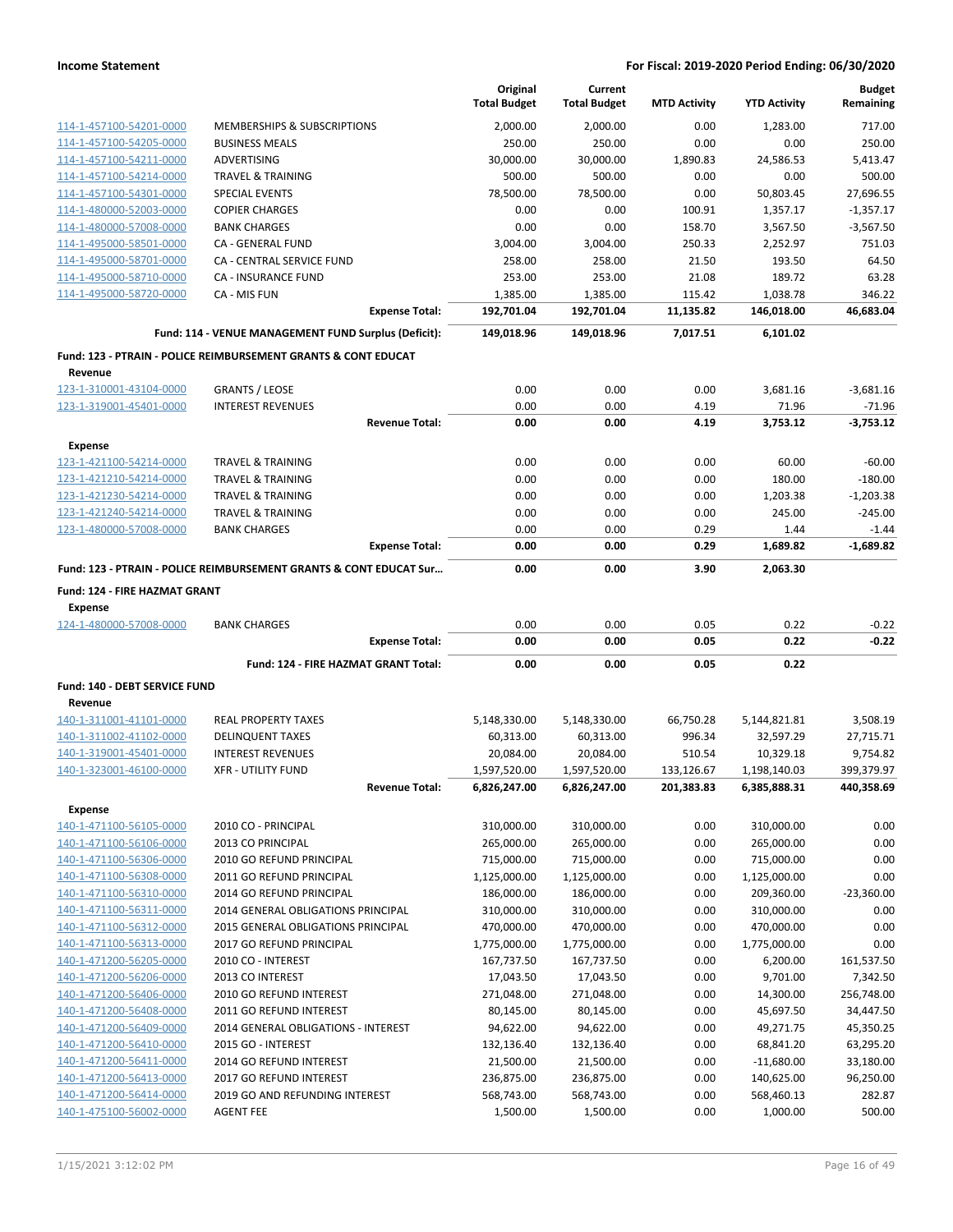|                                           |                                                                    | Original<br><b>Total Budget</b> | Current<br><b>Total Budget</b> | <b>MTD Activity</b> | <b>YTD Activity</b> | <b>Budget</b><br>Remaining |
|-------------------------------------------|--------------------------------------------------------------------|---------------------------------|--------------------------------|---------------------|---------------------|----------------------------|
| 114-1-457100-54201-0000                   | MEMBERSHIPS & SUBSCRIPTIONS                                        | 2,000.00                        | 2.000.00                       | 0.00                | 1,283.00            | 717.00                     |
| 114-1-457100-54205-0000                   | <b>BUSINESS MEALS</b>                                              | 250.00                          | 250.00                         | 0.00                | 0.00                | 250.00                     |
| 114-1-457100-54211-0000                   | <b>ADVERTISING</b>                                                 | 30,000.00                       | 30,000.00                      | 1,890.83            | 24,586.53           | 5,413.47                   |
| 114-1-457100-54214-0000                   | <b>TRAVEL &amp; TRAINING</b>                                       | 500.00                          | 500.00                         | 0.00                | 0.00                | 500.00                     |
| 114-1-457100-54301-0000                   | SPECIAL EVENTS                                                     | 78,500.00                       | 78,500.00                      | 0.00                | 50,803.45           | 27,696.55                  |
| 114-1-480000-52003-0000                   | <b>COPIER CHARGES</b>                                              | 0.00                            | 0.00                           | 100.91              | 1,357.17            | $-1,357.17$                |
| 114-1-480000-57008-0000                   | <b>BANK CHARGES</b>                                                | 0.00                            | 0.00                           | 158.70              | 3,567.50            | $-3,567.50$                |
| 114-1-495000-58501-0000                   | CA - GENERAL FUND                                                  | 3,004.00                        | 3,004.00                       | 250.33              | 2,252.97            | 751.03                     |
| 114-1-495000-58701-0000                   | <b>CA - CENTRAL SERVICE FUND</b>                                   | 258.00                          | 258.00                         | 21.50               | 193.50              | 64.50                      |
| 114-1-495000-58710-0000                   | <b>CA - INSURANCE FUND</b>                                         | 253.00                          | 253.00                         | 21.08               | 189.72              | 63.28                      |
| 114-1-495000-58720-0000                   | CA - MIS FUN                                                       | 1,385.00                        | 1,385.00                       | 115.42              | 1,038.78            | 346.22                     |
|                                           | <b>Expense Total:</b>                                              | 192,701.04                      | 192,701.04                     | 11,135.82           | 146,018.00          | 46,683.04                  |
|                                           | Fund: 114 - VENUE MANAGEMENT FUND Surplus (Deficit):               | 149,018.96                      | 149,018.96                     | 7,017.51            | 6,101.02            |                            |
|                                           | Fund: 123 - PTRAIN - POLICE REIMBURSEMENT GRANTS & CONT EDUCAT     |                                 |                                |                     |                     |                            |
| Revenue                                   |                                                                    |                                 |                                |                     |                     |                            |
| 123-1-310001-43104-0000                   | <b>GRANTS / LEOSE</b>                                              | 0.00                            | 0.00                           | 0.00                | 3,681.16            | $-3,681.16$                |
| 123-1-319001-45401-0000                   | <b>INTEREST REVENUES</b>                                           | 0.00                            | 0.00                           | 4.19                | 71.96               | $-71.96$                   |
|                                           | <b>Revenue Total:</b>                                              | 0.00                            | 0.00                           | 4.19                | 3,753.12            | $-3,753.12$                |
| <b>Expense</b>                            |                                                                    |                                 |                                |                     |                     |                            |
| 123-1-421100-54214-0000                   | <b>TRAVEL &amp; TRAINING</b>                                       | 0.00                            | 0.00                           | 0.00                | 60.00               | $-60.00$                   |
| 123-1-421210-54214-0000                   | <b>TRAVEL &amp; TRAINING</b>                                       | 0.00                            | 0.00                           | 0.00                | 180.00              | $-180.00$                  |
| 123-1-421230-54214-0000                   | <b>TRAVEL &amp; TRAINING</b>                                       | 0.00                            | 0.00                           | 0.00                | 1,203.38            | $-1.203.38$                |
| 123-1-421240-54214-0000                   | <b>TRAVEL &amp; TRAINING</b>                                       | 0.00                            | 0.00                           | 0.00                | 245.00              | $-245.00$                  |
| 123-1-480000-57008-0000                   | <b>BANK CHARGES</b>                                                | 0.00                            | 0.00                           | 0.29                | 1.44                | $-1.44$                    |
|                                           | <b>Expense Total:</b>                                              | 0.00                            | 0.00                           | 0.29                | 1,689.82            | $-1,689.82$                |
|                                           | Fund: 123 - PTRAIN - POLICE REIMBURSEMENT GRANTS & CONT EDUCAT Sur | 0.00                            | 0.00                           | 3.90                | 2,063.30            |                            |
| Fund: 124 - FIRE HAZMAT GRANT             |                                                                    |                                 |                                |                     |                     |                            |
|                                           |                                                                    |                                 |                                |                     |                     |                            |
| <b>Expense</b><br>124-1-480000-57008-0000 | <b>BANK CHARGES</b>                                                | 0.00                            | 0.00                           | 0.05                | 0.22                | $-0.22$                    |
|                                           | <b>Expense Total:</b>                                              | 0.00                            | 0.00                           | 0.05                | 0.22                | $-0.22$                    |
|                                           | Fund: 124 - FIRE HAZMAT GRANT Total:                               | 0.00                            | 0.00                           | 0.05                | 0.22                |                            |
| Fund: 140 - DEBT SERVICE FUND             |                                                                    |                                 |                                |                     |                     |                            |
| Revenue                                   |                                                                    |                                 |                                |                     |                     |                            |
| 140-1-311001-41101-0000                   | <b>REAL PROPERTY TAXES</b>                                         | 5,148,330.00                    | 5,148,330.00                   | 66,750.28           | 5,144,821.81        | 3,508.19                   |
| 140-1-311002-41102-0000                   | <b>DELINQUENT TAXES</b>                                            | 60,313.00                       | 60,313.00                      | 996.34              | 32,597.29           | 27,715.71                  |
| 140-1-319001-45401-0000                   | <b>INTEREST REVENUES</b>                                           | 20,084.00                       | 20,084.00                      | 510.54              | 10,329.18           | 9,754.82                   |
| 140-1-323001-46100-0000                   | <b>XFR - UTILITY FUND</b>                                          | 1,597,520.00                    | 1,597,520.00                   | 133,126.67          | 1,198,140.03        | 399,379.97                 |
|                                           | <b>Revenue Total:</b>                                              | 6,826,247.00                    | 6,826,247.00                   | 201,383.83          | 6,385,888.31        | 440,358.69                 |
| <b>Expense</b>                            |                                                                    |                                 |                                |                     |                     |                            |
| 140-1-471100-56105-0000                   | 2010 CO - PRINCIPAL                                                | 310,000.00                      | 310,000.00                     | 0.00                | 310,000.00          | 0.00                       |
| 140-1-471100-56106-0000                   | 2013 CO PRINCIPAL                                                  | 265,000.00                      | 265,000.00                     | 0.00                | 265,000.00          | 0.00                       |
| 140-1-471100-56306-0000                   | 2010 GO REFUND PRINCIPAL                                           | 715,000.00                      | 715,000.00                     | 0.00                | 715,000.00          | 0.00                       |
| 140-1-471100-56308-0000                   | 2011 GO REFUND PRINCIPAL                                           | 1,125,000.00                    | 1,125,000.00                   | 0.00                | 1,125,000.00        | 0.00                       |
| 140-1-471100-56310-0000                   | 2014 GO REFUND PRINCIPAL                                           | 186,000.00                      | 186,000.00                     | 0.00                | 209,360.00          | $-23,360.00$               |
| 140-1-471100-56311-0000                   | 2014 GENERAL OBLIGATIONS PRINCIPAL                                 | 310,000.00                      | 310,000.00                     | 0.00                | 310,000.00          | 0.00                       |
| 140-1-471100-56312-0000                   | 2015 GENERAL OBLIGATIONS PRINCIPAL                                 | 470,000.00                      | 470,000.00                     | 0.00                | 470,000.00          | 0.00                       |
| 140-1-471100-56313-0000                   | 2017 GO REFUND PRINCIPAL                                           | 1,775,000.00                    | 1,775,000.00                   | 0.00                | 1,775,000.00        | 0.00                       |
| 140-1-471200-56205-0000                   | 2010 CO - INTEREST                                                 | 167,737.50                      | 167,737.50                     | 0.00                | 6,200.00            |                            |
| 140-1-471200-56206-0000                   | 2013 CO INTEREST                                                   | 17,043.50                       | 17,043.50                      | 0.00                | 9,701.00            | 7,342.50                   |
| 140-1-471200-56406-0000                   | 2010 GO REFUND INTEREST                                            | 271,048.00                      | 271,048.00                     | 0.00                | 14,300.00           | 256,748.00                 |
| 140-1-471200-56408-0000                   | 2011 GO REFUND INTEREST                                            | 80,145.00                       | 80,145.00                      | 0.00                | 45,697.50           | 34,447.50                  |
| 140-1-471200-56409-0000                   | 2014 GENERAL OBLIGATIONS - INTEREST                                | 94,622.00                       | 94,622.00                      | 0.00                | 49,271.75           | 45,350.25                  |
| 140-1-471200-56410-0000                   | 2015 GO - INTEREST                                                 | 132,136.40                      | 132,136.40                     | 0.00                | 68,841.20           | 161,537.50<br>63,295.20    |
| 140-1-471200-56411-0000                   | 2014 GO REFUND INTEREST                                            | 21,500.00                       | 21,500.00                      | 0.00                | $-11,680.00$        | 33,180.00                  |
| 140-1-471200-56413-0000                   | 2017 GO REFUND INTEREST                                            | 236,875.00                      | 236,875.00                     | 0.00                | 140,625.00          | 96,250.00                  |
| 140-1-471200-56414-0000                   | 2019 GO AND REFUNDING INTEREST                                     | 568,743.00                      | 568,743.00                     | 0.00                | 568,460.13          | 282.87                     |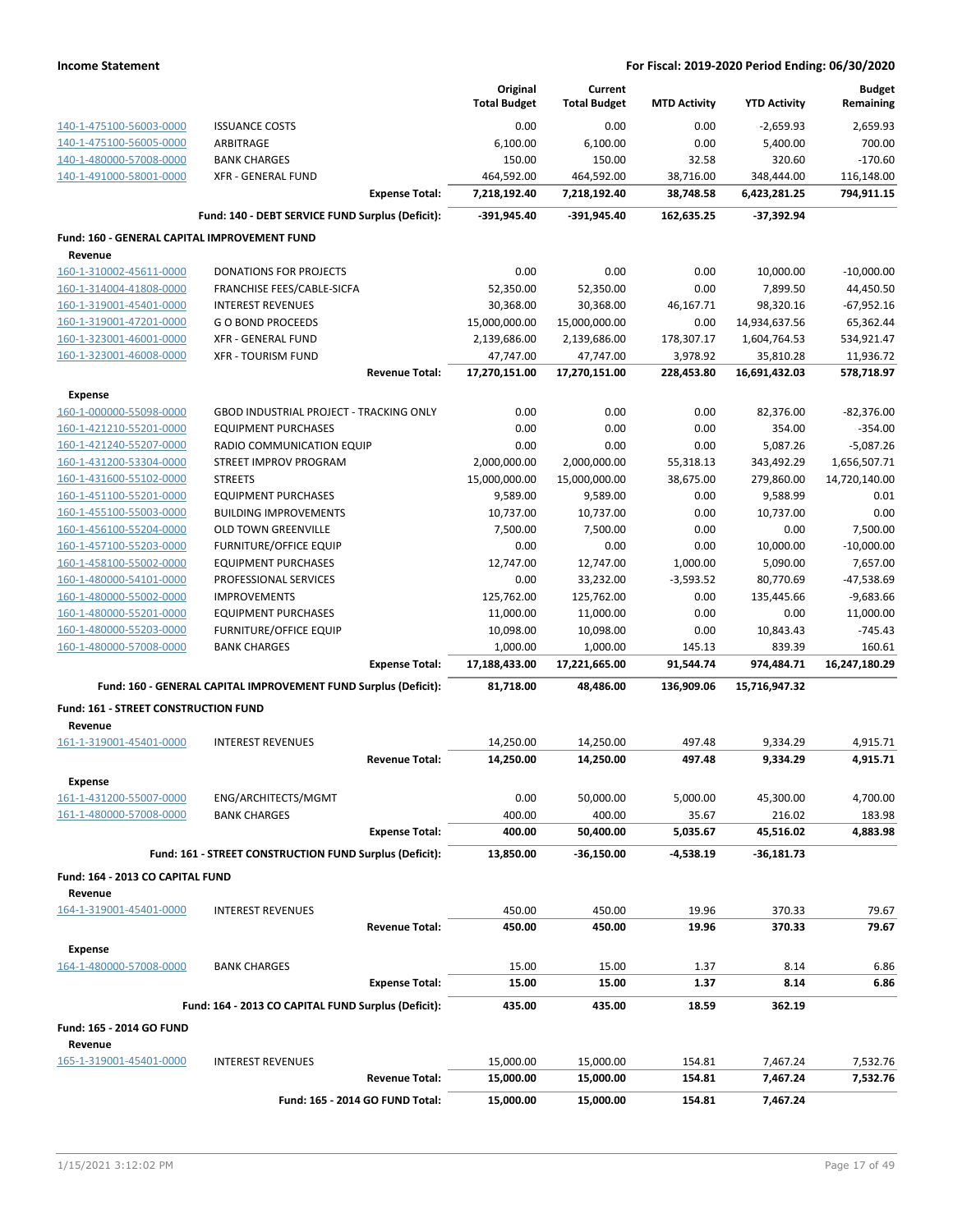|                                                    |                                                                 | Original               | Current                |                     |                     | <b>Budget</b>          |
|----------------------------------------------------|-----------------------------------------------------------------|------------------------|------------------------|---------------------|---------------------|------------------------|
|                                                    |                                                                 | <b>Total Budget</b>    | <b>Total Budget</b>    | <b>MTD Activity</b> | <b>YTD Activity</b> | Remaining              |
| 140-1-475100-56003-0000                            | <b>ISSUANCE COSTS</b>                                           | 0.00                   | 0.00                   | 0.00                | $-2,659.93$         | 2,659.93               |
| 140-1-475100-56005-0000                            | ARBITRAGE                                                       | 6,100.00               | 6,100.00               | 0.00                | 5,400.00            | 700.00                 |
| 140-1-480000-57008-0000                            | <b>BANK CHARGES</b>                                             | 150.00                 | 150.00                 | 32.58               | 320.60              | $-170.60$              |
| 140-1-491000-58001-0000                            | <b>XFR - GENERAL FUND</b>                                       | 464,592.00             | 464,592.00             | 38,716.00           | 348,444.00          | 116,148.00             |
|                                                    | <b>Expense Total:</b>                                           | 7,218,192.40           | 7,218,192.40           | 38,748.58           | 6,423,281.25        | 794,911.15             |
|                                                    | Fund: 140 - DEBT SERVICE FUND Surplus (Deficit):                | -391,945.40            | -391,945.40            | 162,635.25          | $-37,392.94$        |                        |
| Fund: 160 - GENERAL CAPITAL IMPROVEMENT FUND       |                                                                 |                        |                        |                     |                     |                        |
| Revenue                                            |                                                                 |                        |                        |                     |                     |                        |
| 160-1-310002-45611-0000                            | <b>DONATIONS FOR PROJECTS</b>                                   | 0.00                   | 0.00                   | 0.00                | 10,000.00           | $-10,000.00$           |
| 160-1-314004-41808-0000                            | FRANCHISE FEES/CABLE-SICFA                                      | 52,350.00              | 52,350.00              | 0.00                | 7,899.50            | 44,450.50              |
| 160-1-319001-45401-0000                            | <b>INTEREST REVENUES</b>                                        | 30,368.00              | 30,368.00              | 46,167.71           | 98,320.16           | $-67,952.16$           |
| 160-1-319001-47201-0000                            | <b>GO BOND PROCEEDS</b>                                         | 15,000,000.00          | 15,000,000.00          | 0.00                | 14,934,637.56       | 65,362.44              |
| 160-1-323001-46001-0000                            | <b>XFR - GENERAL FUND</b>                                       | 2,139,686.00           | 2,139,686.00           | 178,307.17          | 1,604,764.53        | 534,921.47             |
| 160-1-323001-46008-0000                            | <b>XFR - TOURISM FUND</b>                                       | 47,747.00              | 47,747.00              | 3,978.92            | 35,810.28           | 11,936.72              |
|                                                    | <b>Revenue Total:</b>                                           | 17,270,151.00          | 17,270,151.00          | 228,453.80          | 16,691,432.03       | 578,718.97             |
| <b>Expense</b>                                     |                                                                 |                        |                        |                     |                     |                        |
| 160-1-000000-55098-0000                            | GBOD INDUSTRIAL PROJECT - TRACKING ONLY                         | 0.00                   | 0.00                   | 0.00                | 82,376.00           | $-82,376.00$           |
| 160-1-421210-55201-0000                            | <b>EQUIPMENT PURCHASES</b>                                      | 0.00                   | 0.00                   | 0.00                | 354.00              | $-354.00$              |
| 160-1-421240-55207-0000                            | RADIO COMMUNICATION EQUIP                                       | 0.00                   | 0.00                   | 0.00                | 5,087.26            | $-5,087.26$            |
| 160-1-431200-53304-0000                            | STREET IMPROV PROGRAM                                           | 2,000,000.00           | 2,000,000.00           | 55,318.13           | 343,492.29          | 1,656,507.71           |
| 160-1-431600-55102-0000                            | <b>STREETS</b>                                                  | 15,000,000.00          | 15,000,000.00          | 38,675.00           | 279,860.00          | 14,720,140.00          |
| 160-1-451100-55201-0000                            | <b>EQUIPMENT PURCHASES</b>                                      | 9,589.00               | 9,589.00               | 0.00                | 9,588.99            | 0.01                   |
| 160-1-455100-55003-0000                            | <b>BUILDING IMPROVEMENTS</b>                                    | 10,737.00              | 10,737.00              | 0.00                | 10,737.00           | 0.00                   |
| 160-1-456100-55204-0000                            | <b>OLD TOWN GREENVILLE</b>                                      | 7,500.00               | 7,500.00               | 0.00                | 0.00                | 7,500.00               |
| 160-1-457100-55203-0000                            | <b>FURNITURE/OFFICE EQUIP</b>                                   | 0.00                   | 0.00                   | 0.00                | 10,000.00           | $-10,000.00$           |
| 160-1-458100-55002-0000                            | <b>EQUIPMENT PURCHASES</b>                                      | 12,747.00              | 12,747.00              | 1,000.00            | 5,090.00            | 7,657.00               |
| 160-1-480000-54101-0000                            | PROFESSIONAL SERVICES                                           | 0.00                   | 33,232.00              | $-3,593.52$         | 80,770.69           | -47,538.69             |
| 160-1-480000-55002-0000                            | <b>IMPROVEMENTS</b>                                             | 125,762.00             | 125,762.00             | 0.00                | 135,445.66          | $-9,683.66$            |
| 160-1-480000-55201-0000<br>160-1-480000-55203-0000 | <b>EQUIPMENT PURCHASES</b><br><b>FURNITURE/OFFICE EQUIP</b>     | 11,000.00<br>10,098.00 | 11,000.00<br>10,098.00 | 0.00<br>0.00        | 0.00<br>10,843.43   | 11,000.00<br>$-745.43$ |
| 160-1-480000-57008-0000                            | <b>BANK CHARGES</b>                                             | 1,000.00               | 1,000.00               | 145.13              | 839.39              | 160.61                 |
|                                                    | <b>Expense Total:</b>                                           | 17,188,433.00          | 17,221,665.00          | 91,544.74           | 974,484.71          | 16,247,180.29          |
|                                                    | Fund: 160 - GENERAL CAPITAL IMPROVEMENT FUND Surplus (Deficit): | 81,718.00              | 48,486.00              | 136,909.06          | 15,716,947.32       |                        |
|                                                    |                                                                 |                        |                        |                     |                     |                        |
| Fund: 161 - STREET CONSTRUCTION FUND<br>Revenue    |                                                                 |                        |                        |                     |                     |                        |
| 161-1-319001-45401-0000                            | <b>INTEREST REVENUES</b>                                        | 14,250.00              | 14,250.00              | 497.48              | 9,334.29            | 4,915.71               |
|                                                    | <b>Revenue Total:</b>                                           | 14,250.00              | 14,250.00              | 497.48              | 9,334.29            | 4,915.71               |
| <b>Expense</b>                                     |                                                                 |                        |                        |                     |                     |                        |
| 161-1-431200-55007-0000                            | ENG/ARCHITECTS/MGMT                                             | 0.00                   | 50,000.00              | 5,000.00            | 45,300.00           | 4,700.00               |
| 161-1-480000-57008-0000                            | BANK CHARGES                                                    | 400.00                 | 400.00                 | 35.67               | 216.02              | 183.98                 |
|                                                    | <b>Expense Total:</b>                                           | 400.00                 | 50,400.00              | 5,035.67            | 45,516.02           | 4,883.98               |
|                                                    | Fund: 161 - STREET CONSTRUCTION FUND Surplus (Deficit):         | 13,850.00              | $-36,150.00$           | -4,538.19           | -36,181.73          |                        |
|                                                    |                                                                 |                        |                        |                     |                     |                        |
| Fund: 164 - 2013 CO CAPITAL FUND<br>Revenue        |                                                                 |                        |                        |                     |                     |                        |
| 164-1-319001-45401-0000                            | <b>INTEREST REVENUES</b>                                        | 450.00                 | 450.00                 | 19.96               | 370.33              | 79.67                  |
|                                                    | <b>Revenue Total:</b>                                           | 450.00                 | 450.00                 | 19.96               | 370.33              | 79.67                  |
|                                                    |                                                                 |                        |                        |                     |                     |                        |
| <b>Expense</b><br>164-1-480000-57008-0000          | <b>BANK CHARGES</b>                                             | 15.00                  | 15.00                  | 1.37                | 8.14                | 6.86                   |
|                                                    | <b>Expense Total:</b>                                           | 15.00                  | 15.00                  | 1.37                | 8.14                | 6.86                   |
|                                                    | Fund: 164 - 2013 CO CAPITAL FUND Surplus (Deficit):             | 435.00                 | 435.00                 | 18.59               | 362.19              |                        |
|                                                    |                                                                 |                        |                        |                     |                     |                        |
| Fund: 165 - 2014 GO FUND                           |                                                                 |                        |                        |                     |                     |                        |
| Revenue<br>165-1-319001-45401-0000                 | <b>INTEREST REVENUES</b>                                        | 15,000.00              | 15,000.00              | 154.81              | 7,467.24            | 7,532.76               |
|                                                    | <b>Revenue Total:</b>                                           | 15,000.00              | 15,000.00              | 154.81              | 7,467.24            | 7,532.76               |
|                                                    |                                                                 |                        |                        |                     |                     |                        |
|                                                    | Fund: 165 - 2014 GO FUND Total:                                 | 15,000.00              | 15,000.00              | 154.81              | 7,467.24            |                        |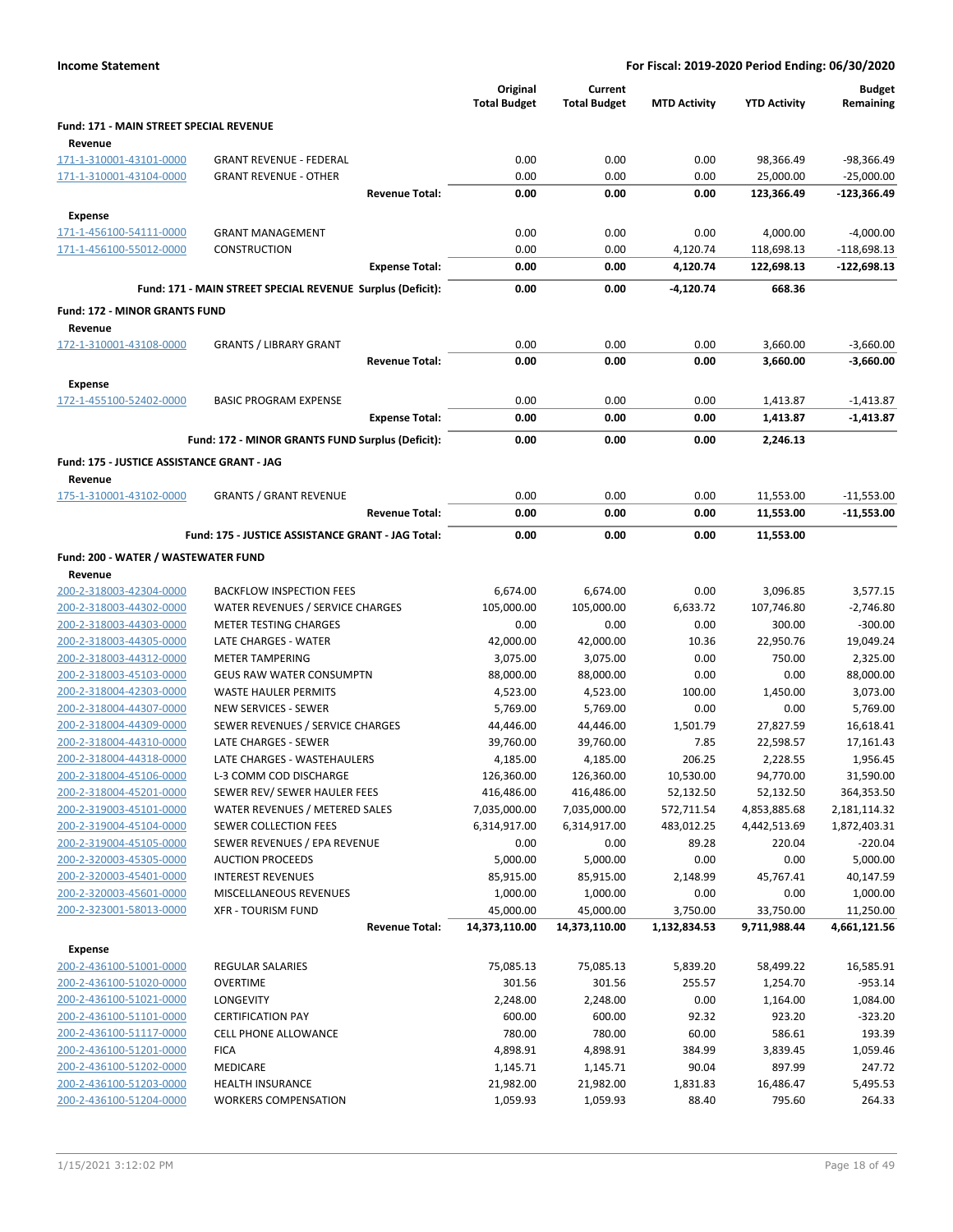|                                                |                                                            | Original<br><b>Total Budget</b> | Current<br><b>Total Budget</b> | <b>MTD Activity</b> | <b>YTD Activity</b> | <b>Budget</b><br>Remaining |
|------------------------------------------------|------------------------------------------------------------|---------------------------------|--------------------------------|---------------------|---------------------|----------------------------|
| Fund: 171 - MAIN STREET SPECIAL REVENUE        |                                                            |                                 |                                |                     |                     |                            |
| Revenue                                        |                                                            |                                 |                                |                     |                     |                            |
| 171-1-310001-43101-0000                        | <b>GRANT REVENUE - FEDERAL</b>                             | 0.00                            | 0.00                           | 0.00                | 98,366.49           | -98,366.49                 |
| 171-1-310001-43104-0000                        | <b>GRANT REVENUE - OTHER</b>                               | 0.00                            | 0.00                           | 0.00                | 25,000.00           | $-25,000.00$               |
|                                                | <b>Revenue Total:</b>                                      | 0.00                            | 0.00                           | 0.00                | 123,366.49          | -123,366.49                |
| Expense                                        |                                                            |                                 |                                |                     |                     |                            |
| 171-1-456100-54111-0000                        | <b>GRANT MANAGEMENT</b>                                    | 0.00                            | 0.00                           | 0.00                | 4,000.00            | $-4,000.00$                |
| 171-1-456100-55012-0000                        | CONSTRUCTION                                               | 0.00                            | 0.00                           | 4,120.74            | 118,698.13          | $-118,698.13$              |
|                                                | <b>Expense Total:</b>                                      | 0.00                            | 0.00                           | 4,120.74            | 122,698.13          | $-122,698.13$              |
|                                                | Fund: 171 - MAIN STREET SPECIAL REVENUE Surplus (Deficit): | 0.00                            | 0.00                           | -4,120.74           | 668.36              |                            |
| <b>Fund: 172 - MINOR GRANTS FUND</b>           |                                                            |                                 |                                |                     |                     |                            |
| Revenue                                        |                                                            |                                 |                                |                     |                     |                            |
| 172-1-310001-43108-0000                        | <b>GRANTS / LIBRARY GRANT</b>                              | 0.00                            | 0.00                           | 0.00                | 3,660.00            | $-3,660.00$                |
|                                                | <b>Revenue Total:</b>                                      | 0.00                            | 0.00                           | 0.00                | 3,660.00            | $-3,660.00$                |
| Expense                                        |                                                            |                                 |                                |                     |                     |                            |
| 172-1-455100-52402-0000                        | <b>BASIC PROGRAM EXPENSE</b>                               | 0.00                            | 0.00                           | 0.00                | 1,413.87            | $-1,413.87$                |
|                                                | <b>Expense Total:</b>                                      | 0.00                            | 0.00                           | 0.00                | 1,413.87            | $-1,413.87$                |
|                                                | Fund: 172 - MINOR GRANTS FUND Surplus (Deficit):           | 0.00                            | 0.00                           | 0.00                | 2,246.13            |                            |
| Fund: 175 - JUSTICE ASSISTANCE GRANT - JAG     |                                                            |                                 |                                |                     |                     |                            |
| Revenue                                        |                                                            |                                 |                                |                     |                     |                            |
| 175-1-310001-43102-0000                        | <b>GRANTS / GRANT REVENUE</b>                              | 0.00                            | 0.00                           | 0.00                | 11,553.00           | $-11,553.00$               |
|                                                | <b>Revenue Total:</b>                                      | 0.00                            | 0.00                           | 0.00                | 11,553.00           | -11,553.00                 |
|                                                | Fund: 175 - JUSTICE ASSISTANCE GRANT - JAG Total:          | 0.00                            | 0.00                           | 0.00                | 11,553.00           |                            |
|                                                |                                                            |                                 |                                |                     |                     |                            |
| Fund: 200 - WATER / WASTEWATER FUND<br>Revenue |                                                            |                                 |                                |                     |                     |                            |
| 200-2-318003-42304-0000                        | <b>BACKFLOW INSPECTION FEES</b>                            | 6,674.00                        | 6,674.00                       | 0.00                | 3,096.85            | 3,577.15                   |
| 200-2-318003-44302-0000                        | WATER REVENUES / SERVICE CHARGES                           | 105,000.00                      | 105,000.00                     | 6,633.72            | 107,746.80          | $-2,746.80$                |
| 200-2-318003-44303-0000                        | <b>METER TESTING CHARGES</b>                               | 0.00                            | 0.00                           | 0.00                | 300.00              | $-300.00$                  |
| 200-2-318003-44305-0000                        | LATE CHARGES - WATER                                       | 42,000.00                       | 42,000.00                      | 10.36               | 22,950.76           | 19,049.24                  |
| 200-2-318003-44312-0000                        | <b>METER TAMPERING</b>                                     | 3,075.00                        | 3,075.00                       | 0.00                | 750.00              | 2,325.00                   |
| 200-2-318003-45103-0000                        | GEUS RAW WATER CONSUMPTN                                   | 88,000.00                       | 88,000.00                      | 0.00                | 0.00                | 88,000.00                  |
| 200-2-318004-42303-0000                        | <b>WASTE HAULER PERMITS</b>                                | 4,523.00                        | 4,523.00                       | 100.00              | 1,450.00            | 3,073.00                   |
| 200-2-318004-44307-0000                        | NEW SERVICES - SEWER                                       | 5,769.00                        | 5,769.00                       | 0.00                | 0.00                | 5,769.00                   |
| 200-2-318004-44309-0000                        | SEWER REVENUES / SERVICE CHARGES                           | 44,446.00                       | 44,446.00                      | 1,501.79            | 27,827.59           | 16,618.41                  |
| 200-2-318004-44310-0000                        | LATE CHARGES - SEWER                                       | 39,760.00                       | 39,760.00                      | 7.85                | 22,598.57           | 17,161.43                  |
| 200-2-318004-44318-0000                        | LATE CHARGES - WASTEHAULERS                                | 4,185.00                        | 4,185.00                       | 206.25              | 2,228.55            | 1,956.45                   |
| 200-2-318004-45106-0000                        | L-3 COMM COD DISCHARGE                                     | 126,360.00                      | 126,360.00                     | 10,530.00           | 94,770.00           | 31,590.00                  |
| 200-2-318004-45201-0000                        | SEWER REV/ SEWER HAULER FEES                               | 416,486.00                      | 416,486.00                     | 52,132.50           | 52,132.50           | 364,353.50                 |
| 200-2-319003-45101-0000                        | WATER REVENUES / METERED SALES                             | 7,035,000.00                    | 7,035,000.00                   | 572,711.54          | 4,853,885.68        | 2,181,114.32               |
| 200-2-319004-45104-0000                        | SEWER COLLECTION FEES                                      | 6,314,917.00                    | 6,314,917.00                   | 483,012.25          | 4,442,513.69        | 1,872,403.31               |
| 200-2-319004-45105-0000                        | SEWER REVENUES / EPA REVENUE                               | 0.00                            | 0.00                           | 89.28               | 220.04              | $-220.04$                  |
| 200-2-320003-45305-0000                        | <b>AUCTION PROCEEDS</b>                                    | 5,000.00                        | 5,000.00                       | 0.00                | 0.00                | 5,000.00                   |
| 200-2-320003-45401-0000                        | <b>INTEREST REVENUES</b>                                   | 85,915.00                       | 85,915.00                      | 2,148.99            | 45,767.41           | 40,147.59                  |
| 200-2-320003-45601-0000                        | MISCELLANEOUS REVENUES                                     | 1,000.00                        | 1,000.00                       | 0.00                | 0.00                | 1,000.00                   |
| 200-2-323001-58013-0000                        | <b>XFR - TOURISM FUND</b>                                  | 45,000.00                       | 45,000.00                      | 3,750.00            | 33,750.00           | 11,250.00                  |
|                                                | <b>Revenue Total:</b>                                      | 14,373,110.00                   | 14,373,110.00                  | 1,132,834.53        | 9,711,988.44        | 4,661,121.56               |
| <b>Expense</b>                                 |                                                            |                                 |                                |                     |                     |                            |
| 200-2-436100-51001-0000                        | REGULAR SALARIES                                           | 75,085.13                       | 75,085.13                      | 5,839.20            | 58,499.22           | 16,585.91                  |
| 200-2-436100-51020-0000                        | <b>OVERTIME</b>                                            | 301.56                          | 301.56                         | 255.57              | 1,254.70            | $-953.14$                  |
| 200-2-436100-51021-0000                        | LONGEVITY                                                  | 2,248.00                        | 2,248.00                       | 0.00                | 1,164.00            | 1,084.00                   |
| 200-2-436100-51101-0000                        | <b>CERTIFICATION PAY</b>                                   | 600.00                          | 600.00                         | 92.32               | 923.20              | $-323.20$                  |
| 200-2-436100-51117-0000                        | <b>CELL PHONE ALLOWANCE</b>                                | 780.00                          | 780.00                         | 60.00               | 586.61              | 193.39                     |
| 200-2-436100-51201-0000                        | <b>FICA</b>                                                | 4,898.91                        | 4,898.91                       | 384.99              | 3,839.45            | 1,059.46                   |
| 200-2-436100-51202-0000                        | <b>MEDICARE</b>                                            | 1,145.71                        | 1,145.71                       | 90.04               | 897.99              | 247.72                     |
| 200-2-436100-51203-0000                        | <b>HEALTH INSURANCE</b>                                    | 21,982.00                       | 21,982.00                      | 1,831.83            | 16,486.47           | 5,495.53                   |
| 200-2-436100-51204-0000                        | <b>WORKERS COMPENSATION</b>                                | 1,059.93                        | 1,059.93                       | 88.40               | 795.60              | 264.33                     |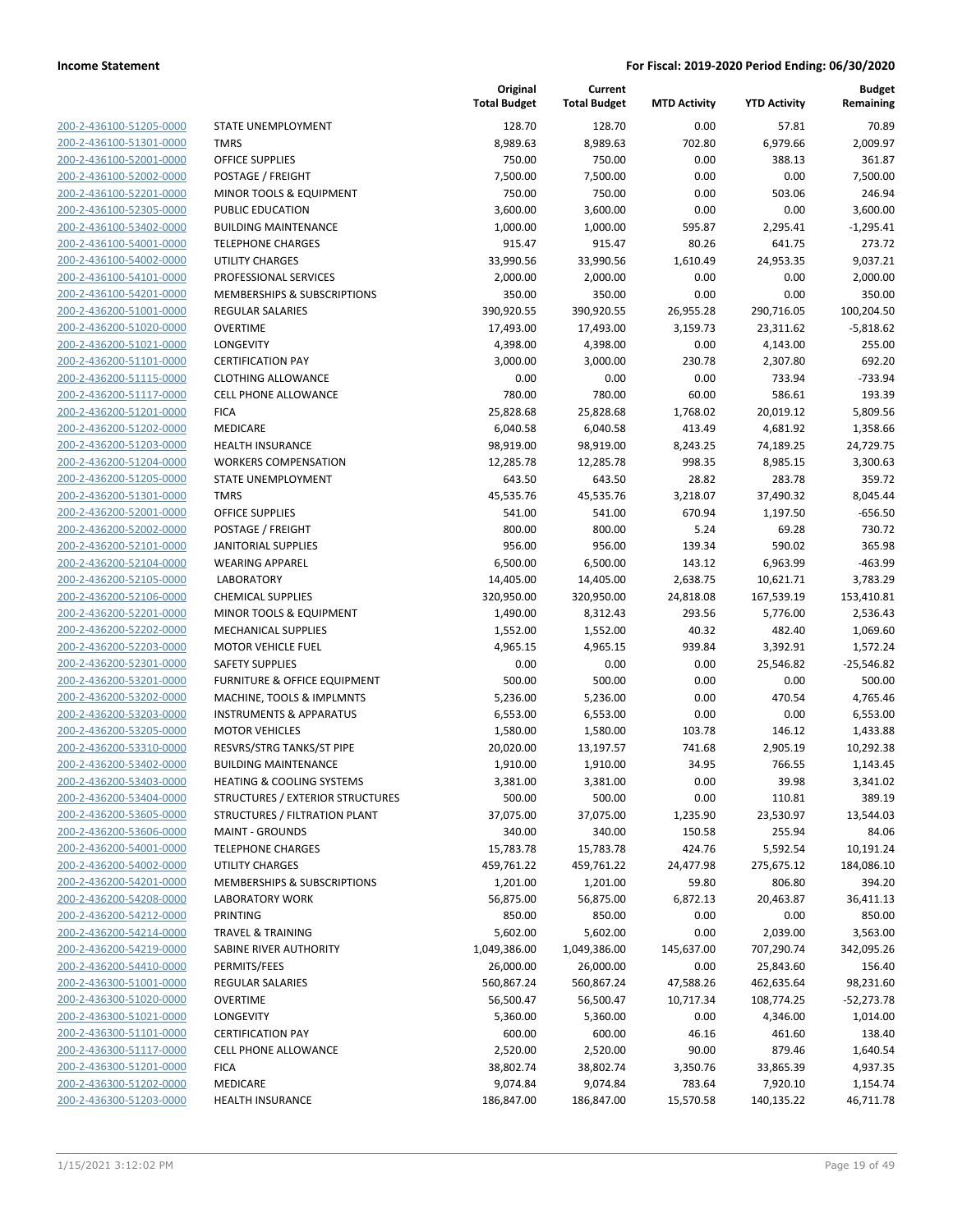200-2-436100-51205-0000 200-2-436100-51301-0000 200-2-436100-52001-0000 200-2-436100-52002-0000 200-2-436100-52201-0000 200-2-436100-52305-0000 200-2-436100-53402-0000 200-2-436100-54001-0000 200-2-436100-54002-0000 200-2-436100-54101-0000 200-2-436100-54201-0000 200-2-436200-51001-0000 200-2-436200-51020-0000 200-2-436200-51021-0000 200-2-436200-51101-0000 200-2-436200-51115-0000 200-2-436200-51117-0000 200-2-436200-51201-0000 200-2-436200-51202-0000 200-2-436200-51203-0000 200-2-436200-51204-0000 200-2-436200-51205-0000 200-2-436200-51301-0000 200-2-436200-52001-0000 200-2-436200-52002-0000 200-2-436200-52101-0000 200-2-436200-52104-0000 200-2-436200-52105-0000 200-2-436200-52106-0000 200-2-436200-52201-0000 200-2-436200-52202-0000 200-2-436200-52203-0000 200-2-436200-52301-0000 200-2-436200-53201-0000 200-2-436200-53202-0000 200-2-436200-53203-0000 200-2-436200-53205-0000 200-2-436200-53310-0000 200-2-436200-53402-0000 200-2-436200-53403-0000 200-2-436200-53404-0000 200-2-436200-53605-0000 200-2-436200-53606-0000 200-2-436200-54001-0000 200-2-436200-54002-0000 200-2-436200-54201-0000 200-2-436200-54208-0000 200-2-436200-54212-0000 200-2-436200-54214-0000 200-2-436200-54219-0000 200-2-436200-54410-0000 200-2-436300-51001-0000 200-2-436300-51020-0000 200-2-436300-51021-0000 200-2-436300-51101-0000 200-2-436300-51117-0000 200-2-436300-51201-0000 200-2-436300-51202-0000 200-2-436300-51203-0000

|                                         | Original<br><b>Total Budget</b> | Current<br><b>Total Budget</b> | <b>MTD Activity</b> | <b>YTD Activity</b> | <b>Budget</b><br>Remaining |
|-----------------------------------------|---------------------------------|--------------------------------|---------------------|---------------------|----------------------------|
| STATE UNEMPLOYMENT                      | 128.70                          | 128.70                         | 0.00                | 57.81               | 70.89                      |
| <b>TMRS</b>                             | 8,989.63                        | 8,989.63                       | 702.80              | 6,979.66            | 2,009.97                   |
| <b>OFFICE SUPPLIES</b>                  | 750.00                          | 750.00                         | 0.00                | 388.13              | 361.87                     |
| POSTAGE / FREIGHT                       | 7,500.00                        | 7,500.00                       | 0.00                | 0.00                | 7,500.00                   |
| MINOR TOOLS & EQUIPMENT                 | 750.00                          | 750.00                         | 0.00                | 503.06              | 246.94                     |
| PUBLIC EDUCATION                        | 3,600.00                        | 3,600.00                       | 0.00                | 0.00                | 3,600.00                   |
| <b>BUILDING MAINTENANCE</b>             | 1,000.00                        | 1,000.00                       | 595.87              | 2,295.41            | $-1,295.41$                |
| <b>TELEPHONE CHARGES</b>                | 915.47                          | 915.47                         | 80.26               | 641.75              | 273.72                     |
| <b>UTILITY CHARGES</b>                  | 33,990.56                       | 33,990.56                      | 1,610.49            | 24,953.35           | 9,037.21                   |
| PROFESSIONAL SERVICES                   | 2,000.00                        | 2,000.00                       | 0.00                | 0.00                | 2,000.00                   |
| MEMBERSHIPS & SUBSCRIPTIONS             | 350.00                          | 350.00                         | 0.00                | 0.00                | 350.00                     |
| <b>REGULAR SALARIES</b>                 | 390,920.55                      | 390,920.55                     | 26,955.28           | 290,716.05          | 100,204.50                 |
| <b>OVERTIME</b>                         | 17,493.00                       | 17,493.00                      | 3,159.73            | 23,311.62           | $-5,818.62$                |
| LONGEVITY                               | 4,398.00                        | 4,398.00                       | 0.00                | 4,143.00            | 255.00                     |
| <b>CERTIFICATION PAY</b>                | 3,000.00                        | 3,000.00                       | 230.78              | 2,307.80            | 692.20                     |
| <b>CLOTHING ALLOWANCE</b>               | 0.00                            | 0.00                           | 0.00                | 733.94              | $-733.94$                  |
| <b>CELL PHONE ALLOWANCE</b>             | 780.00                          | 780.00                         | 60.00               | 586.61              | 193.39                     |
| <b>FICA</b>                             | 25,828.68                       | 25,828.68                      | 1,768.02            | 20,019.12           | 5,809.56                   |
| <b>MEDICARE</b>                         | 6,040.58                        | 6,040.58                       | 413.49              | 4,681.92            | 1,358.66                   |
| <b>HEALTH INSURANCE</b>                 | 98,919.00                       | 98,919.00                      | 8,243.25            | 74,189.25           | 24,729.75                  |
| <b>WORKERS COMPENSATION</b>             | 12,285.78                       | 12,285.78                      | 998.35              | 8,985.15            | 3,300.63                   |
| STATE UNEMPLOYMENT                      | 643.50                          | 643.50                         | 28.82               | 283.78              | 359.72                     |
| <b>TMRS</b>                             | 45,535.76                       | 45,535.76                      | 3,218.07            | 37,490.32           | 8,045.44                   |
| <b>OFFICE SUPPLIES</b>                  | 541.00                          | 541.00                         | 670.94              | 1,197.50            | $-656.50$                  |
| POSTAGE / FREIGHT                       | 800.00                          | 800.00                         | 5.24                | 69.28               | 730.72                     |
| JANITORIAL SUPPLIES                     | 956.00                          | 956.00                         | 139.34              | 590.02              | 365.98                     |
| <b>WEARING APPAREL</b>                  | 6,500.00                        | 6,500.00                       | 143.12              | 6,963.99            | $-463.99$                  |
| <b>LABORATORY</b>                       | 14,405.00                       | 14,405.00                      | 2,638.75            | 10,621.71           | 3,783.29                   |
| <b>CHEMICAL SUPPLIES</b>                | 320,950.00                      | 320,950.00                     | 24,818.08           | 167,539.19          | 153,410.81                 |
| MINOR TOOLS & EQUIPMENT                 | 1,490.00                        | 8,312.43                       | 293.56              | 5,776.00            | 2,536.43                   |
| MECHANICAL SUPPLIES                     | 1,552.00                        | 1,552.00                       | 40.32               | 482.40              | 1,069.60                   |
| <b>MOTOR VEHICLE FUEL</b>               | 4,965.15                        | 4,965.15                       | 939.84              | 3,392.91            | 1,572.24                   |
| <b>SAFETY SUPPLIES</b>                  | 0.00                            | 0.00                           | 0.00                | 25,546.82           | $-25,546.82$               |
| FURNITURE & OFFICE EQUIPMENT            | 500.00                          | 500.00                         | 0.00                | 0.00                | 500.00                     |
| MACHINE, TOOLS & IMPLMNTS               | 5,236.00                        | 5,236.00                       | 0.00                | 470.54              | 4,765.46                   |
| <b>INSTRUMENTS &amp; APPARATUS</b>      | 6,553.00                        | 6,553.00                       | 0.00                | 0.00                | 6,553.00                   |
| <b>MOTOR VEHICLES</b>                   | 1,580.00                        | 1,580.00                       | 103.78              | 146.12              | 1,433.88                   |
| RESVRS/STRG TANKS/ST PIPE               | 20,020.00                       | 13,197.57                      | 741.68              | 2,905.19            | 10,292.38                  |
| <b>BUILDING MAINTENANCE</b>             | 1,910.00                        | 1,910.00                       | 34.95               | 766.55              | 1,143.45                   |
| HEATING & COOLING SYSTEMS               | 3,381.00                        | 3,381.00                       | 0.00                | 39.98               | 3,341.02                   |
| <b>STRUCTURES / EXTERIOR STRUCTURES</b> | 500.00                          | 500.00                         | 0.00                | 110.81              | 389.19                     |
| STRUCTURES / FILTRATION PLANT           | 37,075.00                       | 37,075.00                      | 1,235.90            | 23,530.97           | 13,544.03                  |
| <b>MAINT - GROUNDS</b>                  | 340.00                          | 340.00                         | 150.58              | 255.94              | 84.06                      |
| <b>TELEPHONE CHARGES</b>                | 15,783.78                       | 15,783.78                      | 424.76              | 5,592.54            | 10,191.24                  |
| UTILITY CHARGES                         | 459,761.22                      | 459,761.22                     | 24,477.98           | 275,675.12          | 184,086.10                 |
| MEMBERSHIPS & SUBSCRIPTIONS             | 1,201.00                        | 1,201.00                       | 59.80               | 806.80              | 394.20                     |
| <b>LABORATORY WORK</b>                  | 56,875.00                       | 56,875.00                      | 6,872.13            | 20,463.87           | 36,411.13                  |
| <b>PRINTING</b>                         | 850.00                          | 850.00                         | 0.00                | 0.00                | 850.00                     |
| <b>TRAVEL &amp; TRAINING</b>            | 5,602.00                        | 5,602.00                       | 0.00                | 2,039.00            | 3,563.00                   |
| SABINE RIVER AUTHORITY                  | 1,049,386.00                    | 1,049,386.00                   | 145,637.00          | 707,290.74          | 342,095.26                 |
| PERMITS/FEES                            | 26,000.00                       | 26,000.00                      | 0.00                | 25,843.60           | 156.40                     |
| <b>REGULAR SALARIES</b>                 | 560,867.24                      | 560,867.24                     | 47,588.26           | 462,635.64          | 98,231.60                  |
| <b>OVERTIME</b>                         | 56,500.47                       | 56,500.47                      | 10,717.34           | 108,774.25          | -52,273.78                 |
| <b>LONGEVITY</b>                        | 5,360.00                        | 5,360.00                       | 0.00                | 4,346.00            | 1,014.00                   |
| <b>CERTIFICATION PAY</b>                | 600.00                          | 600.00                         | 46.16               | 461.60              | 138.40                     |
| <b>CELL PHONE ALLOWANCE</b>             | 2,520.00                        | 2,520.00                       | 90.00               | 879.46              | 1,640.54                   |
| <b>FICA</b>                             | 38,802.74                       | 38,802.74                      | 3,350.76            | 33,865.39           | 4,937.35                   |
| MEDICARE                                | 9,074.84                        | 9,074.84                       | 783.64              | 7,920.10            | 1,154.74                   |
| <b>HEALTH INSURANCE</b>                 | 186,847.00                      | 186,847.00                     | 15,570.58           | 140,135.22          | 46,711.78                  |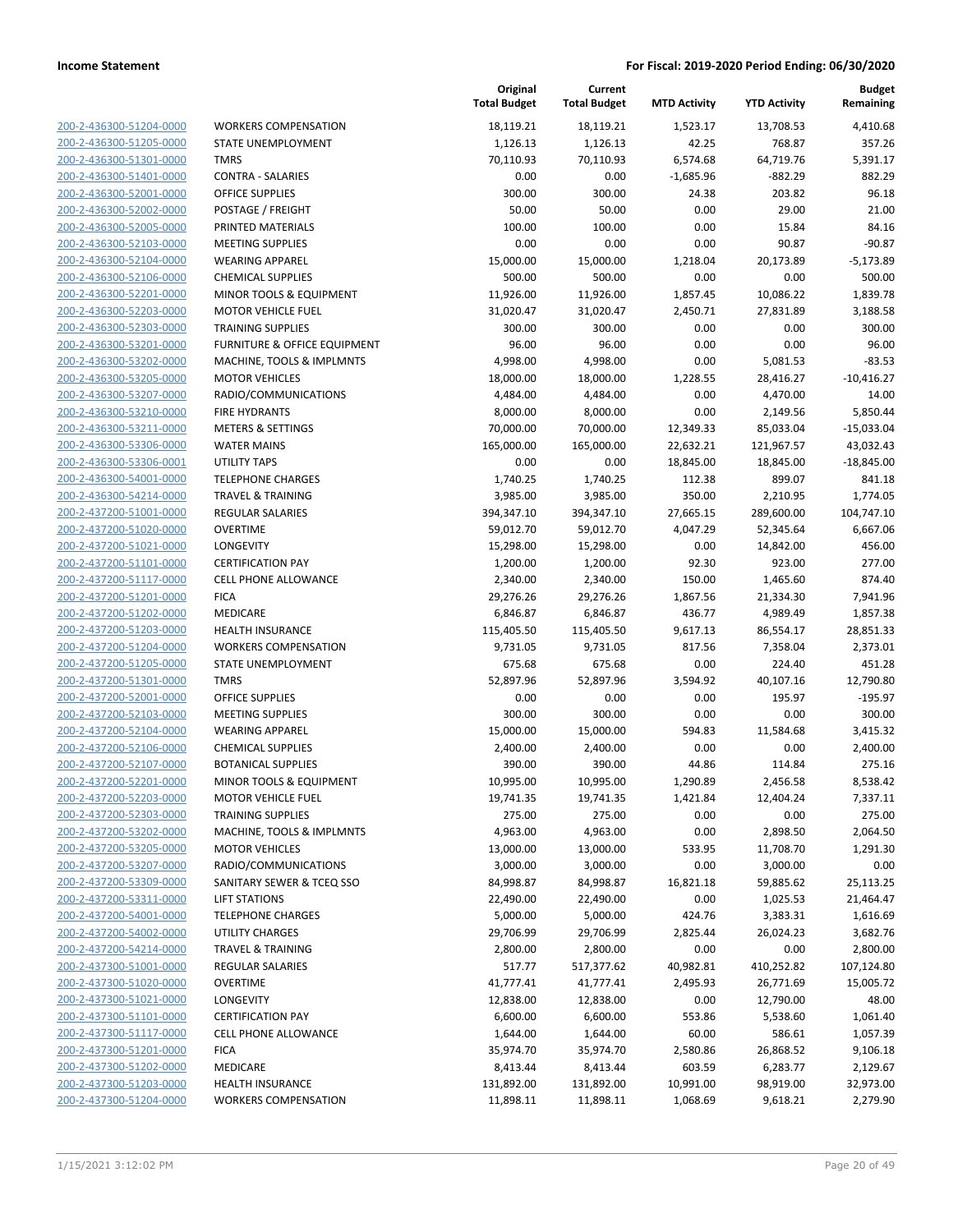| 200-2-436300-51204-0000                                   |
|-----------------------------------------------------------|
| 200-2-436300-51205-0000                                   |
| 200-2-436300-51301-0000                                   |
| 200-2-436300-51401-0000                                   |
| 200-2-436300-52001-0000                                   |
| 200-2-436300-52002-0000                                   |
| 200-2-436300-52005-0000                                   |
| 200-2-436300-52103-0000                                   |
| 200-2-436300-52104-0000                                   |
| 200-2-436300-52106-0000                                   |
|                                                           |
| 200-2-436300-52201-0000                                   |
| 200-2-436300-52203-0000                                   |
| 200-2-436300-52303-0000                                   |
| 200-2-436300-53201-0000                                   |
| 200-2-436300-53202-0000                                   |
| 200-2-436300-53205-0000                                   |
| 200-2-436300-53207-0000                                   |
| 200-2-436300-53210-0000                                   |
| 200-2-436300-53211-0000                                   |
| 200-2-436300-53306-0000                                   |
| 200-2-436300-53306-0001                                   |
| 200-2-436300-54001-0000                                   |
| 200-2-436300-54214-0000                                   |
| 200-2-437200-51001-0000                                   |
| 200-2-437200-51020-0000                                   |
| 200-2-437200-51021-0000                                   |
|                                                           |
| 200-2-437200-51101-0000                                   |
| 200-2-437200-51117-0000                                   |
| 200-2-437200-51201-0000                                   |
| 200-2-437200-51202-0000                                   |
| 200-2-437200-51203-0000                                   |
| 200-2-437200-51204-0000                                   |
| 200-2-437200-51205-0000                                   |
| 200-2-437200-51301-0000                                   |
| 200-2-437200-52001-0000                                   |
| 200-2-437200-52103-0000                                   |
| 200-2-437200-52104-0000                                   |
| 200-2-437200-52106-0000                                   |
| 200-2-437200-52107-0000                                   |
| 200-2-437200-52201-0000                                   |
| 200-2-437200-52203-0000                                   |
| 200-2-437200-52303-0000                                   |
|                                                           |
| 200-2-437200-53202-0000                                   |
| 200-2-437200-53205-0000                                   |
| 200-2-437200-53207-0000                                   |
| 200-2-437200-53309-0000                                   |
| <u>200-2-437200-53311-0000</u>                            |
| 200-2-437200-54001-0000                                   |
| 200-2-437200-54002-0000                                   |
| 200-2-437200-54214-0000                                   |
| 200-2-437300-51001-0000                                   |
| <u>200-2-437300-51020-0000</u>                            |
| 200-2-437300-51021-0000                                   |
| 200-2-437300-51101-0000                                   |
| 200-2-437300-51117-0000                                   |
| 200-2-437300-51201-0000                                   |
| <u>200-2-437300-51202-0000</u>                            |
|                                                           |
|                                                           |
| <u>200-2-437300-51203-0000</u><br>200-2-437300-51204-0000 |

| <b>WORKERS COMPENSATION</b>             |
|-----------------------------------------|
| STATE UNEMPLOYMENT                      |
| <b>TMRS</b>                             |
| <b>CONTRA - SALARIES</b>                |
| <b>OFFICE SUPPLIES</b>                  |
| POSTAGE / FREIGHT                       |
| PRINTED MATERIALS                       |
| <b>MEETING SUPPLIES</b>                 |
| <b>WEARING APPAREL</b>                  |
| <b>CHEMICAL SUPPLIES</b>                |
| <b>MINOR TOOLS &amp; EQUIPMENT</b>      |
| <b>MOTOR VEHICLE FUEL</b>               |
| <b>TRAINING SUPPLIES</b>                |
| <b>FURNITURE &amp; OFFICE EQUIPMENT</b> |
| MACHINE, TOOLS & IMPLMNTS               |
| <b>MOTOR VEHICLES</b>                   |
| RADIO/COMMUNICATIONS                    |
| <b>FIRE HYDRANTS</b>                    |
| <b>METERS &amp; SETTINGS</b>            |
| <b>WATER MAINS</b>                      |
| <b>UTILITY TAPS</b>                     |
| <b>TELEPHONE CHARGES</b>                |
| <b>TRAVEL &amp; TRAINING</b>            |
| <b>REGULAR SALARIES</b>                 |
| <b>OVERTIME</b>                         |
| <b>LONGEVITY</b>                        |
| <b>CERTIFICATION PAY</b>                |
| <b>CELL PHONE ALLOWANCE</b>             |
| <b>FICA</b>                             |
| <b>MEDICARE</b>                         |
| <b>HEALTH INSURANCE</b>                 |
| <b>WORKERS COMPENSATION</b>             |
| <b>STATE UNEMPLOYMENT</b>               |
| <b>TMRS</b>                             |
| <b>OFFICE SUPPLIES</b>                  |
| <b>MEETING SUPPLIES</b>                 |
| <b>WEARING APPAREL</b>                  |
| <b>CHEMICAL SUPPLIES</b>                |
| <b>BOTANICAL SUPPLIES</b>               |
| <b>MINOR TOOLS &amp; EQUIPMENT</b>      |
| <b>MOTOR VEHICLE FUEL</b>               |
| <b>TRAINING SUPPLIES</b>                |
| MACHINE, TOOLS & IMPLMNTS               |
| <b>MOTOR VEHICLES</b>                   |
| RADIO/COMMUNICATIONS                    |
| SANITARY SEWER & TCEQ SSO               |
| <b>LIFT STATIONS</b>                    |
| <b>TELEPHONE CHARGES</b>                |
| <b>UTILITY CHARGES</b>                  |
| <b>TRAVEL &amp; TRAINING</b>            |
| <b>REGULAR SALARIES</b>                 |
| <b>OVERTIME</b>                         |
| <b>LONGEVITY</b>                        |
| <b>CERTIFICATION PAY</b>                |
| <b>CELL PHONE ALLOWANCE</b>             |
| <b>FICA</b>                             |
| <b>MEDICARE</b>                         |
| <b>HEALTH INSURANCE</b>                 |
| <b>WORKERS COMPENSATION</b>             |

|                         |                              | Original<br><b>Total Budget</b> | Current<br><b>Total Budget</b> | <b>MTD Activity</b> | <b>YTD Activity</b> | <b>Budget</b><br>Remaining |
|-------------------------|------------------------------|---------------------------------|--------------------------------|---------------------|---------------------|----------------------------|
| 200-2-436300-51204-0000 | <b>WORKERS COMPENSATION</b>  | 18,119.21                       | 18,119.21                      | 1,523.17            | 13,708.53           | 4,410.68                   |
| 200-2-436300-51205-0000 | <b>STATE UNEMPLOYMENT</b>    | 1,126.13                        | 1,126.13                       | 42.25               | 768.87              | 357.26                     |
| 200-2-436300-51301-0000 | <b>TMRS</b>                  | 70,110.93                       | 70,110.93                      | 6,574.68            | 64,719.76           | 5,391.17                   |
| 200-2-436300-51401-0000 | <b>CONTRA - SALARIES</b>     | 0.00                            | 0.00                           | $-1,685.96$         | $-882.29$           | 882.29                     |
| 200-2-436300-52001-0000 | <b>OFFICE SUPPLIES</b>       | 300.00                          | 300.00                         | 24.38               | 203.82              | 96.18                      |
| 200-2-436300-52002-0000 | POSTAGE / FREIGHT            | 50.00                           | 50.00                          | 0.00                | 29.00               | 21.00                      |
| 200-2-436300-52005-0000 | PRINTED MATERIALS            | 100.00                          | 100.00                         | 0.00                | 15.84               | 84.16                      |
| 200-2-436300-52103-0000 | <b>MEETING SUPPLIES</b>      | 0.00                            | 0.00                           | 0.00                | 90.87               | $-90.87$                   |
| 200-2-436300-52104-0000 | <b>WEARING APPAREL</b>       | 15,000.00                       | 15,000.00                      | 1,218.04            | 20,173.89           | $-5,173.89$                |
| 200-2-436300-52106-0000 | <b>CHEMICAL SUPPLIES</b>     | 500.00                          | 500.00                         | 0.00                | 0.00                | 500.00                     |
| 200-2-436300-52201-0000 | MINOR TOOLS & EQUIPMENT      | 11,926.00                       | 11,926.00                      | 1,857.45            | 10,086.22           | 1,839.78                   |
| 200-2-436300-52203-0000 | <b>MOTOR VEHICLE FUEL</b>    | 31,020.47                       | 31,020.47                      | 2,450.71            | 27,831.89           | 3,188.58                   |
| 200-2-436300-52303-0000 | <b>TRAINING SUPPLIES</b>     | 300.00                          | 300.00                         | 0.00                | 0.00                | 300.00                     |
| 200-2-436300-53201-0000 | FURNITURE & OFFICE EQUIPMENT | 96.00                           | 96.00                          | 0.00                | 0.00                | 96.00                      |
| 200-2-436300-53202-0000 | MACHINE, TOOLS & IMPLMNTS    | 4,998.00                        | 4,998.00                       | 0.00                | 5,081.53            | $-83.53$                   |
| 200-2-436300-53205-0000 | <b>MOTOR VEHICLES</b>        | 18,000.00                       | 18,000.00                      | 1,228.55            | 28,416.27           | $-10,416.27$               |
| 200-2-436300-53207-0000 | RADIO/COMMUNICATIONS         | 4,484.00                        | 4,484.00                       | 0.00                | 4,470.00            | 14.00                      |
| 200-2-436300-53210-0000 | <b>FIRE HYDRANTS</b>         | 8,000.00                        | 8,000.00                       | 0.00                | 2,149.56            | 5,850.44                   |
| 200-2-436300-53211-0000 | <b>METERS &amp; SETTINGS</b> | 70,000.00                       | 70,000.00                      | 12,349.33           | 85,033.04           | $-15,033.04$               |
| 200-2-436300-53306-0000 | <b>WATER MAINS</b>           | 165,000.00                      | 165,000.00                     | 22,632.21           | 121,967.57          | 43,032.43                  |
| 200-2-436300-53306-0001 | <b>UTILITY TAPS</b>          | 0.00                            | 0.00                           | 18,845.00           | 18,845.00           | $-18,845.00$               |
| 200-2-436300-54001-0000 | <b>TELEPHONE CHARGES</b>     | 1,740.25                        | 1,740.25                       | 112.38              | 899.07              | 841.18                     |
| 200-2-436300-54214-0000 | <b>TRAVEL &amp; TRAINING</b> | 3,985.00                        | 3,985.00                       | 350.00              | 2,210.95            | 1,774.05                   |
| 200-2-437200-51001-0000 | REGULAR SALARIES             | 394,347.10                      | 394,347.10                     | 27,665.15           | 289,600.00          | 104,747.10                 |
| 200-2-437200-51020-0000 | <b>OVERTIME</b>              | 59,012.70                       | 59,012.70                      | 4,047.29            | 52,345.64           | 6,667.06                   |
| 200-2-437200-51021-0000 | LONGEVITY                    | 15,298.00                       | 15,298.00                      | 0.00                | 14,842.00           | 456.00                     |
| 200-2-437200-51101-0000 | <b>CERTIFICATION PAY</b>     | 1,200.00                        | 1,200.00                       | 92.30               | 923.00              | 277.00                     |
| 200-2-437200-51117-0000 | <b>CELL PHONE ALLOWANCE</b>  | 2,340.00                        | 2,340.00                       | 150.00              | 1,465.60            | 874.40                     |
| 200-2-437200-51201-0000 | <b>FICA</b>                  | 29,276.26                       | 29,276.26                      | 1,867.56            | 21,334.30           | 7,941.96                   |
| 200-2-437200-51202-0000 | MEDICARE                     | 6,846.87                        | 6,846.87                       | 436.77              | 4,989.49            | 1,857.38                   |
| 200-2-437200-51203-0000 | <b>HEALTH INSURANCE</b>      | 115,405.50                      | 115,405.50                     | 9,617.13            | 86,554.17           | 28,851.33                  |
| 200-2-437200-51204-0000 | <b>WORKERS COMPENSATION</b>  | 9,731.05                        | 9,731.05                       | 817.56              | 7,358.04            | 2,373.01                   |
| 200-2-437200-51205-0000 | STATE UNEMPLOYMENT           | 675.68                          | 675.68                         | 0.00                | 224.40              | 451.28                     |
| 200-2-437200-51301-0000 | <b>TMRS</b>                  | 52,897.96                       | 52,897.96                      | 3,594.92            | 40,107.16           | 12,790.80                  |
| 200-2-437200-52001-0000 | <b>OFFICE SUPPLIES</b>       | 0.00                            | 0.00                           | 0.00                | 195.97              | $-195.97$                  |
| 200-2-437200-52103-0000 | <b>MEETING SUPPLIES</b>      | 300.00                          | 300.00                         | 0.00                | 0.00                | 300.00                     |
| 200-2-437200-52104-0000 | <b>WEARING APPAREL</b>       | 15,000.00                       | 15,000.00                      | 594.83              | 11,584.68           | 3,415.32                   |
| 200-2-437200-52106-0000 | <b>CHEMICAL SUPPLIES</b>     | 2,400.00                        | 2,400.00                       | 0.00                | 0.00                | 2,400.00                   |
| 200-2-437200-52107-0000 | <b>BOTANICAL SUPPLIES</b>    | 390.00                          | 390.00                         | 44.86               | 114.84              | 275.16                     |
| 200-2-437200-52201-0000 | MINOR TOOLS & EQUIPMENT      | 10,995.00                       | 10,995.00                      | 1,290.89            | 2,456.58            | 8,538.42                   |
| 200-2-437200-52203-0000 | <b>MOTOR VEHICLE FUEL</b>    | 19,741.35                       | 19,741.35                      | 1,421.84            | 12,404.24           | 7,337.11                   |
| 200-2-437200-52303-0000 | <b>TRAINING SUPPLIES</b>     | 275.00                          | 275.00                         | 0.00                | 0.00                | 275.00                     |
| 200-2-437200-53202-0000 | MACHINE, TOOLS & IMPLMNTS    | 4,963.00                        | 4,963.00                       | 0.00                | 2,898.50            | 2,064.50                   |
| 200-2-437200-53205-0000 | <b>MOTOR VEHICLES</b>        | 13,000.00                       | 13,000.00                      | 533.95              | 11,708.70           | 1,291.30                   |
| 200-2-437200-53207-0000 | RADIO/COMMUNICATIONS         | 3,000.00                        | 3,000.00                       | 0.00                | 3,000.00            | 0.00                       |
| 200-2-437200-53309-0000 | SANITARY SEWER & TCEQ SSO    | 84,998.87                       | 84,998.87                      | 16,821.18           | 59,885.62           | 25,113.25                  |
| 200-2-437200-53311-0000 | <b>LIFT STATIONS</b>         | 22,490.00                       | 22,490.00                      | 0.00                | 1,025.53            | 21,464.47                  |
| 200-2-437200-54001-0000 | <b>TELEPHONE CHARGES</b>     | 5,000.00                        | 5,000.00                       | 424.76              | 3,383.31            | 1,616.69                   |
| 200-2-437200-54002-0000 | <b>UTILITY CHARGES</b>       | 29,706.99                       | 29,706.99                      | 2,825.44            | 26,024.23           | 3,682.76                   |
| 200-2-437200-54214-0000 | <b>TRAVEL &amp; TRAINING</b> | 2,800.00                        | 2,800.00                       | 0.00                | 0.00                | 2,800.00                   |
| 200-2-437300-51001-0000 | <b>REGULAR SALARIES</b>      | 517.77                          | 517,377.62                     | 40,982.81           | 410,252.82          | 107,124.80                 |
| 200-2-437300-51020-0000 | <b>OVERTIME</b>              | 41,777.41                       | 41,777.41                      | 2,495.93            | 26,771.69           | 15,005.72                  |
| 200-2-437300-51021-0000 | LONGEVITY                    | 12,838.00                       | 12,838.00                      | 0.00                | 12,790.00           | 48.00                      |
| 200-2-437300-51101-0000 | <b>CERTIFICATION PAY</b>     | 6,600.00                        | 6,600.00                       | 553.86              | 5,538.60            | 1,061.40                   |
| 200-2-437300-51117-0000 | CELL PHONE ALLOWANCE         | 1,644.00                        | 1,644.00                       | 60.00               | 586.61              | 1,057.39                   |
| 200-2-437300-51201-0000 | <b>FICA</b>                  | 35,974.70                       | 35,974.70                      | 2,580.86            | 26,868.52           | 9,106.18                   |
| 200-2-437300-51202-0000 | MEDICARE                     | 8,413.44                        | 8,413.44                       | 603.59              | 6,283.77            | 2,129.67                   |
| 200-2-437300-51203-0000 | <b>HEALTH INSURANCE</b>      | 131,892.00                      | 131,892.00                     | 10,991.00           | 98,919.00           | 32,973.00                  |
| 200-2-437300-51204-0000 | <b>WORKERS COMPENSATION</b>  | 11,898.11                       | 11,898.11                      | 1,068.69            | 9,618.21            | 2,279.90                   |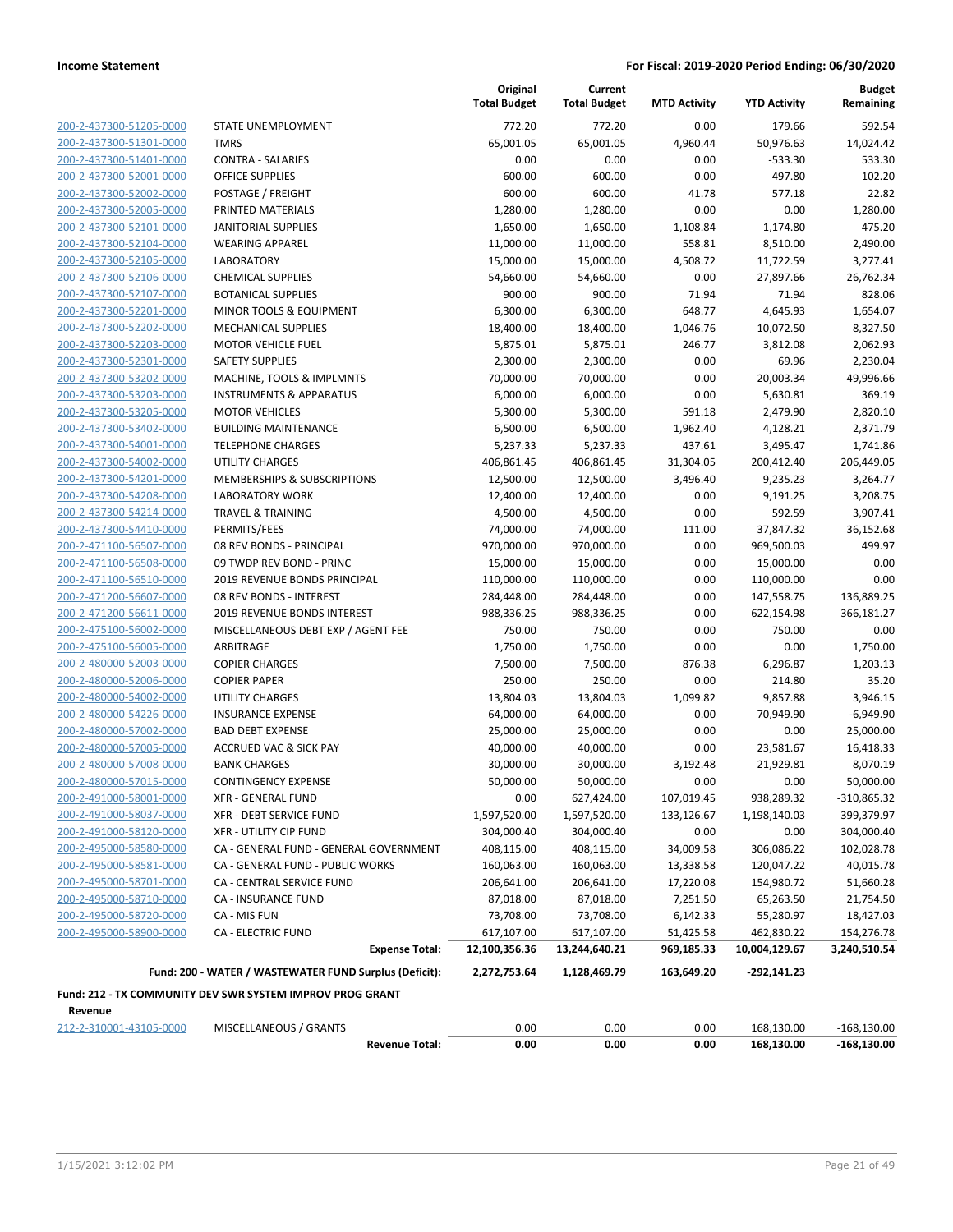| 200-2-437300-51205-0000 |
|-------------------------|
| 200-2-437300-51301-0000 |
| 200-2-437300-51401-0000 |
| 200-2-437300-52001-0000 |
| 200-2-437300-52002-0000 |
| 200-2-437300-52005-0000 |
| 200-2-437300-52101-0000 |
| 200-2-437300-52104-0000 |
| 200-2-437300-52105-0000 |
| 200-2-437300-52106-0000 |
| 200-2-437300-52107-0000 |
| 200-2-437300-52201-0000 |
| 200-2-437300-52202-0000 |
| 200-2-437300-52203-0000 |
| 200-2-437300-52301-0000 |
| 200-2-437300-53202-0000 |
| 200-2-437300-53203-0000 |
| 200-2-437300-53205-0000 |
| 200-2-437300-53402-0000 |
| 200-2-437300-54001-0000 |
| 200-2-437300-54002-0000 |
|                         |
| 200-2-437300-54201-0000 |
| 200-2-437300-54208-0000 |
| 200-2-437300-54214-0000 |
| 200-2-437300-54410-0000 |
| 200-2-471100-56507-0000 |
| 200-2-471100-56508-0000 |
| 200-2-471100-56510-0000 |
| 200-2-471200-56607-0000 |
| 200-2-471200-56611-0000 |
| 200-2-475100-56002-0000 |
| 200-2-475100-56005-0000 |
| 200-2-480000-52003-0000 |
| 200-2-480000-52006-0000 |
| 200-2-480000-54002-0000 |
| 200-2-480000-54226-0000 |
| 200-2-480000-57002-0000 |
| 200-2-480000-57005-0000 |
| 200-2-480000-57008-0000 |
| 200-2-480000-57015-0000 |
| 200-2-491000-58001-0000 |
| 200-2-491000-58037-0000 |
| 200-2-491000-58120-0000 |
| 200-2-495000-58580-0000 |
| 200-2-495000-58581-0000 |
| 200-2-495000-58701-0000 |
| 200-2-495000-58710-0000 |
| 200-2-495000-58720-0000 |
| 200-2-495000-58900-0000 |
|                         |
|                         |

|                         |                                                           | Original<br><b>Total Budget</b> | Current<br><b>Total Budget</b> | <b>MTD Activity</b> | <b>YTD Activity</b>      | <b>Budget</b><br>Remaining |
|-------------------------|-----------------------------------------------------------|---------------------------------|--------------------------------|---------------------|--------------------------|----------------------------|
| 200-2-437300-51205-0000 | STATE UNEMPLOYMENT                                        | 772.20                          | 772.20                         | 0.00                | 179.66                   | 592.54                     |
| 200-2-437300-51301-0000 | <b>TMRS</b>                                               | 65,001.05                       | 65,001.05                      | 4,960.44            | 50,976.63                | 14,024.42                  |
| 200-2-437300-51401-0000 | <b>CONTRA - SALARIES</b>                                  | 0.00                            | 0.00                           | 0.00                | $-533.30$                | 533.30                     |
| 200-2-437300-52001-0000 | <b>OFFICE SUPPLIES</b>                                    | 600.00                          | 600.00                         | 0.00                | 497.80                   | 102.20                     |
| 200-2-437300-52002-0000 | POSTAGE / FREIGHT                                         | 600.00                          | 600.00                         | 41.78               | 577.18                   | 22.82                      |
| 200-2-437300-52005-0000 | PRINTED MATERIALS                                         | 1,280.00                        | 1,280.00                       | 0.00                | 0.00                     | 1,280.00                   |
| 200-2-437300-52101-0000 | <b>JANITORIAL SUPPLIES</b>                                | 1,650.00                        | 1,650.00                       | 1,108.84            | 1,174.80                 | 475.20                     |
| 200-2-437300-52104-0000 | <b>WEARING APPAREL</b>                                    | 11,000.00                       | 11,000.00                      | 558.81              | 8,510.00                 | 2,490.00                   |
| 200-2-437300-52105-0000 | <b>LABORATORY</b>                                         | 15,000.00                       | 15,000.00                      | 4,508.72            | 11,722.59                | 3,277.41                   |
| 200-2-437300-52106-0000 | <b>CHEMICAL SUPPLIES</b>                                  | 54,660.00                       | 54,660.00                      | 0.00                | 27,897.66                | 26,762.34                  |
| 200-2-437300-52107-0000 | <b>BOTANICAL SUPPLIES</b>                                 | 900.00                          | 900.00                         | 71.94               | 71.94                    | 828.06                     |
| 200-2-437300-52201-0000 | MINOR TOOLS & EQUIPMENT                                   | 6,300.00                        | 6,300.00                       | 648.77              | 4,645.93                 | 1,654.07                   |
| 200-2-437300-52202-0000 | MECHANICAL SUPPLIES                                       | 18,400.00                       | 18,400.00                      | 1,046.76            | 10,072.50                | 8,327.50                   |
| 200-2-437300-52203-0000 | <b>MOTOR VEHICLE FUEL</b>                                 | 5,875.01                        | 5,875.01                       | 246.77              | 3,812.08                 | 2,062.93                   |
| 200-2-437300-52301-0000 | <b>SAFETY SUPPLIES</b>                                    | 2,300.00                        | 2,300.00                       | 0.00                | 69.96                    | 2,230.04                   |
| 200-2-437300-53202-0000 | MACHINE, TOOLS & IMPLMNTS                                 | 70,000.00                       | 70,000.00                      | 0.00                | 20,003.34                | 49,996.66                  |
| 200-2-437300-53203-0000 | <b>INSTRUMENTS &amp; APPARATUS</b>                        | 6,000.00                        | 6,000.00                       | 0.00                | 5,630.81                 | 369.19                     |
| 200-2-437300-53205-0000 | <b>MOTOR VEHICLES</b>                                     | 5,300.00                        | 5,300.00                       | 591.18              | 2,479.90                 | 2,820.10                   |
| 200-2-437300-53402-0000 | <b>BUILDING MAINTENANCE</b>                               | 6,500.00                        | 6,500.00                       | 1,962.40            | 4,128.21                 | 2.371.79                   |
| 200-2-437300-54001-0000 | <b>TELEPHONE CHARGES</b>                                  | 5,237.33                        | 5,237.33                       | 437.61              | 3,495.47                 | 1,741.86                   |
| 200-2-437300-54002-0000 | <b>UTILITY CHARGES</b>                                    | 406,861.45                      | 406,861.45                     | 31,304.05           | 200,412.40               | 206,449.05                 |
| 200-2-437300-54201-0000 | MEMBERSHIPS & SUBSCRIPTIONS                               | 12,500.00                       | 12,500.00                      | 3,496.40            | 9,235.23                 | 3,264.77                   |
| 200-2-437300-54208-0000 | <b>LABORATORY WORK</b>                                    | 12,400.00                       | 12,400.00                      | 0.00                | 9,191.25                 | 3,208.75                   |
| 200-2-437300-54214-0000 | <b>TRAVEL &amp; TRAINING</b>                              | 4,500.00                        | 4,500.00                       | 0.00                | 592.59                   | 3,907.41                   |
| 200-2-437300-54410-0000 | PERMITS/FEES                                              | 74,000.00                       | 74,000.00                      | 111.00              | 37,847.32                | 36,152.68                  |
| 200-2-471100-56507-0000 | 08 REV BONDS - PRINCIPAL                                  | 970,000.00                      | 970,000.00                     | 0.00                | 969,500.03               | 499.97                     |
| 200-2-471100-56508-0000 | 09 TWDP REV BOND - PRINC                                  | 15,000.00                       | 15,000.00                      | 0.00                | 15,000.00                | 0.00                       |
| 200-2-471100-56510-0000 | 2019 REVENUE BONDS PRINCIPAL                              | 110,000.00                      | 110,000.00                     | 0.00                | 110,000.00               | 0.00                       |
| 200-2-471200-56607-0000 | 08 REV BONDS - INTEREST                                   |                                 |                                |                     |                          | 136,889.25                 |
| 200-2-471200-56611-0000 | 2019 REVENUE BONDS INTEREST                               | 284,448.00<br>988,336.25        | 284,448.00<br>988,336.25       | 0.00<br>0.00        | 147,558.75<br>622,154.98 | 366,181.27                 |
| 200-2-475100-56002-0000 | MISCELLANEOUS DEBT EXP / AGENT FEE                        | 750.00                          | 750.00                         | 0.00                | 750.00                   | 0.00                       |
|                         | ARBITRAGE                                                 |                                 |                                | 0.00                | 0.00                     |                            |
| 200-2-475100-56005-0000 |                                                           | 1,750.00                        | 1,750.00                       |                     |                          | 1,750.00                   |
| 200-2-480000-52003-0000 | <b>COPIER CHARGES</b>                                     | 7,500.00                        | 7,500.00                       | 876.38              | 6,296.87                 | 1,203.13                   |
| 200-2-480000-52006-0000 | <b>COPIER PAPER</b>                                       | 250.00<br>13,804.03             | 250.00                         | 0.00                | 214.80                   | 35.20                      |
| 200-2-480000-54002-0000 | UTILITY CHARGES                                           |                                 | 13,804.03                      | 1,099.82            | 9,857.88                 | 3,946.15                   |
| 200-2-480000-54226-0000 | <b>INSURANCE EXPENSE</b>                                  | 64,000.00                       | 64,000.00                      | 0.00                | 70,949.90                | $-6,949.90$                |
| 200-2-480000-57002-0000 | <b>BAD DEBT EXPENSE</b>                                   | 25,000.00                       | 25,000.00                      | 0.00                | 0.00                     | 25,000.00                  |
| 200-2-480000-57005-0000 | <b>ACCRUED VAC &amp; SICK PAY</b>                         | 40,000.00                       | 40,000.00                      | 0.00                | 23,581.67                | 16,418.33                  |
| 200-2-480000-57008-0000 | <b>BANK CHARGES</b>                                       | 30,000.00                       | 30,000.00                      | 3,192.48            | 21,929.81                | 8,070.19                   |
| 200-2-480000-57015-0000 | <b>CONTINGENCY EXPENSE</b>                                | 50,000.00                       | 50,000.00                      | 0.00                | 0.00                     | 50,000.00                  |
| 200-2-491000-58001-0000 | XFR - GENERAL FUND                                        | 0.00                            | 627,424.00                     | 107,019.45          | 938,289.32               | -310,865.32                |
| 200-2-491000-58037-0000 | <b>XFR - DEBT SERVICE FUND</b>                            | 1,597,520.00                    | 1,597,520.00                   | 133,126.67          | 1,198,140.03             | 399,379.97                 |
| 200-2-491000-58120-0000 | XFR - UTILITY CIP FUND                                    | 304,000.40                      | 304,000.40                     | 0.00                | 0.00                     | 304,000.40                 |
| 200-2-495000-58580-0000 | CA - GENERAL FUND - GENERAL GOVERNMENT                    | 408,115.00                      | 408,115.00                     | 34,009.58           | 306,086.22               | 102,028.78                 |
| 200-2-495000-58581-0000 | CA - GENERAL FUND - PUBLIC WORKS                          | 160,063.00                      | 160,063.00                     | 13,338.58           | 120,047.22               | 40,015.78                  |
| 200-2-495000-58701-0000 | CA - CENTRAL SERVICE FUND                                 | 206,641.00                      | 206,641.00                     | 17,220.08           | 154,980.72               | 51,660.28                  |
| 200-2-495000-58710-0000 | CA - INSURANCE FUND                                       | 87,018.00                       | 87,018.00                      | 7,251.50            | 65,263.50                | 21,754.50                  |
| 200-2-495000-58720-0000 | CA - MIS FUN                                              | 73,708.00                       | 73,708.00                      | 6,142.33            | 55,280.97                | 18,427.03                  |
| 200-2-495000-58900-0000 | <b>CA - ELECTRIC FUND</b>                                 | 617,107.00                      | 617,107.00                     | 51,425.58           | 462,830.22               | 154,276.78                 |
|                         | <b>Expense Total:</b>                                     | 12,100,356.36                   | 13,244,640.21                  | 969,185.33          | 10,004,129.67            | 3,240,510.54               |
|                         | Fund: 200 - WATER / WASTEWATER FUND Surplus (Deficit):    | 2,272,753.64                    | 1,128,469.79                   | 163,649.20          | $-292,141.23$            |                            |
|                         | Fund: 212 - TX COMMUNITY DEV SWR SYSTEM IMPROV PROG GRANT |                                 |                                |                     |                          |                            |
| Revenue                 |                                                           |                                 |                                |                     |                          |                            |

**Revenue Total: 0.00 0.00 0.00 168,130.00 -168,130.00**

212-2-310001-43105-0000 MISCELLANEOUS / GRANTS 0.00 0.00 0.00 168,130.00 -168,130.00

1/15/2021 3:12:02 PM Page 21 of 49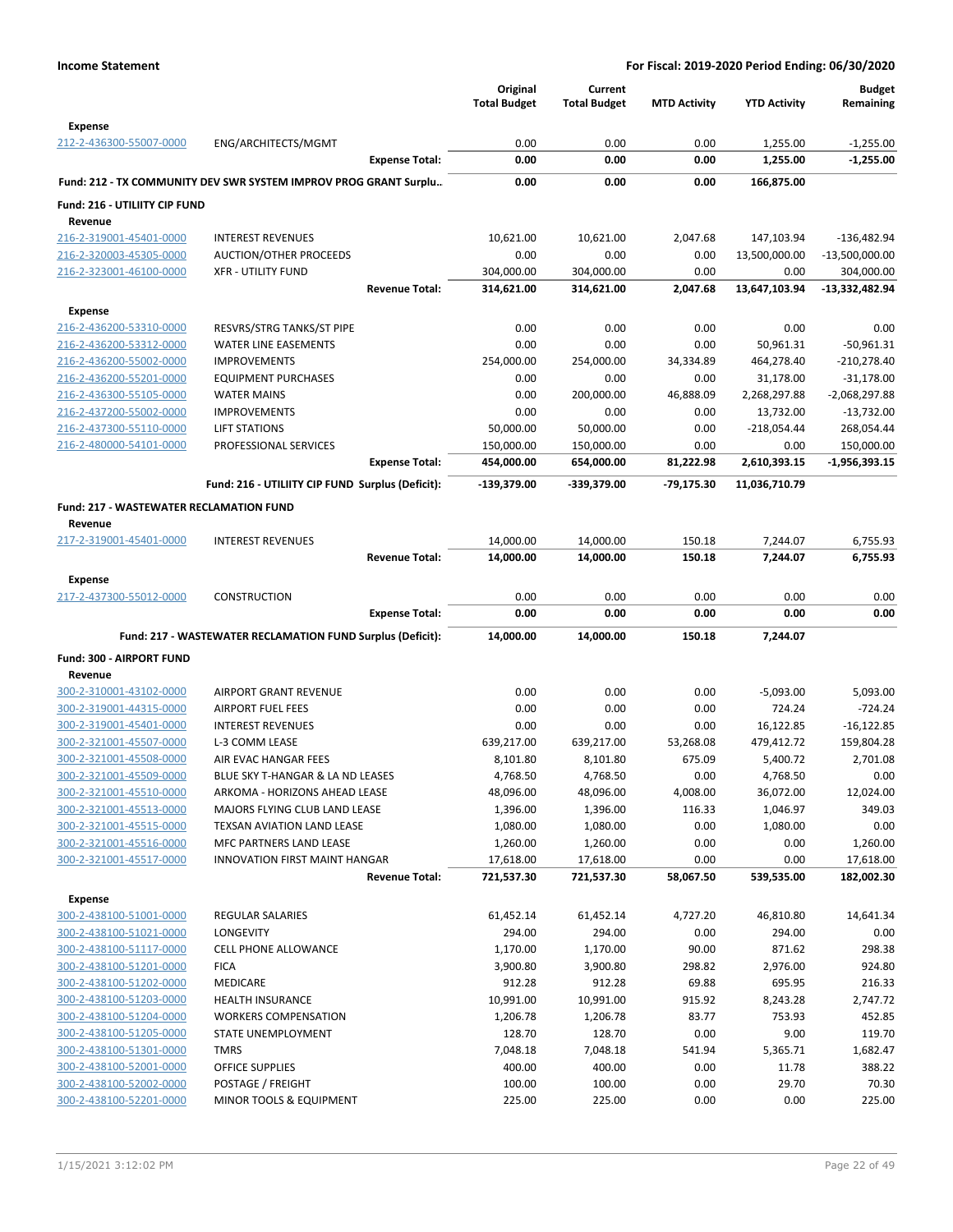|                                                    |                                                                  | Original<br><b>Total Budget</b> | Current<br><b>Total Budget</b> | <b>MTD Activity</b> | <b>YTD Activity</b>   | <b>Budget</b><br>Remaining     |
|----------------------------------------------------|------------------------------------------------------------------|---------------------------------|--------------------------------|---------------------|-----------------------|--------------------------------|
| <b>Expense</b>                                     |                                                                  |                                 |                                |                     |                       |                                |
| 212-2-436300-55007-0000                            | ENG/ARCHITECTS/MGMT                                              | 0.00                            | 0.00                           | 0.00                | 1,255.00              | $-1,255.00$                    |
|                                                    | <b>Expense Total:</b>                                            | 0.00                            | 0.00                           | 0.00                | 1,255.00              | $-1,255.00$                    |
|                                                    | Fund: 212 - TX COMMUNITY DEV SWR SYSTEM IMPROV PROG GRANT Surplu | 0.00                            | 0.00                           | 0.00                | 166,875.00            |                                |
| Fund: 216 - UTILIITY CIP FUND                      |                                                                  |                                 |                                |                     |                       |                                |
| Revenue                                            |                                                                  |                                 |                                |                     |                       |                                |
| 216-2-319001-45401-0000                            | <b>INTEREST REVENUES</b>                                         | 10,621.00                       | 10,621.00                      | 2,047.68            | 147,103.94            | $-136,482.94$                  |
| 216-2-320003-45305-0000                            | AUCTION/OTHER PROCEEDS<br><b>XFR - UTILITY FUND</b>              | 0.00                            | 0.00                           | 0.00<br>0.00        | 13,500,000.00<br>0.00 | $-13,500,000.00$               |
| 216-2-323001-46100-0000                            | <b>Revenue Total:</b>                                            | 304,000.00<br>314,621.00        | 304,000.00<br>314,621.00       | 2,047.68            | 13,647,103.94         | 304,000.00<br>$-13,332,482.94$ |
|                                                    |                                                                  |                                 |                                |                     |                       |                                |
| <b>Expense</b>                                     |                                                                  |                                 |                                | 0.00                |                       |                                |
| 216-2-436200-53310-0000<br>216-2-436200-53312-0000 | RESVRS/STRG TANKS/ST PIPE<br><b>WATER LINE EASEMENTS</b>         | 0.00<br>0.00                    | 0.00<br>0.00                   | 0.00                | 0.00<br>50,961.31     | 0.00<br>$-50,961.31$           |
| 216-2-436200-55002-0000                            | <b>IMPROVEMENTS</b>                                              | 254,000.00                      | 254,000.00                     | 34,334.89           | 464,278.40            | $-210,278.40$                  |
| 216-2-436200-55201-0000                            | <b>EQUIPMENT PURCHASES</b>                                       | 0.00                            | 0.00                           | 0.00                | 31,178.00             | $-31,178.00$                   |
| 216-2-436300-55105-0000                            | <b>WATER MAINS</b>                                               | 0.00                            | 200,000.00                     | 46,888.09           | 2,268,297.88          | -2,068,297.88                  |
| 216-2-437200-55002-0000                            | <b>IMPROVEMENTS</b>                                              | 0.00                            | 0.00                           | 0.00                | 13,732.00             | $-13,732.00$                   |
| 216-2-437300-55110-0000                            | <b>LIFT STATIONS</b>                                             | 50,000.00                       | 50,000.00                      | 0.00                | $-218,054.44$         | 268,054.44                     |
| 216-2-480000-54101-0000                            | PROFESSIONAL SERVICES                                            | 150,000.00                      | 150,000.00                     | 0.00                | 0.00                  | 150,000.00                     |
|                                                    | <b>Expense Total:</b>                                            | 454,000.00                      | 654,000.00                     | 81,222.98           | 2,610,393.15          | -1,956,393.15                  |
|                                                    | Fund: 216 - UTILIITY CIP FUND Surplus (Deficit):                 | -139,379.00                     | -339,379.00                    | $-79,175.30$        | 11,036,710.79         |                                |
| <b>Fund: 217 - WASTEWATER RECLAMATION FUND</b>     |                                                                  |                                 |                                |                     |                       |                                |
| Revenue                                            |                                                                  |                                 |                                |                     |                       |                                |
| 217-2-319001-45401-0000                            | <b>INTEREST REVENUES</b>                                         | 14,000.00                       | 14,000.00                      | 150.18              | 7,244.07              | 6,755.93                       |
|                                                    | <b>Revenue Total:</b>                                            | 14,000.00                       | 14,000.00                      | 150.18              | 7,244.07              | 6,755.93                       |
| <b>Expense</b>                                     |                                                                  |                                 |                                |                     |                       |                                |
| 217-2-437300-55012-0000                            | <b>CONSTRUCTION</b>                                              | 0.00                            | 0.00                           | 0.00                | 0.00                  | 0.00                           |
|                                                    |                                                                  | 0.00                            | 0.00                           | 0.00                | 0.00                  | 0.00                           |
|                                                    | <b>Expense Total:</b>                                            |                                 |                                |                     |                       |                                |
|                                                    |                                                                  |                                 |                                |                     |                       |                                |
|                                                    | Fund: 217 - WASTEWATER RECLAMATION FUND Surplus (Deficit):       | 14,000.00                       | 14,000.00                      | 150.18              | 7,244.07              |                                |
| Fund: 300 - AIRPORT FUND                           |                                                                  |                                 |                                |                     |                       |                                |
| Revenue<br>300-2-310001-43102-0000                 | <b>AIRPORT GRANT REVENUE</b>                                     | 0.00                            | 0.00                           | 0.00                | $-5,093.00$           | 5,093.00                       |
| 300-2-319001-44315-0000                            | AIRPORT FUEL FEES                                                | 0.00                            | 0.00                           | 0.00                | 724.24                | $-724.24$                      |
| 300-2-319001-45401-0000                            | <b>INTEREST REVENUES</b>                                         | 0.00                            | 0.00                           | 0.00                | 16,122.85             | $-16,122.85$                   |
| 300-2-321001-45507-0000                            | L-3 COMM LEASE                                                   | 639,217.00                      | 639,217.00                     | 53,268.08           | 479,412.72            | 159,804.28                     |
| 300-2-321001-45508-0000                            | AIR EVAC HANGAR FEES                                             | 8,101.80                        | 8,101.80                       | 675.09              | 5,400.72              | 2,701.08                       |
| 300-2-321001-45509-0000                            | BLUE SKY T-HANGAR & LA ND LEASES                                 | 4,768.50                        | 4,768.50                       | 0.00                | 4,768.50              | 0.00                           |
| 300-2-321001-45510-0000                            | ARKOMA - HORIZONS AHEAD LEASE                                    | 48,096.00                       | 48,096.00                      | 4,008.00            | 36,072.00             | 12,024.00                      |
| 300-2-321001-45513-0000                            | MAJORS FLYING CLUB LAND LEASE                                    | 1,396.00                        | 1,396.00                       | 116.33              | 1,046.97              | 349.03                         |
| 300-2-321001-45515-0000                            | <b>TEXSAN AVIATION LAND LEASE</b>                                | 1,080.00                        | 1,080.00                       | 0.00                | 1,080.00              | 0.00                           |
| 300-2-321001-45516-0000                            | MFC PARTNERS LAND LEASE                                          | 1,260.00                        | 1,260.00                       | 0.00                | 0.00                  | 1,260.00                       |
| 300-2-321001-45517-0000                            | <b>INNOVATION FIRST MAINT HANGAR</b>                             | 17,618.00                       | 17,618.00                      | 0.00                | 0.00                  | 17,618.00                      |
|                                                    | <b>Revenue Total:</b>                                            | 721,537.30                      | 721,537.30                     | 58,067.50           | 539,535.00            | 182,002.30                     |
| <b>Expense</b>                                     |                                                                  |                                 |                                |                     |                       |                                |
| 300-2-438100-51001-0000                            | REGULAR SALARIES                                                 | 61,452.14                       | 61,452.14                      | 4,727.20            | 46,810.80             | 14,641.34                      |
| 300-2-438100-51021-0000                            | LONGEVITY                                                        | 294.00                          | 294.00                         | 0.00                | 294.00                | 0.00                           |
| 300-2-438100-51117-0000                            | <b>CELL PHONE ALLOWANCE</b>                                      | 1,170.00                        | 1,170.00                       | 90.00               | 871.62                | 298.38                         |
| 300-2-438100-51201-0000                            | <b>FICA</b>                                                      | 3,900.80                        | 3,900.80                       | 298.82              | 2,976.00              | 924.80                         |
| 300-2-438100-51202-0000                            | MEDICARE                                                         | 912.28                          | 912.28                         | 69.88               | 695.95                | 216.33                         |
| 300-2-438100-51203-0000                            | <b>HEALTH INSURANCE</b>                                          | 10,991.00                       | 10,991.00                      | 915.92              | 8,243.28              | 2,747.72                       |
| 300-2-438100-51204-0000                            | <b>WORKERS COMPENSATION</b>                                      | 1,206.78                        | 1,206.78                       | 83.77               | 753.93                | 452.85                         |
| 300-2-438100-51205-0000                            | STATE UNEMPLOYMENT                                               | 128.70                          | 128.70                         | 0.00                | 9.00                  | 119.70                         |
| 300-2-438100-51301-0000                            | <b>TMRS</b>                                                      | 7,048.18                        | 7,048.18                       | 541.94              | 5,365.71              | 1,682.47                       |
| 300-2-438100-52001-0000<br>300-2-438100-52002-0000 | OFFICE SUPPLIES<br>POSTAGE / FREIGHT                             | 400.00<br>100.00                | 400.00<br>100.00               | 0.00<br>0.00        | 11.78<br>29.70        | 388.22<br>70.30                |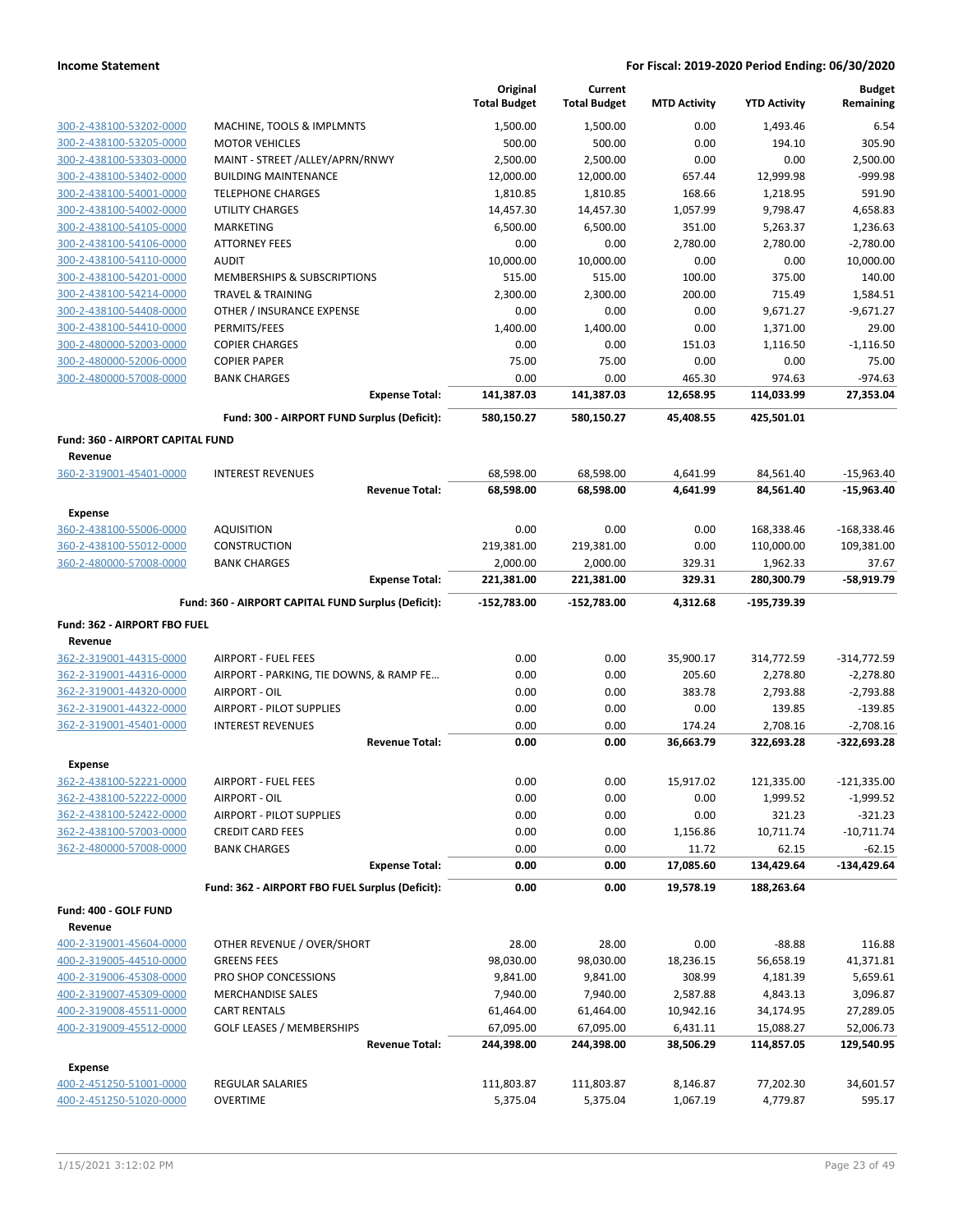|                                                    |                                                                | Original<br><b>Total Budget</b> | Current<br><b>Total Budget</b> | <b>MTD Activity</b> | <b>YTD Activity</b>   | <b>Budget</b><br>Remaining |
|----------------------------------------------------|----------------------------------------------------------------|---------------------------------|--------------------------------|---------------------|-----------------------|----------------------------|
|                                                    |                                                                |                                 | 1.500.00                       |                     |                       |                            |
| 300-2-438100-53202-0000                            | MACHINE, TOOLS & IMPLMNTS                                      | 1,500.00                        |                                | 0.00                | 1,493.46              | 6.54                       |
| 300-2-438100-53205-0000                            | <b>MOTOR VEHICLES</b>                                          | 500.00                          | 500.00                         | 0.00                | 194.10                | 305.90                     |
| 300-2-438100-53303-0000<br>300-2-438100-53402-0000 | MAINT - STREET /ALLEY/APRN/RNWY<br><b>BUILDING MAINTENANCE</b> | 2,500.00                        | 2,500.00                       | 0.00<br>657.44      | 0.00                  | 2,500.00<br>-999.98        |
| 300-2-438100-54001-0000                            | <b>TELEPHONE CHARGES</b>                                       | 12,000.00<br>1,810.85           | 12,000.00<br>1,810.85          | 168.66              | 12,999.98<br>1,218.95 | 591.90                     |
| 300-2-438100-54002-0000                            | <b>UTILITY CHARGES</b>                                         | 14,457.30                       | 14,457.30                      | 1,057.99            | 9,798.47              | 4,658.83                   |
| 300-2-438100-54105-0000                            | <b>MARKETING</b>                                               | 6,500.00                        | 6,500.00                       | 351.00              | 5,263.37              | 1,236.63                   |
| 300-2-438100-54106-0000                            | <b>ATTORNEY FEES</b>                                           | 0.00                            | 0.00                           | 2,780.00            | 2,780.00              | $-2,780.00$                |
| 300-2-438100-54110-0000                            | <b>AUDIT</b>                                                   | 10,000.00                       | 10,000.00                      | 0.00                | 0.00                  | 10,000.00                  |
| 300-2-438100-54201-0000                            | MEMBERSHIPS & SUBSCRIPTIONS                                    | 515.00                          | 515.00                         | 100.00              | 375.00                | 140.00                     |
| 300-2-438100-54214-0000                            | <b>TRAVEL &amp; TRAINING</b>                                   | 2,300.00                        | 2,300.00                       | 200.00              | 715.49                | 1,584.51                   |
| 300-2-438100-54408-0000                            | OTHER / INSURANCE EXPENSE                                      | 0.00                            | 0.00                           | 0.00                | 9,671.27              | $-9,671.27$                |
| 300-2-438100-54410-0000                            | PERMITS/FEES                                                   | 1,400.00                        | 1,400.00                       | 0.00                | 1,371.00              | 29.00                      |
| 300-2-480000-52003-0000                            | <b>COPIER CHARGES</b>                                          | 0.00                            | 0.00                           | 151.03              | 1,116.50              | $-1,116.50$                |
| 300-2-480000-52006-0000                            | <b>COPIER PAPER</b>                                            | 75.00                           | 75.00                          | 0.00                | 0.00                  | 75.00                      |
| 300-2-480000-57008-0000                            | <b>BANK CHARGES</b>                                            | 0.00                            | 0.00                           | 465.30              | 974.63                | $-974.63$                  |
|                                                    | <b>Expense Total:</b>                                          | 141,387.03                      | 141,387.03                     | 12,658.95           | 114,033.99            | 27,353.04                  |
|                                                    | Fund: 300 - AIRPORT FUND Surplus (Deficit):                    | 580,150.27                      | 580,150.27                     | 45,408.55           | 425,501.01            |                            |
| <b>Fund: 360 - AIRPORT CAPITAL FUND</b>            |                                                                |                                 |                                |                     |                       |                            |
| Revenue                                            |                                                                |                                 |                                |                     |                       |                            |
| 360-2-319001-45401-0000                            | <b>INTEREST REVENUES</b>                                       | 68,598.00                       | 68,598.00                      | 4,641.99            | 84,561.40             | $-15,963.40$               |
|                                                    | <b>Revenue Total:</b>                                          | 68,598.00                       | 68,598.00                      | 4,641.99            | 84,561.40             | $-15,963.40$               |
| <b>Expense</b>                                     |                                                                |                                 |                                |                     |                       |                            |
| 360-2-438100-55006-0000                            | <b>AQUISITION</b>                                              | 0.00                            | 0.00                           | 0.00                | 168,338.46            | $-168,338.46$              |
| 360-2-438100-55012-0000                            | <b>CONSTRUCTION</b>                                            | 219,381.00                      | 219,381.00                     | 0.00                | 110,000.00            | 109,381.00                 |
| 360-2-480000-57008-0000                            | <b>BANK CHARGES</b>                                            | 2,000.00                        | 2,000.00                       | 329.31              | 1,962.33              | 37.67                      |
|                                                    | <b>Expense Total:</b>                                          | 221,381.00                      | 221,381.00                     | 329.31              | 280,300.79            | $-58,919.79$               |
|                                                    | Fund: 360 - AIRPORT CAPITAL FUND Surplus (Deficit):            | -152,783.00                     | -152,783.00                    | 4,312.68            | -195,739.39           |                            |
| Fund: 362 - AIRPORT FBO FUEL                       |                                                                |                                 |                                |                     |                       |                            |
| Revenue                                            |                                                                |                                 |                                |                     |                       |                            |
| 362-2-319001-44315-0000                            | <b>AIRPORT - FUEL FEES</b>                                     | 0.00                            | 0.00                           | 35,900.17           | 314,772.59            | $-314,772.59$              |
| 362-2-319001-44316-0000                            | AIRPORT - PARKING, TIE DOWNS, & RAMP FE                        | 0.00                            | 0.00                           | 205.60              | 2,278.80              | $-2,278.80$                |
| 362-2-319001-44320-0000                            | AIRPORT - OIL                                                  | 0.00                            | 0.00                           | 383.78              | 2,793.88              | $-2,793.88$                |
| 362-2-319001-44322-0000                            | <b>AIRPORT - PILOT SUPPLIES</b>                                | 0.00                            | 0.00                           | 0.00                | 139.85                | $-139.85$                  |
| 362-2-319001-45401-0000                            | <b>INTEREST REVENUES</b>                                       | 0.00                            | 0.00                           | 174.24              | 2,708.16              | $-2,708.16$                |
|                                                    | <b>Revenue Total:</b>                                          | 0.00                            | 0.00                           | 36,663.79           | 322,693.28            | $-322,693.28$              |
| <b>Expense</b>                                     |                                                                |                                 |                                |                     |                       |                            |
| 362-2-438100-52221-0000                            | AIRPORT - FUEL FEES                                            | 0.00                            | 0.00                           | 15,917.02           | 121,335.00            | $-121,335.00$              |
| 362-2-438100-52222-0000                            | AIRPORT - OIL                                                  | 0.00                            | 0.00                           | 0.00                | 1,999.52              | $-1,999.52$                |
| 362-2-438100-52422-0000                            | <b>AIRPORT - PILOT SUPPLIES</b>                                | 0.00                            | 0.00                           | 0.00                | 321.23                | $-321.23$                  |
| 362-2-438100-57003-0000                            | <b>CREDIT CARD FEES</b>                                        | 0.00                            | 0.00                           | 1,156.86            | 10,711.74             | $-10,711.74$               |
| 362-2-480000-57008-0000                            | <b>BANK CHARGES</b><br><b>Expense Total:</b>                   | 0.00<br>0.00                    | 0.00<br>0.00                   | 11.72<br>17,085.60  | 62.15<br>134,429.64   | $-62.15$<br>$-134,429.64$  |
|                                                    | Fund: 362 - AIRPORT FBO FUEL Surplus (Deficit):                | 0.00                            | 0.00                           | 19,578.19           | 188,263.64            |                            |
| Fund: 400 - GOLF FUND                              |                                                                |                                 |                                |                     |                       |                            |
| Revenue                                            |                                                                |                                 |                                |                     |                       |                            |
| 400-2-319001-45604-0000                            | OTHER REVENUE / OVER/SHORT                                     | 28.00                           | 28.00                          | 0.00                | $-88.88$              | 116.88                     |
| 400-2-319005-44510-0000                            | <b>GREENS FEES</b>                                             | 98,030.00                       | 98,030.00                      | 18,236.15           | 56,658.19             | 41,371.81                  |
| 400-2-319006-45308-0000                            | PRO SHOP CONCESSIONS                                           | 9,841.00                        | 9,841.00                       | 308.99              | 4,181.39              | 5,659.61                   |
| 400-2-319007-45309-0000                            | <b>MERCHANDISE SALES</b>                                       | 7,940.00                        | 7,940.00                       | 2,587.88            | 4,843.13              | 3,096.87                   |
| 400-2-319008-45511-0000                            | <b>CART RENTALS</b>                                            | 61,464.00                       | 61,464.00                      | 10,942.16           | 34,174.95             | 27,289.05                  |
| 400-2-319009-45512-0000                            | <b>GOLF LEASES / MEMBERSHIPS</b>                               | 67,095.00                       | 67,095.00                      | 6,431.11            | 15,088.27             | 52,006.73                  |
|                                                    | <b>Revenue Total:</b>                                          | 244,398.00                      | 244,398.00                     | 38,506.29           | 114,857.05            | 129,540.95                 |
| Expense                                            |                                                                |                                 |                                |                     |                       |                            |
|                                                    |                                                                |                                 |                                |                     |                       |                            |
| 400-2-451250-51001-0000                            | REGULAR SALARIES                                               | 111,803.87                      | 111,803.87                     | 8,146.87            | 77,202.30             | 34,601.57                  |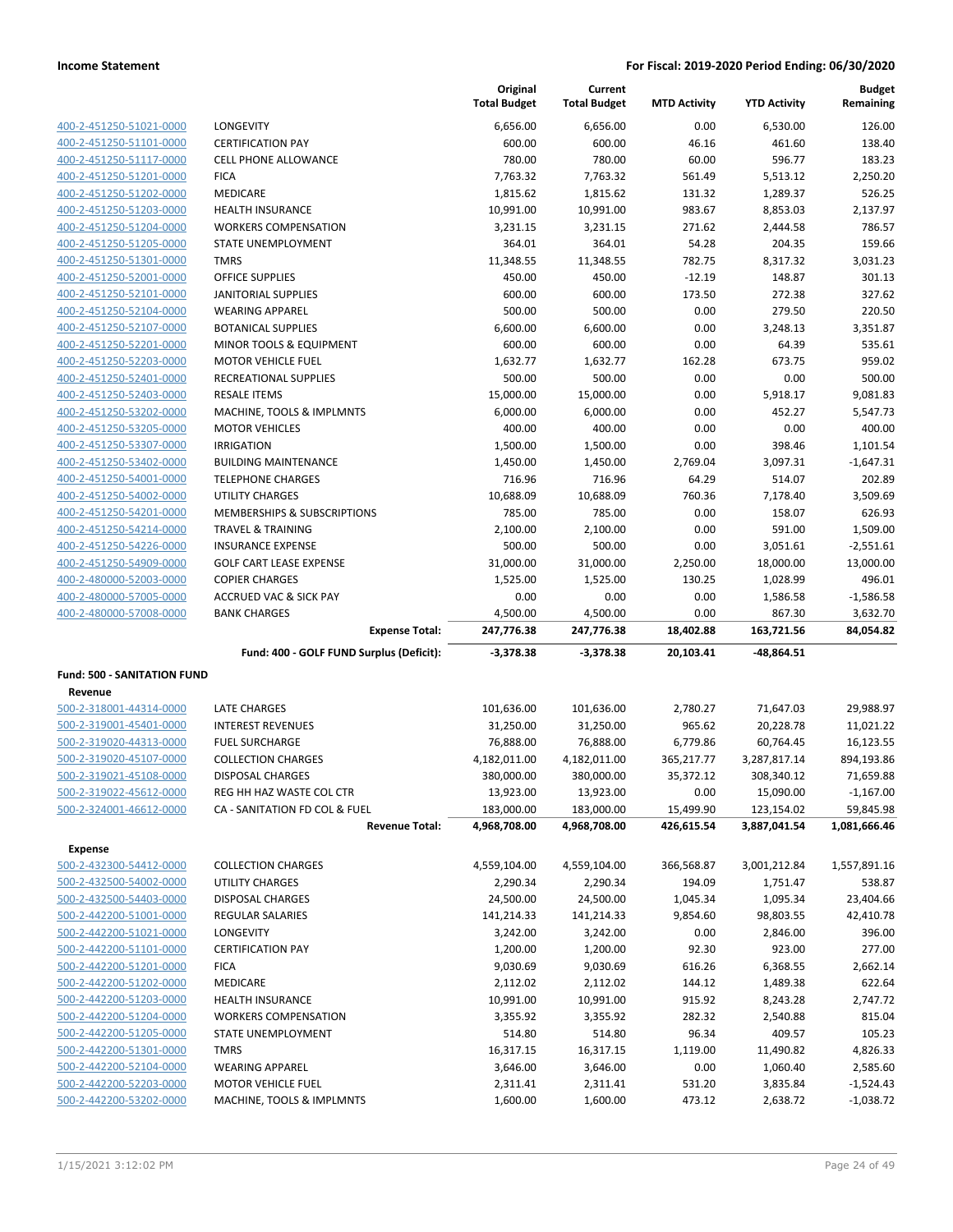|                                                    |                                                         | Original             | Current              |                     |                      | <b>Budget</b>              |
|----------------------------------------------------|---------------------------------------------------------|----------------------|----------------------|---------------------|----------------------|----------------------------|
|                                                    |                                                         | <b>Total Budget</b>  | <b>Total Budget</b>  | <b>MTD Activity</b> | <b>YTD Activity</b>  | Remaining                  |
| 400-2-451250-51021-0000                            | LONGEVITY                                               | 6,656.00             | 6,656.00             | 0.00                | 6,530.00             | 126.00                     |
| 400-2-451250-51101-0000                            | <b>CERTIFICATION PAY</b>                                | 600.00               | 600.00               | 46.16               | 461.60               | 138.40                     |
| 400-2-451250-51117-0000                            | <b>CELL PHONE ALLOWANCE</b>                             | 780.00               | 780.00               | 60.00               | 596.77               | 183.23                     |
| 400-2-451250-51201-0000                            | <b>FICA</b>                                             | 7,763.32             | 7,763.32             | 561.49              | 5,513.12             | 2,250.20                   |
| 400-2-451250-51202-0000                            | MEDICARE                                                | 1,815.62             | 1,815.62             | 131.32              | 1,289.37             | 526.25                     |
| 400-2-451250-51203-0000                            | <b>HEALTH INSURANCE</b>                                 | 10,991.00            | 10,991.00            | 983.67              | 8,853.03             | 2,137.97                   |
| 400-2-451250-51204-0000                            | <b>WORKERS COMPENSATION</b>                             | 3,231.15             | 3,231.15             | 271.62              | 2,444.58             | 786.57                     |
| 400-2-451250-51205-0000                            | <b>STATE UNEMPLOYMENT</b>                               | 364.01               | 364.01               | 54.28               | 204.35               | 159.66                     |
| 400-2-451250-51301-0000                            | <b>TMRS</b>                                             | 11,348.55            | 11,348.55            | 782.75              | 8,317.32             | 3,031.23                   |
| 400-2-451250-52001-0000                            | <b>OFFICE SUPPLIES</b>                                  | 450.00               | 450.00               | $-12.19$            | 148.87               | 301.13                     |
| 400-2-451250-52101-0000                            | <b>JANITORIAL SUPPLIES</b>                              | 600.00               | 600.00               | 173.50              | 272.38               | 327.62                     |
| 400-2-451250-52104-0000                            | <b>WEARING APPAREL</b>                                  | 500.00               | 500.00               | 0.00                | 279.50               | 220.50                     |
| 400-2-451250-52107-0000                            | <b>BOTANICAL SUPPLIES</b>                               | 6,600.00             | 6,600.00             | 0.00                | 3,248.13             | 3,351.87                   |
| 400-2-451250-52201-0000                            | MINOR TOOLS & EQUIPMENT                                 | 600.00               | 600.00               | 0.00                | 64.39                | 535.61                     |
| 400-2-451250-52203-0000                            | <b>MOTOR VEHICLE FUEL</b>                               | 1,632.77             | 1,632.77             | 162.28              | 673.75               | 959.02                     |
| 400-2-451250-52401-0000                            | RECREATIONAL SUPPLIES                                   | 500.00               | 500.00               | 0.00                | 0.00                 | 500.00                     |
| 400-2-451250-52403-0000                            | <b>RESALE ITEMS</b>                                     | 15,000.00            | 15,000.00            | 0.00                | 5,918.17             | 9,081.83                   |
| 400-2-451250-53202-0000                            | MACHINE, TOOLS & IMPLMNTS                               | 6,000.00             | 6,000.00             | 0.00                | 452.27               | 5,547.73                   |
| 400-2-451250-53205-0000                            | <b>MOTOR VEHICLES</b>                                   | 400.00               | 400.00               | 0.00                | 0.00                 | 400.00                     |
| 400-2-451250-53307-0000                            | <b>IRRIGATION</b>                                       | 1,500.00             | 1,500.00             | 0.00                | 398.46               | 1,101.54                   |
| 400-2-451250-53402-0000                            | <b>BUILDING MAINTENANCE</b><br><b>TELEPHONE CHARGES</b> | 1,450.00             | 1,450.00             | 2,769.04<br>64.29   | 3,097.31             | $-1,647.31$<br>202.89      |
| 400-2-451250-54001-0000<br>400-2-451250-54002-0000 | <b>UTILITY CHARGES</b>                                  | 716.96<br>10,688.09  | 716.96<br>10,688.09  | 760.36              | 514.07<br>7,178.40   | 3,509.69                   |
| 400-2-451250-54201-0000                            | MEMBERSHIPS & SUBSCRIPTIONS                             | 785.00               | 785.00               | 0.00                | 158.07               | 626.93                     |
| 400-2-451250-54214-0000                            | <b>TRAVEL &amp; TRAINING</b>                            | 2,100.00             | 2,100.00             | 0.00                | 591.00               | 1,509.00                   |
| 400-2-451250-54226-0000                            | <b>INSURANCE EXPENSE</b>                                | 500.00               | 500.00               | 0.00                | 3,051.61             | $-2,551.61$                |
| 400-2-451250-54909-0000                            | <b>GOLF CART LEASE EXPENSE</b>                          | 31,000.00            | 31,000.00            | 2,250.00            | 18,000.00            | 13,000.00                  |
| 400-2-480000-52003-0000                            | <b>COPIER CHARGES</b>                                   | 1,525.00             | 1,525.00             | 130.25              | 1,028.99             | 496.01                     |
| 400-2-480000-57005-0000                            | <b>ACCRUED VAC &amp; SICK PAY</b>                       | 0.00                 | 0.00                 | 0.00                | 1,586.58             | $-1,586.58$                |
| 400-2-480000-57008-0000                            | <b>BANK CHARGES</b>                                     | 4,500.00             | 4,500.00             | 0.00                | 867.30               | 3,632.70                   |
|                                                    | <b>Expense Total:</b>                                   | 247,776.38           | 247,776.38           | 18,402.88           | 163,721.56           | 84,054.82                  |
|                                                    | Fund: 400 - GOLF FUND Surplus (Deficit):                | $-3,378.38$          | $-3,378.38$          | 20,103.41           | $-48,864.51$         |                            |
| <b>Fund: 500 - SANITATION FUND</b>                 |                                                         |                      |                      |                     |                      |                            |
| Revenue                                            |                                                         |                      |                      |                     |                      |                            |
| 500-2-318001-44314-0000                            | <b>LATE CHARGES</b>                                     | 101,636.00           | 101,636.00           | 2,780.27            | 71,647.03            | 29,988.97                  |
| 500-2-319001-45401-0000                            | <b>INTEREST REVENUES</b>                                | 31,250.00            | 31,250.00            | 965.62              | 20,228.78            | 11,021.22                  |
| 500-2-319020-44313-0000                            | <b>FUEL SURCHARGE</b>                                   | 76,888.00            | 76,888.00            | 6,779.86            | 60,764.45            | 16,123.55                  |
| 500-2-319020-45107-0000                            | <b>COLLECTION CHARGES</b>                               | 4,182,011.00         | 4,182,011.00         | 365,217.77          | 3,287,817.14         | 894,193.86                 |
| 500-2-319021-45108-0000                            | DISPOSAL CHARGES                                        | 380,000.00           | 380,000.00           | 35,372.12           | 308,340.12           | 71,659.88                  |
| 500-2-319022-45612-0000                            | REG HH HAZ WASTE COL CTR                                | 13,923.00            | 13,923.00            | 0.00                | 15,090.00            | $-1,167.00$                |
| 500-2-324001-46612-0000                            | CA - SANITATION FD COL & FUEL                           | 183,000.00           | 183,000.00           | 15,499.90           | 123,154.02           | 59,845.98                  |
|                                                    | <b>Revenue Total:</b>                                   | 4,968,708.00         | 4,968,708.00         | 426,615.54          | 3,887,041.54         | 1,081,666.46               |
| <b>Expense</b>                                     |                                                         |                      |                      |                     |                      |                            |
| 500-2-432300-54412-0000                            | <b>COLLECTION CHARGES</b>                               | 4,559,104.00         | 4,559,104.00         | 366,568.87          | 3,001,212.84         | 1,557,891.16               |
| 500-2-432500-54002-0000                            | UTILITY CHARGES                                         | 2,290.34             | 2,290.34             | 194.09              | 1,751.47             | 538.87                     |
| 500-2-432500-54403-0000                            | <b>DISPOSAL CHARGES</b>                                 | 24,500.00            | 24,500.00            | 1,045.34            | 1,095.34             | 23,404.66                  |
| 500-2-442200-51001-0000                            | REGULAR SALARIES                                        | 141,214.33           | 141,214.33           | 9,854.60            | 98,803.55            | 42,410.78                  |
| 500-2-442200-51021-0000                            | LONGEVITY                                               | 3,242.00             | 3,242.00             | 0.00                | 2,846.00             | 396.00                     |
| 500-2-442200-51101-0000                            | <b>CERTIFICATION PAY</b>                                | 1,200.00             | 1,200.00             | 92.30               | 923.00               | 277.00                     |
| 500-2-442200-51201-0000                            | <b>FICA</b>                                             | 9,030.69             | 9,030.69             | 616.26              | 6,368.55             | 2,662.14                   |
| 500-2-442200-51202-0000                            | MEDICARE                                                | 2,112.02             | 2,112.02             | 144.12              | 1,489.38             | 622.64                     |
| 500-2-442200-51203-0000                            | <b>HEALTH INSURANCE</b>                                 | 10,991.00            | 10,991.00            | 915.92              | 8,243.28             | 2,747.72                   |
| 500-2-442200-51204-0000                            | <b>WORKERS COMPENSATION</b>                             | 3,355.92             | 3,355.92             | 282.32              | 2,540.88             | 815.04                     |
| 500-2-442200-51205-0000                            | STATE UNEMPLOYMENT                                      | 514.80               | 514.80               | 96.34               | 409.57               | 105.23                     |
| 500-2-442200-51301-0000                            | <b>TMRS</b>                                             | 16,317.15            | 16,317.15            | 1,119.00            | 11,490.82            | 4,826.33                   |
| 500-2-442200-52104-0000                            | <b>WEARING APPAREL</b>                                  | 3,646.00             | 3,646.00             | 0.00                | 1,060.40             | 2,585.60                   |
| 500-2-442200-52203-0000<br>500-2-442200-53202-0000 | MOTOR VEHICLE FUEL<br>MACHINE, TOOLS & IMPLMNTS         | 2,311.41<br>1,600.00 | 2,311.41<br>1,600.00 | 531.20<br>473.12    | 3,835.84<br>2,638.72 | $-1,524.43$<br>$-1,038.72$ |
|                                                    |                                                         |                      |                      |                     |                      |                            |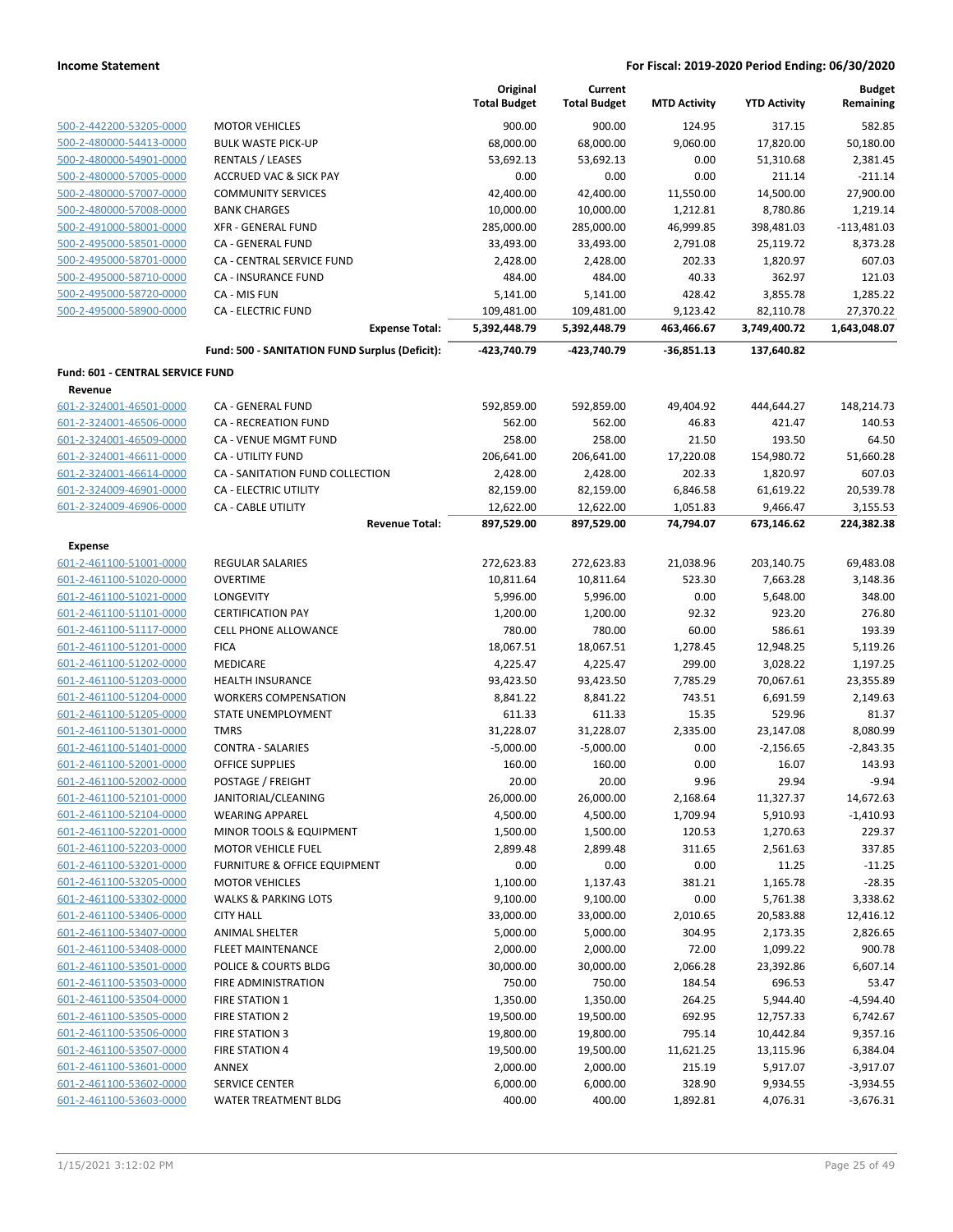|                                  |                                                | Original<br><b>Total Budget</b> | Current<br><b>Total Budget</b> | <b>MTD Activity</b> | <b>YTD Activity</b> | <b>Budget</b><br>Remaining |
|----------------------------------|------------------------------------------------|---------------------------------|--------------------------------|---------------------|---------------------|----------------------------|
| 500-2-442200-53205-0000          | <b>MOTOR VEHICLES</b>                          | 900.00                          | 900.00                         | 124.95              | 317.15              | 582.85                     |
| 500-2-480000-54413-0000          | <b>BULK WASTE PICK-UP</b>                      | 68,000.00                       | 68,000.00                      | 9,060.00            | 17,820.00           | 50,180.00                  |
| 500-2-480000-54901-0000          | <b>RENTALS / LEASES</b>                        | 53,692.13                       | 53,692.13                      | 0.00                | 51,310.68           | 2,381.45                   |
| 500-2-480000-57005-0000          | <b>ACCRUED VAC &amp; SICK PAY</b>              | 0.00                            | 0.00                           | 0.00                | 211.14              | $-211.14$                  |
| 500-2-480000-57007-0000          | <b>COMMUNITY SERVICES</b>                      | 42,400.00                       | 42,400.00                      | 11,550.00           | 14,500.00           | 27,900.00                  |
| 500-2-480000-57008-0000          | <b>BANK CHARGES</b>                            | 10,000.00                       | 10,000.00                      | 1,212.81            | 8,780.86            | 1,219.14                   |
| 500-2-491000-58001-0000          | <b>XFR - GENERAL FUND</b>                      | 285,000.00                      | 285,000.00                     | 46,999.85           | 398,481.03          | $-113,481.03$              |
| 500-2-495000-58501-0000          | CA - GENERAL FUND                              | 33,493.00                       | 33,493.00                      | 2,791.08            | 25,119.72           | 8,373.28                   |
| 500-2-495000-58701-0000          | CA - CENTRAL SERVICE FUND                      | 2,428.00                        | 2,428.00                       | 202.33              | 1,820.97            | 607.03                     |
| 500-2-495000-58710-0000          | CA - INSURANCE FUND                            | 484.00                          | 484.00                         | 40.33               | 362.97              | 121.03                     |
| 500-2-495000-58720-0000          | CA - MIS FUN                                   | 5,141.00                        | 5,141.00                       | 428.42              | 3,855.78            | 1,285.22                   |
| 500-2-495000-58900-0000          | <b>CA - ELECTRIC FUND</b>                      | 109,481.00                      | 109,481.00                     | 9,123.42            | 82,110.78           | 27,370.22                  |
|                                  | <b>Expense Total:</b>                          | 5,392,448.79                    | 5,392,448.79                   | 463,466.67          | 3,749,400.72        | 1,643,048.07               |
|                                  | Fund: 500 - SANITATION FUND Surplus (Deficit): | -423,740.79                     | -423,740.79                    | -36,851.13          | 137,640.82          |                            |
| Fund: 601 - CENTRAL SERVICE FUND |                                                |                                 |                                |                     |                     |                            |
| Revenue                          |                                                |                                 |                                |                     |                     |                            |
| 601-2-324001-46501-0000          | CA - GENERAL FUND                              | 592,859.00                      | 592,859.00                     | 49,404.92           | 444,644.27          | 148,214.73                 |
| 601-2-324001-46506-0000          | CA - RECREATION FUND                           | 562.00                          | 562.00                         | 46.83               | 421.47              | 140.53                     |
| 601-2-324001-46509-0000          | CA - VENUE MGMT FUND                           | 258.00                          | 258.00                         | 21.50               | 193.50              | 64.50                      |
| 601-2-324001-46611-0000          | <b>CA - UTILITY FUND</b>                       | 206,641.00                      | 206,641.00                     | 17,220.08           | 154,980.72          | 51,660.28                  |
| 601-2-324001-46614-0000          | CA - SANITATION FUND COLLECTION                | 2,428.00                        | 2,428.00                       | 202.33              | 1,820.97            | 607.03                     |
| 601-2-324009-46901-0000          | CA - ELECTRIC UTILITY                          | 82,159.00                       | 82,159.00                      | 6,846.58            | 61,619.22           | 20,539.78                  |
| 601-2-324009-46906-0000          | <b>CA - CABLE UTILITY</b>                      | 12,622.00                       | 12,622.00                      | 1,051.83            | 9,466.47            | 3,155.53                   |
|                                  | <b>Revenue Total:</b>                          | 897,529.00                      | 897,529.00                     | 74,794.07           | 673,146.62          | 224,382.38                 |
| <b>Expense</b>                   |                                                |                                 |                                |                     |                     |                            |
| 601-2-461100-51001-0000          | <b>REGULAR SALARIES</b>                        | 272,623.83                      | 272,623.83                     | 21,038.96           | 203,140.75          | 69,483.08                  |
| 601-2-461100-51020-0000          | <b>OVERTIME</b>                                | 10,811.64                       | 10,811.64                      | 523.30              | 7,663.28            | 3,148.36                   |
| 601-2-461100-51021-0000          | <b>LONGEVITY</b>                               | 5,996.00                        | 5,996.00                       | 0.00                | 5,648.00            | 348.00                     |
| 601-2-461100-51101-0000          | <b>CERTIFICATION PAY</b>                       | 1,200.00                        | 1,200.00                       | 92.32               | 923.20              | 276.80                     |
| 601-2-461100-51117-0000          | <b>CELL PHONE ALLOWANCE</b>                    | 780.00                          | 780.00                         | 60.00               | 586.61              | 193.39                     |
| 601-2-461100-51201-0000          | <b>FICA</b>                                    | 18,067.51                       | 18,067.51                      | 1,278.45            | 12,948.25           | 5,119.26                   |
| 601-2-461100-51202-0000          | <b>MEDICARE</b>                                | 4,225.47                        | 4,225.47                       | 299.00              | 3,028.22            | 1,197.25                   |
| 601-2-461100-51203-0000          | <b>HEALTH INSURANCE</b>                        | 93,423.50                       | 93,423.50                      | 7,785.29            | 70,067.61           | 23,355.89                  |
| 601-2-461100-51204-0000          | <b>WORKERS COMPENSATION</b>                    | 8,841.22                        | 8,841.22                       | 743.51              | 6,691.59            | 2,149.63                   |
| 601-2-461100-51205-0000          | <b>STATE UNEMPLOYMENT</b>                      | 611.33                          | 611.33                         | 15.35               | 529.96              | 81.37                      |
| 601-2-461100-51301-0000          | <b>TMRS</b>                                    | 31,228.07                       | 31,228.07                      | 2,335.00            | 23,147.08           | 8,080.99                   |
| 601-2-461100-51401-0000          | <b>CONTRA - SALARIES</b>                       | $-5,000.00$                     | $-5,000.00$                    | 0.00                | $-2,156.65$         | $-2,843.35$                |
| 601-2-461100-52001-0000          | OFFICE SUPPLIES                                | 160.00                          | 160.00                         | 0.00                | 16.07               | 143.93                     |
| 601-2-461100-52002-0000          | POSTAGE / FREIGHT                              | 20.00                           | 20.00                          | 9.96                | 29.94               | $-9.94$                    |
| 601-2-461100-52101-0000          | JANITORIAL/CLEANING                            | 26,000.00                       | 26,000.00                      | 2,168.64            | 11,327.37           | 14,672.63                  |
| 601-2-461100-52104-0000          | <b>WEARING APPAREL</b>                         | 4,500.00                        | 4,500.00                       | 1,709.94            | 5,910.93            | $-1,410.93$                |
| 601-2-461100-52201-0000          | MINOR TOOLS & EQUIPMENT                        | 1,500.00                        | 1,500.00                       | 120.53              | 1,270.63            | 229.37                     |
| 601-2-461100-52203-0000          | <b>MOTOR VEHICLE FUEL</b>                      | 2,899.48                        | 2,899.48                       | 311.65              | 2,561.63            | 337.85                     |
| 601-2-461100-53201-0000          | FURNITURE & OFFICE EQUIPMENT                   | 0.00                            | 0.00                           | 0.00                | 11.25               | $-11.25$                   |
| 601-2-461100-53205-0000          | <b>MOTOR VEHICLES</b>                          | 1,100.00                        | 1,137.43                       | 381.21              | 1,165.78            | $-28.35$                   |
| 601-2-461100-53302-0000          | <b>WALKS &amp; PARKING LOTS</b>                | 9,100.00                        | 9,100.00                       | 0.00                | 5,761.38            | 3,338.62                   |
| 601-2-461100-53406-0000          | <b>CITY HALL</b>                               | 33,000.00                       | 33,000.00                      | 2,010.65            | 20,583.88           | 12,416.12                  |
| 601-2-461100-53407-0000          | <b>ANIMAL SHELTER</b>                          | 5,000.00                        | 5,000.00                       | 304.95              | 2,173.35            | 2,826.65                   |
| 601-2-461100-53408-0000          | <b>FLEET MAINTENANCE</b>                       | 2,000.00                        | 2,000.00                       | 72.00               | 1,099.22            | 900.78                     |
| 601-2-461100-53501-0000          | POLICE & COURTS BLDG                           | 30,000.00                       | 30,000.00                      | 2,066.28            | 23,392.86           | 6,607.14                   |
| 601-2-461100-53503-0000          | FIRE ADMINISTRATION                            | 750.00                          | 750.00                         | 184.54              | 696.53              | 53.47                      |
| 601-2-461100-53504-0000          | <b>FIRE STATION 1</b>                          | 1,350.00                        | 1,350.00                       | 264.25              | 5,944.40            | $-4,594.40$                |
| 601-2-461100-53505-0000          | <b>FIRE STATION 2</b>                          | 19,500.00                       | 19,500.00                      | 692.95              | 12,757.33           | 6,742.67                   |
| 601-2-461100-53506-0000          | FIRE STATION 3                                 | 19,800.00                       | 19,800.00                      | 795.14              | 10,442.84           | 9,357.16                   |
| 601-2-461100-53507-0000          | <b>FIRE STATION 4</b>                          | 19,500.00                       | 19,500.00                      | 11,621.25           | 13,115.96           | 6,384.04                   |
| 601-2-461100-53601-0000          | <b>ANNEX</b>                                   | 2,000.00                        | 2,000.00                       | 215.19              | 5,917.07            | $-3,917.07$                |
| 601-2-461100-53602-0000          | <b>SERVICE CENTER</b>                          | 6,000.00                        | 6,000.00                       | 328.90              | 9,934.55            | $-3,934.55$                |
| 601-2-461100-53603-0000          | <b>WATER TREATMENT BLDG</b>                    | 400.00                          | 400.00                         | 1,892.81            | 4,076.31            | $-3,676.31$                |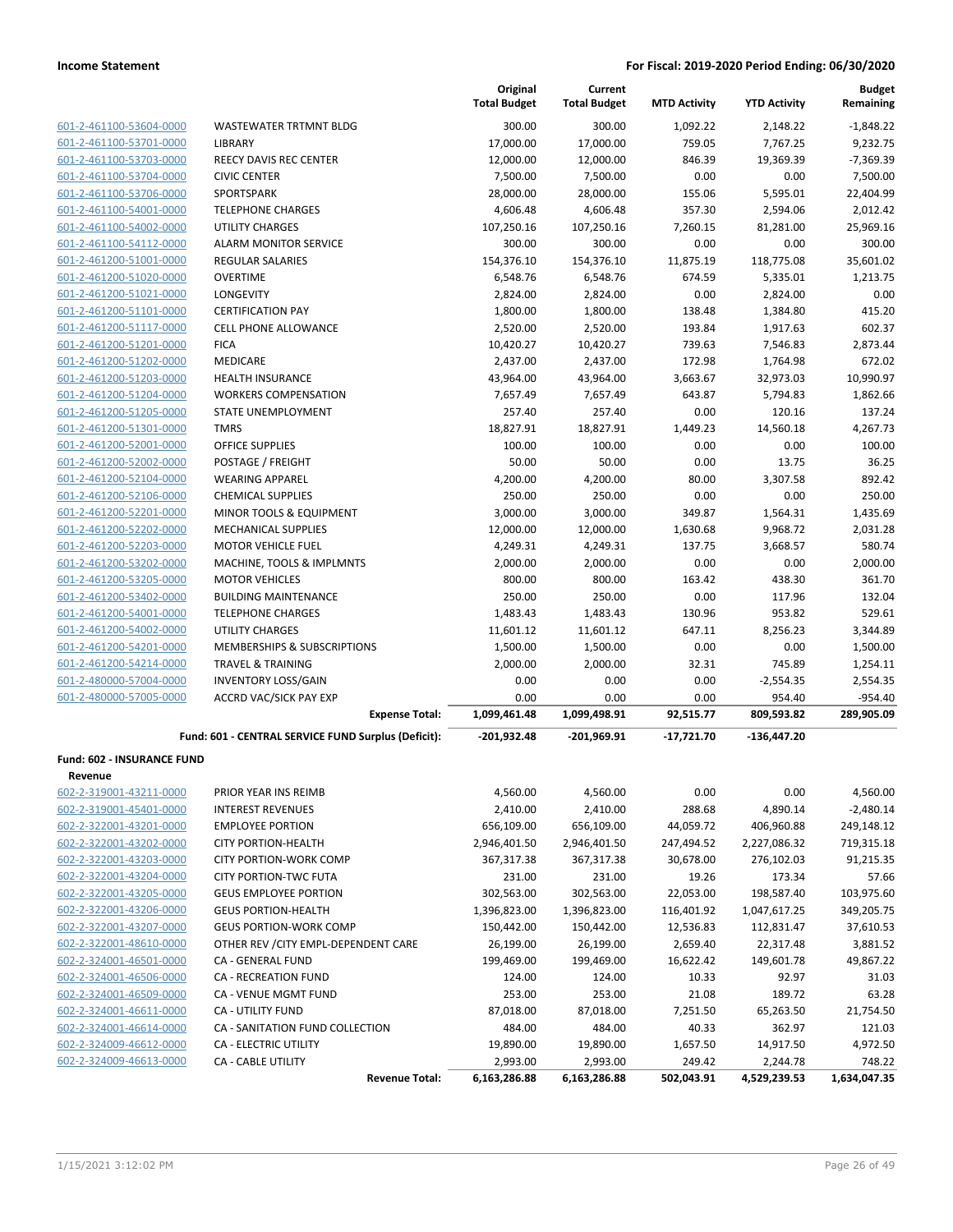| 601-2-461100-53604-0000 |
|-------------------------|
| 601-2-461100-53701-0000 |
| 601-2-461100-53703-0000 |
| 601-2-461100-53704-0000 |
| 601-2-461100-53706-0000 |
| 601-2-461100-54001-0000 |
| 601-2-461100-54002-0000 |
| 601-2-461100-54112-0000 |
| 601-2-461200-51001-0000 |
| 601-2-461200-51020-0000 |
| 601-2-461200-51021-0000 |
| 601-2-461200-51101-0000 |
| 601-2-461200-51117-0000 |
| 601-2-461200-51201-0000 |
| 601-2-461200-51202-0000 |
| 601-2-461200-51203-0000 |
| 601-2-461200-51204-0000 |
| 601-2-461200-51205-0000 |
| 601-2-461200-51301-0000 |
| 601-2-461200-52001-0000 |
| 601-2-461200-52002-0000 |
| 601-2-461200-52104-0000 |
| 601-2-461200-52106-0000 |
| 601-2-461200-52201-0000 |
| 601-2-461200-52202-0000 |
| 601-2-461200-52203-0000 |
| 601-2-461200-53202-0000 |
| 601-2-461200-53205-0000 |
| 601-2-461200-53402-0000 |
| 601-2-461200-54001-0000 |
| 601-2-461200-54002-0000 |
| 601-2-461200-54201-0000 |
| 601-2-461200-54214-0000 |
| 601-2-480000-57004-0000 |
| 601-2-480000-57005-0000 |

| <b>Income Statement</b>                            |                                                            |                                 |                                |                     | For Fiscal: 2019-2020 Period Ending: 06/30/2020 |                            |
|----------------------------------------------------|------------------------------------------------------------|---------------------------------|--------------------------------|---------------------|-------------------------------------------------|----------------------------|
|                                                    |                                                            | Original<br><b>Total Budget</b> | Current<br><b>Total Budget</b> | <b>MTD Activity</b> | <b>YTD Activity</b>                             | <b>Budget</b><br>Remaining |
| 601-2-461100-53604-0000                            | <b>WASTEWATER TRTMNT BLDG</b>                              | 300.00                          | 300.00                         | 1,092.22            | 2,148.22                                        | $-1,848.22$                |
| 601-2-461100-53701-0000                            | <b>LIBRARY</b>                                             | 17,000.00                       | 17,000.00                      | 759.05              | 7,767.25                                        | 9,232.75                   |
| 601-2-461100-53703-0000                            | <b>REECY DAVIS REC CENTER</b>                              | 12,000.00                       | 12,000.00                      | 846.39              | 19,369.39                                       | $-7,369.39$                |
| 601-2-461100-53704-0000                            | <b>CIVIC CENTER</b>                                        | 7,500.00                        | 7,500.00                       | 0.00                | 0.00                                            | 7,500.00                   |
| 601-2-461100-53706-0000                            | SPORTSPARK                                                 | 28,000.00                       | 28,000.00                      | 155.06              | 5,595.01                                        | 22,404.99                  |
| 601-2-461100-54001-0000                            | <b>TELEPHONE CHARGES</b>                                   | 4,606.48                        | 4,606.48                       | 357.30              | 2,594.06                                        | 2,012.42                   |
| 601-2-461100-54002-0000                            | <b>UTILITY CHARGES</b>                                     | 107,250.16                      | 107,250.16                     | 7,260.15            | 81,281.00                                       | 25,969.16                  |
| 601-2-461100-54112-0000                            | <b>ALARM MONITOR SERVICE</b>                               | 300.00                          | 300.00                         | 0.00                | 0.00                                            | 300.00                     |
| 601-2-461200-51001-0000                            | <b>REGULAR SALARIES</b>                                    | 154,376.10                      | 154,376.10                     | 11,875.19           | 118,775.08                                      | 35,601.02                  |
| 601-2-461200-51020-0000                            | <b>OVERTIME</b>                                            | 6,548.76                        | 6,548.76                       | 674.59              | 5,335.01                                        | 1,213.75                   |
| 601-2-461200-51021-0000                            | LONGEVITY                                                  | 2,824.00                        | 2,824.00                       | 0.00                | 2,824.00                                        | 0.00                       |
| 601-2-461200-51101-0000                            | <b>CERTIFICATION PAY</b>                                   | 1,800.00                        | 1,800.00                       | 138.48              | 1,384.80                                        | 415.20                     |
| 601-2-461200-51117-0000                            | <b>CELL PHONE ALLOWANCE</b>                                | 2,520.00                        | 2,520.00                       | 193.84              | 1,917.63                                        | 602.37                     |
| 601-2-461200-51201-0000                            | <b>FICA</b>                                                | 10,420.27                       | 10,420.27                      | 739.63              | 7,546.83                                        | 2,873.44                   |
| 601-2-461200-51202-0000                            | MEDICARE                                                   | 2,437.00                        | 2,437.00                       | 172.98              | 1,764.98                                        | 672.02                     |
| 601-2-461200-51203-0000                            | <b>HEALTH INSURANCE</b>                                    | 43,964.00                       | 43,964.00                      | 3,663.67            | 32,973.03                                       | 10,990.97                  |
| 601-2-461200-51204-0000                            | <b>WORKERS COMPENSATION</b>                                | 7,657.49                        | 7,657.49                       | 643.87              | 5,794.83                                        | 1,862.66                   |
| 601-2-461200-51205-0000                            | STATE UNEMPLOYMENT                                         | 257.40                          | 257.40                         | 0.00                | 120.16                                          | 137.24                     |
| 601-2-461200-51301-0000                            | <b>TMRS</b>                                                | 18,827.91                       | 18,827.91                      | 1,449.23            | 14,560.18                                       | 4,267.73                   |
| 601-2-461200-52001-0000                            | <b>OFFICE SUPPLIES</b>                                     | 100.00                          | 100.00                         | 0.00                | 0.00                                            | 100.00                     |
| 601-2-461200-52002-0000                            | POSTAGE / FREIGHT                                          | 50.00                           | 50.00                          | 0.00                | 13.75                                           | 36.25                      |
| 601-2-461200-52104-0000                            | <b>WEARING APPAREL</b>                                     | 4,200.00                        | 4,200.00                       | 80.00               | 3,307.58                                        | 892.42                     |
| 601-2-461200-52106-0000                            | <b>CHEMICAL SUPPLIES</b>                                   | 250.00                          | 250.00                         | 0.00                | 0.00                                            | 250.00                     |
| 601-2-461200-52201-0000                            | MINOR TOOLS & EQUIPMENT                                    | 3,000.00                        | 3,000.00                       | 349.87              | 1,564.31                                        | 1,435.69                   |
| 601-2-461200-52202-0000                            | <b>MECHANICAL SUPPLIES</b>                                 | 12,000.00                       | 12,000.00                      | 1,630.68            | 9,968.72                                        | 2,031.28                   |
| 601-2-461200-52203-0000                            | <b>MOTOR VEHICLE FUEL</b>                                  | 4,249.31                        | 4,249.31                       | 137.75              | 3,668.57                                        | 580.74                     |
| 601-2-461200-53202-0000                            | MACHINE, TOOLS & IMPLMNTS                                  | 2,000.00                        | 2,000.00                       | 0.00                | 0.00                                            | 2,000.00                   |
| 601-2-461200-53205-0000                            | <b>MOTOR VEHICLES</b>                                      | 800.00                          | 800.00                         | 163.42              | 438.30                                          | 361.70                     |
| 601-2-461200-53402-0000                            | <b>BUILDING MAINTENANCE</b>                                | 250.00                          | 250.00                         | 0.00                | 117.96                                          | 132.04                     |
| 601-2-461200-54001-0000                            | <b>TELEPHONE CHARGES</b><br><b>UTILITY CHARGES</b>         | 1,483.43                        | 1,483.43                       | 130.96<br>647.11    | 953.82                                          | 529.61<br>3,344.89         |
| 601-2-461200-54002-0000                            | MEMBERSHIPS & SUBSCRIPTIONS                                | 11,601.12                       | 11,601.12                      | 0.00                | 8,256.23<br>0.00                                |                            |
| 601-2-461200-54201-0000<br>601-2-461200-54214-0000 |                                                            | 1,500.00                        | 1,500.00                       |                     |                                                 | 1,500.00                   |
| 601-2-480000-57004-0000                            | <b>TRAVEL &amp; TRAINING</b><br><b>INVENTORY LOSS/GAIN</b> | 2,000.00<br>0.00                | 2,000.00<br>0.00               | 32.31<br>0.00       | 745.89<br>$-2,554.35$                           | 1,254.11<br>2,554.35       |
| 601-2-480000-57005-0000                            | <b>ACCRD VAC/SICK PAY EXP</b>                              | 0.00                            | 0.00                           | 0.00                | 954.40                                          | $-954.40$                  |
|                                                    | <b>Expense Total:</b>                                      | 1,099,461.48                    | 1,099,498.91                   | 92,515.77           | 809,593.82                                      | 289,905.09                 |
|                                                    | Fund: 601 - CENTRAL SERVICE FUND Surplus (Deficit):        | $-201,932.48$                   | $-201,969.91$                  | $-17,721.70$        | $-136,447.20$                                   |                            |
| Fund: 602 - INSURANCE FUND                         |                                                            |                                 |                                |                     |                                                 |                            |
| Revenue                                            |                                                            |                                 |                                |                     |                                                 |                            |
| 602-2-319001-43211-0000                            | PRIOR YEAR INS REIMB                                       | 4,560.00                        | 4,560.00                       | 0.00                | 0.00                                            | 4,560.00                   |
| 602-2-319001-45401-0000                            | <b>INTEREST REVENUES</b>                                   | 2,410.00                        | 2,410.00                       | 288.68              | 4,890.14                                        | $-2,480.14$                |
| 602-2-322001-43201-0000                            | <b>EMPLOYEE PORTION</b>                                    | 656,109.00                      | 656,109.00                     | 44,059.72           | 406,960.88                                      | 249,148.12                 |
| 602-2-322001-43202-0000                            | <b>CITY PORTION-HEALTH</b>                                 | 2,946,401.50                    | 2,946,401.50                   | 247,494.52          | 2,227,086.32                                    | 719,315.18                 |
| 602-2-322001-43203-0000                            | <b>CITY PORTION-WORK COMP</b>                              | 367,317.38                      | 367,317.38                     | 30,678.00           | 276,102.03                                      | 91,215.35                  |
| 602-2-322001-43204-0000                            | <b>CITY PORTION-TWC FUTA</b>                               | 231.00                          | 231.00                         | 19.26               | 173.34                                          | 57.66                      |
| 602-2-322001-43205-0000                            | <b>GEUS EMPLOYEE PORTION</b>                               | 302,563.00                      | 302,563.00                     | 22,053.00           | 198,587.40                                      | 103,975.60                 |
| 602-2-322001-43206-0000                            | <b>GEUS PORTION-HEALTH</b>                                 | 1,396,823.00                    | 1,396,823.00                   | 116,401.92          | 1,047,617.25                                    | 349,205.75                 |
| 602-2-322001-43207-0000                            | <b>GEUS PORTION-WORK COMP</b>                              | 150,442.00                      | 150,442.00                     | 12,536.83           | 112,831.47                                      | 37,610.53                  |
| 602-2-322001-48610-0000                            | OTHER REV / CITY EMPL-DEPENDENT CARE                       | 26,199.00                       | 26,199.00                      | 2,659.40            | 22,317.48                                       | 3,881.52                   |
| 602-2-324001-46501-0000                            | CA - GENERAL FUND                                          | 199,469.00                      | 199,469.00                     | 16,622.42           | 149,601.78                                      | 49,867.22                  |
| 602-2-324001-46506-0000                            | CA - RECREATION FUND                                       | 124.00                          | 124.00                         | 10.33               | 92.97                                           | 31.03                      |
| 602-2-324001-46509-0000                            | CA - VENUE MGMT FUND                                       | 253.00                          | 253.00                         | 21.08               | 189.72                                          | 63.28                      |
| 602-2-324001-46611-0000                            | CA - UTILITY FUND                                          | 87,018.00                       | 87,018.00                      | 7,251.50            | 65,263.50                                       | 21,754.50                  |
| 602-2-324001-46614-0000                            | CA - SANITATION FUND COLLECTION                            | 484.00                          | 484.00                         | 40.33               | 362.97                                          | 121.03                     |

602-2-324001-46614-0000 CA - SANITATION FUND COLLECTION 484.00 484.00 40.33 362.97 121.03 602-2-324009-46612-0000 CA - ELECTRIC UTILITY 19,890.00 19,890.00 1,657.50 14,917.50 4,972.50 602-2-324009-46613-0000 CA - CABLE UTILITY 2,993.00 2,993.00 249.42 2,244.78 748.22

**Revenue Total: 6,163,286.88 6,163,286.88 502,043.91 4,529,239.53 1,634,047.35**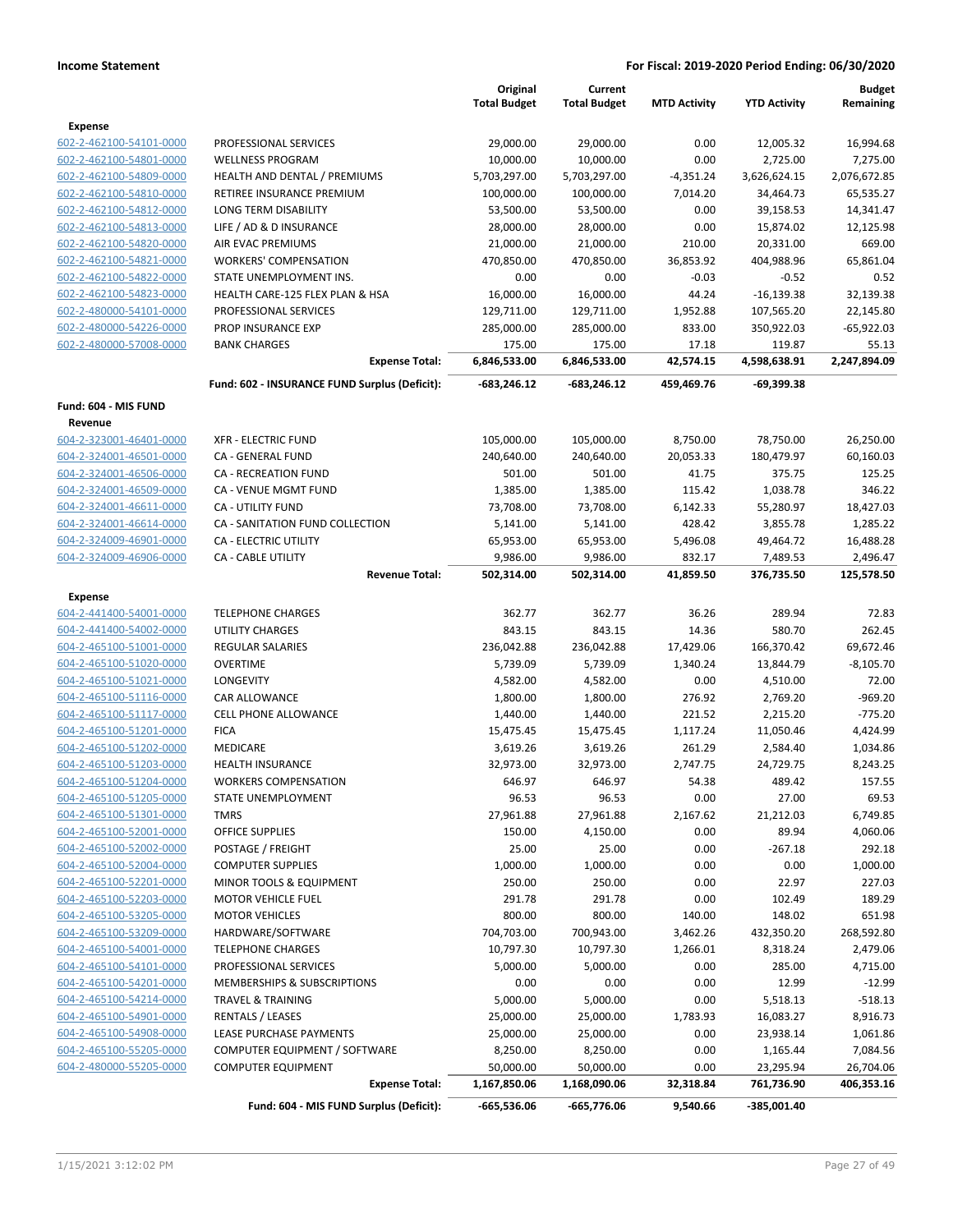|                                                    |                                               | Original               | Current                |                     |                        | <b>Budget</b>          |
|----------------------------------------------------|-----------------------------------------------|------------------------|------------------------|---------------------|------------------------|------------------------|
|                                                    |                                               | <b>Total Budget</b>    | <b>Total Budget</b>    | <b>MTD Activity</b> | <b>YTD Activity</b>    | Remaining              |
| <b>Expense</b>                                     |                                               |                        |                        |                     |                        |                        |
| 602-2-462100-54101-0000                            | PROFESSIONAL SERVICES                         | 29,000.00              | 29,000.00              | 0.00                | 12,005.32              | 16,994.68              |
| 602-2-462100-54801-0000                            | <b>WELLNESS PROGRAM</b>                       | 10,000.00              | 10,000.00              | 0.00                | 2,725.00               | 7,275.00               |
| 602-2-462100-54809-0000                            | HEALTH AND DENTAL / PREMIUMS                  | 5,703,297.00           | 5,703,297.00           | $-4,351.24$         | 3,626,624.15           | 2,076,672.85           |
| 602-2-462100-54810-0000                            | RETIREE INSURANCE PREMIUM                     | 100,000.00             | 100,000.00             | 7,014.20            | 34,464.73              | 65,535.27              |
| 602-2-462100-54812-0000                            | LONG TERM DISABILITY                          | 53,500.00              | 53,500.00              | 0.00                | 39,158.53              | 14,341.47              |
| 602-2-462100-54813-0000                            | LIFE / AD & D INSURANCE                       | 28,000.00              | 28,000.00              | 0.00                | 15,874.02              | 12,125.98              |
| 602-2-462100-54820-0000                            | AIR EVAC PREMIUMS                             | 21,000.00              | 21,000.00              | 210.00              | 20,331.00              | 669.00                 |
| 602-2-462100-54821-0000                            | <b>WORKERS' COMPENSATION</b>                  | 470,850.00             | 470,850.00             | 36,853.92           | 404,988.96             | 65,861.04              |
| 602-2-462100-54822-0000                            | STATE UNEMPLOYMENT INS.                       | 0.00                   | 0.00                   | $-0.03$             | $-0.52$                | 0.52                   |
| 602-2-462100-54823-0000                            | HEALTH CARE-125 FLEX PLAN & HSA               | 16,000.00              | 16,000.00              | 44.24               | $-16,139.38$           | 32,139.38              |
| 602-2-480000-54101-0000                            | PROFESSIONAL SERVICES                         | 129,711.00             | 129,711.00             | 1,952.88            | 107,565.20             | 22,145.80              |
| 602-2-480000-54226-0000                            | PROP INSURANCE EXP                            | 285,000.00             | 285,000.00             | 833.00              | 350,922.03             | $-65,922.03$           |
| 602-2-480000-57008-0000                            | <b>BANK CHARGES</b>                           | 175.00                 | 175.00                 | 17.18               | 119.87                 | 55.13                  |
|                                                    | <b>Expense Total:</b>                         | 6,846,533.00           | 6,846,533.00           | 42,574.15           | 4,598,638.91           | 2,247,894.09           |
|                                                    | Fund: 602 - INSURANCE FUND Surplus (Deficit): | -683,246.12            | $-683,246.12$          | 459,469.76          | -69,399.38             |                        |
| Fund: 604 - MIS FUND                               |                                               |                        |                        |                     |                        |                        |
| Revenue                                            |                                               |                        |                        |                     |                        |                        |
| 604-2-323001-46401-0000                            | <b>XFR - ELECTRIC FUND</b>                    | 105,000.00             | 105,000.00             | 8,750.00            | 78,750.00              | 26,250.00              |
| 604-2-324001-46501-0000                            | CA - GENERAL FUND                             | 240,640.00             | 240,640.00             | 20,053.33           | 180,479.97             | 60,160.03              |
| 604-2-324001-46506-0000                            | CA - RECREATION FUND                          | 501.00                 | 501.00                 | 41.75               | 375.75                 | 125.25                 |
| 604-2-324001-46509-0000                            | <b>CA - VENUE MGMT FUND</b>                   | 1,385.00               | 1,385.00               | 115.42              | 1,038.78               | 346.22                 |
| 604-2-324001-46611-0000                            | CA - UTILITY FUND                             | 73,708.00              | 73,708.00              | 6,142.33            | 55,280.97              | 18,427.03              |
| 604-2-324001-46614-0000                            | CA - SANITATION FUND COLLECTION               | 5,141.00               | 5,141.00               | 428.42              | 3,855.78               | 1,285.22               |
| 604-2-324009-46901-0000<br>604-2-324009-46906-0000 | CA - ELECTRIC UTILITY                         | 65,953.00              | 65,953.00              | 5,496.08            | 49,464.72              | 16,488.28              |
|                                                    | CA - CABLE UTILITY<br><b>Revenue Total:</b>   | 9,986.00<br>502,314.00 | 9,986.00<br>502,314.00 | 832.17<br>41,859.50 | 7,489.53<br>376,735.50 | 2,496.47<br>125,578.50 |
|                                                    |                                               |                        |                        |                     |                        |                        |
| Expense<br>604-2-441400-54001-0000                 | <b>TELEPHONE CHARGES</b>                      | 362.77                 | 362.77                 | 36.26               | 289.94                 | 72.83                  |
| 604-2-441400-54002-0000                            | <b>UTILITY CHARGES</b>                        | 843.15                 | 843.15                 | 14.36               | 580.70                 | 262.45                 |
| 604-2-465100-51001-0000                            | <b>REGULAR SALARIES</b>                       | 236,042.88             | 236,042.88             | 17,429.06           | 166,370.42             | 69,672.46              |
| 604-2-465100-51020-0000                            | <b>OVERTIME</b>                               | 5,739.09               | 5,739.09               | 1,340.24            | 13,844.79              | $-8,105.70$            |
| 604-2-465100-51021-0000                            | <b>LONGEVITY</b>                              | 4,582.00               | 4,582.00               | 0.00                | 4,510.00               | 72.00                  |
| 604-2-465100-51116-0000                            | <b>CAR ALLOWANCE</b>                          | 1,800.00               | 1,800.00               | 276.92              | 2,769.20               | $-969.20$              |
| 604-2-465100-51117-0000                            | <b>CELL PHONE ALLOWANCE</b>                   | 1,440.00               | 1,440.00               | 221.52              | 2,215.20               | $-775.20$              |
| 604-2-465100-51201-0000                            | <b>FICA</b>                                   | 15,475.45              | 15,475.45              | 1,117.24            | 11,050.46              | 4,424.99               |
| 604-2-465100-51202-0000                            | MEDICARE                                      | 3,619.26               | 3,619.26               | 261.29              | 2,584.40               | 1,034.86               |
| 604-2-465100-51203-0000                            | <b>HEALTH INSURANCE</b>                       | 32,973.00              | 32,973.00              | 2,747.75            | 24,729.75              | 8,243.25               |
| 604-2-465100-51204-0000                            | <b>WORKERS COMPENSATION</b>                   | 646.97                 | 646.97                 | 54.38               | 489.42                 | 157.55                 |
| 604-2-465100-51205-0000                            | <b>STATE UNEMPLOYMENT</b>                     | 96.53                  | 96.53                  | 0.00                | 27.00                  | 69.53                  |
| 604-2-465100-51301-0000                            | <b>TMRS</b>                                   | 27,961.88              | 27,961.88              | 2,167.62            | 21,212.03              | 6,749.85               |
| 604-2-465100-52001-0000                            | <b>OFFICE SUPPLIES</b>                        | 150.00                 | 4,150.00               | 0.00                | 89.94                  | 4,060.06               |
| 604-2-465100-52002-0000                            | POSTAGE / FREIGHT                             | 25.00                  | 25.00                  | 0.00                | $-267.18$              | 292.18                 |
| 604-2-465100-52004-0000                            | <b>COMPUTER SUPPLIES</b>                      | 1,000.00               | 1,000.00               | 0.00                | 0.00                   | 1,000.00               |
| 604-2-465100-52201-0000                            | MINOR TOOLS & EQUIPMENT                       | 250.00                 | 250.00                 | 0.00                | 22.97                  | 227.03                 |
| 604-2-465100-52203-0000                            | <b>MOTOR VEHICLE FUEL</b>                     | 291.78                 | 291.78                 | 0.00                | 102.49                 | 189.29                 |
| 604-2-465100-53205-0000                            | <b>MOTOR VEHICLES</b>                         | 800.00                 | 800.00                 | 140.00              | 148.02                 | 651.98                 |
| 604-2-465100-53209-0000                            | HARDWARE/SOFTWARE                             | 704,703.00             | 700,943.00             | 3,462.26            | 432,350.20             | 268,592.80             |
| 604-2-465100-54001-0000                            | <b>TELEPHONE CHARGES</b>                      | 10,797.30              | 10,797.30              | 1,266.01            | 8,318.24               | 2,479.06               |
| 604-2-465100-54101-0000                            | PROFESSIONAL SERVICES                         | 5,000.00               | 5,000.00               | 0.00                | 285.00                 | 4,715.00               |
| 604-2-465100-54201-0000                            | MEMBERSHIPS & SUBSCRIPTIONS                   | 0.00                   | 0.00                   | 0.00                | 12.99                  | $-12.99$               |
| 604-2-465100-54214-0000                            | <b>TRAVEL &amp; TRAINING</b>                  | 5,000.00               | 5,000.00               | 0.00                | 5,518.13               | $-518.13$              |
| 604-2-465100-54901-0000                            | RENTALS / LEASES                              | 25,000.00              | 25,000.00              | 1,783.93            | 16,083.27              | 8,916.73               |
| 604-2-465100-54908-0000                            | LEASE PURCHASE PAYMENTS                       | 25,000.00              | 25,000.00              | 0.00                | 23,938.14              | 1,061.86               |
| 604-2-465100-55205-0000                            | COMPUTER EQUIPMENT / SOFTWARE                 | 8,250.00               | 8,250.00               | 0.00                | 1,165.44               | 7,084.56               |
| 604-2-480000-55205-0000                            | <b>COMPUTER EQUIPMENT</b>                     | 50,000.00              | 50,000.00              | 0.00                | 23,295.94              | 26,704.06              |
|                                                    | <b>Expense Total:</b>                         | 1,167,850.06           | 1,168,090.06           | 32,318.84           | 761,736.90             | 406,353.16             |
|                                                    | Fund: 604 - MIS FUND Surplus (Deficit):       | $-665,536.06$          | -665,776.06            | 9,540.66            | $-385,001.40$          |                        |
|                                                    |                                               |                        |                        |                     |                        |                        |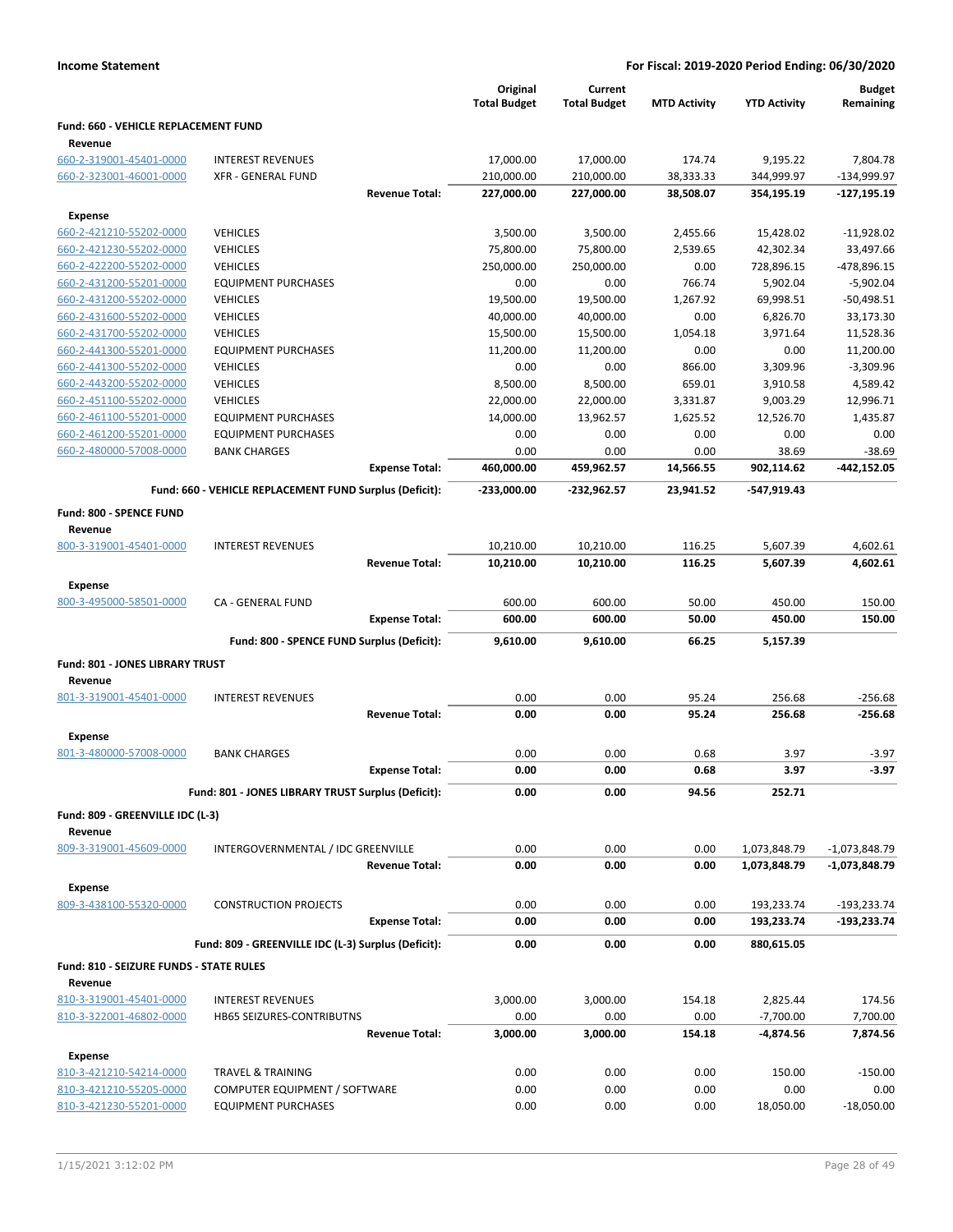|  | <b>Income Statement</b> |
|--|-------------------------|
|--|-------------------------|

|                                                    |                                                         | Original<br><b>Total Budget</b> | Current<br><b>Total Budget</b> | <b>MTD Activity</b> | <b>YTD Activity</b> | <b>Budget</b><br>Remaining |
|----------------------------------------------------|---------------------------------------------------------|---------------------------------|--------------------------------|---------------------|---------------------|----------------------------|
| Fund: 660 - VEHICLE REPLACEMENT FUND<br>Revenue    |                                                         |                                 |                                |                     |                     |                            |
| 660-2-319001-45401-0000                            | <b>INTEREST REVENUES</b>                                | 17,000.00                       | 17,000.00                      | 174.74              | 9,195.22            | 7,804.78                   |
| 660-2-323001-46001-0000                            | <b>XFR - GENERAL FUND</b>                               | 210,000.00                      | 210,000.00                     | 38,333.33           | 344,999.97          | -134,999.97                |
|                                                    | <b>Revenue Total:</b>                                   | 227,000.00                      | 227,000.00                     | 38,508.07           | 354,195.19          | $-127,195.19$              |
| <b>Expense</b>                                     |                                                         |                                 |                                |                     |                     |                            |
| 660-2-421210-55202-0000                            | <b>VEHICLES</b>                                         | 3,500.00                        | 3,500.00                       | 2,455.66            | 15,428.02           | $-11,928.02$               |
| 660-2-421230-55202-0000                            | <b>VEHICLES</b>                                         | 75,800.00                       | 75,800.00                      | 2,539.65            | 42,302.34           | 33,497.66                  |
| 660-2-422200-55202-0000                            | <b>VEHICLES</b>                                         | 250,000.00                      | 250,000.00                     | 0.00                | 728,896.15          | $-478,896.15$              |
| 660-2-431200-55201-0000                            | <b>EQUIPMENT PURCHASES</b>                              | 0.00                            | 0.00                           | 766.74              | 5,902.04            | $-5,902.04$                |
| 660-2-431200-55202-0000                            | <b>VEHICLES</b>                                         | 19,500.00                       | 19,500.00                      | 1,267.92            | 69,998.51           | $-50,498.51$               |
| 660-2-431600-55202-0000                            | <b>VEHICLES</b>                                         | 40,000.00                       | 40,000.00                      | 0.00                | 6,826.70            | 33,173.30                  |
| 660-2-431700-55202-0000                            | <b>VEHICLES</b>                                         | 15,500.00                       | 15,500.00                      | 1,054.18            | 3,971.64            | 11,528.36                  |
| 660-2-441300-55201-0000                            | <b>EQUIPMENT PURCHASES</b>                              | 11,200.00                       | 11,200.00                      | 0.00                | 0.00                | 11,200.00                  |
| 660-2-441300-55202-0000                            | <b>VEHICLES</b>                                         | 0.00                            | 0.00                           | 866.00              | 3,309.96            | $-3,309.96$                |
| 660-2-443200-55202-0000                            | <b>VEHICLES</b>                                         | 8,500.00                        | 8,500.00                       | 659.01              | 3,910.58            | 4,589.42                   |
| 660-2-451100-55202-0000                            | <b>VEHICLES</b>                                         | 22,000.00                       | 22,000.00                      | 3,331.87            | 9,003.29            | 12,996.71                  |
| 660-2-461100-55201-0000                            | <b>EQUIPMENT PURCHASES</b>                              | 14,000.00                       | 13,962.57                      | 1,625.52            | 12,526.70           | 1,435.87                   |
| 660-2-461200-55201-0000                            | <b>EQUIPMENT PURCHASES</b>                              | 0.00                            | 0.00                           | 0.00                | 0.00                | 0.00                       |
| 660-2-480000-57008-0000                            | <b>BANK CHARGES</b>                                     | 0.00                            | 0.00                           | 0.00                | 38.69               | $-38.69$                   |
|                                                    | <b>Expense Total:</b>                                   | 460,000.00                      | 459,962.57                     | 14,566.55           | 902,114.62          | $-442,152.05$              |
|                                                    | Fund: 660 - VEHICLE REPLACEMENT FUND Surplus (Deficit): | -233,000.00                     | $-232,962.57$                  | 23,941.52           | -547,919.43         |                            |
| Fund: 800 - SPENCE FUND                            |                                                         |                                 |                                |                     |                     |                            |
| Revenue<br>800-3-319001-45401-0000                 | <b>INTEREST REVENUES</b>                                | 10,210.00                       | 10,210.00                      | 116.25              | 5,607.39            | 4,602.61                   |
|                                                    | <b>Revenue Total:</b>                                   | 10,210.00                       | 10,210.00                      | 116.25              | 5,607.39            | 4,602.61                   |
| Expense                                            |                                                         |                                 |                                |                     |                     |                            |
| 800-3-495000-58501-0000                            | CA - GENERAL FUND                                       | 600.00                          | 600.00                         | 50.00               | 450.00              | 150.00                     |
|                                                    | <b>Expense Total:</b>                                   | 600.00                          | 600.00                         | 50.00               | 450.00              | 150.00                     |
|                                                    | Fund: 800 - SPENCE FUND Surplus (Deficit):              | 9,610.00                        | 9,610.00                       | 66.25               | 5,157.39            |                            |
| <b>Fund: 801 - JONES LIBRARY TRUST</b>             |                                                         |                                 |                                |                     |                     |                            |
| Revenue                                            |                                                         |                                 |                                |                     |                     |                            |
| 801-3-319001-45401-0000                            | <b>INTEREST REVENUES</b>                                | 0.00                            | 0.00                           | 95.24               | 256.68              | $-256.68$                  |
|                                                    | <b>Revenue Total:</b>                                   | 0.00                            | 0.00                           | 95.24               | 256.68              | $-256.68$                  |
| <b>Expense</b>                                     |                                                         |                                 |                                |                     |                     |                            |
| 801-3-480000-57008-0000                            | <b>BANK CHARGES</b>                                     | 0.00                            | 0.00                           | 0.68                | 3.97                | $-3.97$                    |
|                                                    | <b>Expense Total:</b>                                   | 0.00                            | 0.00                           | 0.68                | 3.97                | $-3.97$                    |
|                                                    | Fund: 801 - JONES LIBRARY TRUST Surplus (Deficit):      | 0.00                            | 0.00                           | 94.56               | 252.71              |                            |
| Fund: 809 - GREENVILLE IDC (L-3)                   |                                                         |                                 |                                |                     |                     |                            |
| Revenue                                            |                                                         |                                 |                                |                     |                     |                            |
| 809-3-319001-45609-0000                            | INTERGOVERNMENTAL / IDC GREENVILLE                      | 0.00                            | 0.00                           | 0.00                | 1,073,848.79        | $-1,073,848.79$            |
|                                                    | <b>Revenue Total:</b>                                   | 0.00                            | 0.00                           | 0.00                | 1,073,848.79        | $-1,073,848.79$            |
| <b>Expense</b>                                     |                                                         |                                 |                                |                     |                     |                            |
| 809-3-438100-55320-0000                            | <b>CONSTRUCTION PROJECTS</b>                            | 0.00                            | 0.00                           | 0.00                | 193,233.74          | $-193,233.74$              |
|                                                    | <b>Expense Total:</b>                                   | 0.00                            | 0.00                           | 0.00                | 193,233.74          | $-193,233.74$              |
|                                                    | Fund: 809 - GREENVILLE IDC (L-3) Surplus (Deficit):     | 0.00                            | 0.00                           | 0.00                | 880,615.05          |                            |
|                                                    |                                                         |                                 |                                |                     |                     |                            |
| Fund: 810 - SEIZURE FUNDS - STATE RULES<br>Revenue |                                                         |                                 |                                |                     |                     |                            |
| 810-3-319001-45401-0000                            | <b>INTEREST REVENUES</b>                                | 3,000.00                        | 3,000.00                       | 154.18              | 2,825.44            | 174.56                     |
| 810-3-322001-46802-0000                            | HB65 SEIZURES-CONTRIBUTNS                               | 0.00                            | 0.00                           | 0.00                | $-7,700.00$         | 7,700.00                   |
|                                                    | <b>Revenue Total:</b>                                   | 3,000.00                        | 3,000.00                       | 154.18              | -4,874.56           | 7,874.56                   |
|                                                    |                                                         |                                 |                                |                     |                     |                            |
| <b>Expense</b>                                     |                                                         |                                 |                                |                     |                     |                            |
| 810-3-421210-54214-0000                            | <b>TRAVEL &amp; TRAINING</b>                            | 0.00                            | 0.00                           | 0.00                | 150.00              | $-150.00$                  |
| 810-3-421210-55205-0000                            | COMPUTER EQUIPMENT / SOFTWARE                           | 0.00<br>0.00                    | 0.00<br>0.00                   | 0.00                | 0.00                | 0.00                       |
| 810-3-421230-55201-0000                            | <b>EQUIPMENT PURCHASES</b>                              |                                 |                                | 0.00                | 18,050.00           | $-18,050.00$               |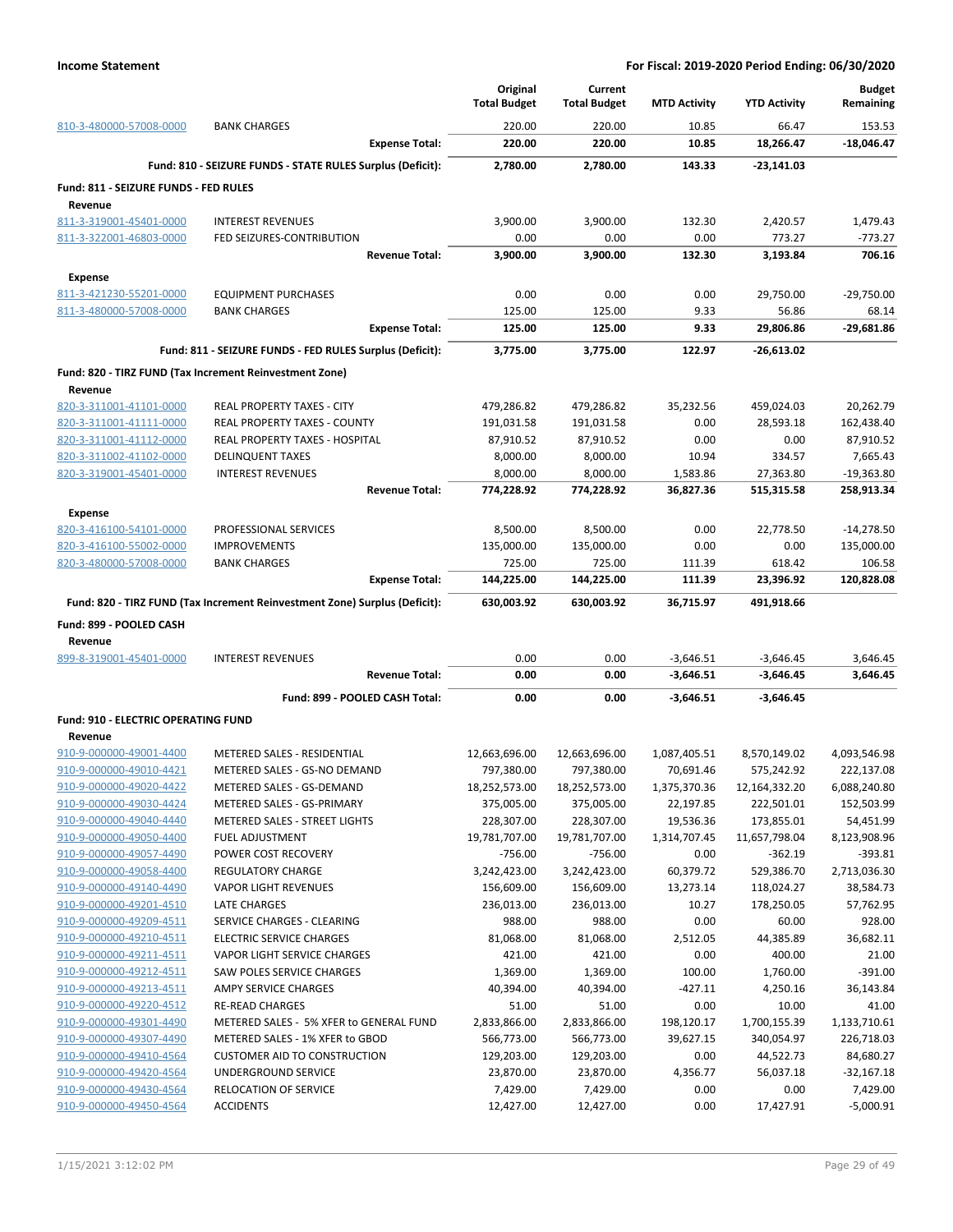|                                                    |                                                                            | Original<br><b>Total Budget</b> | Current<br><b>Total Budget</b> | <b>MTD Activity</b>    | <b>YTD Activity</b>         | <b>Budget</b><br>Remaining |
|----------------------------------------------------|----------------------------------------------------------------------------|---------------------------------|--------------------------------|------------------------|-----------------------------|----------------------------|
| 810-3-480000-57008-0000                            | <b>BANK CHARGES</b>                                                        | 220.00                          | 220.00                         | 10.85                  | 66.47                       | 153.53                     |
|                                                    | <b>Expense Total:</b>                                                      | 220.00                          | 220.00                         | 10.85                  | 18,266.47                   | -18,046.47                 |
|                                                    | Fund: 810 - SEIZURE FUNDS - STATE RULES Surplus (Deficit):                 | 2,780.00                        | 2,780.00                       | 143.33                 | $-23,141.03$                |                            |
| Fund: 811 - SEIZURE FUNDS - FED RULES<br>Revenue   |                                                                            |                                 |                                |                        |                             |                            |
| 811-3-319001-45401-0000                            | <b>INTEREST REVENUES</b>                                                   | 3,900.00                        | 3,900.00                       | 132.30                 | 2,420.57                    | 1,479.43                   |
| 811-3-322001-46803-0000                            | FED SEIZURES-CONTRIBUTION                                                  | 0.00                            | 0.00                           | 0.00                   | 773.27                      | $-773.27$                  |
|                                                    | <b>Revenue Total:</b>                                                      | 3,900.00                        | 3,900.00                       | 132.30                 | 3,193.84                    | 706.16                     |
| Expense                                            |                                                                            |                                 |                                |                        |                             |                            |
| 811-3-421230-55201-0000                            | <b>EQUIPMENT PURCHASES</b>                                                 | 0.00                            | 0.00                           | 0.00                   | 29,750.00                   | $-29,750.00$               |
| 811-3-480000-57008-0000                            | <b>BANK CHARGES</b>                                                        | 125.00                          | 125.00                         | 9.33                   | 56.86                       | 68.14                      |
|                                                    | <b>Expense Total:</b>                                                      | 125.00                          | 125.00                         | 9.33                   | 29,806.86                   | -29,681.86                 |
|                                                    | Fund: 811 - SEIZURE FUNDS - FED RULES Surplus (Deficit):                   | 3,775.00                        | 3,775.00                       | 122.97                 | $-26,613.02$                |                            |
|                                                    | Fund: 820 - TIRZ FUND (Tax Increment Reinvestment Zone)                    |                                 |                                |                        |                             |                            |
| Revenue                                            |                                                                            |                                 |                                |                        |                             |                            |
| 820-3-311001-41101-0000                            | REAL PROPERTY TAXES - CITY                                                 | 479,286.82                      | 479,286.82                     | 35,232.56              | 459,024.03                  | 20,262.79                  |
| 820-3-311001-41111-0000                            | <b>REAL PROPERTY TAXES - COUNTY</b>                                        | 191,031.58                      | 191,031.58                     | 0.00                   | 28,593.18                   | 162,438.40                 |
| 820-3-311001-41112-0000                            | <b>REAL PROPERTY TAXES - HOSPITAL</b>                                      | 87,910.52                       | 87,910.52                      | 0.00                   | 0.00                        | 87,910.52                  |
| 820-3-311002-41102-0000                            | <b>DELINQUENT TAXES</b>                                                    | 8,000.00                        | 8,000.00                       | 10.94                  | 334.57                      | 7,665.43                   |
| 820-3-319001-45401-0000                            | <b>INTEREST REVENUES</b>                                                   | 8,000.00                        | 8,000.00                       | 1,583.86               | 27,363.80                   | $-19,363.80$               |
|                                                    | <b>Revenue Total:</b>                                                      | 774,228.92                      | 774,228.92                     | 36.827.36              | 515,315.58                  | 258,913.34                 |
| <b>Expense</b>                                     |                                                                            |                                 |                                |                        |                             |                            |
| 820-3-416100-54101-0000                            | PROFESSIONAL SERVICES                                                      | 8,500.00                        | 8,500.00                       | 0.00                   | 22,778.50                   | $-14,278.50$               |
| 820-3-416100-55002-0000                            | <b>IMPROVEMENTS</b>                                                        | 135,000.00                      | 135,000.00                     | 0.00                   | 0.00                        | 135,000.00                 |
| 820-3-480000-57008-0000                            | <b>BANK CHARGES</b>                                                        | 725.00                          | 725.00                         | 111.39                 | 618.42                      | 106.58                     |
|                                                    | <b>Expense Total:</b>                                                      | 144,225.00                      | 144,225.00                     | 111.39                 | 23,396.92                   | 120,828.08                 |
|                                                    | Fund: 820 - TIRZ FUND (Tax Increment Reinvestment Zone) Surplus (Deficit): | 630,003.92                      | 630,003.92                     | 36,715.97              | 491,918.66                  |                            |
| Fund: 899 - POOLED CASH                            |                                                                            |                                 |                                |                        |                             |                            |
| Revenue                                            |                                                                            |                                 |                                |                        |                             |                            |
| 899-8-319001-45401-0000                            | <b>INTEREST REVENUES</b>                                                   | 0.00                            | 0.00                           | $-3,646.51$            | $-3,646.45$                 | 3,646.45                   |
|                                                    | <b>Revenue Total:</b>                                                      | 0.00                            | 0.00                           | $-3,646.51$            | $-3,646.45$                 | 3,646.45                   |
|                                                    | Fund: 899 - POOLED CASH Total:                                             | 0.00                            | 0.00                           | $-3,646.51$            | -3,646.45                   |                            |
| <b>Fund: 910 - ELECTRIC OPERATING FUND</b>         |                                                                            |                                 |                                |                        |                             |                            |
| Revenue                                            |                                                                            |                                 |                                |                        |                             |                            |
| 910-9-000000-49001-4400                            | METERED SALES - RESIDENTIAL                                                | 12,663,696.00                   | 12,663,696.00                  | 1,087,405.51           | 8,570,149.02                | 4,093,546.98               |
| 910-9-000000-49010-4421                            | METERED SALES - GS-NO DEMAND                                               | 797,380.00                      | 797,380.00                     | 70,691.46              | 575,242.92                  | 222,137.08                 |
| 910-9-000000-49020-4422                            | METERED SALES - GS-DEMAND                                                  | 18,252,573.00                   | 18,252,573.00                  | 1,375,370.36           | 12,164,332.20               | 6,088,240.80               |
| 910-9-000000-49030-4424<br>910-9-000000-49040-4440 | METERED SALES - GS-PRIMARY                                                 | 375,005.00<br>228,307.00        | 375,005.00<br>228,307.00       | 22,197.85<br>19,536.36 | 222,501.01                  | 152,503.99<br>54,451.99    |
| 910-9-000000-49050-4400                            | METERED SALES - STREET LIGHTS<br><b>FUEL ADJUSTMENT</b>                    | 19,781,707.00                   | 19,781,707.00                  | 1,314,707.45           | 173,855.01<br>11,657,798.04 | 8,123,908.96               |
| 910-9-000000-49057-4490                            | POWER COST RECOVERY                                                        | $-756.00$                       | $-756.00$                      | 0.00                   | $-362.19$                   | $-393.81$                  |
| 910-9-000000-49058-4400                            | <b>REGULATORY CHARGE</b>                                                   | 3,242,423.00                    | 3,242,423.00                   | 60,379.72              | 529,386.70                  | 2,713,036.30               |
| 910-9-000000-49140-4490                            | <b>VAPOR LIGHT REVENUES</b>                                                | 156,609.00                      | 156,609.00                     | 13,273.14              | 118,024.27                  | 38,584.73                  |
| 910-9-000000-49201-4510                            | LATE CHARGES                                                               | 236,013.00                      | 236,013.00                     | 10.27                  | 178,250.05                  | 57,762.95                  |
| 910-9-000000-49209-4511                            | SERVICE CHARGES - CLEARING                                                 | 988.00                          | 988.00                         | 0.00                   | 60.00                       | 928.00                     |
| 910-9-000000-49210-4511                            | <b>ELECTRIC SERVICE CHARGES</b>                                            | 81,068.00                       | 81,068.00                      | 2,512.05               | 44,385.89                   | 36,682.11                  |
| 910-9-000000-49211-4511                            | VAPOR LIGHT SERVICE CHARGES                                                | 421.00                          | 421.00                         | 0.00                   | 400.00                      | 21.00                      |
| 910-9-000000-49212-4511                            | SAW POLES SERVICE CHARGES                                                  | 1,369.00                        | 1,369.00                       | 100.00                 | 1,760.00                    | $-391.00$                  |
| 910-9-000000-49213-4511                            | AMPY SERVICE CHARGES                                                       | 40,394.00                       | 40,394.00                      | $-427.11$              | 4,250.16                    | 36,143.84                  |
| 910-9-000000-49220-4512                            | <b>RE-READ CHARGES</b>                                                     | 51.00                           | 51.00                          | 0.00                   | 10.00                       | 41.00                      |
| 910-9-000000-49301-4490                            | METERED SALES - 5% XFER to GENERAL FUND                                    | 2,833,866.00                    | 2,833,866.00                   | 198,120.17             | 1,700,155.39                | 1,133,710.61               |
| 910-9-000000-49307-4490                            | METERED SALES - 1% XFER to GBOD                                            | 566,773.00                      | 566,773.00                     | 39,627.15              | 340,054.97                  | 226,718.03                 |
| 910-9-000000-49410-4564                            | <b>CUSTOMER AID TO CONSTRUCTION</b>                                        | 129,203.00                      | 129,203.00                     | 0.00                   | 44,522.73                   | 84,680.27                  |
| 910-9-000000-49420-4564<br>910-9-000000-49430-4564 | UNDERGROUND SERVICE<br><b>RELOCATION OF SERVICE</b>                        | 23,870.00<br>7,429.00           | 23,870.00<br>7,429.00          | 4,356.77<br>0.00       | 56,037.18<br>0.00           | $-32,167.18$<br>7,429.00   |
| 910-9-000000-49450-4564                            | <b>ACCIDENTS</b>                                                           | 12,427.00                       | 12,427.00                      | 0.00                   | 17,427.91                   | $-5,000.91$                |
|                                                    |                                                                            |                                 |                                |                        |                             |                            |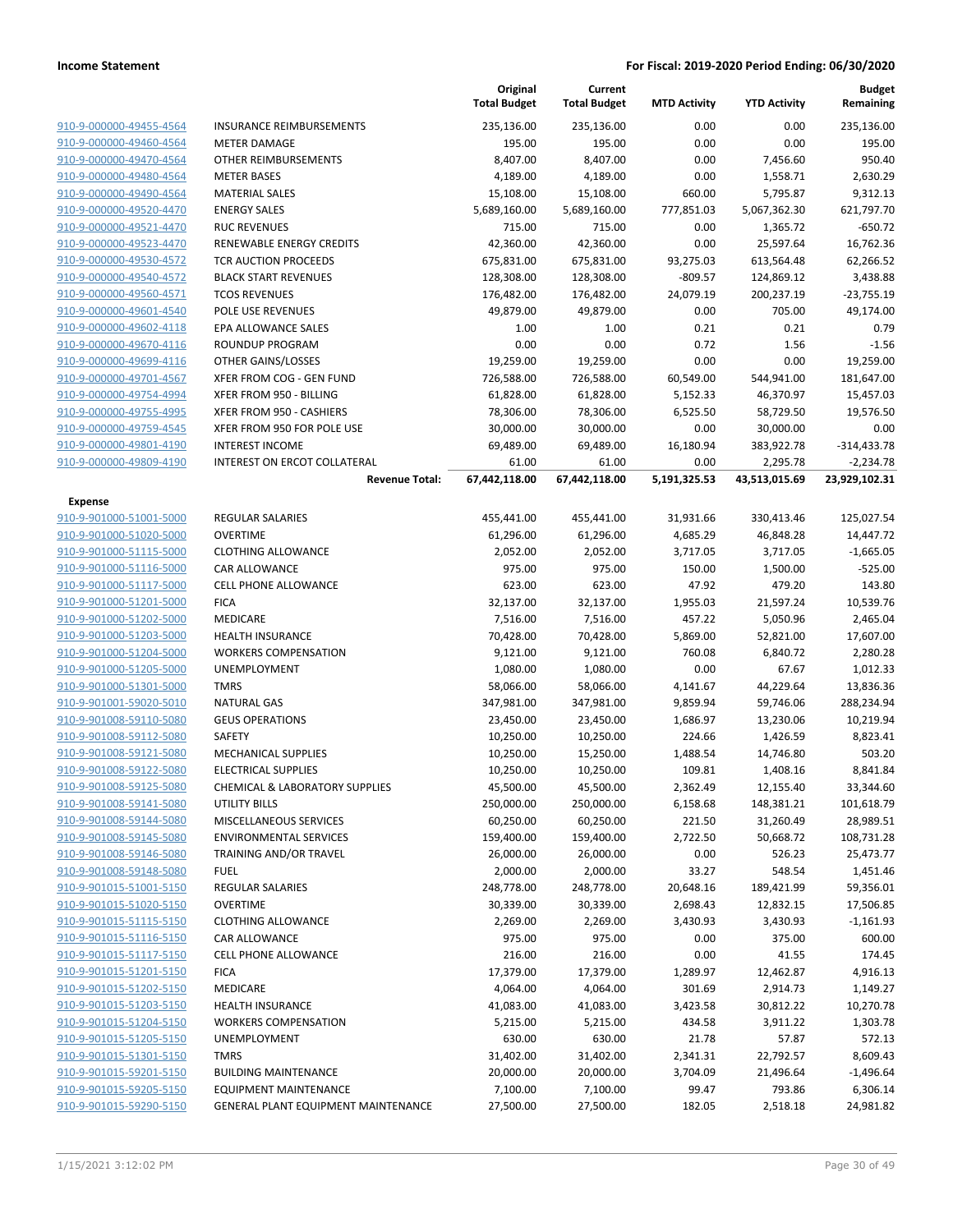|                         |                                     | Original<br><b>Total Budget</b> | Current<br><b>Total Budget</b> | <b>MTD Activity</b> | <b>YTD Activity</b> | <b>Budget</b><br>Remaining |
|-------------------------|-------------------------------------|---------------------------------|--------------------------------|---------------------|---------------------|----------------------------|
| 910-9-000000-49455-4564 | <b>INSURANCE REIMBURSEMENTS</b>     | 235,136.00                      | 235,136.00                     | 0.00                | 0.00                | 235,136.00                 |
| 910-9-000000-49460-4564 | <b>METER DAMAGE</b>                 | 195.00                          | 195.00                         | 0.00                | 0.00                | 195.00                     |
| 910-9-000000-49470-4564 | OTHER REIMBURSEMENTS                | 8,407.00                        | 8,407.00                       | 0.00                | 7,456.60            | 950.40                     |
| 910-9-000000-49480-4564 | <b>METER BASES</b>                  | 4,189.00                        | 4,189.00                       | 0.00                | 1,558.71            | 2,630.29                   |
| 910-9-000000-49490-4564 | <b>MATERIAL SALES</b>               | 15,108.00                       | 15,108.00                      | 660.00              | 5,795.87            | 9,312.13                   |
| 910-9-000000-49520-4470 | <b>ENERGY SALES</b>                 | 5,689,160.00                    | 5,689,160.00                   | 777,851.03          | 5,067,362.30        | 621,797.70                 |
| 910-9-000000-49521-4470 | <b>RUC REVENUES</b>                 | 715.00                          | 715.00                         | 0.00                | 1,365.72            | $-650.72$                  |
| 910-9-000000-49523-4470 | <b>RENEWABLE ENERGY CREDITS</b>     | 42,360.00                       | 42,360.00                      | 0.00                | 25,597.64           | 16,762.36                  |
| 910-9-000000-49530-4572 | <b>TCR AUCTION PROCEEDS</b>         | 675,831.00                      | 675,831.00                     | 93,275.03           | 613,564.48          | 62,266.52                  |
| 910-9-000000-49540-4572 | <b>BLACK START REVENUES</b>         | 128,308.00                      | 128,308.00                     | $-809.57$           | 124,869.12          | 3,438.88                   |
| 910-9-000000-49560-4571 | <b>TCOS REVENUES</b>                | 176,482.00                      | 176,482.00                     | 24,079.19           | 200,237.19          | $-23,755.19$               |
| 910-9-000000-49601-4540 | POLE USE REVENUES                   | 49,879.00                       | 49,879.00                      | 0.00                | 705.00              | 49,174.00                  |
| 910-9-000000-49602-4118 | EPA ALLOWANCE SALES                 | 1.00                            | 1.00                           | 0.21                | 0.21                | 0.79                       |
| 910-9-000000-49670-4116 | ROUNDUP PROGRAM                     | 0.00                            | 0.00                           | 0.72                | 1.56                | $-1.56$                    |
| 910-9-000000-49699-4116 | OTHER GAINS/LOSSES                  | 19,259.00                       | 19,259.00                      | 0.00                | 0.00                | 19,259.00                  |
| 910-9-000000-49701-4567 | XFER FROM COG - GEN FUND            | 726,588.00                      | 726,588.00                     | 60,549.00           | 544,941.00          | 181,647.00                 |
| 910-9-000000-49754-4994 | XFER FROM 950 - BILLING             | 61,828.00                       | 61,828.00                      | 5,152.33            | 46,370.97           | 15,457.03                  |
| 910-9-000000-49755-4995 | XFER FROM 950 - CASHIERS            | 78,306.00                       | 78,306.00                      | 6,525.50            | 58,729.50           | 19,576.50                  |
| 910-9-000000-49759-4545 | XFER FROM 950 FOR POLE USE          | 30,000.00                       | 30,000.00                      | 0.00                | 30,000.00           | 0.00                       |
| 910-9-000000-49801-4190 | <b>INTEREST INCOME</b>              | 69,489.00                       | 69,489.00                      | 16,180.94           | 383,922.78          | -314,433.78                |
| 910-9-000000-49809-4190 | INTEREST ON ERCOT COLLATERAL        | 61.00                           | 61.00                          | 0.00                | 2,295.78            | $-2,234.78$                |
|                         | <b>Revenue Total:</b>               | 67,442,118.00                   | 67,442,118.00                  | 5,191,325.53        | 43,513,015.69       | 23,929,102.31              |
| Expense                 |                                     |                                 |                                |                     |                     |                            |
| 910-9-901000-51001-5000 | <b>REGULAR SALARIES</b>             | 455,441.00                      | 455,441.00                     | 31,931.66           | 330,413.46          | 125,027.54                 |
| 910-9-901000-51020-5000 | <b>OVERTIME</b>                     | 61,296.00                       | 61,296.00                      | 4,685.29            | 46,848.28           | 14,447.72                  |
| 910-9-901000-51115-5000 | <b>CLOTHING ALLOWANCE</b>           | 2,052.00                        | 2,052.00                       | 3,717.05            | 3,717.05            | $-1,665.05$                |
| 910-9-901000-51116-5000 | CAR ALLOWANCE                       | 975.00                          | 975.00                         | 150.00              | 1,500.00            | $-525.00$                  |
| 910-9-901000-51117-5000 | <b>CELL PHONE ALLOWANCE</b>         | 623.00                          | 623.00                         | 47.92               | 479.20              | 143.80                     |
| 910-9-901000-51201-5000 | <b>FICA</b>                         | 32,137.00                       | 32,137.00                      | 1,955.03            | 21,597.24           | 10,539.76                  |
| 910-9-901000-51202-5000 | MEDICARE                            | 7,516.00                        | 7,516.00                       | 457.22              | 5,050.96            | 2,465.04                   |
| 910-9-901000-51203-5000 | <b>HEALTH INSURANCE</b>             | 70,428.00                       | 70,428.00                      | 5,869.00            | 52,821.00           | 17,607.00                  |
| 910-9-901000-51204-5000 | <b>WORKERS COMPENSATION</b>         | 9,121.00                        | 9,121.00                       | 760.08              | 6,840.72            | 2,280.28                   |
| 910-9-901000-51205-5000 | UNEMPLOYMENT                        | 1,080.00                        | 1,080.00                       | 0.00                | 67.67               | 1,012.33                   |
| 910-9-901000-51301-5000 | <b>TMRS</b>                         | 58,066.00                       | 58,066.00                      | 4,141.67            | 44,229.64           | 13,836.36                  |
| 910-9-901001-59020-5010 | <b>NATURAL GAS</b>                  | 347,981.00                      | 347,981.00                     | 9,859.94            | 59,746.06           | 288,234.94                 |
| 910-9-901008-59110-5080 | <b>GEUS OPERATIONS</b>              | 23,450.00                       | 23,450.00                      | 1,686.97            | 13,230.06           | 10,219.94                  |
| 910-9-901008-59112-5080 | SAFETY                              | 10,250.00                       | 10,250.00                      | 224.66              | 1,426.59            | 8,823.41                   |
| 910-9-901008-59121-5080 | <b>MECHANICAL SUPPLIES</b>          | 10,250.00                       | 15,250.00                      | 1,488.54            | 14,746.80           | 503.20                     |
| 910-9-901008-59122-5080 | <b>ELECTRICAL SUPPLIES</b>          | 10,250.00                       | 10,250.00                      | 109.81              | 1,408.16            | 8,841.84                   |
| 910-9-901008-59125-5080 | CHEMICAL & LABORATORY SUPPLIES      | 45,500.00                       | 45,500.00                      | 2,362.49            | 12,155.40           | 33,344.60                  |
| 910-9-901008-59141-5080 | <b>UTILITY BILLS</b>                | 250,000.00                      | 250,000.00                     | 6,158.68            | 148,381.21          | 101,618.79                 |
| 910-9-901008-59144-5080 | MISCELLANEOUS SERVICES              | 60,250.00                       | 60,250.00                      | 221.50              | 31,260.49           | 28,989.51                  |
| 910-9-901008-59145-5080 | <b>ENVIRONMENTAL SERVICES</b>       | 159,400.00                      | 159,400.00                     | 2,722.50            | 50,668.72           | 108,731.28                 |
| 910-9-901008-59146-5080 | TRAINING AND/OR TRAVEL              | 26,000.00                       | 26,000.00                      | 0.00                | 526.23              | 25,473.77                  |
| 910-9-901008-59148-5080 | <b>FUEL</b>                         | 2,000.00                        | 2,000.00                       | 33.27               | 548.54              | 1,451.46                   |
| 910-9-901015-51001-5150 | REGULAR SALARIES                    | 248,778.00                      | 248,778.00                     | 20,648.16           | 189,421.99          | 59,356.01                  |
| 910-9-901015-51020-5150 | <b>OVERTIME</b>                     | 30,339.00                       | 30,339.00                      | 2,698.43            | 12,832.15           | 17,506.85                  |
| 910-9-901015-51115-5150 | <b>CLOTHING ALLOWANCE</b>           | 2,269.00                        | 2,269.00                       | 3,430.93            | 3,430.93            | $-1,161.93$                |
| 910-9-901015-51116-5150 | CAR ALLOWANCE                       | 975.00                          | 975.00                         | 0.00                | 375.00              | 600.00                     |
| 910-9-901015-51117-5150 | CELL PHONE ALLOWANCE                | 216.00                          | 216.00                         | 0.00                | 41.55               | 174.45                     |
| 910-9-901015-51201-5150 | <b>FICA</b>                         | 17,379.00                       | 17,379.00                      | 1,289.97            | 12,462.87           | 4,916.13                   |
| 910-9-901015-51202-5150 | MEDICARE                            | 4,064.00                        | 4,064.00                       | 301.69              | 2,914.73            | 1,149.27                   |
| 910-9-901015-51203-5150 | <b>HEALTH INSURANCE</b>             | 41,083.00                       | 41,083.00                      | 3,423.58            | 30,812.22           | 10,270.78                  |
| 910-9-901015-51204-5150 | <b>WORKERS COMPENSATION</b>         | 5,215.00                        | 5,215.00                       | 434.58              | 3,911.22            | 1,303.78                   |
| 910-9-901015-51205-5150 | UNEMPLOYMENT                        | 630.00                          | 630.00                         | 21.78               | 57.87               | 572.13                     |
| 910-9-901015-51301-5150 | <b>TMRS</b>                         | 31,402.00                       | 31,402.00                      | 2,341.31            | 22,792.57           | 8,609.43                   |
| 910-9-901015-59201-5150 | <b>BUILDING MAINTENANCE</b>         | 20,000.00                       | 20,000.00                      | 3,704.09            | 21,496.64           | $-1,496.64$                |
| 910-9-901015-59205-5150 | EQUIPMENT MAINTENANCE               | 7,100.00                        | 7,100.00                       | 99.47               | 793.86              | 6,306.14                   |
| 910-9-901015-59290-5150 | GENERAL PLANT EQUIPMENT MAINTENANCE | 27,500.00                       | 27,500.00                      | 182.05              | 2,518.18            | 24,981.82                  |
|                         |                                     |                                 |                                |                     |                     |                            |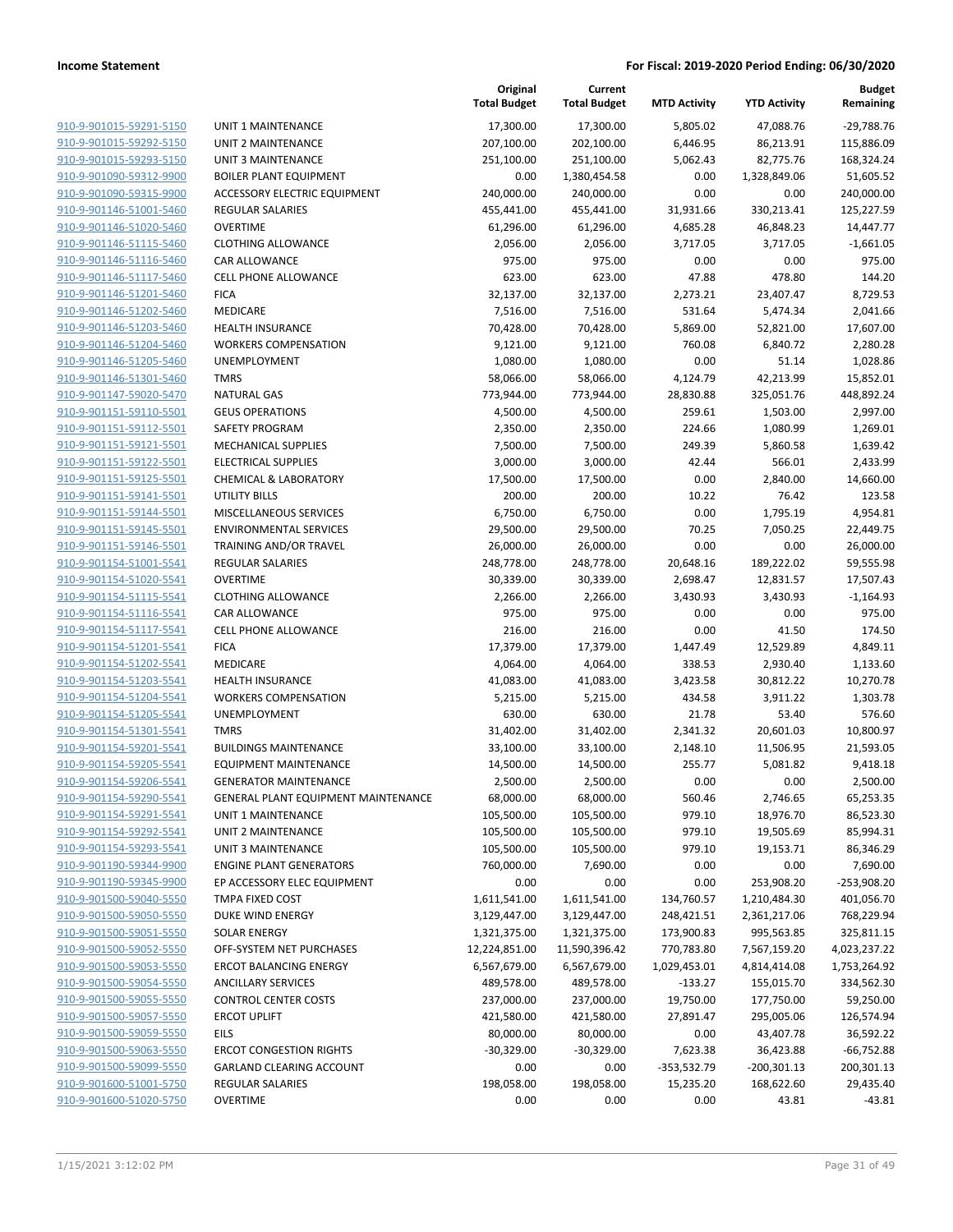|                                                    |                                          | Original<br><b>Total Budget</b> | Current<br><b>Total Budget</b> | <b>MTD Activity</b> | <b>YTD Activity</b>    | <b>Budget</b><br>Remaining |
|----------------------------------------------------|------------------------------------------|---------------------------------|--------------------------------|---------------------|------------------------|----------------------------|
| 910-9-901015-59291-5150                            | <b>UNIT 1 MAINTENANCE</b>                | 17,300.00                       | 17,300.00                      | 5,805.02            | 47,088.76              | $-29,788.76$               |
| 910-9-901015-59292-5150                            | UNIT 2 MAINTENANCE                       | 207,100.00                      | 202,100.00                     | 6,446.95            | 86,213.91              | 115,886.09                 |
| 910-9-901015-59293-5150                            | <b>UNIT 3 MAINTENANCE</b>                | 251,100.00                      | 251,100.00                     | 5,062.43            | 82,775.76              | 168,324.24                 |
| 910-9-901090-59312-9900                            | <b>BOILER PLANT EQUIPMENT</b>            | 0.00                            | 1,380,454.58                   | 0.00                | 1,328,849.06           | 51,605.52                  |
| 910-9-901090-59315-9900                            | ACCESSORY ELECTRIC EQUIPMENT             | 240,000.00                      | 240,000.00                     | 0.00                | 0.00                   | 240,000.00                 |
| 910-9-901146-51001-5460                            | <b>REGULAR SALARIES</b>                  | 455,441.00                      | 455,441.00                     | 31,931.66           | 330,213.41             | 125,227.59                 |
| 910-9-901146-51020-5460                            | <b>OVERTIME</b>                          | 61,296.00                       | 61,296.00                      | 4,685.28            | 46,848.23              | 14,447.77                  |
| 910-9-901146-51115-5460                            | <b>CLOTHING ALLOWANCE</b>                | 2,056.00                        | 2,056.00                       | 3,717.05            | 3,717.05               | $-1,661.05$                |
| 910-9-901146-51116-5460                            | CAR ALLOWANCE                            | 975.00                          | 975.00                         | 0.00                | 0.00                   | 975.00                     |
| 910-9-901146-51117-5460                            | CELL PHONE ALLOWANCE                     | 623.00                          | 623.00                         | 47.88               | 478.80                 | 144.20                     |
| 910-9-901146-51201-5460                            | <b>FICA</b>                              | 32,137.00                       | 32,137.00                      | 2,273.21            | 23,407.47              | 8,729.53                   |
| 910-9-901146-51202-5460                            | MEDICARE                                 | 7,516.00                        | 7,516.00                       | 531.64              | 5,474.34               | 2,041.66                   |
| 910-9-901146-51203-5460                            | <b>HEALTH INSURANCE</b>                  | 70,428.00                       | 70,428.00                      | 5,869.00            | 52,821.00              | 17,607.00                  |
| 910-9-901146-51204-5460                            | <b>WORKERS COMPENSATION</b>              | 9,121.00                        | 9,121.00                       | 760.08              | 6,840.72               | 2,280.28                   |
| 910-9-901146-51205-5460                            | UNEMPLOYMENT                             | 1,080.00                        | 1,080.00                       | 0.00                | 51.14                  | 1,028.86                   |
| 910-9-901146-51301-5460                            | <b>TMRS</b>                              | 58,066.00                       | 58,066.00                      | 4,124.79            | 42,213.99              | 15,852.01                  |
| 910-9-901147-59020-5470                            | <b>NATURAL GAS</b>                       | 773,944.00                      | 773,944.00                     | 28,830.88           | 325,051.76             | 448,892.24                 |
| 910-9-901151-59110-5501                            | <b>GEUS OPERATIONS</b>                   | 4,500.00                        | 4,500.00                       | 259.61              | 1,503.00               | 2,997.00                   |
| 910-9-901151-59112-5501                            | SAFETY PROGRAM                           | 2,350.00                        | 2,350.00                       | 224.66              | 1,080.99               | 1,269.01                   |
| 910-9-901151-59121-5501                            | <b>MECHANICAL SUPPLIES</b>               | 7,500.00                        | 7,500.00                       | 249.39              | 5,860.58               | 1,639.42                   |
| 910-9-901151-59122-5501                            | <b>ELECTRICAL SUPPLIES</b>               | 3,000.00                        | 3,000.00                       | 42.44               | 566.01                 | 2,433.99                   |
| 910-9-901151-59125-5501                            | <b>CHEMICAL &amp; LABORATORY</b>         | 17,500.00                       | 17,500.00                      | 0.00                | 2,840.00               | 14,660.00                  |
| 910-9-901151-59141-5501                            | <b>UTILITY BILLS</b>                     | 200.00                          | 200.00                         | 10.22               | 76.42                  | 123.58                     |
| 910-9-901151-59144-5501                            | MISCELLANEOUS SERVICES                   | 6,750.00                        | 6,750.00                       | 0.00                | 1,795.19               | 4,954.81                   |
| 910-9-901151-59145-5501                            | <b>ENVIRONMENTAL SERVICES</b>            | 29,500.00                       | 29,500.00                      | 70.25               | 7,050.25               | 22,449.75                  |
| 910-9-901151-59146-5501                            | TRAINING AND/OR TRAVEL                   | 26,000.00                       | 26,000.00                      | 0.00                | 0.00                   | 26,000.00                  |
| 910-9-901154-51001-5541                            | <b>REGULAR SALARIES</b>                  | 248,778.00                      | 248,778.00                     | 20,648.16           | 189,222.02             | 59,555.98                  |
| 910-9-901154-51020-5541                            | <b>OVERTIME</b>                          | 30,339.00                       | 30,339.00                      | 2,698.47            | 12,831.57              | 17,507.43                  |
| 910-9-901154-51115-5541                            | <b>CLOTHING ALLOWANCE</b>                | 2,266.00                        | 2,266.00                       | 3,430.93            | 3,430.93               | $-1,164.93$                |
| 910-9-901154-51116-5541                            | CAR ALLOWANCE                            | 975.00                          | 975.00                         | 0.00                | 0.00                   | 975.00                     |
| 910-9-901154-51117-5541                            | <b>CELL PHONE ALLOWANCE</b>              | 216.00                          | 216.00                         | 0.00                | 41.50                  | 174.50                     |
| 910-9-901154-51201-5541                            | <b>FICA</b>                              | 17,379.00                       | 17,379.00                      | 1,447.49            | 12,529.89              | 4,849.11                   |
| 910-9-901154-51202-5541                            | MEDICARE                                 | 4,064.00                        | 4,064.00                       | 338.53              | 2,930.40               | 1,133.60                   |
| 910-9-901154-51203-5541                            | <b>HEALTH INSURANCE</b>                  | 41,083.00                       | 41,083.00                      | 3,423.58            | 30,812.22              | 10,270.78                  |
| 910-9-901154-51204-5541                            | <b>WORKERS COMPENSATION</b>              | 5,215.00                        | 5,215.00                       | 434.58              | 3,911.22               | 1,303.78                   |
| 910-9-901154-51205-5541                            | UNEMPLOYMENT                             | 630.00                          | 630.00                         | 21.78               | 53.40                  | 576.60                     |
| 910-9-901154-51301-5541                            | <b>TMRS</b>                              | 31,402.00                       | 31,402.00                      | 2,341.32            | 20,601.03              | 10,800.97                  |
| 910-9-901154-59201-5541                            | <b>BUILDINGS MAINTENANCE</b>             | 33,100.00                       | 33,100.00                      | 2,148.10            | 11,506.95              | 21,593.05                  |
| 910-9-901154-59205-5541                            | <b>EQUIPMENT MAINTENANCE</b>             | 14,500.00                       | 14,500.00                      | 255.77              | 5,081.82               | 9,418.18                   |
| 910-9-901154-59206-5541                            | <b>GENERATOR MAINTENANCE</b>             | 2,500.00                        | 2,500.00                       | 0.00                | 0.00                   | 2,500.00                   |
| 910-9-901154-59290-5541<br>910-9-901154-59291-5541 | GENERAL PLANT EQUIPMENT MAINTENANCE      | 68,000.00                       | 68,000.00                      | 560.46              | 2,746.65               | 65,253.35                  |
| 910-9-901154-59292-5541                            | UNIT 1 MAINTENANCE<br>UNIT 2 MAINTENANCE | 105,500.00                      | 105,500.00                     | 979.10              | 18,976.70<br>19,505.69 | 86,523.30                  |
| 910-9-901154-59293-5541                            | <b>UNIT 3 MAINTENANCE</b>                | 105,500.00<br>105,500.00        | 105,500.00<br>105,500.00       | 979.10<br>979.10    | 19,153.71              | 85,994.31<br>86,346.29     |
| 910-9-901190-59344-9900                            | <b>ENGINE PLANT GENERATORS</b>           | 760,000.00                      | 7,690.00                       | 0.00                | 0.00                   | 7,690.00                   |
| 910-9-901190-59345-9900                            | EP ACCESSORY ELEC EQUIPMENT              | 0.00                            | 0.00                           | 0.00                | 253,908.20             | -253,908.20                |
| 910-9-901500-59040-5550                            | TMPA FIXED COST                          | 1,611,541.00                    | 1,611,541.00                   | 134,760.57          | 1,210,484.30           | 401,056.70                 |
| 910-9-901500-59050-5550                            | <b>DUKE WIND ENERGY</b>                  | 3,129,447.00                    | 3,129,447.00                   | 248,421.51          | 2,361,217.06           | 768,229.94                 |
| 910-9-901500-59051-5550                            | <b>SOLAR ENERGY</b>                      | 1,321,375.00                    | 1,321,375.00                   | 173,900.83          | 995,563.85             | 325,811.15                 |
| 910-9-901500-59052-5550                            | OFF-SYSTEM NET PURCHASES                 | 12,224,851.00                   | 11,590,396.42                  | 770,783.80          | 7,567,159.20           | 4,023,237.22               |
| 910-9-901500-59053-5550                            | <b>ERCOT BALANCING ENERGY</b>            | 6,567,679.00                    | 6,567,679.00                   | 1,029,453.01        | 4,814,414.08           | 1,753,264.92               |
| 910-9-901500-59054-5550                            | <b>ANCILLARY SERVICES</b>                | 489,578.00                      | 489,578.00                     | $-133.27$           | 155,015.70             | 334,562.30                 |
| 910-9-901500-59055-5550                            | <b>CONTROL CENTER COSTS</b>              | 237,000.00                      | 237,000.00                     | 19,750.00           | 177,750.00             | 59,250.00                  |
| 910-9-901500-59057-5550                            | <b>ERCOT UPLIFT</b>                      | 421,580.00                      | 421,580.00                     | 27,891.47           | 295,005.06             | 126,574.94                 |
| 910-9-901500-59059-5550                            | EILS                                     | 80,000.00                       | 80,000.00                      | 0.00                | 43,407.78              | 36,592.22                  |
| 910-9-901500-59063-5550                            | <b>ERCOT CONGESTION RIGHTS</b>           | $-30,329.00$                    | $-30,329.00$                   | 7,623.38            | 36,423.88              | $-66,752.88$               |
| 910-9-901500-59099-5550                            | <b>GARLAND CLEARING ACCOUNT</b>          | 0.00                            | 0.00                           | -353,532.79         | $-200,301.13$          | 200,301.13                 |
| 910-9-901600-51001-5750                            | REGULAR SALARIES                         | 198,058.00                      | 198,058.00                     | 15,235.20           | 168,622.60             | 29,435.40                  |
| 910-9-901600-51020-5750                            | <b>OVERTIME</b>                          | 0.00                            | 0.00                           | 0.00                | 43.81                  | $-43.81$                   |
|                                                    |                                          |                                 |                                |                     |                        |                            |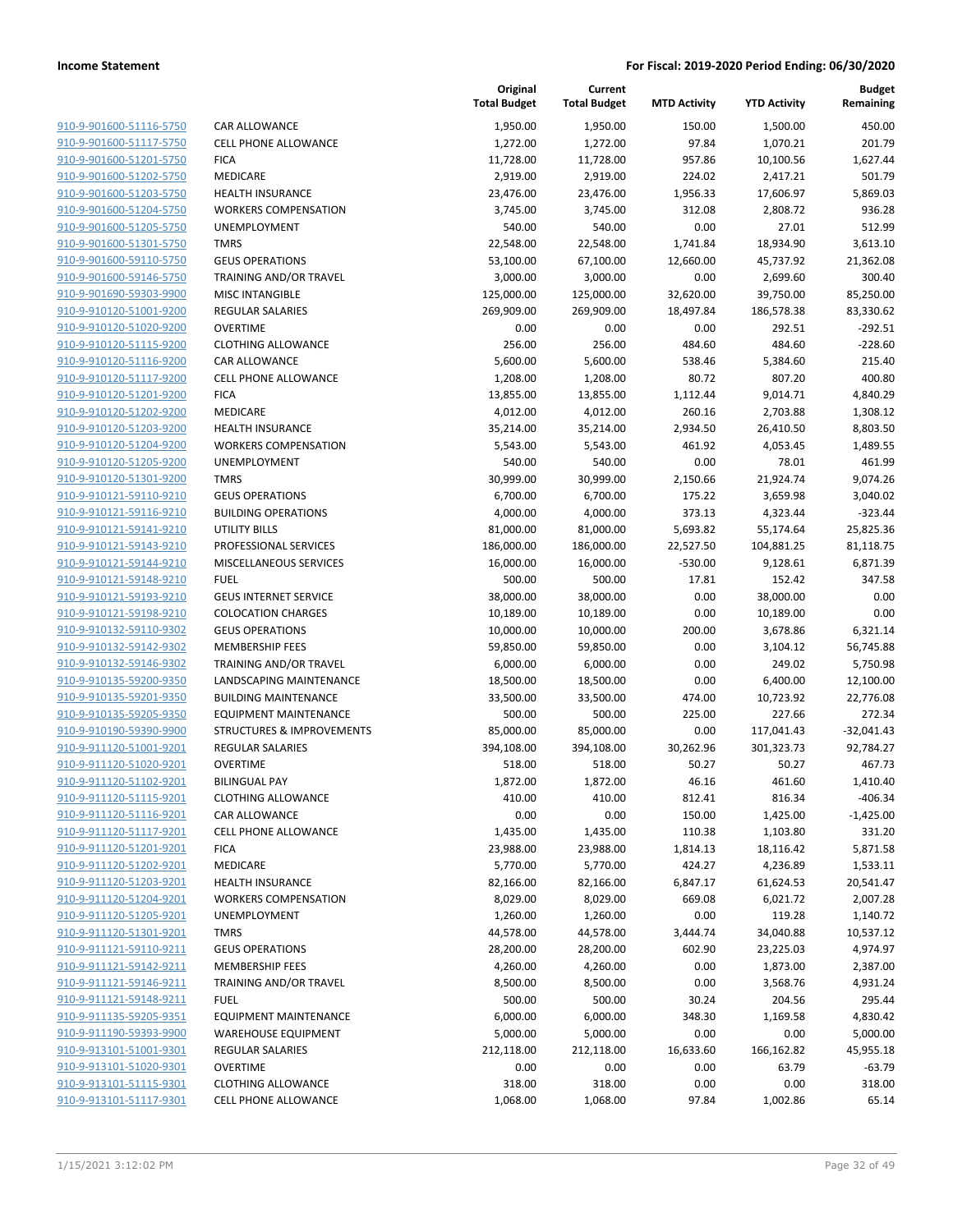| 910-9-901600-51116-5750                            | CA             |
|----------------------------------------------------|----------------|
| 910-9-901600-51117-5750                            | <b>CEI</b>     |
| 910-9-901600-51201-5750                            | <b>FIC</b>     |
| 910-9-901600-51202-5750                            | ME             |
| 910-9-901600-51203-5750                            | HE             |
| 910-9-901600-51204-5750                            | W(             |
| 910-9-901600-51205-5750                            | UN             |
| 910-9-901600-51301-5750                            | TM             |
| 910-9-901600-59110-5750                            | GЕ             |
| 910-9-901600-59146-5750                            | TR.            |
| 910-9-901690-59303-9900                            | MI             |
| 910-9-910120-51001-9200                            | RE             |
| 910-9-910120-51020-9200                            | OV             |
| 910-9-910120-51115-9200                            | <b>CL</b>      |
| 910-9-910120-51116-9200                            | СA             |
| 910-9-910120-51117-9200                            | CEI            |
| 910-9-910120-51201-9200                            | FIC            |
| 910-9-910120-51202-9200                            | ME             |
| 910-9-910120-51203-9200                            | HE             |
| 910-9-910120-51204-9200                            | W(             |
| 910-9-910120-51205-9200                            | UN             |
| 910-9-910120-51301-9200                            | TM             |
| 910-9-910121-59110-9210                            | GE             |
| 910-9-910121-59116-9210                            | BU             |
| 910-9-910121-59141-9210                            | UT             |
| 910-9-910121-59143-9210                            | PR             |
| 910-9-910121-59144-9210                            | MI             |
| 910-9-910121-59148-9210                            | FU             |
| 910-9-910121-59193-9210                            |                |
|                                                    | GE             |
| 910-9-910121-59198-9210                            | CO             |
| 910-9-910132-59110-9302                            | GЕ             |
| 910-9-910132-59142-9302                            | ME             |
| 910-9-910132-59146-9302                            | TR.            |
| 910-9-910135-59200-9350                            | LAI            |
| 910-9-910135-59201-9350                            | BU             |
| 910-9-910135-59205-9350                            | EQ<br>STI      |
| 910-9-910190-59390-9900<br>910-9-911120-51001-9201 |                |
| 910-9-911120-51020-9201                            | RE             |
|                                                    | O٧             |
| 910-9-911120-51102-9201                            | BIL            |
| 910-9-911120-51115-9201                            | CL(            |
| 910-9-911120-51116-9201                            | СA             |
| 910-9-911120-51117-9201                            | <b>CEI</b>     |
| 910-9-911120-51201-9201                            | FIC            |
| 910-9-911120-51202-9201                            | ME             |
| <u>910-9-911120-51203-9201</u>                     | HE             |
| 910-9-911120-51204-9201                            | W <sub>C</sub> |
| 910-9-911120-51205-9201                            | U٨             |
| 910-9-911120-51301-9201                            | TM             |
| 910-9-911121-59110-9211                            | GЕ             |
| 910-9-911121-59142-9211                            | ME             |
| 910-9-911121-59146-9211                            | TR.            |
| 910-9-911121-59148-9211                            | FU             |
| 910-9-911135-59205-9351                            | EQ             |
| <u>910-9-911190-59393-9900</u>                     | W/             |
| 910-9-913101-51001-9301                            | RE             |
| 910-9-913101-51020-9301                            | о٧             |
| 910-9-913101-51115-9301                            | <b>CL</b>      |
| 910-9-913101-51117-9301                            | <b>CEI</b>     |
|                                                    |                |

|                                                    |                                                 | Original<br><b>Total Budget</b> | Current<br><b>Total Budget</b> | <b>MTD Activity</b> | <b>YTD Activity</b>    | <b>Budget</b><br>Remaining |
|----------------------------------------------------|-------------------------------------------------|---------------------------------|--------------------------------|---------------------|------------------------|----------------------------|
| 910-9-901600-51116-5750                            | <b>CAR ALLOWANCE</b>                            | 1,950.00                        | 1,950.00                       | 150.00              | 1,500.00               | 450.00                     |
| 910-9-901600-51117-5750                            | <b>CELL PHONE ALLOWANCE</b>                     | 1,272.00                        | 1,272.00                       | 97.84               | 1,070.21               | 201.79                     |
| 910-9-901600-51201-5750                            | <b>FICA</b>                                     | 11,728.00                       | 11,728.00                      | 957.86              | 10,100.56              | 1,627.44                   |
| 910-9-901600-51202-5750                            | <b>MEDICARE</b>                                 | 2,919.00                        | 2,919.00                       | 224.02              | 2,417.21               | 501.79                     |
| 910-9-901600-51203-5750                            | <b>HEALTH INSURANCE</b>                         | 23,476.00                       | 23,476.00                      | 1,956.33            | 17,606.97              | 5,869.03                   |
| 910-9-901600-51204-5750                            | <b>WORKERS COMPENSATION</b>                     | 3,745.00                        | 3,745.00                       | 312.08              | 2,808.72               | 936.28                     |
| 910-9-901600-51205-5750                            | <b>UNEMPLOYMENT</b>                             | 540.00                          | 540.00                         | 0.00                | 27.01                  | 512.99                     |
| 910-9-901600-51301-5750                            | <b>TMRS</b>                                     | 22,548.00                       | 22,548.00                      | 1,741.84            | 18,934.90              | 3,613.10                   |
| 910-9-901600-59110-5750                            | <b>GEUS OPERATIONS</b>                          | 53,100.00                       | 67,100.00                      | 12,660.00           | 45,737.92              | 21,362.08                  |
| 910-9-901600-59146-5750                            | <b>TRAINING AND/OR TRAVEL</b>                   | 3,000.00                        | 3,000.00                       | 0.00                | 2,699.60               | 300.40                     |
| 910-9-901690-59303-9900                            | <b>MISC INTANGIBLE</b>                          | 125,000.00                      | 125,000.00                     | 32,620.00           | 39,750.00              | 85,250.00                  |
| 910-9-910120-51001-9200                            | <b>REGULAR SALARIES</b>                         | 269,909.00                      | 269,909.00                     | 18,497.84           | 186,578.38             | 83,330.62                  |
| 910-9-910120-51020-9200                            | <b>OVERTIME</b>                                 | 0.00                            | 0.00                           | 0.00                | 292.51                 | $-292.51$                  |
| 910-9-910120-51115-9200                            | <b>CLOTHING ALLOWANCE</b>                       | 256.00                          | 256.00                         | 484.60              | 484.60                 | $-228.60$                  |
| 910-9-910120-51116-9200                            | CAR ALLOWANCE                                   | 5,600.00                        | 5,600.00                       | 538.46              | 5,384.60               | 215.40                     |
| 910-9-910120-51117-9200                            | <b>CELL PHONE ALLOWANCE</b>                     | 1,208.00                        | 1,208.00                       | 80.72               | 807.20                 | 400.80                     |
| 910-9-910120-51201-9200                            | <b>FICA</b>                                     | 13,855.00                       | 13,855.00                      | 1,112.44            | 9,014.71               | 4,840.29                   |
| 910-9-910120-51202-9200                            | <b>MEDICARE</b>                                 | 4,012.00                        | 4,012.00                       | 260.16              | 2,703.88               | 1,308.12                   |
| 910-9-910120-51203-9200                            | <b>HEALTH INSURANCE</b>                         | 35,214.00                       | 35,214.00                      | 2,934.50            | 26,410.50              | 8,803.50                   |
| 910-9-910120-51204-9200                            | <b>WORKERS COMPENSATION</b>                     | 5,543.00                        | 5,543.00                       | 461.92              | 4,053.45               | 1,489.55                   |
| 910-9-910120-51205-9200                            | UNEMPLOYMENT                                    | 540.00                          | 540.00                         | 0.00                | 78.01                  | 461.99                     |
| 910-9-910120-51301-9200                            | <b>TMRS</b>                                     | 30,999.00                       | 30,999.00                      | 2,150.66            | 21,924.74              | 9,074.26                   |
| 910-9-910121-59110-9210                            | <b>GEUS OPERATIONS</b>                          | 6,700.00                        | 6,700.00                       | 175.22              | 3,659.98               | 3,040.02                   |
| 910-9-910121-59116-9210                            | <b>BUILDING OPERATIONS</b>                      | 4,000.00                        | 4,000.00                       | 373.13              | 4,323.44               | $-323.44$                  |
| 910-9-910121-59141-9210                            | <b>UTILITY BILLS</b>                            | 81,000.00                       | 81,000.00                      | 5,693.82            | 55,174.64              | 25,825.36                  |
| 910-9-910121-59143-9210                            | PROFESSIONAL SERVICES                           | 186,000.00                      | 186,000.00                     | 22,527.50           | 104,881.25             | 81,118.75                  |
| 910-9-910121-59144-9210                            | MISCELLANEOUS SERVICES                          | 16,000.00                       | 16,000.00                      | $-530.00$           | 9,128.61               | 6,871.39                   |
| 910-9-910121-59148-9210                            | <b>FUEL</b>                                     | 500.00                          | 500.00                         | 17.81               | 152.42                 | 347.58                     |
| 910-9-910121-59193-9210                            | <b>GEUS INTERNET SERVICE</b>                    | 38,000.00                       | 38,000.00                      | 0.00                | 38,000.00              | 0.00                       |
| 910-9-910121-59198-9210                            | <b>COLOCATION CHARGES</b>                       | 10,189.00                       | 10,189.00                      | 0.00                | 10,189.00              | 0.00                       |
| 910-9-910132-59110-9302                            | <b>GEUS OPERATIONS</b>                          | 10,000.00                       | 10,000.00                      | 200.00              | 3,678.86               | 6,321.14                   |
| 910-9-910132-59142-9302                            | <b>MEMBERSHIP FEES</b>                          | 59,850.00                       | 59,850.00                      | 0.00                | 3,104.12               | 56,745.88                  |
| 910-9-910132-59146-9302                            | <b>TRAINING AND/OR TRAVEL</b>                   | 6,000.00                        | 6,000.00                       | 0.00                | 249.02                 | 5,750.98                   |
| 910-9-910135-59200-9350                            | LANDSCAPING MAINTENANCE                         | 18,500.00                       | 18,500.00                      | 0.00                | 6,400.00               | 12,100.00                  |
| 910-9-910135-59201-9350                            | <b>BUILDING MAINTENANCE</b>                     | 33,500.00                       | 33,500.00                      | 474.00              | 10,723.92              | 22,776.08                  |
| 910-9-910135-59205-9350                            | <b>EQUIPMENT MAINTENANCE</b>                    | 500.00                          | 500.00                         | 225.00              | 227.66                 | 272.34                     |
| 910-9-910190-59390-9900                            | <b>STRUCTURES &amp; IMPROVEMENTS</b>            | 85,000.00                       | 85,000.00                      | 0.00                | 117,041.43             | $-32,041.43$               |
| 910-9-911120-51001-9201                            | <b>REGULAR SALARIES</b>                         | 394,108.00                      | 394,108.00                     | 30,262.96           | 301,323.73             | 92,784.27                  |
| 910-9-911120-51020-9201                            | <b>OVERTIME</b>                                 | 518.00                          | 518.00                         | 50.27               | 50.27                  | 467.73                     |
| 910-9-911120-51102-9201                            | <b>BILINGUAL PAY</b>                            | 1,872.00                        | 1,872.00                       | 46.16               | 461.60                 | 1,410.40                   |
| 910-9-911120-51115-9201                            | <b>CLOTHING ALLOWANCE</b>                       | 410.00                          | 410.00                         | 812.41              | 816.34                 | $-406.34$                  |
| 910-9-911120-51116-9201                            | <b>CAR ALLOWANCE</b>                            | 0.00                            | 0.00                           | 150.00              | 1,425.00               | $-1,425.00$                |
| 910-9-911120-51117-9201                            | CELL PHONE ALLOWANCE                            | 1,435.00                        | 1,435.00                       | 110.38              | 1,103.80               | 331.20                     |
| 910-9-911120-51201-9201<br>910-9-911120-51202-9201 | <b>FICA</b>                                     | 23,988.00                       | 23,988.00                      | 1,814.13            | 18,116.42              | 5,871.58                   |
| 910-9-911120-51203-9201                            | MEDICARE                                        | 5,770.00                        | 5,770.00                       | 424.27              | 4,236.89               | 1,533.11                   |
|                                                    | HEALTH INSURANCE<br><b>WORKERS COMPENSATION</b> | 82,166.00                       | 82,166.00                      | 6,847.17            | 61,624.53              | 20,541.47                  |
| 910-9-911120-51204-9201                            |                                                 | 8,029.00                        | 8,029.00                       | 669.08              | 6,021.72               | 2,007.28                   |
| 910-9-911120-51205-9201<br>910-9-911120-51301-9201 | <b>UNEMPLOYMENT</b>                             | 1,260.00<br>44,578.00           | 1,260.00<br>44,578.00          | 0.00                | 119.28                 | 1,140.72                   |
| 910-9-911121-59110-9211                            | <b>TMRS</b><br><b>GEUS OPERATIONS</b>           | 28,200.00                       | 28,200.00                      | 3,444.74<br>602.90  | 34,040.88<br>23,225.03 | 10,537.12<br>4,974.97      |
| 910-9-911121-59142-9211                            | MEMBERSHIP FEES                                 | 4,260.00                        | 4,260.00                       | 0.00                | 1,873.00               | 2,387.00                   |
| 910-9-911121-59146-9211                            | TRAINING AND/OR TRAVEL                          | 8,500.00                        | 8,500.00                       | 0.00                | 3,568.76               | 4,931.24                   |
| 910-9-911121-59148-9211                            | <b>FUEL</b>                                     |                                 |                                |                     |                        |                            |
| 910-9-911135-59205-9351                            | <b>EQUIPMENT MAINTENANCE</b>                    | 500.00<br>6,000.00              | 500.00<br>6,000.00             | 30.24<br>348.30     | 204.56<br>1,169.58     | 295.44<br>4,830.42         |
| 910-9-911190-59393-9900                            | <b>WAREHOUSE EQUIPMENT</b>                      | 5,000.00                        | 5,000.00                       | 0.00                | 0.00                   | 5,000.00                   |
| 910-9-913101-51001-9301                            | <b>REGULAR SALARIES</b>                         | 212,118.00                      | 212,118.00                     | 16,633.60           | 166,162.82             | 45,955.18                  |
| 910-9-913101-51020-9301                            | <b>OVERTIME</b>                                 | 0.00                            | 0.00                           | 0.00                | 63.79                  | $-63.79$                   |
| 910-9-913101-51115-9301                            | <b>CLOTHING ALLOWANCE</b>                       | 318.00                          | 318.00                         | 0.00                | 0.00                   | 318.00                     |
| 910-9-913101-51117-9301                            | CELL PHONE ALLOWANCE                            | 1,068.00                        | 1,068.00                       | 97.84               | 1,002.86               | 65.14                      |
|                                                    |                                                 |                                 |                                |                     |                        |                            |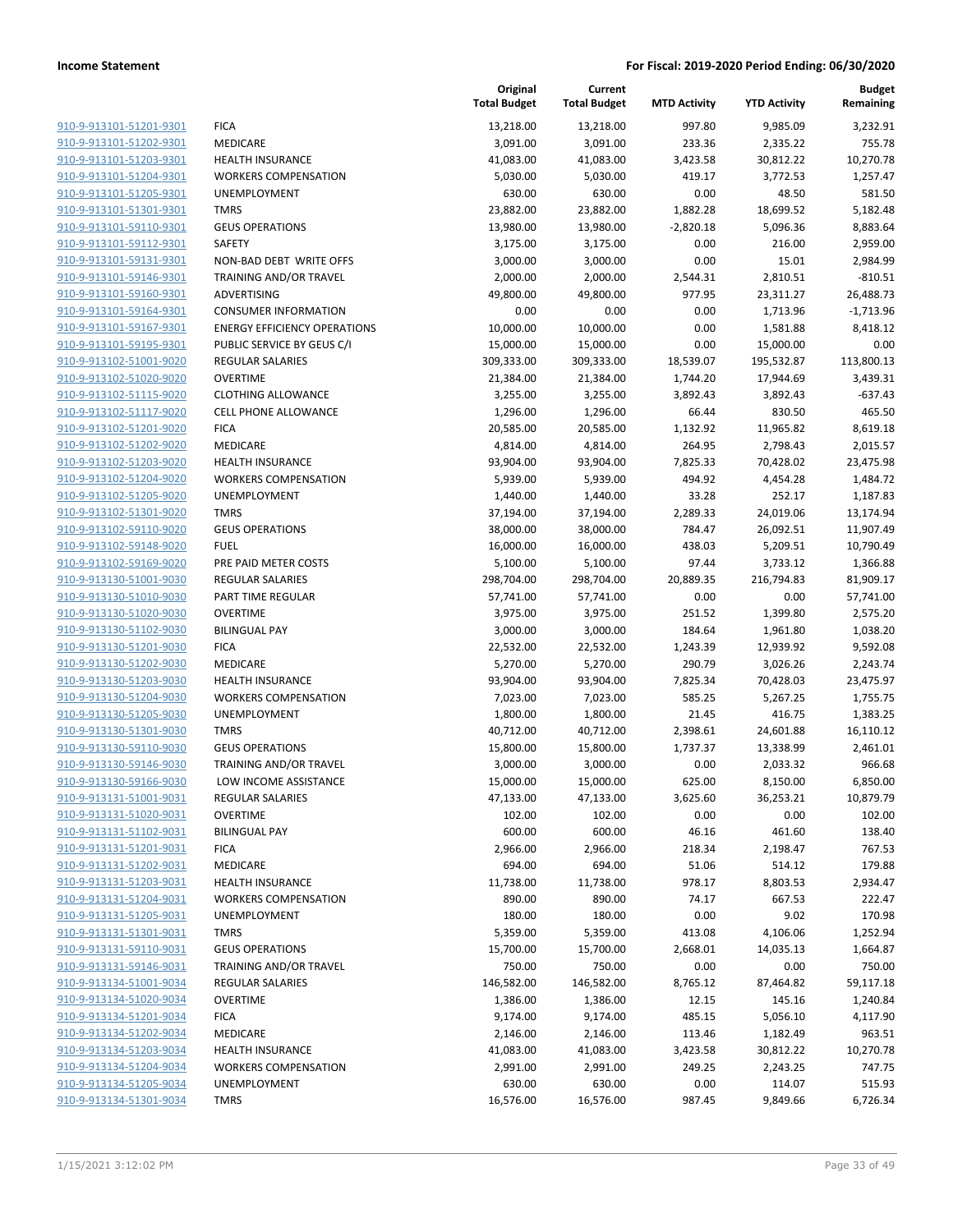|                         |                                     | Original<br><b>Total Budget</b> | Current<br><b>Total Budget</b> | <b>MTD Activity</b> | <b>YTD Activity</b> | <b>Budget</b><br>Remaining |
|-------------------------|-------------------------------------|---------------------------------|--------------------------------|---------------------|---------------------|----------------------------|
| 910-9-913101-51201-9301 | <b>FICA</b>                         | 13,218.00                       | 13,218.00                      | 997.80              | 9,985.09            | 3,232.91                   |
| 910-9-913101-51202-9301 | MEDICARE                            | 3,091.00                        | 3,091.00                       | 233.36              | 2,335.22            | 755.78                     |
| 910-9-913101-51203-9301 | <b>HEALTH INSURANCE</b>             | 41,083.00                       | 41,083.00                      | 3,423.58            | 30,812.22           | 10,270.78                  |
| 910-9-913101-51204-9301 | <b>WORKERS COMPENSATION</b>         | 5,030.00                        | 5,030.00                       | 419.17              | 3,772.53            | 1,257.47                   |
| 910-9-913101-51205-9301 | UNEMPLOYMENT                        | 630.00                          | 630.00                         | 0.00                | 48.50               | 581.50                     |
| 910-9-913101-51301-9301 | <b>TMRS</b>                         | 23,882.00                       | 23,882.00                      | 1,882.28            | 18,699.52           | 5,182.48                   |
| 910-9-913101-59110-9301 | <b>GEUS OPERATIONS</b>              | 13,980.00                       | 13,980.00                      | $-2,820.18$         | 5,096.36            | 8,883.64                   |
| 910-9-913101-59112-9301 | <b>SAFETY</b>                       | 3,175.00                        | 3,175.00                       | 0.00                | 216.00              | 2,959.00                   |
| 910-9-913101-59131-9301 | NON-BAD DEBT WRITE OFFS             | 3,000.00                        | 3,000.00                       | 0.00                | 15.01               | 2,984.99                   |
| 910-9-913101-59146-9301 | TRAINING AND/OR TRAVEL              | 2,000.00                        | 2,000.00                       | 2,544.31            | 2,810.51            | $-810.51$                  |
| 910-9-913101-59160-9301 | ADVERTISING                         | 49,800.00                       | 49,800.00                      | 977.95              | 23,311.27           | 26,488.73                  |
| 910-9-913101-59164-9301 | <b>CONSUMER INFORMATION</b>         | 0.00                            | 0.00                           | 0.00                | 1,713.96            | $-1,713.96$                |
| 910-9-913101-59167-9301 | <b>ENERGY EFFICIENCY OPERATIONS</b> | 10,000.00                       | 10,000.00                      | 0.00                | 1,581.88            | 8,418.12                   |
| 910-9-913101-59195-9301 | PUBLIC SERVICE BY GEUS C/I          | 15,000.00                       | 15,000.00                      | 0.00                | 15,000.00           | 0.00                       |
| 910-9-913102-51001-9020 | REGULAR SALARIES                    | 309,333.00                      | 309,333.00                     | 18,539.07           | 195,532.87          | 113,800.13                 |
| 910-9-913102-51020-9020 | <b>OVERTIME</b>                     | 21,384.00                       | 21,384.00                      | 1,744.20            | 17,944.69           | 3,439.31                   |
| 910-9-913102-51115-9020 | <b>CLOTHING ALLOWANCE</b>           | 3,255.00                        | 3,255.00                       | 3,892.43            | 3,892.43            | $-637.43$                  |
| 910-9-913102-51117-9020 | <b>CELL PHONE ALLOWANCE</b>         | 1,296.00                        | 1,296.00                       | 66.44               | 830.50              | 465.50                     |
| 910-9-913102-51201-9020 | <b>FICA</b>                         | 20,585.00                       | 20,585.00                      | 1,132.92            | 11,965.82           | 8,619.18                   |
| 910-9-913102-51202-9020 | <b>MEDICARE</b>                     | 4,814.00                        | 4,814.00                       | 264.95              | 2,798.43            | 2,015.57                   |
| 910-9-913102-51203-9020 | <b>HEALTH INSURANCE</b>             | 93,904.00                       | 93,904.00                      | 7,825.33            | 70,428.02           | 23,475.98                  |
| 910-9-913102-51204-9020 | <b>WORKERS COMPENSATION</b>         | 5,939.00                        | 5,939.00                       | 494.92              | 4,454.28            | 1,484.72                   |
| 910-9-913102-51205-9020 | UNEMPLOYMENT                        | 1,440.00                        | 1,440.00                       | 33.28               | 252.17              | 1,187.83                   |
| 910-9-913102-51301-9020 | <b>TMRS</b>                         | 37,194.00                       | 37,194.00                      | 2,289.33            | 24,019.06           | 13,174.94                  |
| 910-9-913102-59110-9020 | <b>GEUS OPERATIONS</b>              | 38,000.00                       | 38,000.00                      | 784.47              | 26,092.51           | 11,907.49                  |
| 910-9-913102-59148-9020 | <b>FUEL</b>                         | 16,000.00                       | 16,000.00                      | 438.03              | 5,209.51            | 10,790.49                  |
| 910-9-913102-59169-9020 | PRE PAID METER COSTS                | 5,100.00                        | 5,100.00                       | 97.44               | 3,733.12            | 1,366.88                   |
| 910-9-913130-51001-9030 | <b>REGULAR SALARIES</b>             | 298,704.00                      | 298,704.00                     | 20,889.35           | 216,794.83          | 81,909.17                  |
| 910-9-913130-51010-9030 | PART TIME REGULAR                   | 57,741.00                       | 57,741.00                      | 0.00                | 0.00                | 57,741.00                  |
| 910-9-913130-51020-9030 | <b>OVERTIME</b>                     | 3,975.00                        | 3,975.00                       | 251.52              | 1,399.80            | 2,575.20                   |
| 910-9-913130-51102-9030 | <b>BILINGUAL PAY</b>                | 3,000.00                        | 3,000.00                       | 184.64              | 1,961.80            | 1,038.20                   |
| 910-9-913130-51201-9030 | <b>FICA</b>                         | 22,532.00                       | 22,532.00                      | 1,243.39            | 12,939.92           | 9,592.08                   |
| 910-9-913130-51202-9030 | MEDICARE                            | 5,270.00                        | 5,270.00                       | 290.79              | 3,026.26            | 2,243.74                   |
| 910-9-913130-51203-9030 | <b>HEALTH INSURANCE</b>             | 93,904.00                       | 93,904.00                      | 7,825.34            | 70,428.03           | 23,475.97                  |
| 910-9-913130-51204-9030 | <b>WORKERS COMPENSATION</b>         | 7,023.00                        | 7,023.00                       | 585.25              | 5,267.25            | 1,755.75                   |
| 910-9-913130-51205-9030 | UNEMPLOYMENT                        | 1,800.00                        | 1,800.00                       | 21.45               | 416.75              | 1,383.25                   |
| 910-9-913130-51301-9030 | <b>TMRS</b>                         | 40,712.00                       | 40,712.00                      | 2,398.61            | 24,601.88           | 16,110.12                  |
| 910-9-913130-59110-9030 | <b>GEUS OPERATIONS</b>              | 15,800.00                       | 15,800.00                      | 1,737.37            | 13,338.99           | 2,461.01                   |
| 910-9-913130-59146-9030 | TRAINING AND/OR TRAVEL              | 3,000.00                        | 3,000.00                       | 0.00                | 2,033.32            | 966.68                     |
| 910-9-913130-59166-9030 | LOW INCOME ASSISTANCE               | 15,000.00                       | 15,000.00                      | 625.00              | 8,150.00            | 6,850.00                   |
| 910-9-913131-51001-9031 | <b>REGULAR SALARIES</b>             | 47,133.00                       | 47,133.00                      | 3,625.60            | 36,253.21           | 10,879.79                  |
| 910-9-913131-51020-9031 | <b>OVERTIME</b>                     | 102.00                          | 102.00                         | 0.00                | 0.00                | 102.00                     |
| 910-9-913131-51102-9031 | <b>BILINGUAL PAY</b>                | 600.00                          | 600.00                         | 46.16               | 461.60              | 138.40                     |
| 910-9-913131-51201-9031 | <b>FICA</b>                         | 2,966.00                        | 2,966.00                       | 218.34              | 2,198.47            | 767.53                     |
| 910-9-913131-51202-9031 | MEDICARE                            | 694.00                          | 694.00                         | 51.06               | 514.12              | 179.88                     |
| 910-9-913131-51203-9031 | <b>HEALTH INSURANCE</b>             | 11,738.00                       | 11,738.00                      | 978.17              | 8,803.53            | 2,934.47                   |
| 910-9-913131-51204-9031 | <b>WORKERS COMPENSATION</b>         | 890.00                          | 890.00                         | 74.17               | 667.53              | 222.47                     |
| 910-9-913131-51205-9031 | UNEMPLOYMENT                        | 180.00                          | 180.00                         | 0.00                | 9.02                | 170.98                     |
| 910-9-913131-51301-9031 | <b>TMRS</b>                         | 5,359.00                        | 5,359.00                       | 413.08              | 4,106.06            | 1,252.94                   |
| 910-9-913131-59110-9031 | <b>GEUS OPERATIONS</b>              | 15,700.00                       | 15,700.00                      | 2,668.01            | 14,035.13           | 1,664.87                   |
| 910-9-913131-59146-9031 | TRAINING AND/OR TRAVEL              | 750.00                          | 750.00                         | 0.00                | 0.00                | 750.00                     |
| 910-9-913134-51001-9034 | <b>REGULAR SALARIES</b>             | 146,582.00                      | 146,582.00                     | 8,765.12            | 87,464.82           | 59,117.18                  |
| 910-9-913134-51020-9034 | <b>OVERTIME</b>                     | 1,386.00                        | 1,386.00                       | 12.15               | 145.16              | 1,240.84                   |
| 910-9-913134-51201-9034 | <b>FICA</b>                         | 9,174.00                        | 9,174.00                       | 485.15              | 5,056.10            | 4,117.90                   |
| 910-9-913134-51202-9034 | MEDICARE                            | 2,146.00                        | 2,146.00                       | 113.46              | 1,182.49            | 963.51                     |
| 910-9-913134-51203-9034 | <b>HEALTH INSURANCE</b>             | 41,083.00                       | 41,083.00                      | 3,423.58            | 30,812.22           | 10,270.78                  |
| 910-9-913134-51204-9034 | <b>WORKERS COMPENSATION</b>         | 2,991.00                        | 2,991.00                       | 249.25              | 2,243.25            | 747.75                     |
| 910-9-913134-51205-9034 | UNEMPLOYMENT                        | 630.00                          | 630.00                         | 0.00                | 114.07              | 515.93                     |
| 910-9-913134-51301-9034 | <b>TMRS</b>                         | 16,576.00                       | 16,576.00                      | 987.45              | 9,849.66            | 6,726.34                   |
|                         |                                     |                                 |                                |                     |                     |                            |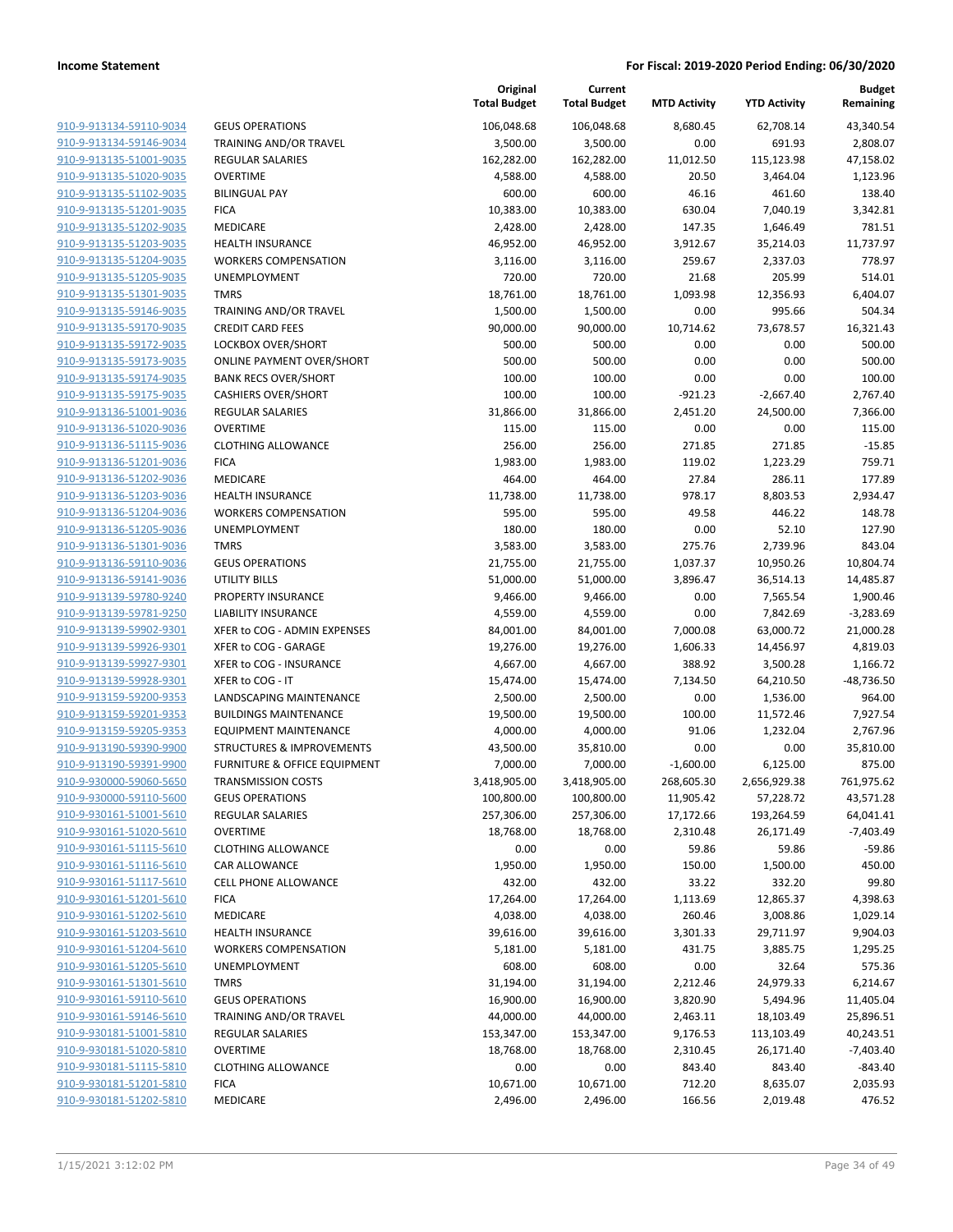| 910-9-913134-59110-9034        |
|--------------------------------|
| 910-9-913134-59146-9034        |
| 910-9-913135-51001-9035        |
| <u>910-9-913135-51020-9035</u> |
| 910-9-913135-51102-9035        |
| 910-9-913135-51201-9035        |
| 910-9-913135-51202-9035        |
| 910-9-913135-51203-9035        |
| 910-9-913135-51204-9035        |
| 910-9-913135-51205-9035        |
| 910-9-913135-51301-9035        |
| 910-9-913135-59146-9035        |
| 910-9-913135-59170-9035        |
| <u>910-9-913135-59172-9035</u> |
| 910-9-913135-59173-9035        |
| 910-9-913135-59174-9035        |
| 910-9-913135-59175-9035        |
| 910-9-913136-51001-9036        |
| <u>910-9-913136-51020-9036</u> |
| 910-9-913136-51115-9036        |
| 910-9-913136-51201-9036        |
| 910-9-913136-51202-9036        |
| 910-9-913136-51203-9036        |
| <u>910-9-913136-51204-9036</u> |
|                                |
| 910-9-913136-51205-9036        |
| 910-9-913136-51301-9036        |
| 910-9-913136-59110-9036        |
| 910-9-913136-59141-9036        |
| <u>910-9-913139-59780-9240</u> |
| 910-9-913139-59781-9250        |
| 910-9-913139-59902-9301        |
| 910-9-913139-59926-9301        |
| 910-9-913139-59927-9301        |
| <u>910-9-913139-59928-9301</u> |
| 910-9-913159-59200-9353        |
| 910-9-913159-59201-9353        |
| 910-9-913159-59205-9353        |
| 910-9-913190-59390-9900        |
| 910-9-913190-59391-9900        |
| 910-9-930000-59060-5650        |
| 910-9-930000-59110-5600        |
| 910-9-930161-51001-5610        |
| 910-9-930161-51020-5610        |
| 910-9-930161-51115-5610        |
| 910-9-930161-51116-5610        |
| 910-9-930161-51117-5610        |
| 910-9-930161-51201-5610        |
| <u>910-9-930161-51202-5610</u> |
| 910-9-930161-51203-5610        |
| <u>910-9-930161-51204-5610</u> |
| 910-9-930161-51205-5610        |
| 910-9-930161-51301-5610        |
| 910-9-930161-59110-5610        |
| <u>910-9-930161-59146-5610</u> |
|                                |
| <u>910-9-930181-51001-5810</u> |
| 910-9-930181-51020-5810        |
| 910-9-930181-51115-5810        |
| <u>910-9-930181-51201-5810</u> |
| <u>910-9-930181-51202-5810</u> |

|                                                    |                                         | Original<br><b>Total Budget</b> | Current<br><b>Total Budget</b> | <b>MTD Activity</b> | <b>YTD Activity</b>   | <b>Budget</b><br>Remaining |
|----------------------------------------------------|-----------------------------------------|---------------------------------|--------------------------------|---------------------|-----------------------|----------------------------|
| 910-9-913134-59110-9034                            | <b>GEUS OPERATIONS</b>                  | 106,048.68                      | 106,048.68                     | 8,680.45            | 62,708.14             | 43,340.54                  |
| 910-9-913134-59146-9034                            | TRAINING AND/OR TRAVEL                  | 3,500.00                        | 3,500.00                       | 0.00                | 691.93                | 2,808.07                   |
| 910-9-913135-51001-9035                            | <b>REGULAR SALARIES</b>                 | 162,282.00                      | 162,282.00                     | 11,012.50           | 115,123.98            | 47,158.02                  |
| 910-9-913135-51020-9035                            | <b>OVERTIME</b>                         | 4,588.00                        | 4,588.00                       | 20.50               | 3,464.04              | 1,123.96                   |
| 910-9-913135-51102-9035                            | <b>BILINGUAL PAY</b>                    | 600.00                          | 600.00                         | 46.16               | 461.60                | 138.40                     |
| 910-9-913135-51201-9035                            | <b>FICA</b>                             | 10,383.00                       | 10,383.00                      | 630.04              | 7,040.19              | 3,342.81                   |
| 910-9-913135-51202-9035                            | MEDICARE                                | 2,428.00                        | 2,428.00                       | 147.35              | 1,646.49              | 781.51                     |
| 910-9-913135-51203-9035                            | <b>HEALTH INSURANCE</b>                 | 46,952.00                       | 46,952.00                      | 3,912.67            | 35,214.03             | 11,737.97                  |
| 910-9-913135-51204-9035                            | <b>WORKERS COMPENSATION</b>             | 3,116.00                        | 3,116.00                       | 259.67              | 2,337.03              | 778.97                     |
| 910-9-913135-51205-9035                            | <b>UNEMPLOYMENT</b>                     | 720.00                          | 720.00                         | 21.68               | 205.99                | 514.01                     |
| 910-9-913135-51301-9035                            | <b>TMRS</b>                             | 18,761.00                       | 18,761.00                      | 1,093.98            | 12,356.93             | 6,404.07                   |
| 910-9-913135-59146-9035                            | TRAINING AND/OR TRAVEL                  | 1,500.00                        | 1,500.00                       | 0.00                | 995.66                | 504.34                     |
| 910-9-913135-59170-9035                            | <b>CREDIT CARD FEES</b>                 | 90,000.00                       | 90,000.00                      | 10,714.62           | 73,678.57             | 16,321.43                  |
| 910-9-913135-59172-9035                            | LOCKBOX OVER/SHORT                      | 500.00                          | 500.00                         | 0.00                | 0.00                  | 500.00                     |
| 910-9-913135-59173-9035                            | <b>ONLINE PAYMENT OVER/SHORT</b>        | 500.00                          | 500.00                         | 0.00                | 0.00                  | 500.00                     |
| 910-9-913135-59174-9035                            | <b>BANK RECS OVER/SHORT</b>             | 100.00                          | 100.00                         | 0.00                | 0.00                  | 100.00                     |
| 910-9-913135-59175-9035                            | <b>CASHIERS OVER/SHORT</b>              | 100.00                          | 100.00                         | $-921.23$           | $-2,667.40$           | 2,767.40                   |
| 910-9-913136-51001-9036                            | REGULAR SALARIES                        | 31,866.00                       | 31,866.00                      | 2,451.20            | 24,500.00             | 7,366.00                   |
| 910-9-913136-51020-9036                            | <b>OVERTIME</b>                         | 115.00                          | 115.00                         | 0.00                | 0.00                  | 115.00                     |
| 910-9-913136-51115-9036                            | <b>CLOTHING ALLOWANCE</b>               | 256.00                          | 256.00                         | 271.85              | 271.85                | $-15.85$                   |
| 910-9-913136-51201-9036                            | <b>FICA</b>                             | 1,983.00                        | 1,983.00                       | 119.02              | 1,223.29              | 759.71                     |
| 910-9-913136-51202-9036                            | MEDICARE                                | 464.00                          | 464.00                         | 27.84               | 286.11                | 177.89                     |
| 910-9-913136-51203-9036                            | <b>HEALTH INSURANCE</b>                 | 11,738.00                       | 11,738.00                      | 978.17              | 8,803.53              | 2,934.47                   |
| 910-9-913136-51204-9036<br>910-9-913136-51205-9036 | <b>WORKERS COMPENSATION</b>             | 595.00                          | 595.00                         | 49.58               | 446.22                | 148.78                     |
|                                                    | <b>UNEMPLOYMENT</b><br><b>TMRS</b>      | 180.00                          | 180.00                         | 0.00                | 52.10                 | 127.90                     |
| 910-9-913136-51301-9036<br>910-9-913136-59110-9036 | <b>GEUS OPERATIONS</b>                  | 3,583.00<br>21,755.00           | 3,583.00<br>21,755.00          | 275.76<br>1,037.37  | 2,739.96<br>10,950.26 | 843.04<br>10,804.74        |
| 910-9-913136-59141-9036                            | UTILITY BILLS                           | 51,000.00                       | 51,000.00                      | 3,896.47            | 36,514.13             | 14,485.87                  |
| 910-9-913139-59780-9240                            | PROPERTY INSURANCE                      | 9,466.00                        | 9,466.00                       | 0.00                | 7,565.54              | 1,900.46                   |
| 910-9-913139-59781-9250                            | <b>LIABILITY INSURANCE</b>              | 4,559.00                        | 4,559.00                       | 0.00                | 7,842.69              | $-3,283.69$                |
| 910-9-913139-59902-9301                            | XFER to COG - ADMIN EXPENSES            | 84,001.00                       | 84,001.00                      | 7,000.08            | 63,000.72             | 21,000.28                  |
| 910-9-913139-59926-9301                            | XFER to COG - GARAGE                    | 19,276.00                       | 19,276.00                      | 1,606.33            | 14,456.97             | 4,819.03                   |
| 910-9-913139-59927-9301                            | XFER to COG - INSURANCE                 | 4,667.00                        | 4,667.00                       | 388.92              | 3,500.28              | 1,166.72                   |
| 910-9-913139-59928-9301                            | XFER to COG - IT                        | 15,474.00                       | 15,474.00                      | 7,134.50            | 64,210.50             | $-48,736.50$               |
| 910-9-913159-59200-9353                            | LANDSCAPING MAINTENANCE                 | 2,500.00                        | 2,500.00                       | 0.00                | 1,536.00              | 964.00                     |
| 910-9-913159-59201-9353                            | <b>BUILDINGS MAINTENANCE</b>            | 19,500.00                       | 19,500.00                      | 100.00              | 11,572.46             | 7,927.54                   |
| 910-9-913159-59205-9353                            | <b>EQUIPMENT MAINTENANCE</b>            | 4,000.00                        | 4,000.00                       | 91.06               | 1,232.04              | 2,767.96                   |
| 910-9-913190-59390-9900                            | STRUCTURES & IMPROVEMENTS               | 43,500.00                       | 35,810.00                      | 0.00                | 0.00                  | 35,810.00                  |
| 910-9-913190-59391-9900                            | <b>FURNITURE &amp; OFFICE EQUIPMENT</b> | 7,000.00                        | 7,000.00                       | $-1,600.00$         | 6,125.00              | 875.00                     |
| 910-9-930000-59060-5650                            | <b>TRANSMISSION COSTS</b>               | 3,418,905.00                    | 3,418,905.00                   | 268,605.30          | 2,656,929.38          | 761,975.62                 |
| 910-9-930000-59110-5600                            | <b>GEUS OPERATIONS</b>                  | 100,800.00                      | 100,800.00                     | 11,905.42           | 57,228.72             | 43,571.28                  |
| 910-9-930161-51001-5610                            | REGULAR SALARIES                        | 257,306.00                      | 257,306.00                     | 17,172.66           | 193,264.59            | 64,041.41                  |
| 910-9-930161-51020-5610                            | <b>OVERTIME</b>                         | 18,768.00                       | 18,768.00                      | 2,310.48            | 26,171.49             | $-7,403.49$                |
| 910-9-930161-51115-5610                            | <b>CLOTHING ALLOWANCE</b>               | 0.00                            | 0.00                           | 59.86               | 59.86                 | $-59.86$                   |
| 910-9-930161-51116-5610                            | CAR ALLOWANCE                           | 1,950.00                        | 1,950.00                       | 150.00              | 1,500.00              | 450.00                     |
| 910-9-930161-51117-5610                            | CELL PHONE ALLOWANCE                    | 432.00                          | 432.00                         | 33.22               | 332.20                | 99.80                      |
| 910-9-930161-51201-5610                            | <b>FICA</b>                             | 17,264.00                       | 17,264.00                      | 1,113.69            | 12,865.37             | 4,398.63                   |
| 910-9-930161-51202-5610                            | MEDICARE                                | 4,038.00                        | 4,038.00                       | 260.46              | 3,008.86              | 1,029.14                   |
| 910-9-930161-51203-5610                            | <b>HEALTH INSURANCE</b>                 | 39,616.00                       | 39,616.00                      | 3,301.33            | 29,711.97             | 9,904.03                   |
| 910-9-930161-51204-5610                            | <b>WORKERS COMPENSATION</b>             | 5,181.00                        | 5,181.00                       | 431.75              | 3,885.75              | 1,295.25                   |
| 910-9-930161-51205-5610                            | <b>UNEMPLOYMENT</b>                     | 608.00                          | 608.00                         | 0.00                | 32.64                 | 575.36                     |
| 910-9-930161-51301-5610                            | <b>TMRS</b>                             | 31,194.00                       | 31,194.00                      | 2,212.46            | 24,979.33             | 6,214.67                   |
| 910-9-930161-59110-5610                            | <b>GEUS OPERATIONS</b>                  | 16,900.00                       | 16,900.00                      | 3,820.90            | 5,494.96              | 11,405.04                  |
| 910-9-930161-59146-5610                            | TRAINING AND/OR TRAVEL                  | 44,000.00                       | 44,000.00                      | 2,463.11            | 18,103.49             | 25,896.51                  |
| 910-9-930181-51001-5810                            | REGULAR SALARIES                        | 153,347.00                      | 153,347.00                     | 9,176.53            | 113,103.49            | 40,243.51                  |
| 910-9-930181-51020-5810                            | <b>OVERTIME</b>                         | 18,768.00                       | 18,768.00                      | 2,310.45            | 26,171.40             | $-7,403.40$                |
| 910-9-930181-51115-5810                            | <b>CLOTHING ALLOWANCE</b>               | 0.00                            | 0.00                           | 843.40              | 843.40                | $-843.40$                  |
| 910-9-930181-51201-5810                            | <b>FICA</b>                             | 10,671.00                       | 10,671.00                      | 712.20              | 8,635.07              | 2,035.93                   |
| 910-9-930181-51202-5810                            | MEDICARE                                | 2,496.00                        | 2,496.00                       | 166.56              | 2,019.48              | 476.52                     |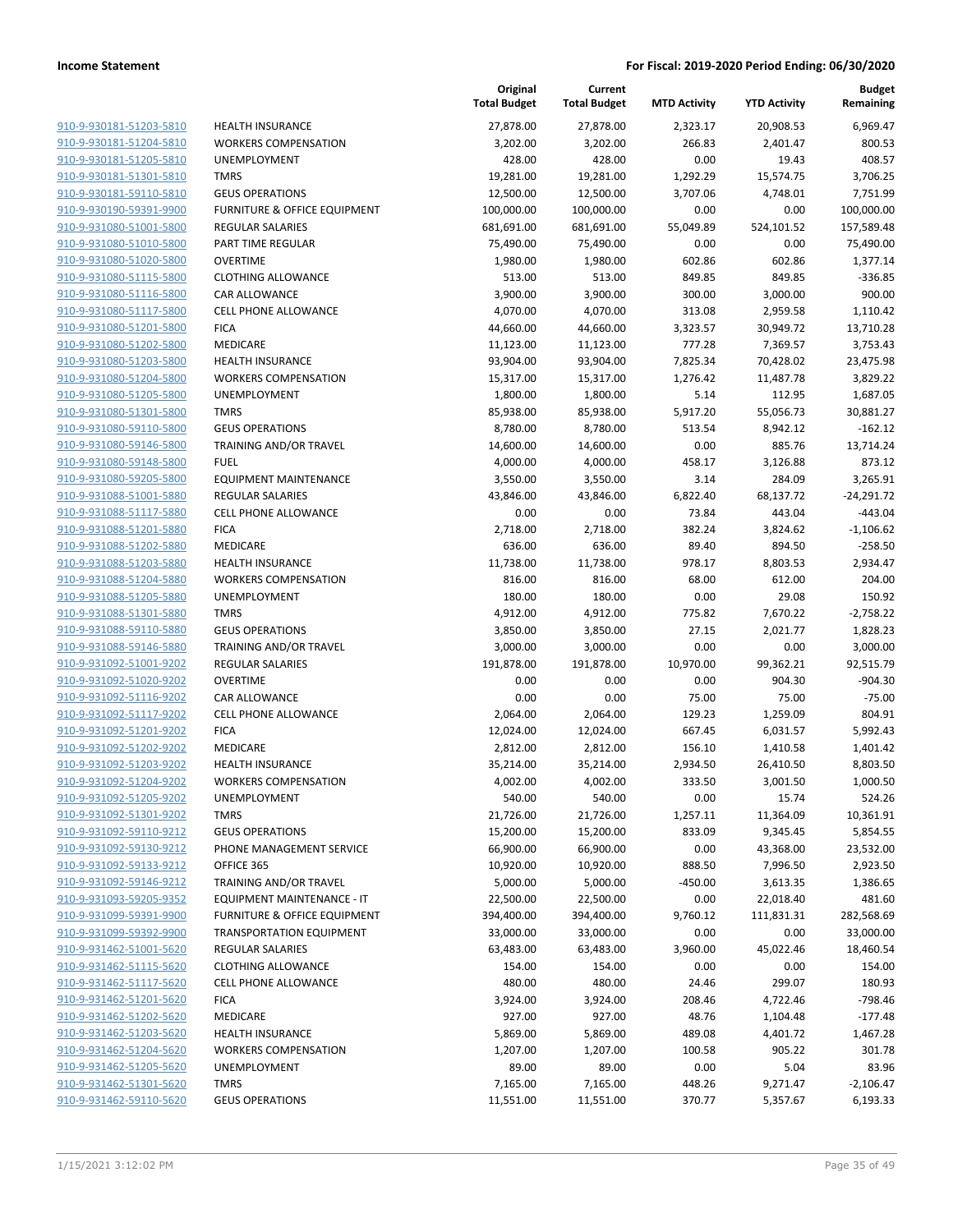|                                                    |                                         | Original<br><b>Total Budget</b> | Current<br><b>Total Budget</b> | <b>MTD Activity</b> | <b>YTD Activity</b> | <b>Budget</b><br>Remaining |
|----------------------------------------------------|-----------------------------------------|---------------------------------|--------------------------------|---------------------|---------------------|----------------------------|
| 910-9-930181-51203-5810                            | <b>HEALTH INSURANCE</b>                 | 27,878.00                       | 27,878.00                      | 2,323.17            | 20,908.53           | 6.969.47                   |
| 910-9-930181-51204-5810                            | <b>WORKERS COMPENSATION</b>             | 3,202.00                        | 3,202.00                       | 266.83              | 2,401.47            | 800.53                     |
| 910-9-930181-51205-5810                            | UNEMPLOYMENT                            | 428.00                          | 428.00                         | 0.00                | 19.43               | 408.57                     |
| 910-9-930181-51301-5810                            | <b>TMRS</b>                             | 19,281.00                       | 19,281.00                      | 1,292.29            | 15,574.75           | 3,706.25                   |
| 910-9-930181-59110-5810                            | <b>GEUS OPERATIONS</b>                  | 12,500.00                       | 12,500.00                      | 3,707.06            | 4,748.01            | 7,751.99                   |
| 910-9-930190-59391-9900                            | FURNITURE & OFFICE EQUIPMENT            | 100,000.00                      | 100,000.00                     | 0.00                | 0.00                | 100,000.00                 |
| 910-9-931080-51001-5800                            | <b>REGULAR SALARIES</b>                 | 681,691.00                      | 681,691.00                     | 55,049.89           | 524,101.52          | 157,589.48                 |
| 910-9-931080-51010-5800                            | PART TIME REGULAR                       | 75,490.00                       | 75,490.00                      | 0.00                | 0.00                | 75,490.00                  |
| 910-9-931080-51020-5800                            | <b>OVERTIME</b>                         | 1,980.00                        | 1,980.00                       | 602.86              | 602.86              | 1,377.14                   |
| 910-9-931080-51115-5800                            | <b>CLOTHING ALLOWANCE</b>               | 513.00                          | 513.00                         | 849.85              | 849.85              | $-336.85$                  |
| 910-9-931080-51116-5800                            | <b>CAR ALLOWANCE</b>                    | 3,900.00                        | 3,900.00                       | 300.00              | 3,000.00            | 900.00                     |
| 910-9-931080-51117-5800                            | <b>CELL PHONE ALLOWANCE</b>             | 4,070.00                        | 4,070.00                       | 313.08              | 2,959.58            | 1,110.42                   |
| 910-9-931080-51201-5800                            | <b>FICA</b>                             | 44,660.00                       | 44,660.00                      | 3,323.57            | 30,949.72           | 13,710.28                  |
| 910-9-931080-51202-5800                            | MEDICARE                                | 11,123.00                       | 11,123.00                      | 777.28              | 7,369.57            | 3,753.43                   |
| 910-9-931080-51203-5800                            | <b>HEALTH INSURANCE</b>                 | 93,904.00                       | 93,904.00                      | 7,825.34            | 70,428.02           | 23,475.98                  |
| 910-9-931080-51204-5800                            | <b>WORKERS COMPENSATION</b>             | 15,317.00                       | 15,317.00                      | 1,276.42            | 11,487.78           | 3,829.22                   |
| 910-9-931080-51205-5800                            | UNEMPLOYMENT                            | 1,800.00                        | 1,800.00                       | 5.14                | 112.95              | 1,687.05                   |
| 910-9-931080-51301-5800                            | <b>TMRS</b>                             | 85,938.00                       | 85,938.00                      | 5,917.20            | 55,056.73           | 30,881.27                  |
| 910-9-931080-59110-5800                            | <b>GEUS OPERATIONS</b>                  | 8,780.00                        | 8,780.00                       | 513.54              | 8,942.12            | $-162.12$                  |
| 910-9-931080-59146-5800                            | TRAINING AND/OR TRAVEL                  | 14,600.00                       | 14,600.00                      | 0.00                | 885.76              | 13,714.24                  |
| 910-9-931080-59148-5800                            | <b>FUEL</b>                             | 4,000.00                        | 4,000.00                       | 458.17              | 3,126.88            | 873.12                     |
| 910-9-931080-59205-5800                            | <b>EQUIPMENT MAINTENANCE</b>            | 3,550.00                        | 3,550.00                       | 3.14                | 284.09              | 3,265.91                   |
| 910-9-931088-51001-5880                            | <b>REGULAR SALARIES</b>                 | 43,846.00                       | 43,846.00                      | 6,822.40            | 68,137.72           | $-24,291.72$               |
| 910-9-931088-51117-5880                            | <b>CELL PHONE ALLOWANCE</b>             | 0.00                            | 0.00                           | 73.84               | 443.04              | $-443.04$                  |
| 910-9-931088-51201-5880                            | <b>FICA</b>                             | 2,718.00                        | 2,718.00                       | 382.24              | 3,824.62            | $-1,106.62$                |
| 910-9-931088-51202-5880                            | MEDICARE                                | 636.00                          | 636.00                         | 89.40               | 894.50              | $-258.50$                  |
| 910-9-931088-51203-5880                            | <b>HEALTH INSURANCE</b>                 | 11,738.00                       | 11,738.00                      | 978.17              | 8,803.53            | 2,934.47                   |
| 910-9-931088-51204-5880<br>910-9-931088-51205-5880 | <b>WORKERS COMPENSATION</b>             | 816.00                          | 816.00                         | 68.00               | 612.00              | 204.00                     |
| 910-9-931088-51301-5880                            | UNEMPLOYMENT<br><b>TMRS</b>             | 180.00<br>4,912.00              | 180.00<br>4,912.00             | 0.00<br>775.82      | 29.08<br>7,670.22   | 150.92<br>$-2,758.22$      |
| 910-9-931088-59110-5880                            | <b>GEUS OPERATIONS</b>                  | 3,850.00                        | 3,850.00                       | 27.15               | 2,021.77            | 1,828.23                   |
| 910-9-931088-59146-5880                            | TRAINING AND/OR TRAVEL                  | 3,000.00                        | 3,000.00                       | 0.00                | 0.00                | 3,000.00                   |
| 910-9-931092-51001-9202                            | <b>REGULAR SALARIES</b>                 | 191,878.00                      | 191,878.00                     | 10,970.00           | 99,362.21           | 92,515.79                  |
| 910-9-931092-51020-9202                            | <b>OVERTIME</b>                         | 0.00                            | 0.00                           | 0.00                | 904.30              | $-904.30$                  |
| 910-9-931092-51116-9202                            | <b>CAR ALLOWANCE</b>                    | 0.00                            | 0.00                           | 75.00               | 75.00               | $-75.00$                   |
| 910-9-931092-51117-9202                            | CELL PHONE ALLOWANCE                    | 2,064.00                        | 2,064.00                       | 129.23              | 1,259.09            | 804.91                     |
| 910-9-931092-51201-9202                            | <b>FICA</b>                             | 12,024.00                       | 12,024.00                      | 667.45              | 6,031.57            | 5,992.43                   |
| 910-9-931092-51202-9202                            | MEDICARE                                | 2,812.00                        | 2,812.00                       | 156.10              | 1,410.58            | 1,401.42                   |
| 910-9-931092-51203-9202                            | <b>HEALTH INSURANCE</b>                 | 35,214.00                       | 35,214.00                      | 2,934.50            | 26,410.50           | 8,803.50                   |
| 910-9-931092-51204-9202                            | <b>WORKERS COMPENSATION</b>             | 4,002.00                        | 4,002.00                       | 333.50              | 3,001.50            | 1,000.50                   |
| 910-9-931092-51205-9202                            | <b>UNEMPLOYMENT</b>                     | 540.00                          | 540.00                         | 0.00                | 15.74               | 524.26                     |
| 910-9-931092-51301-9202                            | <b>TMRS</b>                             | 21,726.00                       | 21,726.00                      | 1,257.11            | 11,364.09           | 10,361.91                  |
| 910-9-931092-59110-9212                            | <b>GEUS OPERATIONS</b>                  | 15,200.00                       | 15,200.00                      | 833.09              | 9,345.45            | 5,854.55                   |
| 910-9-931092-59130-9212                            | PHONE MANAGEMENT SERVICE                | 66,900.00                       | 66,900.00                      | 0.00                | 43,368.00           | 23,532.00                  |
| 910-9-931092-59133-9212                            | OFFICE 365                              | 10,920.00                       | 10,920.00                      | 888.50              | 7,996.50            | 2,923.50                   |
| 910-9-931092-59146-9212                            | TRAINING AND/OR TRAVEL                  | 5,000.00                        | 5,000.00                       | $-450.00$           | 3,613.35            | 1,386.65                   |
| 910-9-931093-59205-9352                            | <b>EQUIPMENT MAINTENANCE - IT</b>       | 22,500.00                       | 22,500.00                      | 0.00                | 22,018.40           | 481.60                     |
| 910-9-931099-59391-9900                            | <b>FURNITURE &amp; OFFICE EQUIPMENT</b> | 394,400.00                      | 394,400.00                     | 9,760.12            | 111,831.31          | 282,568.69                 |
| 910-9-931099-59392-9900                            | <b>TRANSPORTATION EQUIPMENT</b>         | 33,000.00                       | 33,000.00                      | 0.00                | 0.00                | 33,000.00                  |
| 910-9-931462-51001-5620                            | <b>REGULAR SALARIES</b>                 | 63,483.00                       | 63,483.00                      | 3,960.00            | 45,022.46           | 18,460.54                  |
| 910-9-931462-51115-5620                            | <b>CLOTHING ALLOWANCE</b>               | 154.00                          | 154.00                         | 0.00                | 0.00                | 154.00                     |
| 910-9-931462-51117-5620                            | CELL PHONE ALLOWANCE                    | 480.00                          | 480.00                         | 24.46               | 299.07              | 180.93                     |
| 910-9-931462-51201-5620                            | <b>FICA</b>                             | 3,924.00                        | 3,924.00                       | 208.46              | 4,722.46            | $-798.46$                  |
| 910-9-931462-51202-5620                            | MEDICARE                                | 927.00                          | 927.00                         | 48.76               | 1,104.48            | $-177.48$                  |
| 910-9-931462-51203-5620                            | <b>HEALTH INSURANCE</b>                 | 5,869.00                        | 5,869.00                       | 489.08              | 4,401.72            | 1,467.28                   |
| 910-9-931462-51204-5620                            | <b>WORKERS COMPENSATION</b>             | 1,207.00                        | 1,207.00                       | 100.58              | 905.22              | 301.78                     |
| 910-9-931462-51205-5620                            | UNEMPLOYMENT                            | 89.00                           | 89.00                          | 0.00                | 5.04                | 83.96                      |
| 910-9-931462-51301-5620                            | <b>TMRS</b>                             | 7,165.00                        | 7,165.00                       | 448.26              | 9,271.47            | $-2,106.47$                |
| 910-9-931462-59110-5620                            | <b>GEUS OPERATIONS</b>                  | 11,551.00                       | 11,551.00                      | 370.77              | 5,357.67            | 6,193.33                   |
|                                                    |                                         |                                 |                                |                     |                     |                            |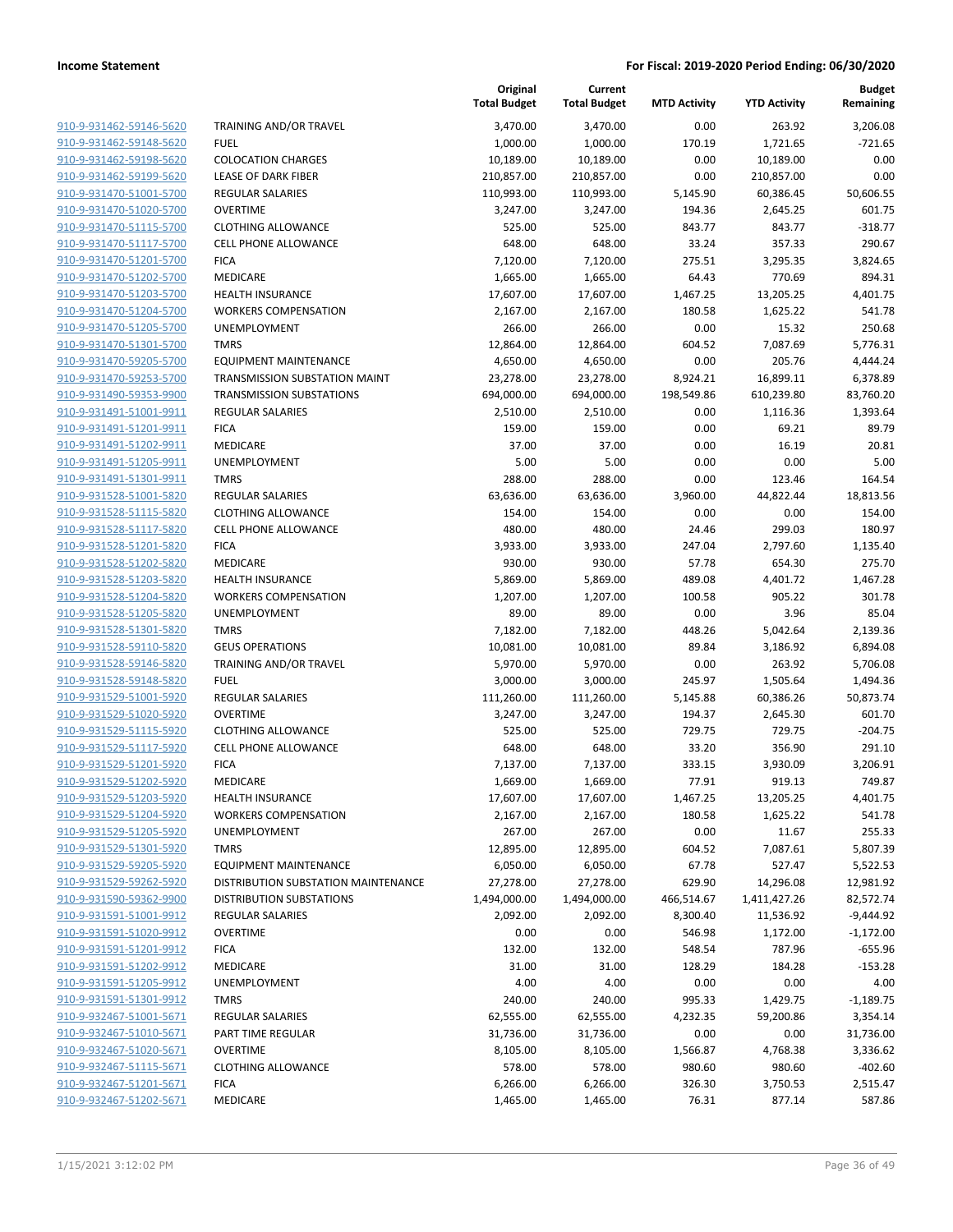| 910-9-931462-59146-5620        |
|--------------------------------|
| 910-9-931462-59148-5620        |
| 910-9-931462-59198-5620        |
| 910-9-931462-59199-5620        |
| 910-9-931470-51001-5700        |
| 910-9-931470-51020-5700        |
| 910-9-931470-51115-5700        |
| 910-9-931470-51117-5700        |
| 910-9-931470-51201-5700        |
| <u>910-9-931470-51202-5700</u> |
| 910-9-931470-51203-5700        |
| 910-9-931470-51204-5700        |
| 910-9-931470-51205-5700        |
| 910-9-931470-51301-5700        |
| <u>910-9-931470-59205-5700</u> |
| 910-9-931470-59253-5700        |
| 910-9-931490-59353-9900        |
| 910-9-931491-51001-9911        |
| 910-9-931491-51201-9911        |
| <u>910-9-931491-51202-9911</u> |
| 910-9-931491-51205-9911        |
| 910-9-931491-51301-9911        |
| 910-9-931528-51001-5820        |
| 910-9-931528-51115-5820        |
| 910-9-931528-51117-5820        |
| 910-9-931528-51201-5820        |
| 910-9-931528-51202-5820        |
| 910-9-931528-51203-5820        |
| <u>910-9-931528-51204-5820</u> |
| <u>910-9-931528-51205-5820</u> |
| 910-9-931528-51301-5820        |
| 910-9-931528-59110-5820        |
| 910-9-931528-59146-5820        |
| 910-9-931528-59148-5820        |
| <u>910-9-931529-51001-5920</u> |
| 910-9-931529-51020-5920        |
| 910-9-931529-51115-5920        |
| 910-9-931529-51117-5920        |
| 910-9-931529-51201-5920        |
| <u>910-9-931529-51202-5920</u> |
| 910-9-931529-51203-5920        |
| 910-9-931529-51204-5920        |
| 910-9-931529-51205-5920        |
| <u>910-9-931529-51301-5920</u> |
| <u>910-9-931529-59205-5920</u> |
| <u>910-9-931529-59262-5920</u> |
| 910-9-931590-59362-9900        |
| 910-9-931591-51001-9912        |
| <u>910-9-931591-51020-9912</u> |
| <u>910-9-931591-51201-9912</u> |
| 910-9-931591-51202-9912        |
| 910-9-931591-51205-9912        |
| 910-9-931591-51301-9912        |
| <u>910-9-932467-51001-5671</u> |
| <u>910-9-932467-51010-5671</u> |
| <u>910-9-932467-51020-5671</u> |
| 910-9-932467-51115-5671        |
| 910-9-932467-51201-5671        |
| <u>910-9-932467-51202-5671</u> |
|                                |

|                         |                                     | Original<br><b>Total Budget</b> | Current<br><b>Total Budget</b> | <b>MTD Activity</b> | <b>YTD Activity</b> | <b>Budget</b><br>Remaining |
|-------------------------|-------------------------------------|---------------------------------|--------------------------------|---------------------|---------------------|----------------------------|
| 910-9-931462-59146-5620 | TRAINING AND/OR TRAVEL              | 3,470.00                        | 3,470.00                       | 0.00                | 263.92              | 3,206.08                   |
| 910-9-931462-59148-5620 | <b>FUEL</b>                         | 1,000.00                        | 1,000.00                       | 170.19              | 1,721.65            | $-721.65$                  |
| 910-9-931462-59198-5620 | <b>COLOCATION CHARGES</b>           | 10,189.00                       | 10,189.00                      | 0.00                | 10,189.00           | 0.00                       |
| 910-9-931462-59199-5620 | LEASE OF DARK FIBER                 | 210,857.00                      | 210,857.00                     | 0.00                | 210,857.00          | 0.00                       |
| 910-9-931470-51001-5700 | REGULAR SALARIES                    | 110,993.00                      | 110,993.00                     | 5,145.90            | 60,386.45           | 50,606.55                  |
| 910-9-931470-51020-5700 | <b>OVERTIME</b>                     | 3,247.00                        | 3,247.00                       | 194.36              | 2,645.25            | 601.75                     |
| 910-9-931470-51115-5700 | <b>CLOTHING ALLOWANCE</b>           | 525.00                          | 525.00                         | 843.77              | 843.77              | $-318.77$                  |
| 910-9-931470-51117-5700 | <b>CELL PHONE ALLOWANCE</b>         | 648.00                          | 648.00                         | 33.24               | 357.33              | 290.67                     |
| 910-9-931470-51201-5700 | <b>FICA</b>                         | 7,120.00                        | 7,120.00                       | 275.51              | 3,295.35            | 3,824.65                   |
| 910-9-931470-51202-5700 | MEDICARE                            | 1,665.00                        | 1,665.00                       | 64.43               | 770.69              | 894.31                     |
| 910-9-931470-51203-5700 | <b>HEALTH INSURANCE</b>             | 17,607.00                       | 17,607.00                      | 1,467.25            | 13,205.25           | 4,401.75                   |
| 910-9-931470-51204-5700 | <b>WORKERS COMPENSATION</b>         | 2,167.00                        | 2,167.00                       | 180.58              | 1,625.22            | 541.78                     |
| 910-9-931470-51205-5700 | <b>UNEMPLOYMENT</b>                 | 266.00                          | 266.00                         | 0.00                | 15.32               | 250.68                     |
| 910-9-931470-51301-5700 | <b>TMRS</b>                         | 12,864.00                       | 12,864.00                      | 604.52              | 7,087.69            | 5,776.31                   |
| 910-9-931470-59205-5700 | <b>EQUIPMENT MAINTENANCE</b>        | 4,650.00                        | 4,650.00                       | 0.00                | 205.76              | 4,444.24                   |
| 910-9-931470-59253-5700 | TRANSMISSION SUBSTATION MAINT       | 23,278.00                       | 23,278.00                      | 8,924.21            | 16,899.11           | 6,378.89                   |
| 910-9-931490-59353-9900 | <b>TRANSMISSION SUBSTATIONS</b>     | 694,000.00                      | 694,000.00                     | 198,549.86          | 610,239.80          | 83,760.20                  |
| 910-9-931491-51001-9911 | <b>REGULAR SALARIES</b>             | 2,510.00                        | 2,510.00                       | 0.00                | 1,116.36            | 1,393.64                   |
| 910-9-931491-51201-9911 | <b>FICA</b>                         | 159.00                          | 159.00                         | 0.00                | 69.21               | 89.79                      |
| 910-9-931491-51202-9911 | MEDICARE                            | 37.00                           | 37.00                          | 0.00                | 16.19               | 20.81                      |
| 910-9-931491-51205-9911 | <b>UNEMPLOYMENT</b>                 | 5.00                            | 5.00                           | 0.00                | 0.00                | 5.00                       |
| 910-9-931491-51301-9911 | <b>TMRS</b>                         | 288.00                          | 288.00                         | 0.00                | 123.46              | 164.54                     |
| 910-9-931528-51001-5820 | <b>REGULAR SALARIES</b>             | 63,636.00                       | 63,636.00                      | 3,960.00            | 44,822.44           | 18,813.56                  |
| 910-9-931528-51115-5820 | <b>CLOTHING ALLOWANCE</b>           | 154.00                          | 154.00                         | 0.00                | 0.00                | 154.00                     |
| 910-9-931528-51117-5820 | <b>CELL PHONE ALLOWANCE</b>         | 480.00                          | 480.00                         | 24.46               | 299.03              | 180.97                     |
| 910-9-931528-51201-5820 | <b>FICA</b>                         | 3,933.00                        | 3,933.00                       | 247.04              | 2,797.60            | 1,135.40                   |
| 910-9-931528-51202-5820 | MEDICARE                            | 930.00                          | 930.00                         | 57.78               | 654.30              | 275.70                     |
| 910-9-931528-51203-5820 | <b>HEALTH INSURANCE</b>             | 5,869.00                        | 5,869.00                       | 489.08              | 4,401.72            | 1,467.28                   |
| 910-9-931528-51204-5820 | <b>WORKERS COMPENSATION</b>         | 1,207.00                        | 1,207.00                       | 100.58              | 905.22              | 301.78                     |
| 910-9-931528-51205-5820 | <b>UNEMPLOYMENT</b>                 | 89.00                           | 89.00                          | 0.00                | 3.96                | 85.04                      |
| 910-9-931528-51301-5820 | <b>TMRS</b>                         | 7,182.00                        | 7,182.00                       | 448.26              | 5,042.64            | 2,139.36                   |
| 910-9-931528-59110-5820 | <b>GEUS OPERATIONS</b>              | 10,081.00                       | 10,081.00                      | 89.84               | 3,186.92            | 6,894.08                   |
| 910-9-931528-59146-5820 | TRAINING AND/OR TRAVEL              | 5,970.00                        | 5,970.00                       | 0.00                | 263.92              | 5,706.08                   |
| 910-9-931528-59148-5820 | <b>FUEL</b>                         | 3,000.00                        | 3,000.00                       | 245.97              | 1,505.64            | 1,494.36                   |
| 910-9-931529-51001-5920 | REGULAR SALARIES                    | 111,260.00                      | 111,260.00                     | 5,145.88            | 60,386.26           | 50,873.74                  |
| 910-9-931529-51020-5920 | <b>OVERTIME</b>                     | 3,247.00                        | 3,247.00                       | 194.37              | 2,645.30            | 601.70                     |
| 910-9-931529-51115-5920 | <b>CLOTHING ALLOWANCE</b>           | 525.00                          | 525.00                         | 729.75              | 729.75              | $-204.75$                  |
| 910-9-931529-51117-5920 | <b>CELL PHONE ALLOWANCE</b>         | 648.00                          | 648.00                         | 33.20               | 356.90              | 291.10                     |
| 910-9-931529-51201-5920 | <b>FICA</b>                         | 7,137.00                        | 7,137.00                       | 333.15              | 3,930.09            | 3,206.91                   |
| 910-9-931529-51202-5920 | <b>MEDICARE</b>                     | 1,669.00                        | 1,669.00                       | 77.91               | 919.13              | 749.87                     |
| 910-9-931529-51203-5920 | <b>HEALTH INSURANCE</b>             | 17,607.00                       | 17,607.00                      | 1,467.25            | 13,205.25           | 4,401.75                   |
| 910-9-931529-51204-5920 | <b>WORKERS COMPENSATION</b>         | 2,167.00                        | 2,167.00                       | 180.58              | 1,625.22            | 541.78                     |
| 910-9-931529-51205-5920 | UNEMPLOYMENT                        | 267.00                          | 267.00                         | 0.00                | 11.67               | 255.33                     |
| 910-9-931529-51301-5920 | <b>TMRS</b>                         | 12,895.00                       | 12,895.00                      | 604.52              | 7,087.61            | 5,807.39                   |
| 910-9-931529-59205-5920 | <b>EQUIPMENT MAINTENANCE</b>        | 6,050.00                        | 6,050.00                       | 67.78               | 527.47              | 5,522.53                   |
| 910-9-931529-59262-5920 | DISTRIBUTION SUBSTATION MAINTENANCE | 27,278.00                       | 27,278.00                      | 629.90              | 14,296.08           | 12,981.92                  |
| 910-9-931590-59362-9900 | <b>DISTRIBUTION SUBSTATIONS</b>     | 1,494,000.00                    | 1,494,000.00                   | 466,514.67          | 1,411,427.26        | 82,572.74                  |
| 910-9-931591-51001-9912 | <b>REGULAR SALARIES</b>             | 2,092.00                        | 2,092.00                       | 8,300.40            | 11,536.92           | $-9,444.92$                |
| 910-9-931591-51020-9912 | <b>OVERTIME</b>                     | 0.00                            | 0.00                           | 546.98              | 1,172.00            | $-1,172.00$                |
| 910-9-931591-51201-9912 | <b>FICA</b>                         | 132.00                          | 132.00                         | 548.54              | 787.96              | $-655.96$                  |
| 910-9-931591-51202-9912 | MEDICARE                            | 31.00                           | 31.00                          | 128.29              | 184.28              | $-153.28$                  |
| 910-9-931591-51205-9912 | UNEMPLOYMENT                        | 4.00                            | 4.00                           | 0.00                | 0.00                | 4.00                       |
| 910-9-931591-51301-9912 | <b>TMRS</b>                         | 240.00                          | 240.00                         | 995.33              | 1,429.75            | $-1,189.75$                |
| 910-9-932467-51001-5671 | REGULAR SALARIES                    | 62,555.00                       | 62,555.00                      | 4,232.35            | 59,200.86           | 3,354.14                   |
| 910-9-932467-51010-5671 | PART TIME REGULAR                   | 31,736.00                       | 31,736.00                      | 0.00                | 0.00                | 31,736.00                  |
| 910-9-932467-51020-5671 | <b>OVERTIME</b>                     | 8,105.00                        | 8,105.00                       | 1,566.87            | 4,768.38            | 3,336.62                   |
| 910-9-932467-51115-5671 | <b>CLOTHING ALLOWANCE</b>           | 578.00                          | 578.00                         | 980.60              | 980.60              | $-402.60$                  |
| 910-9-932467-51201-5671 | <b>FICA</b>                         | 6,266.00                        | 6,266.00                       | 326.30              | 3,750.53            | 2,515.47                   |
| 910-9-932467-51202-5671 | MEDICARE                            | 1,465.00                        | 1,465.00                       | 76.31               | 877.14              | 587.86                     |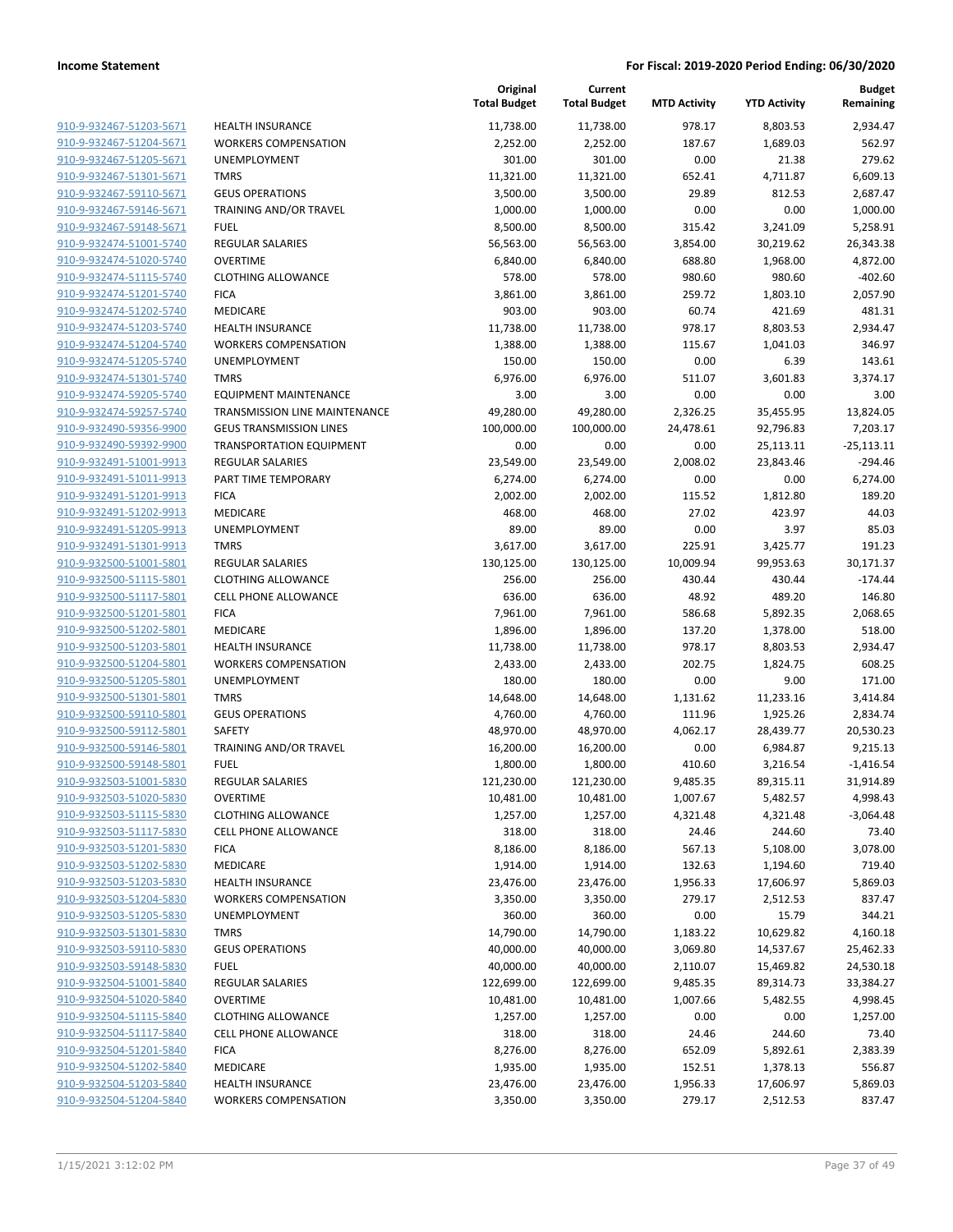| 910-9-932467-51203-5671                                   |  |
|-----------------------------------------------------------|--|
| 910-9-932467-51204-5671                                   |  |
| 910-9-932467-51205-5671                                   |  |
| <u>910-9-932467-51301-5671</u>                            |  |
| 910-9-932467-59110-5671                                   |  |
| 910-9-932467-59146-5671                                   |  |
| 910-9-932467-59148-5671                                   |  |
| 910-9-932474-51001-5740                                   |  |
| <u>910-9-932474-51020-5740</u>                            |  |
| 910-9-932474-51115-5740                                   |  |
| 910-9-932474-51201-5740                                   |  |
| 910-9-932474-51202-5740                                   |  |
| 910-9-932474-51203-5740                                   |  |
| <u>910-9-932474-51204-5740</u>                            |  |
| 910-9-932474-51205-5740                                   |  |
| 910-9-932474-51301-5740                                   |  |
| 910-9-932474-59205-5740                                   |  |
| 910-9-932474-59257-5740                                   |  |
| 910-9-932490-59356-9900                                   |  |
| 910-9-932490-59392-9900                                   |  |
| 910-9-932491-51001-9913                                   |  |
| 910-9-932491-51011-9913                                   |  |
| 910-9-932491-51201-9913                                   |  |
| 910-9-932491-51202-9913                                   |  |
| 910-9-932491-51205-9913                                   |  |
| 910-9-932491-51301-991<br>3                               |  |
| 910-9-932500-51001-5801                                   |  |
| 910-9-932500-51115-5801                                   |  |
| <u>910-9-932500-51117-5801</u>                            |  |
| 910-9-932500-51201-5801                                   |  |
| 910-9-932500-51202-5801                                   |  |
| 910-9-932500-51203-5801                                   |  |
| 910-9-932500-51204-5801                                   |  |
| <u>910-9-932500-51205-5801</u><br>910-9-932500-51301-5801 |  |
| <u>910-9-932500-59110-5801</u>                            |  |
| 910-9-932500-59112-5801                                   |  |
| 910-9-932500-59146-5801                                   |  |
| <u>910-9-932500-59148-5801</u>                            |  |
| 910-9-932503-51001-5830                                   |  |
| 910-9-932503-51020-5830                                   |  |
| 910-9-932503-51115-5830                                   |  |
| 910-9-932503-51117-5830                                   |  |
| <u>910-9-932503-51201-5830</u>                            |  |
| 910-9-932503-51202-5830                                   |  |
| 910-9-932503-51203-5830                                   |  |
| 910-9-932503-51204-5830                                   |  |
| 910-9-932503-51205-5830                                   |  |
| 910-9-932503-51301-5830                                   |  |
| 910-9-932503-59110-5830                                   |  |
| 910-9-932503-59148-5830                                   |  |
| 910-9-932504-51001-5840                                   |  |
| 910-9-932504-51020-5840                                   |  |
| <u>910-9-932504-51115-5840</u>                            |  |
| 910-9-932504-51117-5840                                   |  |
| 910-9-932504-51201-5840                                   |  |
| 910-9-932504-51202-5840                                   |  |
| 910-9-932504-51203-5840                                   |  |
| <u>910-9-932504-51204-5840</u>                            |  |
|                                                           |  |

|                                                    |                                                          | Original<br><b>Total Budget</b> | Current<br><b>Total Budget</b> | <b>MTD Activity</b> | <b>YTD Activity</b> | <b>Budget</b><br>Remaining |
|----------------------------------------------------|----------------------------------------------------------|---------------------------------|--------------------------------|---------------------|---------------------|----------------------------|
| 910-9-932467-51203-5671                            | <b>HEALTH INSURANCE</b>                                  | 11,738.00                       | 11,738.00                      | 978.17              | 8,803.53            | 2,934.47                   |
| 910-9-932467-51204-5671                            | <b>WORKERS COMPENSATION</b>                              | 2,252.00                        | 2,252.00                       | 187.67              | 1,689.03            | 562.97                     |
| 910-9-932467-51205-5671                            | <b>UNEMPLOYMENT</b>                                      | 301.00                          | 301.00                         | 0.00                | 21.38               | 279.62                     |
| 910-9-932467-51301-5671                            | <b>TMRS</b>                                              | 11,321.00                       | 11,321.00                      | 652.41              | 4,711.87            | 6,609.13                   |
| 910-9-932467-59110-5671                            | <b>GEUS OPERATIONS</b>                                   | 3,500.00                        | 3,500.00                       | 29.89               | 812.53              | 2,687.47                   |
| 910-9-932467-59146-5671                            | TRAINING AND/OR TRAVEL                                   | 1,000.00                        | 1,000.00                       | 0.00                | 0.00                | 1,000.00                   |
| 910-9-932467-59148-5671                            | <b>FUEL</b>                                              | 8,500.00                        | 8,500.00                       | 315.42              | 3,241.09            | 5,258.91                   |
| 910-9-932474-51001-5740                            | <b>REGULAR SALARIES</b>                                  | 56,563.00                       | 56,563.00                      | 3,854.00            | 30,219.62           | 26,343.38                  |
| 910-9-932474-51020-5740                            | <b>OVERTIME</b>                                          | 6,840.00                        | 6,840.00                       | 688.80              | 1,968.00            | 4,872.00                   |
| 910-9-932474-51115-5740                            | <b>CLOTHING ALLOWANCE</b>                                | 578.00                          | 578.00                         | 980.60              | 980.60              | $-402.60$                  |
| 910-9-932474-51201-5740                            | <b>FICA</b>                                              | 3,861.00                        | 3,861.00                       | 259.72              | 1,803.10            | 2,057.90                   |
| 910-9-932474-51202-5740                            | MEDICARE                                                 | 903.00                          | 903.00                         | 60.74               | 421.69              | 481.31                     |
| 910-9-932474-51203-5740                            | <b>HEALTH INSURANCE</b>                                  | 11,738.00                       | 11,738.00                      | 978.17              | 8,803.53            | 2,934.47                   |
| 910-9-932474-51204-5740                            | <b>WORKERS COMPENSATION</b>                              | 1,388.00                        | 1,388.00                       | 115.67              | 1,041.03            | 346.97                     |
| 910-9-932474-51205-5740                            | UNEMPLOYMENT                                             | 150.00                          | 150.00                         | 0.00                | 6.39                | 143.61                     |
| 910-9-932474-51301-5740<br>910-9-932474-59205-5740 | <b>TMRS</b><br><b>EQUIPMENT MAINTENANCE</b>              | 6,976.00<br>3.00                | 6,976.00<br>3.00               | 511.07<br>0.00      | 3,601.83            | 3,374.17                   |
| 910-9-932474-59257-5740                            | <b>TRANSMISSION LINE MAINTENANCE</b>                     | 49,280.00                       | 49,280.00                      | 2,326.25            | 0.00<br>35,455.95   | 3.00<br>13,824.05          |
| 910-9-932490-59356-9900                            | <b>GEUS TRANSMISSION LINES</b>                           | 100,000.00                      | 100,000.00                     | 24,478.61           | 92,796.83           | 7,203.17                   |
| 910-9-932490-59392-9900                            | <b>TRANSPORTATION EQUIPMENT</b>                          | 0.00                            | 0.00                           | 0.00                | 25,113.11           | $-25,113.11$               |
| 910-9-932491-51001-9913                            | <b>REGULAR SALARIES</b>                                  | 23,549.00                       | 23,549.00                      | 2,008.02            | 23,843.46           | $-294.46$                  |
| 910-9-932491-51011-9913                            | PART TIME TEMPORARY                                      | 6,274.00                        | 6,274.00                       | 0.00                | 0.00                | 6,274.00                   |
| 910-9-932491-51201-9913                            | <b>FICA</b>                                              | 2,002.00                        | 2,002.00                       | 115.52              | 1,812.80            | 189.20                     |
| 910-9-932491-51202-9913                            | MEDICARE                                                 | 468.00                          | 468.00                         | 27.02               | 423.97              | 44.03                      |
| 910-9-932491-51205-9913                            | <b>UNEMPLOYMENT</b>                                      | 89.00                           | 89.00                          | 0.00                | 3.97                | 85.03                      |
| 910-9-932491-51301-9913                            | <b>TMRS</b>                                              | 3,617.00                        | 3,617.00                       | 225.91              | 3,425.77            | 191.23                     |
| 910-9-932500-51001-5801                            | <b>REGULAR SALARIES</b>                                  | 130,125.00                      | 130,125.00                     | 10,009.94           | 99,953.63           | 30,171.37                  |
| 910-9-932500-51115-5801                            | <b>CLOTHING ALLOWANCE</b>                                | 256.00                          | 256.00                         | 430.44              | 430.44              | $-174.44$                  |
| 910-9-932500-51117-5801                            | <b>CELL PHONE ALLOWANCE</b>                              | 636.00                          | 636.00                         | 48.92               | 489.20              | 146.80                     |
| 910-9-932500-51201-5801                            | <b>FICA</b>                                              | 7,961.00                        | 7,961.00                       | 586.68              | 5,892.35            | 2,068.65                   |
| 910-9-932500-51202-5801                            | MEDICARE                                                 | 1,896.00                        | 1,896.00                       | 137.20              | 1,378.00            | 518.00                     |
| 910-9-932500-51203-5801                            | <b>HEALTH INSURANCE</b>                                  | 11,738.00                       | 11,738.00                      | 978.17              | 8,803.53            | 2,934.47                   |
| 910-9-932500-51204-5801                            | <b>WORKERS COMPENSATION</b>                              | 2,433.00                        | 2,433.00                       | 202.75              | 1,824.75            | 608.25                     |
| 910-9-932500-51205-5801                            | UNEMPLOYMENT                                             | 180.00                          | 180.00                         | 0.00                | 9.00                | 171.00                     |
| 910-9-932500-51301-5801                            | <b>TMRS</b>                                              | 14,648.00                       | 14,648.00                      | 1,131.62            | 11,233.16           | 3,414.84                   |
| 910-9-932500-59110-5801                            | <b>GEUS OPERATIONS</b>                                   | 4,760.00                        | 4,760.00                       | 111.96              | 1,925.26            | 2,834.74                   |
| 910-9-932500-59112-5801                            | SAFETY                                                   | 48,970.00                       | 48,970.00                      | 4,062.17            | 28,439.77           | 20,530.23                  |
| 910-9-932500-59146-5801                            | <b>TRAINING AND/OR TRAVEL</b>                            | 16,200.00                       | 16,200.00                      | 0.00                | 6,984.87            | 9,215.13                   |
| 910-9-932500-59148-5801                            | <b>FUEL</b>                                              | 1,800.00                        | 1,800.00                       | 410.60              | 3,216.54            | $-1,416.54$                |
| 910-9-932503-51001-5830                            | REGULAR SALARIES                                         | 121,230.00                      | 121,230.00                     | 9,485.35            | 89,315.11           | 31,914.89                  |
| 910-9-932503-51020-5830                            | <b>OVERTIME</b>                                          | 10,481.00                       | 10,481.00                      | 1,007.67            | 5,482.57            | 4,998.43                   |
| 910-9-932503-51115-5830                            | <b>CLOTHING ALLOWANCE</b>                                | 1,257.00                        | 1,257.00                       | 4,321.48            | 4,321.48            | $-3,064.48$                |
| 910-9-932503-51117-5830                            | <b>CELL PHONE ALLOWANCE</b>                              | 318.00                          | 318.00                         | 24.46               | 244.60              | 73.40                      |
| 910-9-932503-51201-5830                            | <b>FICA</b>                                              | 8,186.00                        | 8,186.00                       | 567.13              | 5,108.00            | 3,078.00                   |
| 910-9-932503-51202-5830                            | MEDICARE                                                 | 1,914.00                        | 1,914.00                       | 132.63              | 1,194.60            | 719.40                     |
| 910-9-932503-51203-5830                            | <b>HEALTH INSURANCE</b>                                  | 23,476.00                       | 23,476.00                      | 1,956.33            | 17,606.97           | 5,869.03                   |
| 910-9-932503-51204-5830                            | <b>WORKERS COMPENSATION</b>                              | 3,350.00                        | 3,350.00                       | 279.17              | 2,512.53            | 837.47                     |
| 910-9-932503-51205-5830                            | <b>UNEMPLOYMENT</b>                                      | 360.00                          | 360.00                         | 0.00                | 15.79               | 344.21                     |
| 910-9-932503-51301-5830                            | <b>TMRS</b>                                              | 14,790.00                       | 14,790.00                      | 1,183.22            | 10,629.82           | 4,160.18                   |
| 910-9-932503-59110-5830                            | <b>GEUS OPERATIONS</b>                                   | 40,000.00                       | 40,000.00                      | 3,069.80            | 14,537.67           | 25,462.33                  |
| 910-9-932503-59148-5830                            | <b>FUEL</b>                                              | 40,000.00                       | 40,000.00                      | 2,110.07            | 15,469.82           | 24,530.18                  |
| 910-9-932504-51001-5840                            | REGULAR SALARIES<br><b>OVERTIME</b>                      | 122,699.00                      | 122,699.00                     | 9,485.35            | 89,314.73           | 33,384.27                  |
| 910-9-932504-51020-5840<br>910-9-932504-51115-5840 |                                                          | 10,481.00                       | 10,481.00                      | 1,007.66            | 5,482.55            | 4,998.45                   |
| 910-9-932504-51117-5840                            | <b>CLOTHING ALLOWANCE</b><br><b>CELL PHONE ALLOWANCE</b> | 1,257.00                        | 1,257.00<br>318.00             | 0.00                | 0.00<br>244.60      | 1,257.00                   |
| 910-9-932504-51201-5840                            | <b>FICA</b>                                              | 318.00<br>8,276.00              | 8,276.00                       | 24.46<br>652.09     | 5,892.61            | 73.40<br>2,383.39          |
| 910-9-932504-51202-5840                            | MEDICARE                                                 | 1,935.00                        | 1,935.00                       | 152.51              | 1,378.13            | 556.87                     |
| 910-9-932504-51203-5840                            | <b>HEALTH INSURANCE</b>                                  | 23,476.00                       | 23,476.00                      | 1,956.33            | 17,606.97           | 5,869.03                   |
| 910-9-932504-51204-5840                            | <b>WORKERS COMPENSATION</b>                              | 3,350.00                        | 3,350.00                       | 279.17              | 2,512.53            | 837.47                     |
|                                                    |                                                          |                                 |                                |                     |                     |                            |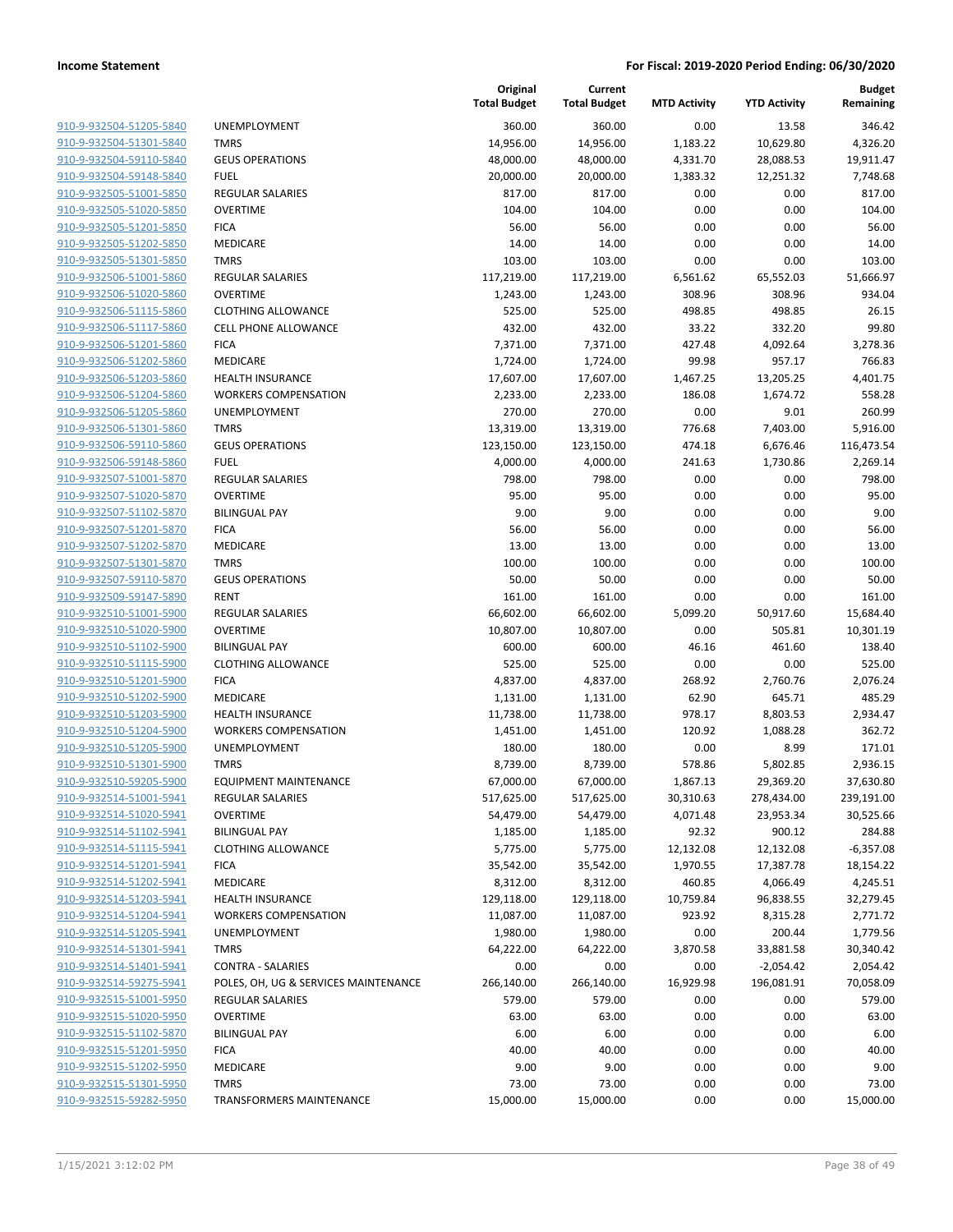| 910-9-932504-51205-5840        |
|--------------------------------|
| 910-9-932504-51301-5840        |
| 910-9-932504-59110-5840        |
| 910-9-932504-59148-5840        |
| 910-9-932505-51001-5850        |
| 910-9-932505-51020-5850        |
| 910-9-932505-51201-5850        |
| 910-9-932505-51202-5850        |
| 910-9-932505-51301-5850        |
| 910-9-932506-51001-5860        |
| 910-9-932506-51020-5860        |
| 910-9-932506-51115-5860        |
| 910-9-932506-51117-5860        |
|                                |
| 910-9-932506-51201-5860        |
| 910-9-932506-51202-5860        |
| 910-9-932506-51203-5860        |
| 910-9-932506-51204-5860        |
| 910-9-932506-51205-5860        |
| 910-9-932506-51301-5860        |
| 910-9-932506-59110-5860        |
| 910-9-932506-59148-5860        |
| 910-9-932507-51001-5870        |
| 910-9-932507-51020-5870        |
| 910-9-932507-51102-5870        |
| 910-9-932507-51201-5870        |
| 910-9-932507-51202-5870        |
| 910-9-932507-51301-5870        |
| 910-9-932507-59110-5870        |
| 910-9-932509-59147-5890        |
|                                |
| 910-9-932510-51001-5900        |
| 910-9-932510-51020-5900        |
| 910-9-932510-51102-5900        |
| 910-9-932510-51115-5900        |
| 910-9-932510-51201-5900        |
| 910-9-932510-51202-5900        |
| 910-9-932510-51203-5900        |
| 910-9-932510-51204-5900        |
| 910-9-932510-51205-5900        |
| 910-9-932510-51301-5900        |
| 910-9-932510-59205-5900        |
| <u>910-9-932514-51001-5941</u> |
| <u>910-9-932514-51020-5941</u> |
| 910-9-932514-51102-5941        |
| 910-9-932514-51115-5941        |
| 910-9-932514-51201-5941        |
| 910-9-932514-51202-5941        |
|                                |
| 910-9-932514-51203-5941        |
| <u>910-9-932514-51204-5941</u> |
| 910-9-932514-51205-5941        |
| 910-9-932514-51301-5941        |
| <u>910-9-932514-51401-5941</u> |
| 910-9-932514-59275-5941        |
| <u>910-9-932515-51001-5950</u> |
| 910-9-932515-51020-5950        |
| 910-9-932515-51102-5870        |
| 910-9-932515-51201-5950        |
| 910-9-932515-51202-5950        |
| <u>910-9-932515-51301-5950</u> |
| 910-9-932515-59282-5950        |
|                                |

|                         |                                      | Original<br><b>Total Budget</b> | Current<br><b>Total Budget</b> | <b>MTD Activity</b> | <b>YTD Activity</b> | <b>Budget</b><br>Remaining |
|-------------------------|--------------------------------------|---------------------------------|--------------------------------|---------------------|---------------------|----------------------------|
| 910-9-932504-51205-5840 | <b>UNEMPLOYMENT</b>                  | 360.00                          | 360.00                         | 0.00                | 13.58               | 346.42                     |
| 910-9-932504-51301-5840 | <b>TMRS</b>                          | 14,956.00                       | 14,956.00                      | 1,183.22            | 10,629.80           | 4,326.20                   |
| 910-9-932504-59110-5840 | <b>GEUS OPERATIONS</b>               | 48,000.00                       | 48,000.00                      | 4,331.70            | 28,088.53           | 19,911.47                  |
| 910-9-932504-59148-5840 | <b>FUEL</b>                          | 20,000.00                       | 20,000.00                      | 1,383.32            | 12,251.32           | 7,748.68                   |
| 910-9-932505-51001-5850 | REGULAR SALARIES                     | 817.00                          | 817.00                         | 0.00                | 0.00                | 817.00                     |
| 910-9-932505-51020-5850 | <b>OVERTIME</b>                      | 104.00                          | 104.00                         | 0.00                | 0.00                | 104.00                     |
| 910-9-932505-51201-5850 | <b>FICA</b>                          | 56.00                           | 56.00                          | 0.00                | 0.00                | 56.00                      |
| 910-9-932505-51202-5850 | MEDICARE                             | 14.00                           | 14.00                          | 0.00                | 0.00                | 14.00                      |
| 910-9-932505-51301-5850 | <b>TMRS</b>                          | 103.00                          | 103.00                         | 0.00                | 0.00                | 103.00                     |
| 910-9-932506-51001-5860 | REGULAR SALARIES                     | 117,219.00                      | 117,219.00                     | 6,561.62            | 65,552.03           | 51,666.97                  |
| 910-9-932506-51020-5860 | <b>OVERTIME</b>                      | 1,243.00                        | 1,243.00                       | 308.96              | 308.96              | 934.04                     |
| 910-9-932506-51115-5860 | <b>CLOTHING ALLOWANCE</b>            | 525.00                          | 525.00                         | 498.85              | 498.85              | 26.15                      |
| 910-9-932506-51117-5860 | CELL PHONE ALLOWANCE                 | 432.00                          | 432.00                         | 33.22               | 332.20              | 99.80                      |
| 910-9-932506-51201-5860 | <b>FICA</b>                          | 7,371.00                        | 7,371.00                       | 427.48              | 4,092.64            | 3,278.36                   |
| 910-9-932506-51202-5860 | MEDICARE                             | 1,724.00                        | 1,724.00                       | 99.98               | 957.17              | 766.83                     |
| 910-9-932506-51203-5860 | <b>HEALTH INSURANCE</b>              | 17,607.00                       | 17,607.00                      | 1,467.25            | 13,205.25           | 4,401.75                   |
| 910-9-932506-51204-5860 | <b>WORKERS COMPENSATION</b>          | 2,233.00                        | 2,233.00                       | 186.08              | 1,674.72            | 558.28                     |
| 910-9-932506-51205-5860 | UNEMPLOYMENT                         | 270.00                          | 270.00                         | 0.00                | 9.01                | 260.99                     |
| 910-9-932506-51301-5860 | <b>TMRS</b>                          | 13,319.00                       | 13,319.00                      | 776.68              | 7,403.00            | 5,916.00                   |
| 910-9-932506-59110-5860 | <b>GEUS OPERATIONS</b>               | 123,150.00                      | 123,150.00                     | 474.18              | 6,676.46            | 116,473.54                 |
| 910-9-932506-59148-5860 | <b>FUEL</b>                          | 4,000.00                        | 4,000.00                       | 241.63              | 1,730.86            | 2,269.14                   |
| 910-9-932507-51001-5870 | <b>REGULAR SALARIES</b>              | 798.00                          | 798.00                         | 0.00                | 0.00                | 798.00                     |
| 910-9-932507-51020-5870 | <b>OVERTIME</b>                      | 95.00                           | 95.00                          | 0.00                | 0.00                | 95.00                      |
| 910-9-932507-51102-5870 | <b>BILINGUAL PAY</b>                 | 9.00                            | 9.00                           | 0.00                | 0.00                | 9.00                       |
| 910-9-932507-51201-5870 | <b>FICA</b>                          | 56.00                           | 56.00                          | 0.00                | 0.00                | 56.00                      |
| 910-9-932507-51202-5870 | MEDICARE                             | 13.00                           | 13.00                          | 0.00                | 0.00                | 13.00                      |
| 910-9-932507-51301-5870 | <b>TMRS</b>                          | 100.00                          | 100.00                         | 0.00                | 0.00                | 100.00                     |
| 910-9-932507-59110-5870 | <b>GEUS OPERATIONS</b>               | 50.00                           | 50.00                          | 0.00                | 0.00                | 50.00                      |
| 910-9-932509-59147-5890 | <b>RENT</b>                          | 161.00                          | 161.00                         | 0.00                | 0.00                | 161.00                     |
| 910-9-932510-51001-5900 | REGULAR SALARIES                     | 66,602.00                       | 66,602.00                      | 5,099.20            | 50,917.60           | 15,684.40                  |
| 910-9-932510-51020-5900 | <b>OVERTIME</b>                      | 10,807.00                       | 10,807.00                      | 0.00                | 505.81              | 10,301.19                  |
| 910-9-932510-51102-5900 | <b>BILINGUAL PAY</b>                 | 600.00                          | 600.00                         | 46.16               | 461.60              | 138.40                     |
| 910-9-932510-51115-5900 | <b>CLOTHING ALLOWANCE</b>            | 525.00                          | 525.00                         | 0.00                | 0.00                | 525.00                     |
| 910-9-932510-51201-5900 | <b>FICA</b>                          | 4,837.00                        | 4,837.00                       | 268.92              | 2,760.76            | 2,076.24                   |
| 910-9-932510-51202-5900 | MEDICARE                             | 1,131.00                        | 1,131.00                       | 62.90               | 645.71              | 485.29                     |
| 910-9-932510-51203-5900 | <b>HEALTH INSURANCE</b>              | 11,738.00                       | 11,738.00                      | 978.17              | 8,803.53            | 2,934.47                   |
| 910-9-932510-51204-5900 | <b>WORKERS COMPENSATION</b>          | 1,451.00                        | 1,451.00                       | 120.92              | 1,088.28            | 362.72                     |
| 910-9-932510-51205-5900 | UNEMPLOYMENT                         | 180.00                          | 180.00                         | 0.00                | 8.99                | 171.01                     |
| 910-9-932510-51301-5900 | <b>TMRS</b>                          | 8,739.00                        | 8,739.00                       | 578.86              | 5,802.85            | 2,936.15                   |
| 910-9-932510-59205-5900 | <b>EQUIPMENT MAINTENANCE</b>         | 67,000.00                       | 67,000.00                      | 1,867.13            | 29,369.20           | 37,630.80                  |
| 910-9-932514-51001-5941 | REGULAR SALARIES                     | 517,625.00                      | 517,625.00                     | 30,310.63           | 278,434.00          | 239,191.00                 |
| 910-9-932514-51020-5941 | <b>OVERTIME</b>                      | 54,479.00                       | 54,479.00                      | 4,071.48            | 23,953.34           | 30,525.66                  |
| 910-9-932514-51102-5941 | <b>BILINGUAL PAY</b>                 | 1,185.00                        | 1,185.00                       | 92.32               | 900.12              | 284.88                     |
| 910-9-932514-51115-5941 | <b>CLOTHING ALLOWANCE</b>            | 5,775.00                        | 5,775.00                       | 12,132.08           | 12,132.08           | $-6,357.08$                |
| 910-9-932514-51201-5941 | <b>FICA</b>                          | 35,542.00                       | 35,542.00                      | 1,970.55            | 17,387.78           | 18,154.22                  |
| 910-9-932514-51202-5941 | MEDICARE                             | 8,312.00                        | 8,312.00                       | 460.85              | 4,066.49            | 4,245.51                   |
| 910-9-932514-51203-5941 | <b>HEALTH INSURANCE</b>              | 129,118.00                      | 129,118.00                     | 10,759.84           | 96,838.55           | 32,279.45                  |
| 910-9-932514-51204-5941 | <b>WORKERS COMPENSATION</b>          | 11,087.00                       | 11,087.00                      | 923.92              | 8,315.28            | 2,771.72                   |
| 910-9-932514-51205-5941 | UNEMPLOYMENT                         | 1,980.00                        | 1,980.00                       | 0.00                | 200.44              | 1,779.56                   |
| 910-9-932514-51301-5941 | <b>TMRS</b>                          | 64,222.00                       | 64,222.00                      | 3,870.58            | 33,881.58           | 30,340.42                  |
| 910-9-932514-51401-5941 | <b>CONTRA - SALARIES</b>             | 0.00                            | 0.00                           | 0.00                | $-2,054.42$         | 2,054.42                   |
| 910-9-932514-59275-5941 | POLES, OH, UG & SERVICES MAINTENANCE | 266,140.00                      | 266,140.00                     | 16,929.98           | 196,081.91          | 70,058.09                  |
| 910-9-932515-51001-5950 | REGULAR SALARIES                     | 579.00                          | 579.00                         | 0.00                | 0.00                | 579.00                     |
| 910-9-932515-51020-5950 | <b>OVERTIME</b>                      | 63.00                           | 63.00                          | 0.00                | 0.00                | 63.00                      |
| 910-9-932515-51102-5870 | <b>BILINGUAL PAY</b>                 | 6.00                            | 6.00                           | 0.00                | 0.00                | 6.00                       |
| 910-9-932515-51201-5950 | <b>FICA</b>                          | 40.00                           | 40.00                          | 0.00                | 0.00                | 40.00                      |
| 910-9-932515-51202-5950 | MEDICARE                             | 9.00                            | 9.00                           | 0.00                | 0.00                | 9.00                       |
| 910-9-932515-51301-5950 | <b>TMRS</b>                          | 73.00                           | 73.00                          | 0.00                | 0.00                | 73.00                      |
| 910-9-932515-59282-5950 | TRANSFORMERS MAINTENANCE             | 15,000.00                       | 15,000.00                      | 0.00                | 0.00                | 15,000.00                  |
|                         |                                      |                                 |                                |                     |                     |                            |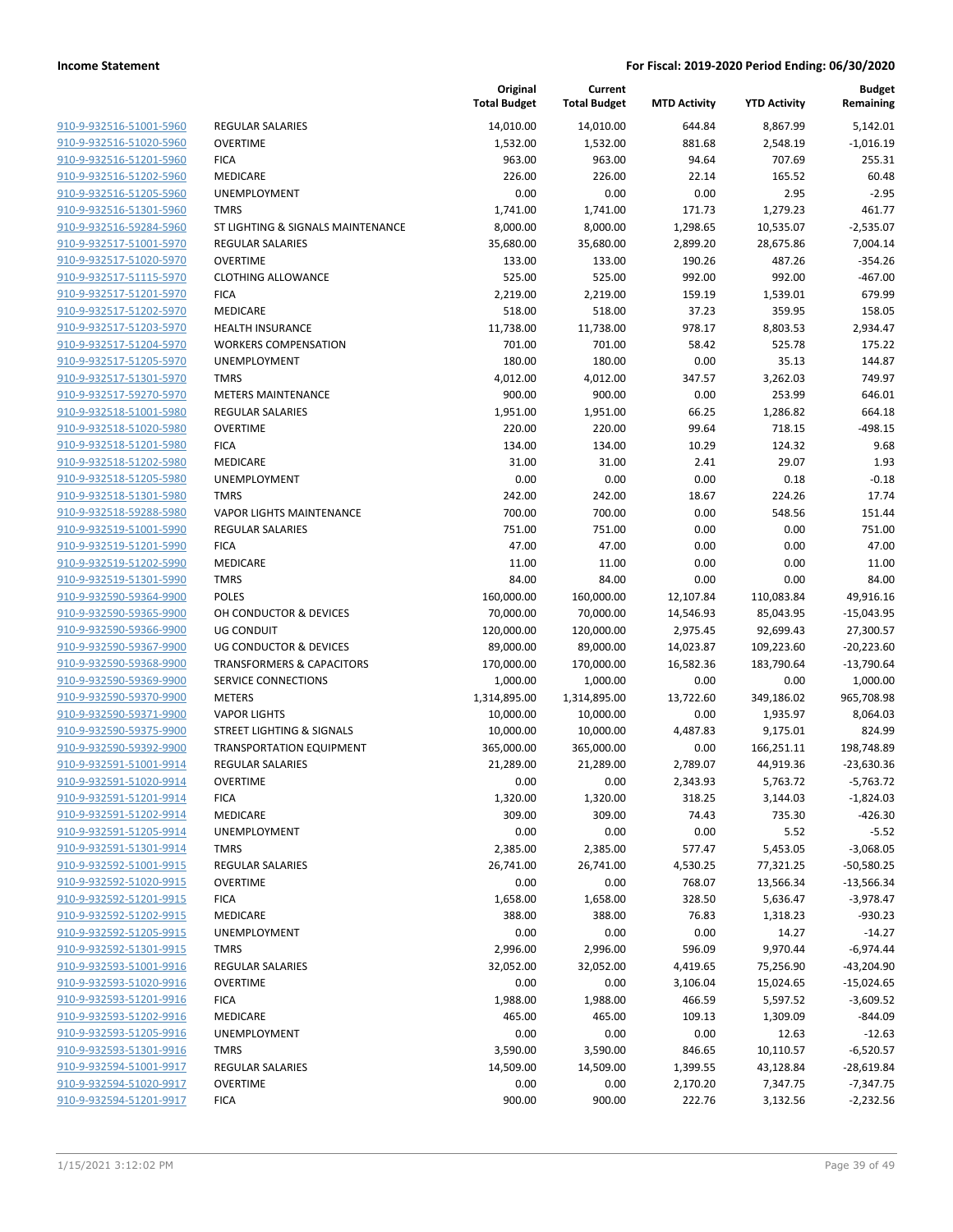|                                                    |                                      | Original<br><b>Total Budget</b> | Current<br><b>Total Budget</b> | <b>MTD Activity</b> | <b>YTD Activity</b> | <b>Budget</b><br>Remaining |
|----------------------------------------------------|--------------------------------------|---------------------------------|--------------------------------|---------------------|---------------------|----------------------------|
| 910-9-932516-51001-5960                            | <b>REGULAR SALARIES</b>              | 14,010.00                       | 14,010.00                      | 644.84              | 8,867.99            | 5,142.01                   |
| 910-9-932516-51020-5960                            | <b>OVERTIME</b>                      | 1,532.00                        | 1,532.00                       | 881.68              | 2,548.19            | $-1,016.19$                |
| 910-9-932516-51201-5960                            | <b>FICA</b>                          | 963.00                          | 963.00                         | 94.64               | 707.69              | 255.31                     |
| 910-9-932516-51202-5960                            | MEDICARE                             | 226.00                          | 226.00                         | 22.14               | 165.52              | 60.48                      |
| 910-9-932516-51205-5960                            | <b>UNEMPLOYMENT</b>                  | 0.00                            | 0.00                           | 0.00                | 2.95                | $-2.95$                    |
| 910-9-932516-51301-5960                            | <b>TMRS</b>                          | 1,741.00                        | 1,741.00                       | 171.73              | 1,279.23            | 461.77                     |
| 910-9-932516-59284-5960                            | ST LIGHTING & SIGNALS MAINTENANCE    | 8,000.00                        | 8,000.00                       | 1,298.65            | 10,535.07           | $-2,535.07$                |
| 910-9-932517-51001-5970                            | REGULAR SALARIES                     | 35,680.00                       | 35,680.00                      | 2,899.20            | 28,675.86           | 7,004.14                   |
| 910-9-932517-51020-5970                            | <b>OVERTIME</b>                      | 133.00                          | 133.00                         | 190.26              | 487.26              | $-354.26$                  |
| 910-9-932517-51115-5970                            | <b>CLOTHING ALLOWANCE</b>            | 525.00                          | 525.00                         | 992.00              | 992.00              | $-467.00$                  |
| 910-9-932517-51201-5970                            | <b>FICA</b>                          | 2,219.00                        | 2,219.00                       | 159.19              | 1,539.01            | 679.99                     |
| 910-9-932517-51202-5970                            | MEDICARE                             | 518.00                          | 518.00                         | 37.23               | 359.95              | 158.05                     |
| 910-9-932517-51203-5970                            | <b>HEALTH INSURANCE</b>              | 11,738.00                       | 11,738.00                      | 978.17              | 8,803.53            | 2,934.47                   |
| 910-9-932517-51204-5970                            | <b>WORKERS COMPENSATION</b>          | 701.00                          | 701.00                         | 58.42               | 525.78              | 175.22                     |
| 910-9-932517-51205-5970                            | UNEMPLOYMENT                         | 180.00                          | 180.00                         | 0.00                | 35.13               | 144.87                     |
| 910-9-932517-51301-5970                            | <b>TMRS</b>                          | 4,012.00                        | 4,012.00                       | 347.57              | 3,262.03            | 749.97                     |
| 910-9-932517-59270-5970                            | <b>METERS MAINTENANCE</b>            | 900.00                          | 900.00                         | 0.00                | 253.99              | 646.01                     |
| 910-9-932518-51001-5980                            | REGULAR SALARIES                     | 1,951.00                        | 1,951.00                       | 66.25               | 1,286.82            | 664.18                     |
| 910-9-932518-51020-5980                            | <b>OVERTIME</b>                      | 220.00                          | 220.00                         | 99.64               | 718.15              | $-498.15$                  |
| 910-9-932518-51201-5980                            | <b>FICA</b>                          | 134.00                          | 134.00                         | 10.29               | 124.32              | 9.68                       |
| 910-9-932518-51202-5980                            | <b>MEDICARE</b>                      | 31.00                           | 31.00                          | 2.41                | 29.07               | 1.93                       |
| 910-9-932518-51205-5980                            | UNEMPLOYMENT                         | 0.00                            | 0.00                           | 0.00                | 0.18                | $-0.18$                    |
| 910-9-932518-51301-5980                            | <b>TMRS</b>                          | 242.00                          | 242.00                         | 18.67               | 224.26              | 17.74                      |
| 910-9-932518-59288-5980                            | <b>VAPOR LIGHTS MAINTENANCE</b>      | 700.00                          | 700.00                         | 0.00                | 548.56              | 151.44                     |
| 910-9-932519-51001-5990                            | <b>REGULAR SALARIES</b>              | 751.00                          | 751.00                         | 0.00                | 0.00                | 751.00                     |
| 910-9-932519-51201-5990                            | <b>FICA</b>                          | 47.00                           | 47.00                          | 0.00                | 0.00                | 47.00                      |
| 910-9-932519-51202-5990                            | MEDICARE                             | 11.00                           | 11.00                          | 0.00                | 0.00                | 11.00                      |
| 910-9-932519-51301-5990                            | <b>TMRS</b>                          | 84.00                           | 84.00                          | 0.00                | 0.00                | 84.00                      |
| 910-9-932590-59364-9900                            | <b>POLES</b>                         | 160,000.00                      | 160,000.00                     | 12,107.84           | 110,083.84          | 49,916.16                  |
| 910-9-932590-59365-9900                            | OH CONDUCTOR & DEVICES               | 70,000.00                       | 70,000.00                      | 14,546.93           | 85,043.95           | $-15,043.95$               |
| 910-9-932590-59366-9900                            | <b>UG CONDUIT</b>                    | 120,000.00                      | 120,000.00                     | 2,975.45            | 92,699.43           | 27,300.57                  |
| 910-9-932590-59367-9900                            | UG CONDUCTOR & DEVICES               | 89,000.00                       | 89,000.00                      | 14,023.87           | 109,223.60          | $-20,223.60$               |
| 910-9-932590-59368-9900                            | <b>TRANSFORMERS &amp; CAPACITORS</b> | 170,000.00                      | 170,000.00                     | 16,582.36           | 183,790.64          | $-13,790.64$               |
| 910-9-932590-59369-9900                            | SERVICE CONNECTIONS                  | 1,000.00                        | 1,000.00                       | 0.00                | 0.00                | 1,000.00                   |
| 910-9-932590-59370-9900                            | <b>METERS</b>                        | 1,314,895.00                    | 1,314,895.00                   | 13,722.60           | 349,186.02          | 965,708.98                 |
| 910-9-932590-59371-9900                            | <b>VAPOR LIGHTS</b>                  | 10,000.00                       | 10,000.00                      | 0.00                | 1,935.97            | 8,064.03                   |
| 910-9-932590-59375-9900                            | <b>STREET LIGHTING &amp; SIGNALS</b> | 10,000.00                       | 10,000.00                      | 4,487.83            | 9,175.01            | 824.99                     |
| 910-9-932590-59392-9900                            | <b>TRANSPORTATION EQUIPMENT</b>      | 365,000.00                      | 365,000.00                     | 0.00                | 166,251.11          | 198,748.89                 |
| 910-9-932591-51001-9914<br>910-9-932591-51020-9914 | <b>REGULAR SALARIES</b>              | 21,289.00                       | 21,289.00                      | 2,789.07            | 44,919.36           | $-23,630.36$               |
| 910-9-932591-51201-9914                            | <b>OVERTIME</b>                      | 0.00<br>1,320.00                | 0.00<br>1,320.00               | 2,343.93            | 5,763.72            | $-5,763.72$                |
| 910-9-932591-51202-9914                            | <b>FICA</b><br>MEDICARE              | 309.00                          | 309.00                         | 318.25<br>74.43     | 3,144.03<br>735.30  | $-1,824.03$<br>$-426.30$   |
| 910-9-932591-51205-9914                            | UNEMPLOYMENT                         | 0.00                            | 0.00                           | 0.00                | 5.52                | $-5.52$                    |
| 910-9-932591-51301-9914                            | <b>TMRS</b>                          | 2,385.00                        | 2,385.00                       | 577.47              | 5,453.05            | $-3,068.05$                |
| 910-9-932592-51001-9915                            | <b>REGULAR SALARIES</b>              | 26,741.00                       | 26,741.00                      | 4,530.25            | 77,321.25           | $-50,580.25$               |
| 910-9-932592-51020-9915                            | <b>OVERTIME</b>                      | 0.00                            | 0.00                           | 768.07              | 13,566.34           | $-13,566.34$               |
| 910-9-932592-51201-9915                            | <b>FICA</b>                          | 1,658.00                        | 1,658.00                       | 328.50              | 5,636.47            | $-3,978.47$                |
| 910-9-932592-51202-9915                            | MEDICARE                             | 388.00                          | 388.00                         | 76.83               | 1,318.23            | $-930.23$                  |
| 910-9-932592-51205-9915                            | UNEMPLOYMENT                         | 0.00                            | 0.00                           | 0.00                | 14.27               | $-14.27$                   |
| 910-9-932592-51301-9915                            | <b>TMRS</b>                          | 2,996.00                        | 2,996.00                       | 596.09              | 9,970.44            | $-6,974.44$                |
| 910-9-932593-51001-9916                            | REGULAR SALARIES                     | 32,052.00                       | 32,052.00                      | 4,419.65            | 75,256.90           | $-43,204.90$               |
| 910-9-932593-51020-9916                            | <b>OVERTIME</b>                      | 0.00                            | 0.00                           | 3,106.04            | 15,024.65           | $-15,024.65$               |
| 910-9-932593-51201-9916                            | <b>FICA</b>                          | 1,988.00                        | 1,988.00                       | 466.59              | 5,597.52            | $-3,609.52$                |
| 910-9-932593-51202-9916                            | MEDICARE                             | 465.00                          | 465.00                         | 109.13              | 1,309.09            | $-844.09$                  |
| 910-9-932593-51205-9916                            | UNEMPLOYMENT                         | 0.00                            | 0.00                           | 0.00                | 12.63               | $-12.63$                   |
| 910-9-932593-51301-9916                            | <b>TMRS</b>                          | 3,590.00                        | 3,590.00                       | 846.65              | 10,110.57           | $-6,520.57$                |
| 910-9-932594-51001-9917                            | <b>REGULAR SALARIES</b>              | 14,509.00                       | 14,509.00                      | 1,399.55            | 43,128.84           | $-28,619.84$               |
| 910-9-932594-51020-9917                            | <b>OVERTIME</b>                      | 0.00                            | 0.00                           | 2,170.20            | 7,347.75            | $-7,347.75$                |
| 910-9-932594-51201-9917                            | <b>FICA</b>                          | 900.00                          | 900.00                         | 222.76              |                     | $-2,232.56$                |
|                                                    |                                      |                                 |                                |                     | 3,132.56            |                            |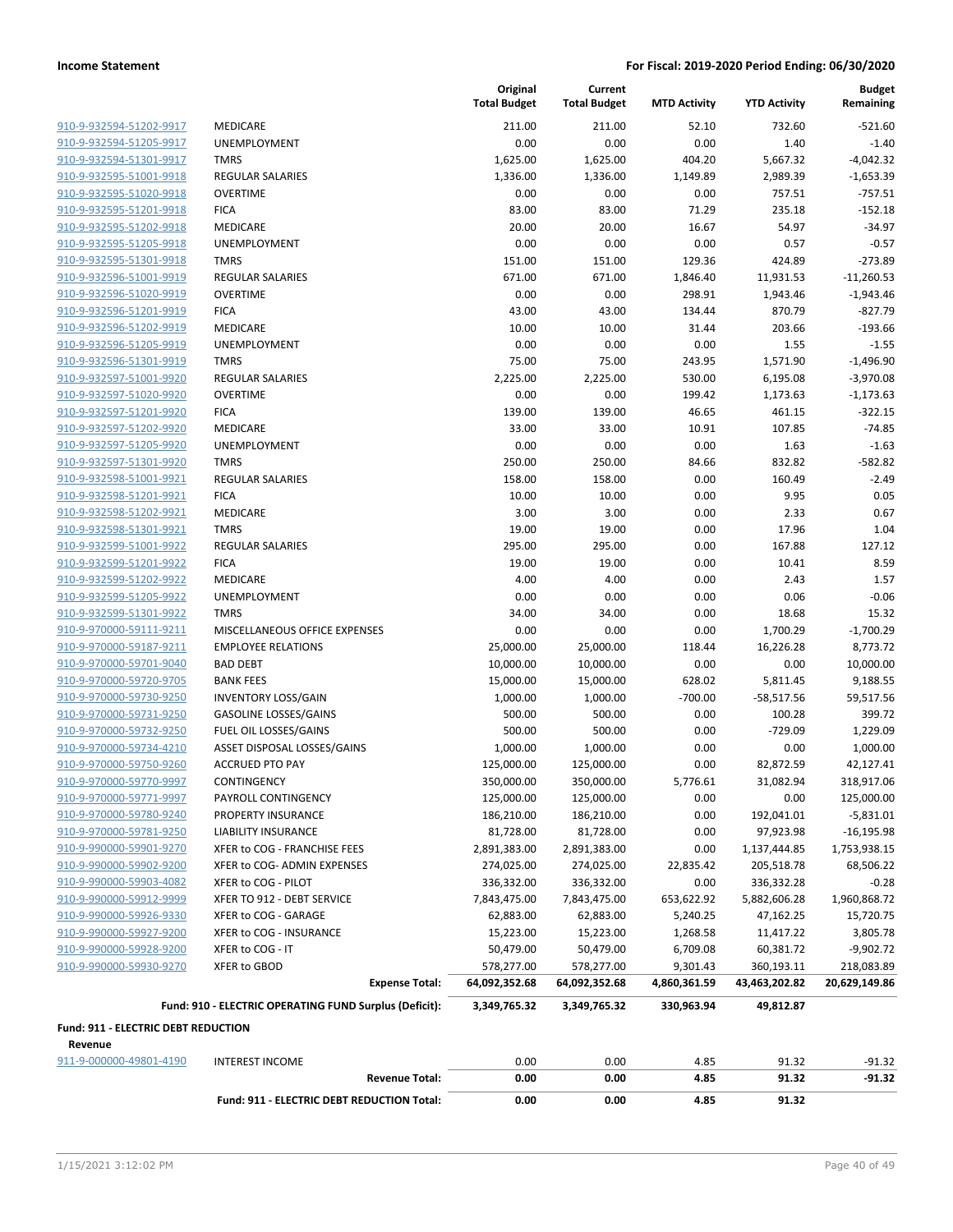| 910-9-932594-51202-9917 | MEI        |
|-------------------------|------------|
| 910-9-932594-51205-9917 | UNI        |
| 910-9-932594-51301-9917 | <b>TMI</b> |
| 910-9-932595-51001-9918 | <b>REG</b> |
| 910-9-932595-51020-9918 | OVE        |
| 910-9-932595-51201-9918 | FIC/       |
| 910-9-932595-51202-9918 | ME         |
| 910-9-932595-51205-9918 | UNI        |
| 910-9-932595-51301-9918 | <b>TMI</b> |
| 910-9-932596-51001-9919 | REG        |
| 910-9-932596-51020-9919 | OVE        |
| 910-9-932596-51201-9919 | FIC/       |
| 910-9-932596-51202-9919 | MEI        |
| 910-9-932596-51205-9919 | UNI        |
| 910-9-932596-51301-9919 | TMI        |
| 910-9-932597-51001-9920 | REG        |
| 910-9-932597-51020-9920 | OVE        |
| 910-9-932597-51201-9920 | FIC/       |
| 910-9-932597-51202-9920 | MEI        |
| 910-9-932597-51205-9920 | UNI        |
| 910-9-932597-51301-9920 | TMI        |
| 910-9-932598-51001-9921 | REG        |
| 910-9-932598-51201-9921 | FIC/       |
| 910-9-932598-51202-9921 | ME         |
| 910-9-932598-51301-9921 | TMI        |
| 910-9-932599-51001-9922 | REG        |
| 910-9-932599-51201-9922 | FIC/       |
| 910-9-932599-51202-9922 | MEI        |
| 910-9-932599-51205-9922 | UNI        |
| 910-9-932599-51301-9922 | TMI        |
| 910-9-970000-59111-9211 | <b>MIS</b> |
| 910-9-970000-59187-9211 | <b>EMI</b> |
| 910-9-970000-59701-9040 | BAD        |
| 910-9-970000-59720-9705 | BAN        |
| 910-9-970000-59730-9250 | INV        |
| 910-9-970000-59731-9250 | <b>GAS</b> |
| 910-9-970000-59732-9250 | <b>FUE</b> |
| 910-9-970000-59734-4210 | ASS        |
| 910-9-970000-59750-9260 | ACC        |
| 910-9-970000-59770-9997 | COI        |
| 910-9-970000-59771-9997 | PAY        |
| 910-9-970000-59780-9240 | PRC        |
| 910-9-970000-59781-9250 | liai       |
| 910-9-990000-59901-9270 | <b>XFE</b> |
| 910-9-990000-59902-9200 | XFE        |
| 910-9-990000-59903-4082 | XFE        |
| 910-9-990000-59912-9999 | XFE        |
| 910-9-990000-59926-9330 | XFE        |
| 910-9-990000-59927-9200 | XFE        |
| 910-9-990000-59928-9200 | XFE        |
| 910-9-990000-59930-9270 | XFE        |
|                         |            |
|                         |            |

|                                     |                                                        | Original<br><b>Total Budget</b> | Current<br><b>Total Budget</b> | <b>MTD Activity</b> | <b>YTD Activity</b> | <b>Budget</b><br>Remaining |
|-------------------------------------|--------------------------------------------------------|---------------------------------|--------------------------------|---------------------|---------------------|----------------------------|
| 910-9-932594-51202-9917             | <b>MEDICARE</b>                                        | 211.00                          | 211.00                         | 52.10               | 732.60              | $-521.60$                  |
| 910-9-932594-51205-9917             | UNEMPLOYMENT                                           | 0.00                            | 0.00                           | 0.00                | 1.40                | $-1.40$                    |
| 910-9-932594-51301-9917             | <b>TMRS</b>                                            | 1,625.00                        | 1,625.00                       | 404.20              | 5,667.32            | $-4,042.32$                |
| 910-9-932595-51001-9918             | <b>REGULAR SALARIES</b>                                | 1,336.00                        | 1,336.00                       | 1,149.89            | 2,989.39            | $-1,653.39$                |
| 910-9-932595-51020-9918             | <b>OVERTIME</b>                                        | 0.00                            | 0.00                           | 0.00                | 757.51              | $-757.51$                  |
| 910-9-932595-51201-9918             | <b>FICA</b>                                            | 83.00                           | 83.00                          | 71.29               | 235.18              | $-152.18$                  |
| 910-9-932595-51202-9918             | MEDICARE                                               | 20.00                           | 20.00                          | 16.67               | 54.97               | $-34.97$                   |
| 910-9-932595-51205-9918             | UNEMPLOYMENT                                           | 0.00                            | 0.00                           | 0.00                | 0.57                | $-0.57$                    |
| 910-9-932595-51301-9918             | <b>TMRS</b>                                            | 151.00                          | 151.00                         | 129.36              | 424.89              | $-273.89$                  |
| 910-9-932596-51001-9919             | <b>REGULAR SALARIES</b>                                | 671.00                          | 671.00                         | 1,846.40            | 11,931.53           | $-11,260.53$               |
| 910-9-932596-51020-9919             | <b>OVERTIME</b>                                        | 0.00                            | 0.00                           | 298.91              | 1,943.46            | $-1,943.46$                |
| 910-9-932596-51201-9919             | <b>FICA</b>                                            | 43.00                           | 43.00                          | 134.44              | 870.79              | $-827.79$                  |
| 910-9-932596-51202-9919             | MEDICARE                                               | 10.00                           | 10.00                          | 31.44               | 203.66              | $-193.66$                  |
| 910-9-932596-51205-9919             | UNEMPLOYMENT                                           | 0.00                            | 0.00                           | 0.00                | 1.55                | $-1.55$                    |
| 910-9-932596-51301-9919             | <b>TMRS</b>                                            | 75.00                           | 75.00                          | 243.95              | 1,571.90            | $-1,496.90$                |
| 910-9-932597-51001-9920             | <b>REGULAR SALARIES</b>                                | 2,225.00                        | 2,225.00                       | 530.00              | 6,195.08            | $-3,970.08$                |
| 910-9-932597-51020-9920             | <b>OVERTIME</b>                                        | 0.00                            | 0.00                           | 199.42              | 1,173.63            | $-1,173.63$                |
| 910-9-932597-51201-9920             | <b>FICA</b>                                            | 139.00                          | 139.00                         | 46.65               | 461.15              | $-322.15$                  |
| 910-9-932597-51202-9920             | <b>MEDICARE</b>                                        | 33.00                           | 33.00                          | 10.91               | 107.85              | $-74.85$                   |
| 910-9-932597-51205-9920             | UNEMPLOYMENT                                           | 0.00                            | 0.00                           | 0.00                | 1.63                | $-1.63$                    |
| 910-9-932597-51301-9920             | <b>TMRS</b>                                            | 250.00                          | 250.00                         | 84.66               | 832.82              | $-582.82$                  |
| 910-9-932598-51001-9921             | <b>REGULAR SALARIES</b>                                | 158.00                          | 158.00                         | 0.00                | 160.49              | $-2.49$                    |
| 910-9-932598-51201-9921             | <b>FICA</b>                                            | 10.00                           | 10.00                          | 0.00                | 9.95                | 0.05                       |
| 910-9-932598-51202-9921             | <b>MEDICARE</b>                                        | 3.00                            | 3.00                           | 0.00                | 2.33                | 0.67                       |
| 910-9-932598-51301-9921             | <b>TMRS</b>                                            | 19.00                           | 19.00                          | 0.00                | 17.96               | 1.04                       |
| 910-9-932599-51001-9922             | <b>REGULAR SALARIES</b>                                | 295.00                          | 295.00                         | 0.00                | 167.88              | 127.12                     |
| 910-9-932599-51201-9922             | <b>FICA</b>                                            | 19.00                           | 19.00                          | 0.00                | 10.41               | 8.59                       |
| 910-9-932599-51202-9922             | MEDICARE                                               | 4.00                            | 4.00                           | 0.00                | 2.43                | 1.57                       |
| 910-9-932599-51205-9922             | UNEMPLOYMENT                                           | 0.00                            | 0.00                           | 0.00                | 0.06                | $-0.06$                    |
| 910-9-932599-51301-9922             | <b>TMRS</b>                                            | 34.00                           | 34.00                          | 0.00                | 18.68               | 15.32                      |
| 910-9-970000-59111-9211             | MISCELLANEOUS OFFICE EXPENSES                          | 0.00                            | 0.00                           | 0.00                | 1,700.29            | $-1,700.29$                |
| 910-9-970000-59187-9211             | <b>EMPLOYEE RELATIONS</b>                              | 25,000.00                       | 25,000.00                      | 118.44              | 16,226.28           | 8,773.72                   |
| 910-9-970000-59701-9040             | <b>BAD DEBT</b>                                        | 10,000.00                       | 10,000.00                      | 0.00                | 0.00                | 10,000.00                  |
| 910-9-970000-59720-9705             | <b>BANK FEES</b>                                       | 15,000.00                       | 15,000.00                      | 628.02              | 5,811.45            | 9,188.55                   |
| 910-9-970000-59730-9250             | <b>INVENTORY LOSS/GAIN</b>                             | 1,000.00                        | 1,000.00                       | $-700.00$           | $-58,517.56$        | 59,517.56                  |
| 910-9-970000-59731-9250             | <b>GASOLINE LOSSES/GAINS</b>                           | 500.00                          | 500.00                         | 0.00                | 100.28              | 399.72                     |
| 910-9-970000-59732-9250             | FUEL OIL LOSSES/GAINS                                  | 500.00                          | 500.00                         | 0.00                | $-729.09$           | 1,229.09                   |
| 910-9-970000-59734-4210             | ASSET DISPOSAL LOSSES/GAINS                            | 1,000.00                        | 1,000.00                       | 0.00                | 0.00                | 1,000.00                   |
| 910-9-970000-59750-9260             | <b>ACCRUED PTO PAY</b>                                 | 125,000.00                      | 125,000.00                     | 0.00                | 82,872.59           | 42,127.41                  |
| 910-9-970000-59770-9997             | CONTINGENCY                                            | 350,000.00                      | 350,000.00                     | 5,776.61            | 31,082.94           | 318,917.06                 |
| 910-9-970000-59771-9997             | PAYROLL CONTINGENCY                                    | 125,000.00                      | 125,000.00                     | 0.00                | 0.00                | 125,000.00                 |
| 910-9-970000-59780-9240             | PROPERTY INSURANCE                                     | 186,210.00                      | 186,210.00                     | 0.00                | 192,041.01          | $-5,831.01$                |
| 910-9-970000-59781-9250             | LIABILITY INSURANCE                                    | 81,728.00                       | 81,728.00                      | 0.00                | 97,923.98           | $-16, 195.98$              |
| 910-9-990000-59901-9270             | XFER to COG - FRANCHISE FEES                           | 2,891,383.00                    | 2,891,383.00                   | 0.00                | 1,137,444.85        | 1,753,938.15               |
| 910-9-990000-59902-9200             | XFER to COG- ADMIN EXPENSES                            | 274,025.00                      | 274,025.00                     | 22,835.42           | 205,518.78          | 68,506.22                  |
| 910-9-990000-59903-4082             | XFER to COG - PILOT                                    | 336,332.00                      | 336,332.00                     | 0.00                | 336,332.28          | $-0.28$                    |
| 910-9-990000-59912-9999             | XFER TO 912 - DEBT SERVICE                             | 7,843,475.00                    | 7,843,475.00                   | 653,622.92          | 5,882,606.28        | 1,960,868.72               |
| 910-9-990000-59926-9330             | XFER to COG - GARAGE                                   | 62,883.00                       | 62,883.00                      | 5,240.25            | 47,162.25           | 15,720.75                  |
| 910-9-990000-59927-9200             | XFER to COG - INSURANCE                                | 15,223.00                       | 15,223.00                      | 1,268.58            | 11,417.22           | 3,805.78                   |
| 910-9-990000-59928-9200             | XFER to COG - IT                                       | 50,479.00                       | 50,479.00                      | 6,709.08            | 60,381.72           | $-9,902.72$                |
| 910-9-990000-59930-9270             | XFER to GBOD                                           | 578,277.00                      | 578,277.00                     | 9,301.43            | 360,193.11          | 218,083.89                 |
|                                     | <b>Expense Total:</b>                                  | 64,092,352.68                   | 64,092,352.68                  | 4,860,361.59        | 43,463,202.82       | 20,629,149.86              |
|                                     | Fund: 910 - ELECTRIC OPERATING FUND Surplus (Deficit): | 3,349,765.32                    | 3,349,765.32                   | 330,963.94          | 49,812.87           |                            |
| Fund: 911 - ELECTRIC DEBT REDUCTION |                                                        |                                 |                                |                     |                     |                            |
| Revenue                             |                                                        |                                 |                                |                     |                     |                            |
| 911-9-000000-49801-4190             | <b>INTEREST INCOME</b>                                 | 0.00                            | 0.00                           | 4.85                | 91.32               | $-91.32$                   |
|                                     |                                                        |                                 |                                |                     |                     |                            |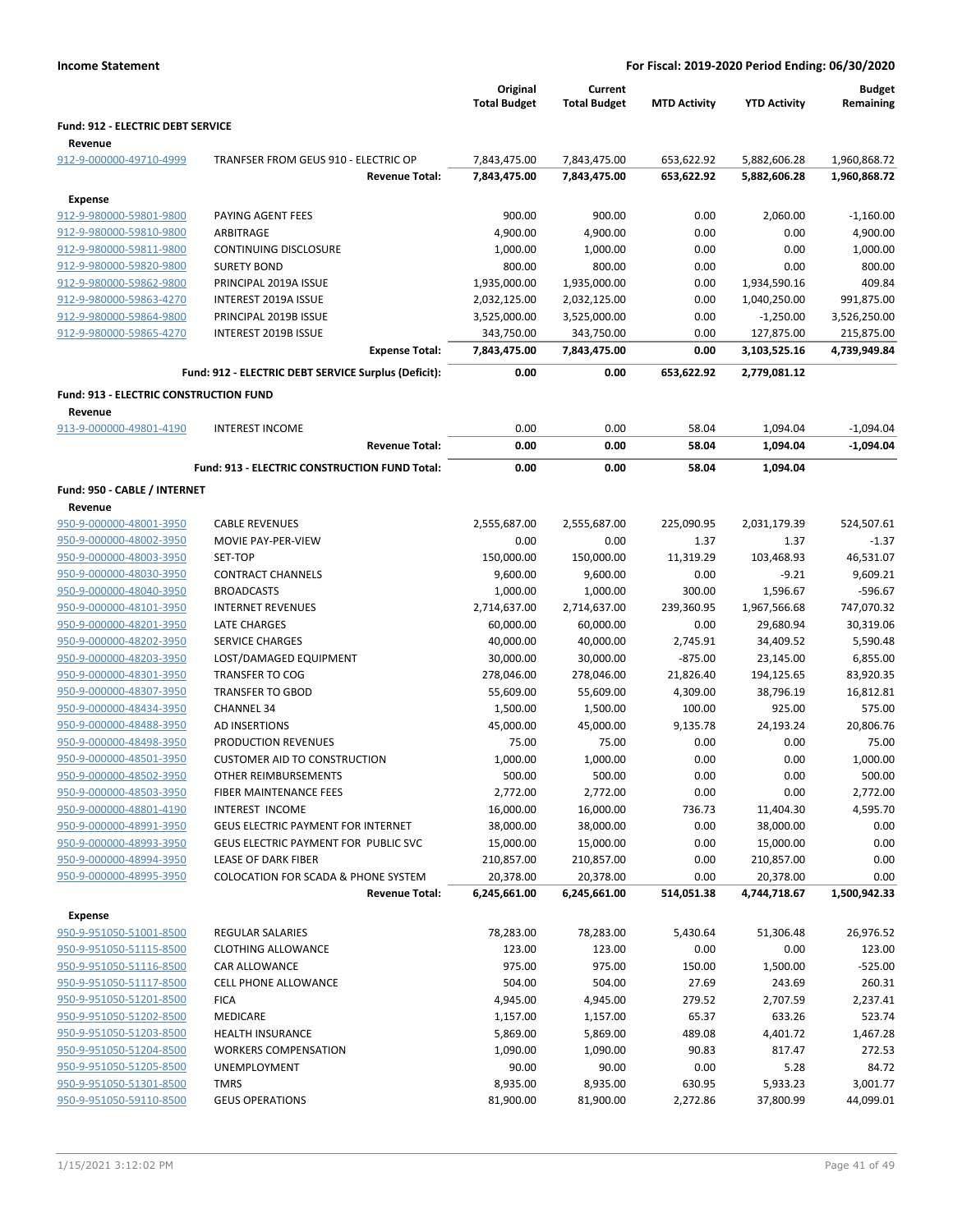|                                                    |                                                              | Original<br><b>Total Budget</b> | Current<br><b>Total Budget</b> | <b>MTD Activity</b> | <b>YTD Activity</b>        | <b>Budget</b><br>Remaining |
|----------------------------------------------------|--------------------------------------------------------------|---------------------------------|--------------------------------|---------------------|----------------------------|----------------------------|
| Fund: 912 - ELECTRIC DEBT SERVICE                  |                                                              |                                 |                                |                     |                            |                            |
| Revenue                                            |                                                              |                                 |                                |                     |                            |                            |
| 912-9-000000-49710-4999                            | TRANFSER FROM GEUS 910 - ELECTRIC OP                         | 7,843,475.00                    | 7,843,475.00                   | 653,622.92          | 5,882,606.28               | 1,960,868.72               |
|                                                    | <b>Revenue Total:</b>                                        | 7,843,475.00                    | 7,843,475.00                   | 653,622.92          | 5,882,606.28               | 1,960,868.72               |
| <b>Expense</b>                                     |                                                              |                                 |                                |                     |                            |                            |
| 912-9-980000-59801-9800                            | PAYING AGENT FEES                                            | 900.00                          | 900.00                         | 0.00                | 2,060.00                   | $-1,160.00$                |
| 912-9-980000-59810-9800                            | <b>ARBITRAGE</b>                                             | 4,900.00                        | 4,900.00                       | 0.00                | 0.00                       | 4,900.00                   |
| 912-9-980000-59811-9800                            | <b>CONTINUING DISCLOSURE</b>                                 | 1,000.00                        | 1,000.00                       | 0.00                | 0.00                       | 1,000.00                   |
| 912-9-980000-59820-9800                            | <b>SURETY BOND</b>                                           | 800.00                          | 800.00                         | 0.00                | 0.00                       | 800.00                     |
| 912-9-980000-59862-9800                            | PRINCIPAL 2019A ISSUE                                        | 1,935,000.00                    | 1,935,000.00                   | 0.00                | 1,934,590.16               | 409.84                     |
| 912-9-980000-59863-4270                            | INTEREST 2019A ISSUE                                         | 2,032,125.00                    | 2,032,125.00                   | 0.00                | 1,040,250.00               | 991,875.00                 |
| 912-9-980000-59864-9800                            | PRINCIPAL 2019B ISSUE                                        | 3,525,000.00                    | 3,525,000.00                   | 0.00                | $-1,250.00$                | 3,526,250.00               |
| 912-9-980000-59865-4270                            | INTEREST 2019B ISSUE<br><b>Expense Total:</b>                | 343,750.00<br>7,843,475.00      | 343,750.00<br>7,843,475.00     | 0.00<br>0.00        | 127,875.00<br>3,103,525.16 | 215,875.00<br>4,739,949.84 |
|                                                    |                                                              |                                 |                                |                     |                            |                            |
|                                                    | Fund: 912 - ELECTRIC DEBT SERVICE Surplus (Deficit):         | 0.00                            | 0.00                           | 653,622.92          | 2,779,081.12               |                            |
| Fund: 913 - ELECTRIC CONSTRUCTION FUND             |                                                              |                                 |                                |                     |                            |                            |
| Revenue                                            |                                                              |                                 |                                |                     |                            |                            |
| 913-9-000000-49801-4190                            | <b>INTEREST INCOME</b>                                       | 0.00                            | 0.00                           | 58.04               | 1,094.04                   | $-1,094.04$                |
|                                                    | <b>Revenue Total:</b>                                        | 0.00                            | 0.00                           | 58.04               | 1,094.04                   | $-1,094.04$                |
|                                                    | Fund: 913 - ELECTRIC CONSTRUCTION FUND Total:                | 0.00                            | 0.00                           | 58.04               | 1,094.04                   |                            |
| Fund: 950 - CABLE / INTERNET                       |                                                              |                                 |                                |                     |                            |                            |
| Revenue                                            |                                                              |                                 |                                |                     |                            |                            |
| 950-9-000000-48001-3950                            | <b>CABLE REVENUES</b>                                        | 2,555,687.00                    | 2,555,687.00                   | 225,090.95          | 2,031,179.39               | 524,507.61                 |
| 950-9-000000-48002-3950                            | MOVIE PAY-PER-VIEW                                           | 0.00                            | 0.00                           | 1.37                | 1.37                       | $-1.37$                    |
| 950-9-000000-48003-3950                            | SET-TOP                                                      | 150,000.00                      | 150,000.00                     | 11,319.29           | 103,468.93                 | 46,531.07                  |
| 950-9-000000-48030-3950                            | <b>CONTRACT CHANNELS</b>                                     | 9,600.00                        | 9,600.00                       | 0.00                | $-9.21$                    | 9,609.21                   |
| 950-9-000000-48040-3950                            | <b>BROADCASTS</b>                                            | 1,000.00                        | 1,000.00                       | 300.00              | 1,596.67                   | $-596.67$                  |
| 950-9-000000-48101-3950                            | <b>INTERNET REVENUES</b>                                     | 2,714,637.00                    | 2,714,637.00                   | 239,360.95          | 1,967,566.68               | 747,070.32                 |
| 950-9-000000-48201-3950                            | <b>LATE CHARGES</b>                                          | 60,000.00                       | 60,000.00                      | 0.00                | 29,680.94                  | 30,319.06                  |
| 950-9-000000-48202-3950                            | <b>SERVICE CHARGES</b>                                       | 40,000.00                       | 40,000.00                      | 2,745.91            | 34,409.52                  | 5,590.48                   |
| 950-9-000000-48203-3950                            | LOST/DAMAGED EQUIPMENT                                       | 30,000.00                       | 30,000.00                      | $-875.00$           | 23,145.00                  | 6,855.00                   |
| 950-9-000000-48301-3950                            | <b>TRANSFER TO COG</b>                                       | 278,046.00                      | 278,046.00                     | 21,826.40           | 194,125.65                 | 83,920.35                  |
| 950-9-000000-48307-3950                            | <b>TRANSFER TO GBOD</b>                                      | 55,609.00                       | 55,609.00                      | 4,309.00            | 38,796.19                  | 16,812.81                  |
| 950-9-000000-48434-3950                            | <b>CHANNEL 34</b>                                            | 1,500.00                        | 1,500.00                       | 100.00              | 925.00                     | 575.00                     |
| 950-9-000000-48488-3950                            | AD INSERTIONS                                                | 45,000.00                       | 45,000.00                      | 9,135.78            | 24,193.24                  | 20,806.76                  |
| 950-9-000000-48498-3950                            | PRODUCTION REVENUES                                          | 75.00                           | 75.00                          | 0.00                | 0.00                       | 75.00                      |
| 950-9-000000-48501-3950                            | <b>CUSTOMER AID TO CONSTRUCTION</b>                          | 1,000.00                        | 1,000.00                       | 0.00                | 0.00                       | 1,000.00                   |
| 950-9-000000-48502-3950                            | OTHER REIMBURSEMENTS                                         | 500.00                          | 500.00                         | 0.00                | 0.00                       | 500.00                     |
| 950-9-000000-48503-3950                            | <b>FIBER MAINTENANCE FEES</b>                                | 2,772.00                        | 2,772.00                       | 0.00                | 0.00                       | 2,772.00                   |
| 950-9-000000-48801-4190                            | INTEREST INCOME<br><b>GEUS ELECTRIC PAYMENT FOR INTERNET</b> | 16,000.00                       | 16,000.00                      | 736.73              | 11,404.30                  | 4,595.70                   |
| 950-9-000000-48991-3950<br>950-9-000000-48993-3950 | GEUS ELECTRIC PAYMENT FOR PUBLIC SVC                         | 38,000.00<br>15,000.00          | 38,000.00                      | 0.00<br>0.00        | 38,000.00                  | 0.00                       |
| 950-9-000000-48994-3950                            | <b>LEASE OF DARK FIBER</b>                                   |                                 | 15,000.00                      | 0.00                | 15,000.00                  | 0.00<br>0.00               |
| 950-9-000000-48995-3950                            | COLOCATION FOR SCADA & PHONE SYSTEM                          | 210,857.00<br>20,378.00         | 210,857.00<br>20,378.00        | 0.00                | 210,857.00<br>20,378.00    | 0.00                       |
|                                                    | <b>Revenue Total:</b>                                        | 6,245,661.00                    | 6,245,661.00                   | 514,051.38          | 4,744,718.67               | 1,500,942.33               |
|                                                    |                                                              |                                 |                                |                     |                            |                            |
| Expense<br>950-9-951050-51001-8500                 |                                                              |                                 |                                |                     |                            | 26,976.52                  |
|                                                    | <b>REGULAR SALARIES</b><br><b>CLOTHING ALLOWANCE</b>         | 78,283.00                       | 78,283.00                      | 5,430.64            | 51,306.48                  |                            |
| 950-9-951050-51115-8500<br>950-9-951050-51116-8500 | <b>CAR ALLOWANCE</b>                                         | 123.00<br>975.00                | 123.00<br>975.00               | 0.00<br>150.00      | 0.00                       | 123.00<br>$-525.00$        |
| 950-9-951050-51117-8500                            | CELL PHONE ALLOWANCE                                         | 504.00                          | 504.00                         | 27.69               | 1,500.00<br>243.69         | 260.31                     |
| 950-9-951050-51201-8500                            | <b>FICA</b>                                                  | 4,945.00                        | 4,945.00                       | 279.52              | 2,707.59                   | 2,237.41                   |
| 950-9-951050-51202-8500                            | MEDICARE                                                     | 1,157.00                        | 1,157.00                       | 65.37               | 633.26                     | 523.74                     |
| 950-9-951050-51203-8500                            | <b>HEALTH INSURANCE</b>                                      | 5,869.00                        | 5,869.00                       | 489.08              | 4,401.72                   | 1,467.28                   |
| 950-9-951050-51204-8500                            | <b>WORKERS COMPENSATION</b>                                  | 1,090.00                        | 1,090.00                       | 90.83               | 817.47                     | 272.53                     |
| 950-9-951050-51205-8500                            | UNEMPLOYMENT                                                 | 90.00                           | 90.00                          | 0.00                | 5.28                       | 84.72                      |
| 950-9-951050-51301-8500                            | <b>TMRS</b>                                                  | 8,935.00                        | 8,935.00                       | 630.95              | 5,933.23                   | 3,001.77                   |
| 950-9-951050-59110-8500                            | <b>GEUS OPERATIONS</b>                                       | 81,900.00                       | 81,900.00                      | 2,272.86            | 37,800.99                  | 44,099.01                  |
|                                                    |                                                              |                                 |                                |                     |                            |                            |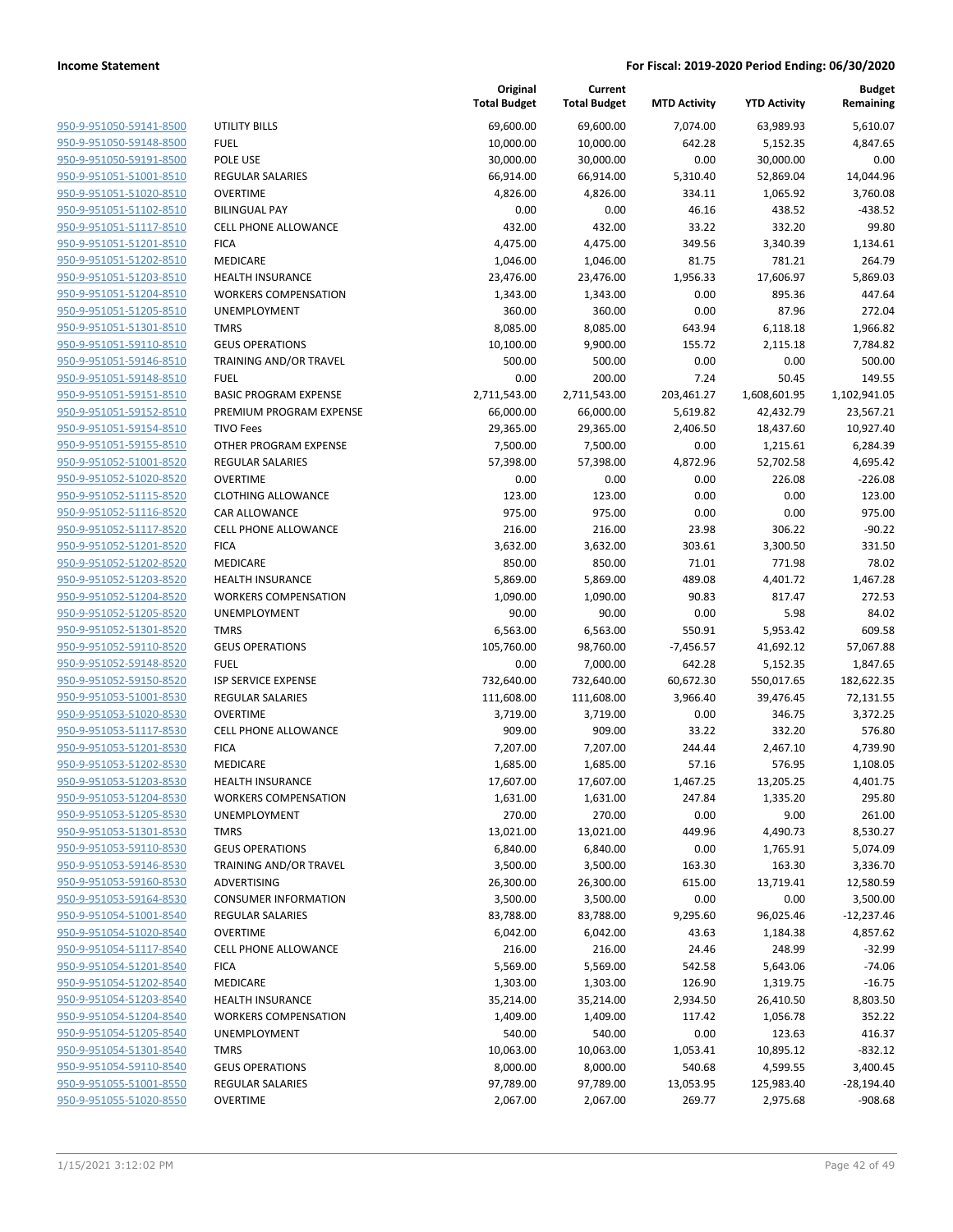| 950-9-951050-59141-8500        | U              |
|--------------------------------|----------------|
| 950-9-951050-59148-8500        | F١             |
| 950-9-951050-59191-8500        | P <sub>(</sub> |
| 950-9-951051-51001-8510        | RI             |
| 950-9-951051-51020-8510        | O              |
|                                |                |
| 950-9-951051-51102-8510        | BI             |
| 950-9-951051-51117-8510        | CI             |
| 950-9-951051-51201-8510        | FI             |
| 950-9-951051-51202-8510        | M              |
| 950-9-951051-51203-8510        | н              |
| 950-9-951051-51204-8510        | W              |
| 950-9-951051-51205-8510        | U              |
| 950-9-951051-51301-8510        | ΤI             |
| 950-9-951051-59110-8510        | G              |
| 950-9-951051-59146-8510        | ΤF             |
| 950-9-951051-59148-8510        | Fl             |
| 950-9-951051-59151-8510        | B,             |
| 950-9-951051-59152-8510        | PI             |
| 950-9-951051-59154-8510        | TI             |
| 950-9-951051-59155-8510        | O              |
| 950-9-951052-51001-8520        | <b>R</b>       |
| 950-9-951052-51020-8520        | O              |
|                                | CI             |
| 950-9-951052-51115-8520        |                |
| 950-9-951052-51116-8520        | C,             |
| 950-9-951052-51117-8520        | CI             |
| 950-9-951052-51201-8520        | FI             |
| 950-9-951052-51202-8520        | M              |
| 950-9-951052-51203-8520        | н              |
| 950-9-951052-51204-8520        | W              |
| 950-9-951052-51205-8520        | U              |
| 950-9-951052-51301-8520        | TI             |
| 950-9-951052-59110-8520        | G              |
| 950-9-951052-59148-8520        | Fl             |
| 950-9-951052-59150-8520        | IS             |
| 950-9-951053-51001-8530        | RI             |
| 950-9-951053-51020-8530        | O              |
| 950-9-951053-51117-8530        | CI             |
| 950-9-951053-51201-8530        | FI             |
| 950-9-951053-51202-8530        | M              |
| 950-9-951053-51203-8530        | н              |
| 950-9-951053-51204-8530        | W              |
| 950-9-951053-51205-8530        | U              |
| 950-9-951053-51301-8530        | TI             |
|                                |                |
| 950-9-951053-59110-8530        | G              |
| 950-9-951053-59146-8530        | ΤI             |
| <u>950-9-951053-59160-8530</u> | A              |
| 950-9-951053-59164-8530        | C١             |
| 950-9-951054-51001-8540        | RI             |
| 950-9-951054-51020-8540        | O              |
| 950-9-951054-51117-8540        | CI             |
| <u>950-9-951054-51201-8540</u> | FI             |
| 950-9-951054-51202-8540        | M              |
| 950-9-951054-51203-8540        | н              |
| 950-9-951054-51204-8540        | W              |
| 950-9-951054-51205-8540        | U              |
| 950-9-951054-51301-8540        | ΤI             |
| 950-9-951054-59110-8540        | G              |
| 950-9-951055-51001-8550        | RI             |
| 950-9-951055-51020-8550        | O              |
|                                |                |
|                                |                |

|                         |                               | Original<br><b>Total Budget</b> | Current<br><b>Total Budget</b> | <b>MTD Activity</b> | <b>YTD Activity</b> | <b>Budget</b><br>Remaining |
|-------------------------|-------------------------------|---------------------------------|--------------------------------|---------------------|---------------------|----------------------------|
| 950-9-951050-59141-8500 | <b>UTILITY BILLS</b>          | 69,600.00                       | 69,600.00                      | 7,074.00            | 63,989.93           | 5,610.07                   |
| 950-9-951050-59148-8500 | <b>FUEL</b>                   | 10,000.00                       | 10,000.00                      | 642.28              | 5,152.35            | 4,847.65                   |
| 950-9-951050-59191-8500 | POLE USE                      | 30,000.00                       | 30,000.00                      | 0.00                | 30,000.00           | 0.00                       |
| 950-9-951051-51001-8510 | <b>REGULAR SALARIES</b>       | 66,914.00                       | 66,914.00                      | 5,310.40            | 52,869.04           | 14,044.96                  |
| 950-9-951051-51020-8510 | <b>OVERTIME</b>               | 4,826.00                        | 4,826.00                       | 334.11              | 1,065.92            | 3,760.08                   |
| 950-9-951051-51102-8510 | <b>BILINGUAL PAY</b>          | 0.00                            | 0.00                           | 46.16               | 438.52              | $-438.52$                  |
| 950-9-951051-51117-8510 | <b>CELL PHONE ALLOWANCE</b>   | 432.00                          | 432.00                         | 33.22               | 332.20              | 99.80                      |
| 950-9-951051-51201-8510 | <b>FICA</b>                   | 4,475.00                        | 4,475.00                       | 349.56              | 3,340.39            | 1,134.61                   |
| 950-9-951051-51202-8510 | MEDICARE                      | 1,046.00                        | 1,046.00                       | 81.75               | 781.21              | 264.79                     |
| 950-9-951051-51203-8510 | <b>HEALTH INSURANCE</b>       | 23,476.00                       | 23,476.00                      | 1,956.33            | 17,606.97           | 5,869.03                   |
| 950-9-951051-51204-8510 | <b>WORKERS COMPENSATION</b>   | 1,343.00                        | 1,343.00                       | 0.00                | 895.36              | 447.64                     |
| 950-9-951051-51205-8510 | UNEMPLOYMENT                  | 360.00                          | 360.00                         | 0.00                | 87.96               | 272.04                     |
| 950-9-951051-51301-8510 | <b>TMRS</b>                   | 8,085.00                        | 8,085.00                       | 643.94              | 6,118.18            | 1,966.82                   |
| 950-9-951051-59110-8510 | <b>GEUS OPERATIONS</b>        | 10,100.00                       | 9,900.00                       | 155.72              | 2,115.18            | 7,784.82                   |
| 950-9-951051-59146-8510 | TRAINING AND/OR TRAVEL        | 500.00                          | 500.00                         | 0.00                | 0.00                | 500.00                     |
| 950-9-951051-59148-8510 | <b>FUEL</b>                   | 0.00                            | 200.00                         | 7.24                | 50.45               | 149.55                     |
| 950-9-951051-59151-8510 | <b>BASIC PROGRAM EXPENSE</b>  | 2,711,543.00                    | 2,711,543.00                   | 203,461.27          | 1,608,601.95        | 1,102,941.05               |
| 950-9-951051-59152-8510 | PREMIUM PROGRAM EXPENSE       | 66,000.00                       | 66,000.00                      | 5,619.82            | 42,432.79           | 23,567.21                  |
| 950-9-951051-59154-8510 | <b>TIVO Fees</b>              | 29,365.00                       | 29,365.00                      | 2,406.50            | 18,437.60           | 10,927.40                  |
| 950-9-951051-59155-8510 | OTHER PROGRAM EXPENSE         | 7,500.00                        | 7,500.00                       | 0.00                | 1,215.61            | 6,284.39                   |
| 950-9-951052-51001-8520 | <b>REGULAR SALARIES</b>       | 57,398.00                       | 57,398.00                      | 4,872.96            | 52,702.58           | 4,695.42                   |
| 950-9-951052-51020-8520 | <b>OVERTIME</b>               | 0.00                            | 0.00                           | 0.00                | 226.08              | $-226.08$                  |
| 950-9-951052-51115-8520 | <b>CLOTHING ALLOWANCE</b>     | 123.00                          | 123.00                         | 0.00                | 0.00                | 123.00                     |
| 950-9-951052-51116-8520 | CAR ALLOWANCE                 | 975.00                          | 975.00                         | 0.00                | 0.00                | 975.00                     |
| 950-9-951052-51117-8520 | <b>CELL PHONE ALLOWANCE</b>   | 216.00                          | 216.00                         | 23.98               | 306.22              | $-90.22$                   |
| 950-9-951052-51201-8520 | <b>FICA</b>                   | 3,632.00                        | 3,632.00                       | 303.61              | 3,300.50            | 331.50                     |
| 950-9-951052-51202-8520 | MEDICARE                      | 850.00                          | 850.00                         | 71.01               | 771.98              | 78.02                      |
| 950-9-951052-51203-8520 | <b>HEALTH INSURANCE</b>       | 5,869.00                        | 5,869.00                       | 489.08              | 4,401.72            | 1,467.28                   |
| 950-9-951052-51204-8520 | <b>WORKERS COMPENSATION</b>   | 1,090.00                        | 1,090.00                       | 90.83               | 817.47              | 272.53                     |
| 950-9-951052-51205-8520 | UNEMPLOYMENT                  | 90.00                           | 90.00                          | 0.00                | 5.98                | 84.02                      |
| 950-9-951052-51301-8520 | <b>TMRS</b>                   | 6,563.00                        | 6,563.00                       | 550.91              | 5,953.42            | 609.58                     |
| 950-9-951052-59110-8520 | <b>GEUS OPERATIONS</b>        | 105,760.00                      | 98,760.00                      | $-7,456.57$         | 41,692.12           | 57,067.88                  |
| 950-9-951052-59148-8520 | <b>FUEL</b>                   | 0.00                            | 7,000.00                       | 642.28              | 5,152.35            | 1,847.65                   |
| 950-9-951052-59150-8520 | <b>ISP SERVICE EXPENSE</b>    | 732,640.00                      | 732,640.00                     | 60,672.30           | 550,017.65          | 182,622.35                 |
| 950-9-951053-51001-8530 | REGULAR SALARIES              | 111,608.00                      | 111,608.00                     | 3,966.40            | 39,476.45           | 72,131.55                  |
| 950-9-951053-51020-8530 | <b>OVERTIME</b>               | 3,719.00                        | 3,719.00                       | 0.00                | 346.75              | 3,372.25                   |
| 950-9-951053-51117-8530 | <b>CELL PHONE ALLOWANCE</b>   | 909.00                          | 909.00                         | 33.22               | 332.20              | 576.80                     |
| 950-9-951053-51201-8530 | <b>FICA</b>                   | 7,207.00                        | 7,207.00                       | 244.44              | 2,467.10            | 4,739.90                   |
| 950-9-951053-51202-8530 | MEDICARE                      | 1,685.00                        | 1,685.00                       | 57.16               | 576.95              | 1,108.05                   |
| 950-9-951053-51203-8530 | <b>HEALTH INSURANCE</b>       | 17,607.00                       | 17,607.00                      | 1,467.25            | 13,205.25           | 4,401.75                   |
| 950-9-951053-51204-8530 | <b>WORKERS COMPENSATION</b>   | 1,631.00                        | 1,631.00                       | 247.84              | 1,335.20            | 295.80                     |
| 950-9-951053-51205-8530 | UNEMPLOYMENT                  | 270.00                          | 270.00                         | 0.00                | 9.00                | 261.00                     |
| 950-9-951053-51301-8530 | <b>TMRS</b>                   | 13,021.00                       | 13,021.00                      | 449.96              | 4,490.73            | 8,530.27                   |
| 950-9-951053-59110-8530 | <b>GEUS OPERATIONS</b>        | 6,840.00                        | 6,840.00                       | 0.00                | 1,765.91            | 5,074.09                   |
| 950-9-951053-59146-8530 | <b>TRAINING AND/OR TRAVEL</b> | 3,500.00                        | 3,500.00                       | 163.30              | 163.30              | 3,336.70                   |
| 950-9-951053-59160-8530 | ADVERTISING                   | 26,300.00                       | 26,300.00                      | 615.00              | 13,719.41           | 12,580.59                  |
| 950-9-951053-59164-8530 | <b>CONSUMER INFORMATION</b>   | 3,500.00                        | 3,500.00                       | 0.00                | 0.00                | 3,500.00                   |
| 950-9-951054-51001-8540 | <b>REGULAR SALARIES</b>       | 83,788.00                       | 83,788.00                      | 9,295.60            | 96,025.46           | $-12,237.46$               |
| 950-9-951054-51020-8540 | <b>OVERTIME</b>               | 6,042.00                        | 6,042.00                       | 43.63               | 1,184.38            | 4,857.62                   |
| 950-9-951054-51117-8540 | <b>CELL PHONE ALLOWANCE</b>   | 216.00                          | 216.00                         | 24.46               | 248.99              | $-32.99$                   |
| 950-9-951054-51201-8540 | <b>FICA</b>                   | 5,569.00                        | 5,569.00                       | 542.58              | 5,643.06            | $-74.06$                   |
| 950-9-951054-51202-8540 | MEDICARE                      | 1,303.00                        | 1,303.00                       | 126.90              | 1,319.75            | $-16.75$                   |
| 950-9-951054-51203-8540 | <b>HEALTH INSURANCE</b>       | 35,214.00                       | 35,214.00                      | 2,934.50            | 26,410.50           | 8,803.50                   |
| 950-9-951054-51204-8540 | <b>WORKERS COMPENSATION</b>   | 1,409.00                        | 1,409.00                       | 117.42              | 1,056.78            | 352.22                     |
| 950-9-951054-51205-8540 | <b>UNEMPLOYMENT</b>           | 540.00                          | 540.00                         | 0.00                | 123.63              | 416.37                     |
| 950-9-951054-51301-8540 | <b>TMRS</b>                   | 10,063.00                       | 10,063.00                      | 1,053.41            | 10,895.12           | $-832.12$                  |
| 950-9-951054-59110-8540 | <b>GEUS OPERATIONS</b>        | 8,000.00                        | 8,000.00                       | 540.68              | 4,599.55            | 3,400.45                   |
| 950-9-951055-51001-8550 | REGULAR SALARIES              | 97,789.00                       | 97,789.00                      | 13,053.95           | 125,983.40          | $-28,194.40$               |
| 950-9-951055-51020-8550 | OVERTIME                      | 2,067.00                        | 2,067.00                       | 269.77              | 2,975.68            | $-908.68$                  |
|                         |                               |                                 |                                |                     |                     |                            |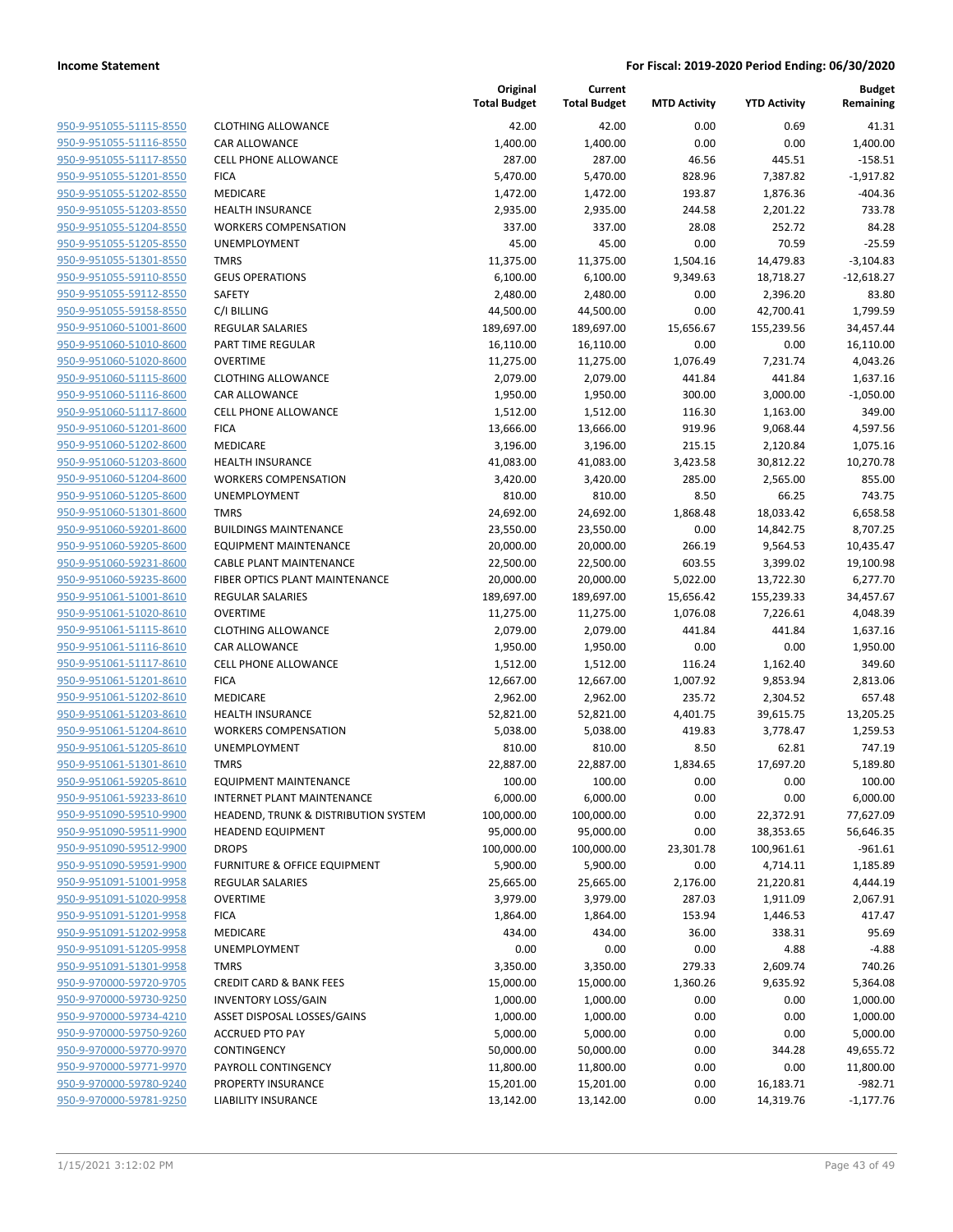| 950-9-951055-51115-8550                            |
|----------------------------------------------------|
| 950-9-951055-51116-8550                            |
| 950-9-951055-51117-8550                            |
| 950-9-951055-51201-8550                            |
| <u>950-9-951055-51202-8550</u>                     |
| 950-9-951055-51203-8550                            |
| 950-9-951055-51204-8550                            |
| 950-9-951055-51205-8550                            |
| 950-9-951055-51301-8550                            |
| 950-9-951055-59110-8550                            |
| 950-9-951055-59112-8550                            |
| 950-9-951055-59158-8550                            |
| 950-9-951060-51001-8600                            |
| 950-9-951060-51010-8600                            |
| <u>950-9-951060-51020-8600</u>                     |
| 950-9-951060-51115-8600                            |
| 950-9-951060-51116-8600                            |
| 950-9-951060-51117-8600                            |
| 950-9-951060-51201-8600                            |
| <u>950-9-951060-51202-8600</u>                     |
| 950-9-951060-51203-8600                            |
| 950-9-951060-51204-8600                            |
| 950-9-951060-51205-8600                            |
| 950-9-951060-51301-8600                            |
| <u>950-9-951060-59201-8600</u>                     |
| 950-9-951060-59205-8600                            |
| 950-9-951060-59231-8600                            |
| 950-9-951060-59235-8600                            |
| 950-9-951061-51001-8610                            |
|                                                    |
| <u>950-9-951061-51020-8610</u>                     |
| 950-9-951061-51115-8610<br>950-9-951061-51116-8610 |
|                                                    |
| 950-9-951061-51117-8610                            |
| 950-9-951061-51201-8610                            |
| <u>950-9-951061-51202-8610</u>                     |
| 950-9-951061-51203-8610                            |
| 950-9-951061-51204-8610                            |
| 950-9-951061-51205-8610                            |
| 950-9-951061-51301-8610                            |
| 950-9-951061-59205-8610                            |
| 950-9-951061-59233-8610                            |
| 950-9-951090-59510-9900                            |
| 950-9-951090-59511-9900                            |
| <u>950-9-951090-59512-9900</u>                     |
| <u>950-9-951090-59591-9900</u>                     |
| <u>950-9-951091-51001-9958</u>                     |
| <u>950-9-951091-51020-9958</u>                     |
| 950-9-951091-51201-9958                            |
| <u>950-9-951091-51202-9958</u>                     |
| <u>950-9-951091-51205-9958</u>                     |
| 950-9-951091-51301-9958                            |
| 950-9-970000-59720-9705                            |
| 950-9-970000-59730-9250                            |
| <u>950-9-970000-59734-4210</u>                     |
| <u>950-9-970000-59750-9260</u>                     |
| 950-9-970000-59770-9970                            |
| <u>950-9-970000-59771-9970</u>                     |
| 950-9-970000-59780-9240                            |
| 950-9-970000-59781-9250                            |

|                         |                                      | Original<br><b>Total Budget</b> | Current<br><b>Total Budget</b> | <b>MTD Activity</b> | <b>YTD Activity</b> | <b>Budget</b><br>Remaining |
|-------------------------|--------------------------------------|---------------------------------|--------------------------------|---------------------|---------------------|----------------------------|
| 950-9-951055-51115-8550 | <b>CLOTHING ALLOWANCE</b>            | 42.00                           | 42.00                          | 0.00                | 0.69                | 41.31                      |
| 950-9-951055-51116-8550 | CAR ALLOWANCE                        | 1,400.00                        | 1,400.00                       | 0.00                | 0.00                | 1,400.00                   |
| 950-9-951055-51117-8550 | <b>CELL PHONE ALLOWANCE</b>          | 287.00                          | 287.00                         | 46.56               | 445.51              | $-158.51$                  |
| 950-9-951055-51201-8550 | <b>FICA</b>                          | 5,470.00                        | 5,470.00                       | 828.96              | 7,387.82            | $-1,917.82$                |
| 950-9-951055-51202-8550 | MEDICARE                             | 1,472.00                        | 1,472.00                       | 193.87              | 1,876.36            | -404.36                    |
| 950-9-951055-51203-8550 | <b>HEALTH INSURANCE</b>              | 2,935.00                        | 2,935.00                       | 244.58              | 2,201.22            | 733.78                     |
| 950-9-951055-51204-8550 | <b>WORKERS COMPENSATION</b>          | 337.00                          | 337.00                         | 28.08               | 252.72              | 84.28                      |
| 950-9-951055-51205-8550 | <b>UNEMPLOYMENT</b>                  | 45.00                           | 45.00                          | 0.00                | 70.59               | -25.59                     |
| 950-9-951055-51301-8550 | <b>TMRS</b>                          | 11,375.00                       | 11,375.00                      | 1,504.16            | 14,479.83           | $-3,104.83$                |
| 950-9-951055-59110-8550 | <b>GEUS OPERATIONS</b>               | 6,100.00                        | 6,100.00                       | 9,349.63            | 18,718.27           | $-12,618.27$               |
| 950-9-951055-59112-8550 | <b>SAFETY</b>                        | 2,480.00                        | 2,480.00                       | 0.00                | 2,396.20            | 83.80                      |
| 950-9-951055-59158-8550 | C/I BILLING                          | 44,500.00                       | 44,500.00                      | 0.00                | 42,700.41           | 1,799.59                   |
| 950-9-951060-51001-8600 | <b>REGULAR SALARIES</b>              | 189,697.00                      | 189,697.00                     | 15,656.67           | 155,239.56          | 34,457.44                  |
| 950-9-951060-51010-8600 | PART TIME REGULAR                    | 16,110.00                       | 16,110.00                      | 0.00                | 0.00                | 16,110.00                  |
| 950-9-951060-51020-8600 | <b>OVERTIME</b>                      | 11,275.00                       | 11,275.00                      | 1,076.49            | 7,231.74            | 4,043.26                   |
| 950-9-951060-51115-8600 | <b>CLOTHING ALLOWANCE</b>            | 2,079.00                        | 2,079.00                       | 441.84              | 441.84              | 1,637.16                   |
| 950-9-951060-51116-8600 | CAR ALLOWANCE                        | 1,950.00                        | 1,950.00                       | 300.00              | 3,000.00            | $-1,050.00$                |
| 950-9-951060-51117-8600 | <b>CELL PHONE ALLOWANCE</b>          | 1,512.00                        | 1,512.00                       | 116.30              | 1,163.00            | 349.00                     |
| 950-9-951060-51201-8600 | <b>FICA</b>                          | 13,666.00                       | 13,666.00                      | 919.96              | 9,068.44            | 4,597.56                   |
| 950-9-951060-51202-8600 | <b>MEDICARE</b>                      | 3,196.00                        | 3,196.00                       | 215.15              | 2,120.84            | 1,075.16                   |
| 950-9-951060-51203-8600 | <b>HEALTH INSURANCE</b>              | 41,083.00                       | 41,083.00                      | 3,423.58            | 30,812.22           | 10,270.78                  |
| 950-9-951060-51204-8600 | <b>WORKERS COMPENSATION</b>          | 3,420.00                        | 3,420.00                       | 285.00              | 2,565.00            | 855.00                     |
| 950-9-951060-51205-8600 | <b>UNEMPLOYMENT</b>                  | 810.00                          | 810.00                         | 8.50                | 66.25               | 743.75                     |
| 950-9-951060-51301-8600 | <b>TMRS</b>                          | 24,692.00                       | 24,692.00                      | 1,868.48            | 18,033.42           | 6,658.58                   |
| 950-9-951060-59201-8600 | <b>BUILDINGS MAINTENANCE</b>         | 23,550.00                       | 23,550.00                      | 0.00                | 14,842.75           | 8,707.25                   |
| 950-9-951060-59205-8600 | <b>EQUIPMENT MAINTENANCE</b>         | 20,000.00                       | 20,000.00                      | 266.19              | 9,564.53            | 10,435.47                  |
| 950-9-951060-59231-8600 | <b>CABLE PLANT MAINTENANCE</b>       | 22,500.00                       | 22,500.00                      | 603.55              | 3,399.02            | 19,100.98                  |
| 950-9-951060-59235-8600 | FIBER OPTICS PLANT MAINTENANCE       | 20,000.00                       | 20,000.00                      | 5,022.00            | 13,722.30           | 6,277.70                   |
| 950-9-951061-51001-8610 | <b>REGULAR SALARIES</b>              | 189,697.00                      | 189,697.00                     | 15,656.42           | 155,239.33          | 34,457.67                  |
| 950-9-951061-51020-8610 | <b>OVERTIME</b>                      | 11,275.00                       | 11,275.00                      | 1,076.08            | 7,226.61            | 4,048.39                   |
| 950-9-951061-51115-8610 | <b>CLOTHING ALLOWANCE</b>            | 2,079.00                        | 2,079.00                       | 441.84              | 441.84              | 1,637.16                   |
| 950-9-951061-51116-8610 | CAR ALLOWANCE                        | 1,950.00                        | 1,950.00                       | 0.00                | 0.00                | 1,950.00                   |
| 950-9-951061-51117-8610 | CELL PHONE ALLOWANCE                 | 1,512.00                        | 1,512.00                       | 116.24              | 1,162.40            | 349.60                     |
| 950-9-951061-51201-8610 | <b>FICA</b>                          | 12,667.00                       | 12,667.00                      | 1,007.92            | 9,853.94            | 2,813.06                   |
| 950-9-951061-51202-8610 | MEDICARE                             | 2,962.00                        | 2,962.00                       | 235.72              | 2,304.52            | 657.48                     |
| 950-9-951061-51203-8610 | <b>HEALTH INSURANCE</b>              | 52,821.00                       | 52,821.00                      | 4,401.75            | 39,615.75           | 13,205.25                  |
| 950-9-951061-51204-8610 | <b>WORKERS COMPENSATION</b>          | 5,038.00                        | 5,038.00                       | 419.83              | 3,778.47            | 1,259.53                   |
| 950-9-951061-51205-8610 | UNEMPLOYMENT                         | 810.00                          | 810.00                         | 8.50                | 62.81               | 747.19                     |
| 950-9-951061-51301-8610 | <b>TMRS</b>                          | 22,887.00                       | 22,887.00                      | 1,834.65            | 17,697.20           | 5,189.80                   |
| 950-9-951061-59205-8610 | <b>EQUIPMENT MAINTENANCE</b>         | 100.00                          | 100.00                         | 0.00                | 0.00                | 100.00                     |
| 950-9-951061-59233-8610 | INTERNET PLANT MAINTENANCE           | 6,000.00                        | 6,000.00                       | 0.00                | 0.00                | 6,000.00                   |
| 950-9-951090-59510-9900 | HEADEND, TRUNK & DISTRIBUTION SYSTEM | 100,000.00                      | 100,000.00                     | 0.00                | 22,372.91           | 77,627.09                  |
| 950-9-951090-59511-9900 | <b>HEADEND EQUIPMENT</b>             | 95,000.00                       | 95,000.00                      | 0.00                | 38,353.65           | 56,646.35                  |
| 950-9-951090-59512-9900 | <b>DROPS</b>                         | 100,000.00                      | 100,000.00                     | 23,301.78           | 100,961.61          | $-961.61$                  |
| 950-9-951090-59591-9900 | FURNITURE & OFFICE EQUIPMENT         | 5,900.00                        | 5,900.00                       | 0.00                | 4,714.11            | 1,185.89                   |
| 950-9-951091-51001-9958 | REGULAR SALARIES                     | 25,665.00                       | 25,665.00                      | 2,176.00            | 21,220.81           | 4,444.19                   |
| 950-9-951091-51020-9958 | <b>OVERTIME</b>                      | 3,979.00                        | 3,979.00                       | 287.03              | 1,911.09            | 2,067.91                   |
| 950-9-951091-51201-9958 | <b>FICA</b>                          | 1,864.00                        | 1,864.00                       | 153.94              | 1,446.53            | 417.47                     |
| 950-9-951091-51202-9958 | MEDICARE                             | 434.00                          | 434.00                         | 36.00               | 338.31              | 95.69                      |
| 950-9-951091-51205-9958 | <b>UNEMPLOYMENT</b>                  | 0.00                            | 0.00                           | 0.00                | 4.88                | $-4.88$                    |
| 950-9-951091-51301-9958 | TMRS                                 | 3,350.00                        | 3,350.00                       | 279.33              | 2,609.74            | 740.26                     |
| 950-9-970000-59720-9705 | <b>CREDIT CARD &amp; BANK FEES</b>   | 15,000.00                       | 15,000.00                      | 1,360.26            | 9,635.92            | 5,364.08                   |
| 950-9-970000-59730-9250 | <b>INVENTORY LOSS/GAIN</b>           | 1,000.00                        | 1,000.00                       | 0.00                | 0.00                | 1,000.00                   |
| 950-9-970000-59734-4210 | ASSET DISPOSAL LOSSES/GAINS          | 1,000.00                        | 1,000.00                       | 0.00                | 0.00                | 1,000.00                   |
| 950-9-970000-59750-9260 | <b>ACCRUED PTO PAY</b>               | 5,000.00                        | 5,000.00                       | 0.00                | 0.00                | 5,000.00                   |
| 950-9-970000-59770-9970 | CONTINGENCY                          | 50,000.00                       | 50,000.00                      | 0.00                | 344.28              | 49,655.72                  |
| 950-9-970000-59771-9970 | PAYROLL CONTINGENCY                  | 11,800.00                       | 11,800.00                      | 0.00                | 0.00                | 11,800.00                  |
| 950-9-970000-59780-9240 | PROPERTY INSURANCE                   | 15,201.00                       | 15,201.00                      | 0.00                | 16,183.71           | $-982.71$                  |
| 950-9-970000-59781-9250 | LIABILITY INSURANCE                  | 13,142.00                       | 13,142.00                      | 0.00                | 14,319.76           | $-1,177.76$                |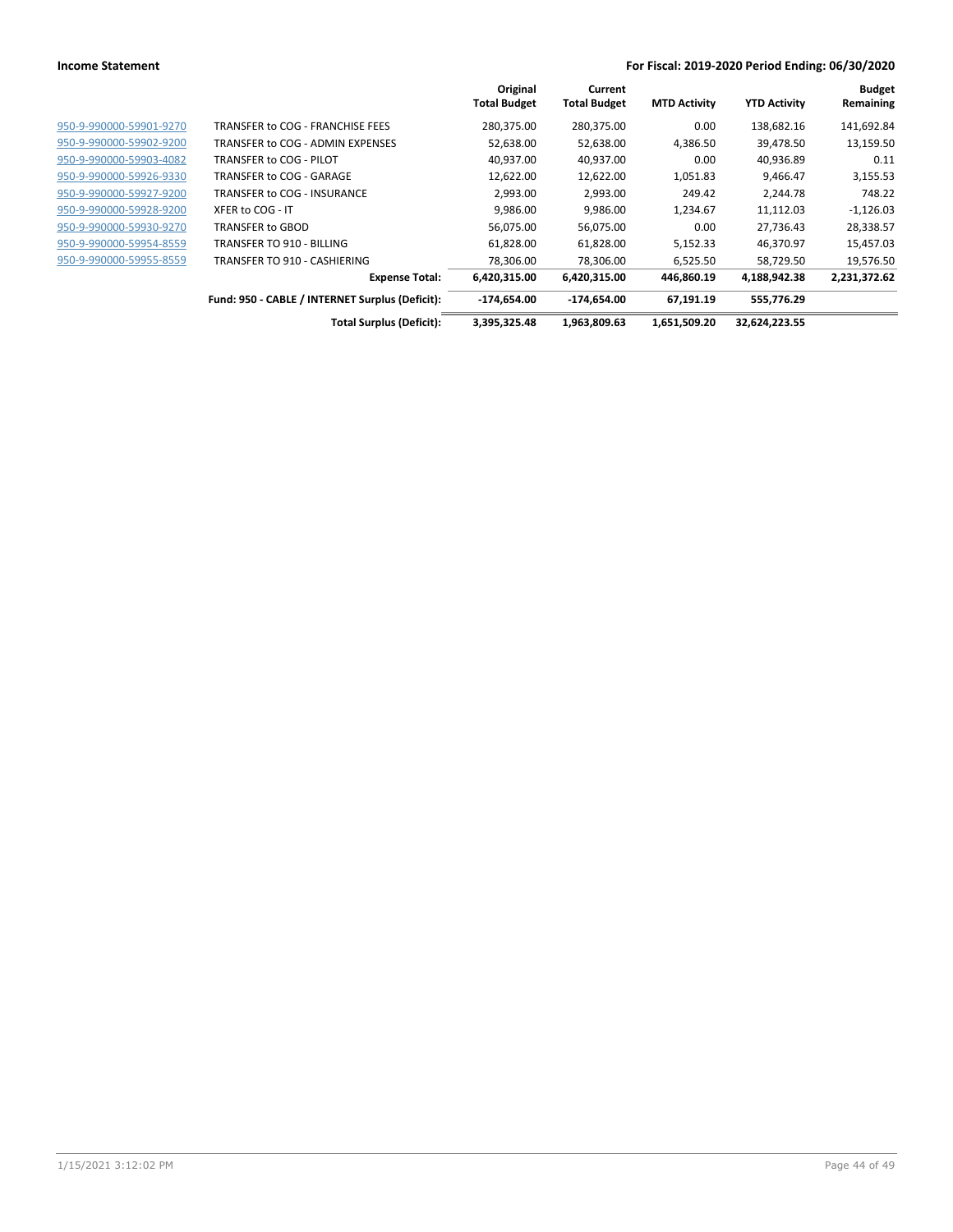|                         |                                                 | Original            | Current             |                     |                     | <b>Budget</b> |
|-------------------------|-------------------------------------------------|---------------------|---------------------|---------------------|---------------------|---------------|
|                         |                                                 | <b>Total Budget</b> | <b>Total Budget</b> | <b>MTD Activity</b> | <b>YTD Activity</b> | Remaining     |
| 950-9-990000-59901-9270 | TRANSFER to COG - FRANCHISE FEES                | 280,375.00          | 280,375.00          | 0.00                | 138,682.16          | 141,692.84    |
| 950-9-990000-59902-9200 | TRANSFER to COG - ADMIN EXPENSES                | 52,638.00           | 52,638.00           | 4,386.50            | 39,478.50           | 13,159.50     |
| 950-9-990000-59903-4082 | TRANSFER to COG - PILOT                         | 40,937.00           | 40,937.00           | 0.00                | 40,936.89           | 0.11          |
| 950-9-990000-59926-9330 | TRANSFER to COG - GARAGE                        | 12,622.00           | 12,622.00           | 1,051.83            | 9,466.47            | 3,155.53      |
| 950-9-990000-59927-9200 | TRANSFER to COG - INSURANCE                     | 2,993.00            | 2,993.00            | 249.42              | 2,244.78            | 748.22        |
| 950-9-990000-59928-9200 | XFER to COG - IT                                | 9,986.00            | 9,986.00            | 1,234.67            | 11,112.03           | $-1,126.03$   |
| 950-9-990000-59930-9270 | TRANSFER to GBOD                                | 56,075.00           | 56,075.00           | 0.00                | 27,736.43           | 28,338.57     |
| 950-9-990000-59954-8559 | TRANSFER TO 910 - BILLING                       | 61,828.00           | 61,828.00           | 5,152.33            | 46,370.97           | 15,457.03     |
| 950-9-990000-59955-8559 | TRANSFER TO 910 - CASHIERING                    | 78,306.00           | 78,306.00           | 6,525.50            | 58,729.50           | 19,576.50     |
|                         | <b>Expense Total:</b>                           | 6,420,315.00        | 6,420,315.00        | 446,860.19          | 4,188,942.38        | 2,231,372.62  |
|                         | Fund: 950 - CABLE / INTERNET Surplus (Deficit): | -174,654.00         | -174,654.00         | 67.191.19           | 555,776.29          |               |
|                         | <b>Total Surplus (Deficit):</b>                 | 3,395,325.48        | 1,963,809.63        | 1,651,509.20        | 32,624,223.55       |               |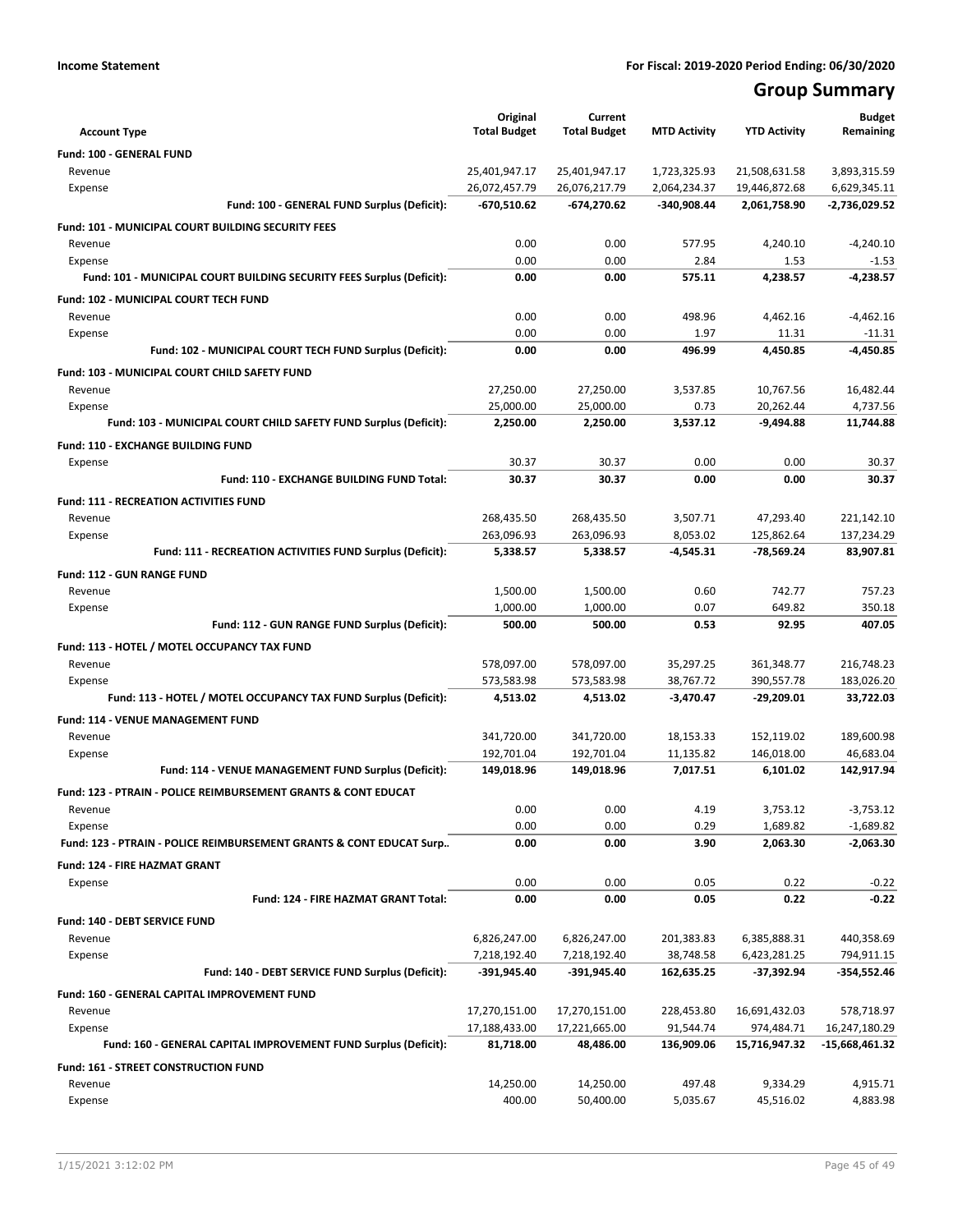## **Group Summary**

|                                                                                  | Original                 | Current                  |                        |                          | <b>Budget</b>            |
|----------------------------------------------------------------------------------|--------------------------|--------------------------|------------------------|--------------------------|--------------------------|
| <b>Account Type</b>                                                              | <b>Total Budget</b>      | <b>Total Budget</b>      | <b>MTD Activity</b>    | <b>YTD Activity</b>      | Remaining                |
| Fund: 100 - GENERAL FUND                                                         |                          |                          |                        |                          |                          |
| Revenue                                                                          | 25,401,947.17            | 25,401,947.17            | 1,723,325.93           | 21,508,631.58            | 3,893,315.59             |
| Expense                                                                          | 26,072,457.79            | 26,076,217.79            | 2,064,234.37           | 19,446,872.68            | 6,629,345.11             |
| Fund: 100 - GENERAL FUND Surplus (Deficit):                                      | -670,510.62              | -674,270.62              | -340,908.44            | 2,061,758.90             | -2,736,029.52            |
| <b>Fund: 101 - MUNICIPAL COURT BUILDING SECURITY FEES</b>                        |                          |                          |                        |                          |                          |
| Revenue                                                                          | 0.00                     | 0.00                     | 577.95                 | 4,240.10                 | $-4,240.10$              |
| Expense<br>Fund: 101 - MUNICIPAL COURT BUILDING SECURITY FEES Surplus (Deficit): | 0.00<br>0.00             | 0.00<br>0.00             | 2.84<br>575.11         | 1.53<br>4,238.57         | $-1.53$<br>$-4,238.57$   |
|                                                                                  |                          |                          |                        |                          |                          |
| Fund: 102 - MUNICIPAL COURT TECH FUND                                            |                          |                          |                        |                          |                          |
| Revenue<br>Expense                                                               | 0.00<br>0.00             | 0.00<br>0.00             | 498.96<br>1.97         | 4,462.16<br>11.31        | $-4,462.16$<br>-11.31    |
| Fund: 102 - MUNICIPAL COURT TECH FUND Surplus (Deficit):                         | 0.00                     | 0.00                     | 496.99                 | 4,450.85                 | $-4,450.85$              |
|                                                                                  |                          |                          |                        |                          |                          |
| Fund: 103 - MUNICIPAL COURT CHILD SAFETY FUND                                    |                          |                          |                        |                          |                          |
| Revenue<br>Expense                                                               | 27,250.00<br>25,000.00   | 27,250.00<br>25,000.00   | 3,537.85<br>0.73       | 10,767.56<br>20,262.44   | 16,482.44<br>4,737.56    |
| Fund: 103 - MUNICIPAL COURT CHILD SAFETY FUND Surplus (Deficit):                 | 2,250.00                 | 2,250.00                 | 3,537.12               | $-9,494.88$              | 11,744.88                |
|                                                                                  |                          |                          |                        |                          |                          |
| <b>Fund: 110 - EXCHANGE BUILDING FUND</b>                                        |                          |                          |                        |                          |                          |
| Expense<br>Fund: 110 - EXCHANGE BUILDING FUND Total:                             | 30.37<br>30.37           | 30.37<br>30.37           | 0.00<br>0.00           | 0.00<br>0.00             | 30.37<br>30.37           |
|                                                                                  |                          |                          |                        |                          |                          |
| <b>Fund: 111 - RECREATION ACTIVITIES FUND</b>                                    |                          |                          |                        |                          |                          |
| Revenue                                                                          | 268,435.50               | 268,435.50               | 3,507.71<br>8.053.02   | 47,293.40                | 221,142.10               |
| Expense<br>Fund: 111 - RECREATION ACTIVITIES FUND Surplus (Deficit):             | 263,096.93<br>5,338.57   | 263,096.93<br>5,338.57   | -4,545.31              | 125,862.64<br>-78,569.24 | 137,234.29<br>83,907.81  |
|                                                                                  |                          |                          |                        |                          |                          |
| Fund: 112 - GUN RANGE FUND                                                       |                          |                          |                        |                          |                          |
| Revenue                                                                          | 1,500.00<br>1,000.00     | 1,500.00                 | 0.60<br>0.07           | 742.77<br>649.82         | 757.23<br>350.18         |
| Expense<br>Fund: 112 - GUN RANGE FUND Surplus (Deficit):                         | 500.00                   | 1,000.00<br>500.00       | 0.53                   | 92.95                    | 407.05                   |
|                                                                                  |                          |                          |                        |                          |                          |
| Fund: 113 - HOTEL / MOTEL OCCUPANCY TAX FUND                                     |                          |                          |                        |                          |                          |
| Revenue                                                                          | 578,097.00<br>573,583.98 | 578,097.00<br>573,583.98 | 35,297.25<br>38,767.72 | 361,348.77<br>390,557.78 | 216,748.23<br>183,026.20 |
| Expense<br>Fund: 113 - HOTEL / MOTEL OCCUPANCY TAX FUND Surplus (Deficit):       | 4,513.02                 | 4,513.02                 | $-3,470.47$            | $-29,209.01$             | 33,722.03                |
|                                                                                  |                          |                          |                        |                          |                          |
| <b>Fund: 114 - VENUE MANAGEMENT FUND</b>                                         |                          |                          |                        |                          |                          |
| Revenue<br>Expense                                                               | 341,720.00<br>192,701.04 | 341,720.00<br>192,701.04 | 18,153.33<br>11,135.82 | 152,119.02<br>146,018.00 | 189,600.98<br>46,683.04  |
| Fund: 114 - VENUE MANAGEMENT FUND Surplus (Deficit):                             | 149,018.96               | 149,018.96               | 7,017.51               | 6,101.02                 | 142,917.94               |
| <b>Fund: 123 - PTRAIN - POLICE REIMBURSEMENT GRANTS &amp; CONT EDUCAT</b>        |                          |                          |                        |                          |                          |
| Revenue                                                                          | 0.00                     | 0.00                     | 4.19                   | 3,753.12                 | $-3,753.12$              |
| Expense                                                                          | 0.00                     | 0.00                     | 0.29                   | 1,689.82                 | $-1,689.82$              |
| Fund: 123 - PTRAIN - POLICE REIMBURSEMENT GRANTS & CONT EDUCAT Surp              | 0.00                     | 0.00                     | 3.90                   | 2,063.30                 | $-2,063.30$              |
| <b>Fund: 124 - FIRE HAZMAT GRANT</b>                                             |                          |                          |                        |                          |                          |
| Expense                                                                          | 0.00                     | 0.00                     | 0.05                   | 0.22                     | $-0.22$                  |
| Fund: 124 - FIRE HAZMAT GRANT Total:                                             | 0.00                     | 0.00                     | 0.05                   | 0.22                     | $-0.22$                  |
| Fund: 140 - DEBT SERVICE FUND                                                    |                          |                          |                        |                          |                          |
| Revenue                                                                          | 6,826,247.00             | 6,826,247.00             | 201,383.83             | 6,385,888.31             | 440,358.69               |
| Expense                                                                          | 7,218,192.40             | 7,218,192.40             | 38,748.58              | 6,423,281.25             | 794,911.15               |
| Fund: 140 - DEBT SERVICE FUND Surplus (Deficit):                                 | -391,945.40              | -391,945.40              | 162,635.25             | $-37,392.94$             | -354,552.46              |
| Fund: 160 - GENERAL CAPITAL IMPROVEMENT FUND                                     |                          |                          |                        |                          |                          |
| Revenue                                                                          | 17,270,151.00            | 17,270,151.00            | 228,453.80             | 16,691,432.03            | 578,718.97               |
| Expense                                                                          | 17,188,433.00            | 17,221,665.00            | 91,544.74              | 974,484.71               | 16,247,180.29            |
| Fund: 160 - GENERAL CAPITAL IMPROVEMENT FUND Surplus (Deficit):                  | 81,718.00                | 48,486.00                | 136,909.06             | 15,716,947.32            | -15,668,461.32           |
| Fund: 161 - STREET CONSTRUCTION FUND                                             |                          |                          |                        |                          |                          |
| Revenue                                                                          | 14,250.00                | 14,250.00                | 497.48                 | 9,334.29                 | 4,915.71                 |
| Expense                                                                          | 400.00                   | 50,400.00                | 5,035.67               | 45,516.02                | 4,883.98                 |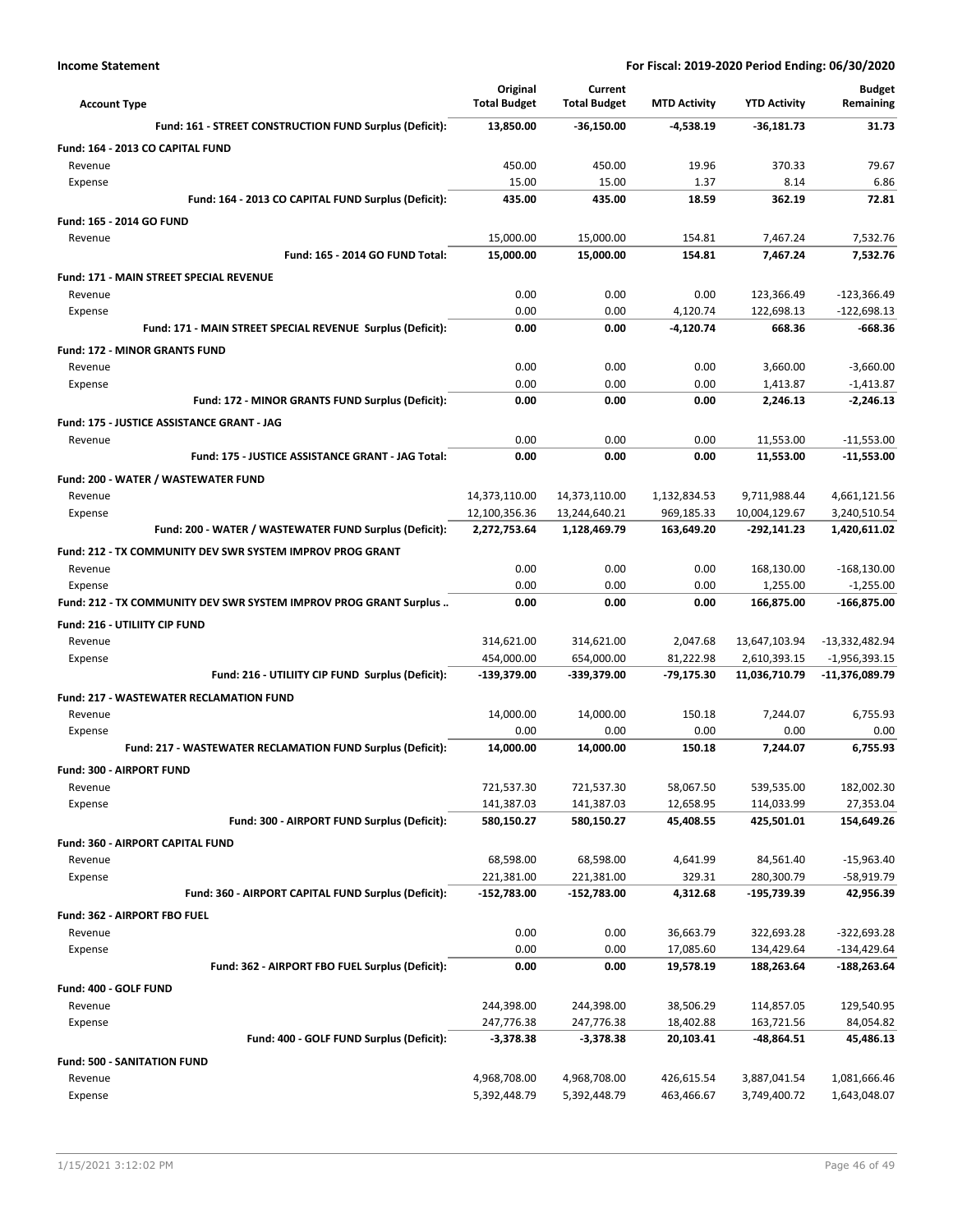| <b>Account Type</b>                                               | Original<br><b>Total Budget</b> | Current<br><b>Total Budget</b> | <b>MTD Activity</b>    | <b>YTD Activity</b>      | <b>Budget</b><br>Remaining |
|-------------------------------------------------------------------|---------------------------------|--------------------------------|------------------------|--------------------------|----------------------------|
| Fund: 161 - STREET CONSTRUCTION FUND Surplus (Deficit):           | 13,850.00                       | $-36,150.00$                   | $-4,538.19$            | $-36,181.73$             | 31.73                      |
| Fund: 164 - 2013 CO CAPITAL FUND                                  |                                 |                                |                        |                          |                            |
| Revenue                                                           | 450.00                          | 450.00                         | 19.96                  | 370.33                   | 79.67                      |
| Expense                                                           | 15.00                           | 15.00                          | 1.37                   | 8.14                     | 6.86                       |
| Fund: 164 - 2013 CO CAPITAL FUND Surplus (Deficit):               | 435.00                          | 435.00                         | 18.59                  | 362.19                   | 72.81                      |
| Fund: 165 - 2014 GO FUND                                          |                                 |                                |                        |                          |                            |
| Revenue                                                           | 15,000.00                       | 15,000.00                      | 154.81                 | 7,467.24                 | 7,532.76                   |
| Fund: 165 - 2014 GO FUND Total:                                   | 15,000.00                       | 15,000.00                      | 154.81                 | 7.467.24                 | 7,532.76                   |
| <b>Fund: 171 - MAIN STREET SPECIAL REVENUE</b>                    |                                 |                                |                        |                          |                            |
| Revenue                                                           | 0.00                            | 0.00                           | 0.00                   | 123,366.49               | $-123,366.49$              |
| Expense                                                           | 0.00                            | 0.00                           | 4,120.74               | 122,698.13               | $-122,698.13$              |
| Fund: 171 - MAIN STREET SPECIAL REVENUE Surplus (Deficit):        | 0.00                            | 0.00                           | $-4,120.74$            | 668.36                   | -668.36                    |
| <b>Fund: 172 - MINOR GRANTS FUND</b>                              |                                 |                                |                        |                          |                            |
| Revenue                                                           | 0.00                            | 0.00                           | 0.00                   | 3,660.00                 | $-3,660.00$                |
| Expense                                                           | 0.00                            | 0.00                           | 0.00                   | 1,413.87                 | $-1,413.87$                |
| Fund: 172 - MINOR GRANTS FUND Surplus (Deficit):                  | 0.00                            | 0.00                           | 0.00                   | 2,246.13                 | $-2,246.13$                |
| Fund: 175 - JUSTICE ASSISTANCE GRANT - JAG                        |                                 |                                |                        |                          |                            |
| Revenue                                                           | 0.00                            | 0.00                           | 0.00                   | 11,553.00                | $-11,553.00$               |
| Fund: 175 - JUSTICE ASSISTANCE GRANT - JAG Total:                 | 0.00                            | 0.00                           | 0.00                   | 11,553.00                | $-11,553.00$               |
| Fund: 200 - WATER / WASTEWATER FUND                               |                                 |                                |                        |                          |                            |
| Revenue                                                           | 14,373,110.00                   | 14,373,110.00                  | 1,132,834.53           | 9,711,988.44             | 4,661,121.56               |
| Expense                                                           | 12,100,356.36                   | 13,244,640.21                  | 969,185.33             | 10,004,129.67            | 3,240,510.54               |
| Fund: 200 - WATER / WASTEWATER FUND Surplus (Deficit):            | 2,272,753.64                    | 1,128,469.79                   | 163,649.20             | -292,141.23              | 1,420,611.02               |
| Fund: 212 - TX COMMUNITY DEV SWR SYSTEM IMPROV PROG GRANT         |                                 |                                |                        |                          |                            |
| Revenue                                                           | 0.00                            | 0.00                           | 0.00                   | 168,130.00               | $-168,130.00$              |
| Expense                                                           | 0.00                            | 0.00                           | 0.00                   | 1,255.00                 | $-1,255.00$                |
| Fund: 212 - TX COMMUNITY DEV SWR SYSTEM IMPROV PROG GRANT Surplus | 0.00                            | 0.00                           | 0.00                   | 166,875.00               | $-166,875.00$              |
| <b>Fund: 216 - UTILIITY CIP FUND</b>                              |                                 |                                |                        |                          |                            |
| Revenue                                                           | 314,621.00                      | 314,621.00                     | 2,047.68               | 13,647,103.94            | -13,332,482.94             |
| Expense                                                           | 454,000.00                      | 654,000.00                     | 81,222.98              | 2,610,393.15             | $-1,956,393.15$            |
| Fund: 216 - UTILIITY CIP FUND Surplus (Deficit):                  | -139,379.00                     | -339,379.00                    | -79,175.30             | 11,036,710.79            | -11,376,089.79             |
| <b>Fund: 217 - WASTEWATER RECLAMATION FUND</b>                    |                                 |                                |                        |                          |                            |
| Revenue                                                           | 14,000.00                       | 14,000.00                      | 150.18                 | 7,244.07                 | 6,755.93                   |
| Expense                                                           | 0.00                            | 0.00                           | 0.00                   | 0.00<br>7.244.07         | 0.00                       |
| Fund: 217 - WASTEWATER RECLAMATION FUND Surplus (Deficit):        | 14,000.00                       | 14,000.00                      | 150.18                 |                          | 6,755.93                   |
| <b>Fund: 300 - AIRPORT FUND</b>                                   |                                 |                                |                        |                          |                            |
| Revenue                                                           | 721,537.30                      | 721,537.30                     | 58,067.50              | 539,535.00               | 182,002.30                 |
| Expense<br>Fund: 300 - AIRPORT FUND Surplus (Deficit):            | 141,387.03<br>580,150.27        | 141,387.03<br>580,150.27       | 12,658.95<br>45,408.55 | 114,033.99<br>425,501.01 | 27,353.04<br>154,649.26    |
|                                                                   |                                 |                                |                        |                          |                            |
| Fund: 360 - AIRPORT CAPITAL FUND                                  |                                 |                                |                        |                          |                            |
| Revenue<br>Expense                                                | 68,598.00<br>221,381.00         | 68,598.00<br>221,381.00        | 4,641.99<br>329.31     | 84,561.40<br>280,300.79  | $-15,963.40$<br>-58,919.79 |
| Fund: 360 - AIRPORT CAPITAL FUND Surplus (Deficit):               | -152,783.00                     | -152,783.00                    | 4,312.68               | -195,739.39              | 42,956.39                  |
|                                                                   |                                 |                                |                        |                          |                            |
| Fund: 362 - AIRPORT FBO FUEL<br>Revenue                           | 0.00                            | 0.00                           |                        |                          | $-322,693.28$              |
| Expense                                                           | 0.00                            | 0.00                           | 36,663.79<br>17,085.60 | 322,693.28<br>134,429.64 | -134,429.64                |
| Fund: 362 - AIRPORT FBO FUEL Surplus (Deficit):                   | 0.00                            | 0.00                           | 19,578.19              | 188,263.64               | -188,263.64                |
| Fund: 400 - GOLF FUND                                             |                                 |                                |                        |                          |                            |
| Revenue                                                           | 244,398.00                      | 244,398.00                     | 38,506.29              | 114,857.05               | 129,540.95                 |
| Expense                                                           | 247,776.38                      | 247,776.38                     | 18,402.88              | 163,721.56               | 84,054.82                  |
| Fund: 400 - GOLF FUND Surplus (Deficit):                          | $-3,378.38$                     | $-3,378.38$                    | 20,103.41              | -48,864.51               | 45,486.13                  |
| <b>Fund: 500 - SANITATION FUND</b>                                |                                 |                                |                        |                          |                            |
| Revenue                                                           | 4,968,708.00                    | 4,968,708.00                   | 426,615.54             | 3,887,041.54             | 1,081,666.46               |
| Expense                                                           | 5,392,448.79                    | 5,392,448.79                   | 463,466.67             | 3,749,400.72             | 1,643,048.07               |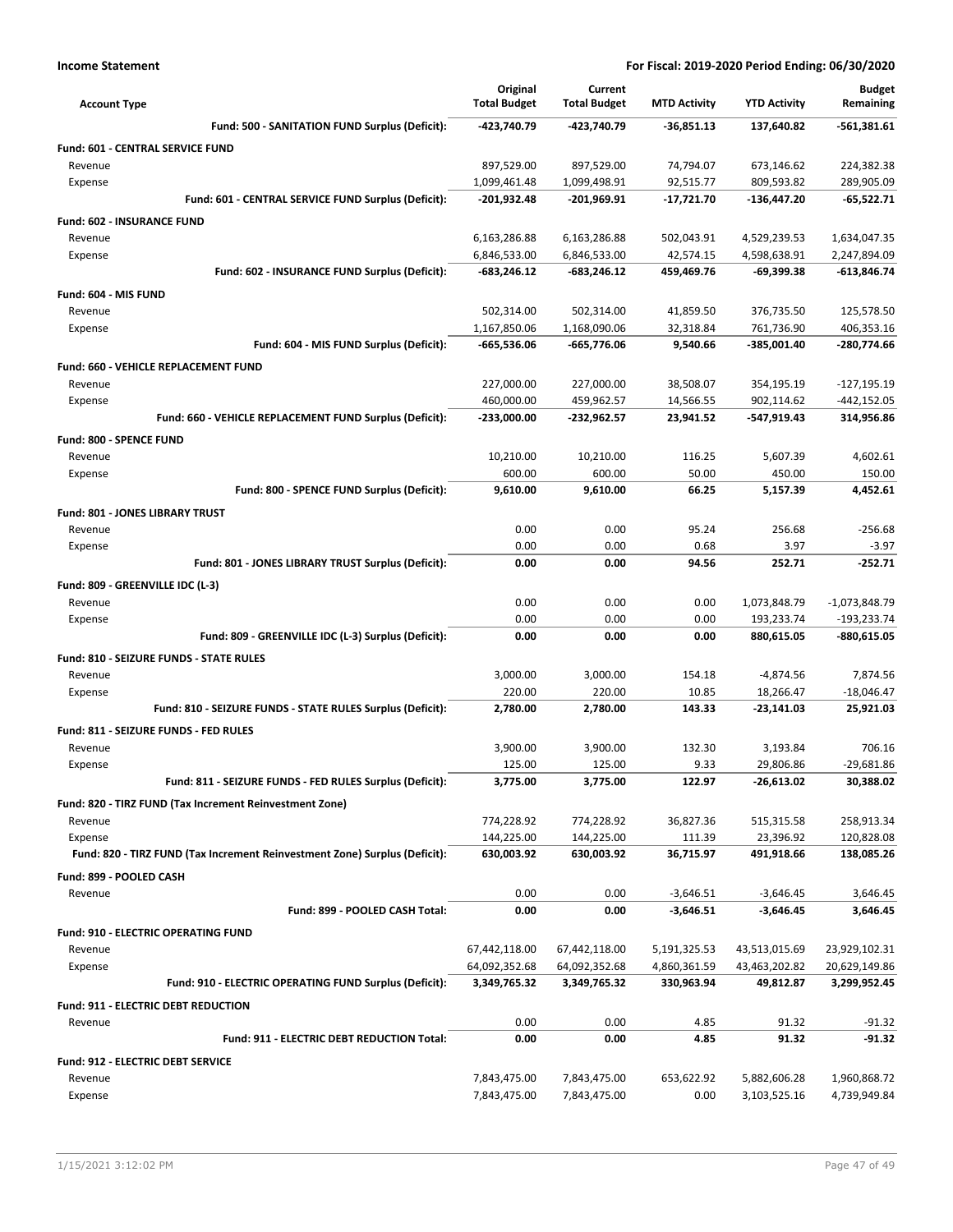| <b>Account Type</b>                                                        | Original<br><b>Total Budget</b> | Current<br><b>Total Budget</b> | <b>MTD Activity</b>    | <b>YTD Activity</b>       | <b>Budget</b><br>Remaining   |
|----------------------------------------------------------------------------|---------------------------------|--------------------------------|------------------------|---------------------------|------------------------------|
| Fund: 500 - SANITATION FUND Surplus (Deficit):                             | -423,740.79                     | -423,740.79                    | $-36,851.13$           | 137,640.82                | -561,381.61                  |
| Fund: 601 - CENTRAL SERVICE FUND                                           |                                 |                                |                        |                           |                              |
| Revenue                                                                    | 897,529.00                      | 897,529.00                     | 74,794.07              | 673,146.62                | 224,382.38                   |
| Expense                                                                    | 1,099,461.48                    | 1,099,498.91                   | 92,515.77              | 809,593.82                | 289,905.09                   |
| Fund: 601 - CENTRAL SERVICE FUND Surplus (Deficit):                        | -201,932.48                     | -201,969.91                    | $-17,721.70$           | -136,447.20               | $-65,522.71$                 |
| Fund: 602 - INSURANCE FUND                                                 |                                 |                                |                        |                           |                              |
| Revenue                                                                    | 6,163,286.88                    | 6,163,286.88                   | 502,043.91             | 4,529,239.53              | 1,634,047.35                 |
| Expense                                                                    | 6,846,533.00                    | 6,846,533.00                   | 42,574.15              | 4,598,638.91              | 2,247,894.09                 |
| Fund: 602 - INSURANCE FUND Surplus (Deficit):                              | $-683,246.12$                   | $-683,246.12$                  | 459,469.76             | $-69,399.38$              | -613,846.74                  |
| Fund: 604 - MIS FUND                                                       |                                 |                                |                        |                           |                              |
| Revenue                                                                    | 502,314.00                      | 502,314.00                     | 41,859.50              | 376,735.50                | 125,578.50                   |
| Expense                                                                    | 1,167,850.06                    | 1,168,090.06                   | 32,318.84              | 761,736.90                | 406,353.16                   |
| Fund: 604 - MIS FUND Surplus (Deficit):                                    | -665,536.06                     | -665,776.06                    | 9,540.66               | -385,001.40               | -280,774.66                  |
| <b>Fund: 660 - VEHICLE REPLACEMENT FUND</b>                                |                                 |                                |                        |                           |                              |
| Revenue                                                                    | 227,000.00                      | 227,000.00                     | 38,508.07              | 354,195.19                | $-127,195.19$                |
| Expense<br>Fund: 660 - VEHICLE REPLACEMENT FUND Surplus (Deficit):         | 460,000.00<br>-233,000.00       | 459,962.57<br>-232,962.57      | 14,566.55<br>23,941.52 | 902,114.62<br>-547,919.43 | $-442, 152.05$<br>314,956.86 |
|                                                                            |                                 |                                |                        |                           |                              |
| Fund: 800 - SPENCE FUND                                                    |                                 |                                |                        |                           |                              |
| Revenue                                                                    | 10,210.00<br>600.00             | 10,210.00<br>600.00            | 116.25                 | 5,607.39<br>450.00        | 4,602.61                     |
| Expense<br>Fund: 800 - SPENCE FUND Surplus (Deficit):                      | 9,610.00                        | 9,610.00                       | 50.00<br>66.25         | 5,157.39                  | 150.00<br>4.452.61           |
|                                                                            |                                 |                                |                        |                           |                              |
| Fund: 801 - JONES LIBRARY TRUST                                            |                                 |                                |                        |                           |                              |
| Revenue<br>Expense                                                         | 0.00<br>0.00                    | 0.00<br>0.00                   | 95.24<br>0.68          | 256.68<br>3.97            | $-256.68$<br>$-3.97$         |
| Fund: 801 - JONES LIBRARY TRUST Surplus (Deficit):                         | 0.00                            | 0.00                           | 94.56                  | 252.71                    | $-252.71$                    |
|                                                                            |                                 |                                |                        |                           |                              |
| Fund: 809 - GREENVILLE IDC (L-3)<br>Revenue                                | 0.00                            | 0.00                           | 0.00                   | 1,073,848.79              | $-1,073,848.79$              |
| Expense                                                                    | 0.00                            | 0.00                           | 0.00                   | 193,233.74                | -193,233.74                  |
| Fund: 809 - GREENVILLE IDC (L-3) Surplus (Deficit):                        | 0.00                            | 0.00                           | 0.00                   | 880,615.05                | -880,615.05                  |
| Fund: 810 - SEIZURE FUNDS - STATE RULES                                    |                                 |                                |                        |                           |                              |
| Revenue                                                                    | 3,000.00                        | 3,000.00                       | 154.18                 | -4,874.56                 | 7,874.56                     |
| Expense                                                                    | 220.00                          | 220.00                         | 10.85                  | 18,266.47                 | $-18,046.47$                 |
| Fund: 810 - SEIZURE FUNDS - STATE RULES Surplus (Deficit):                 | 2,780.00                        | 2,780.00                       | 143.33                 | $-23,141.03$              | 25,921.03                    |
| Fund: 811 - SEIZURE FUNDS - FED RULES                                      |                                 |                                |                        |                           |                              |
| Revenue                                                                    | 3,900.00                        | 3,900.00                       | 132.30                 | 3,193.84                  | 706.16                       |
| Expense                                                                    | 125.00                          | 125.00                         | 9.33                   | 29,806.86                 | $-29,681.86$                 |
| Fund: 811 - SEIZURE FUNDS - FED RULES Surplus (Deficit):                   | 3,775.00                        | 3,775.00                       | 122.97                 | $-26,613.02$              | 30,388.02                    |
| Fund: 820 - TIRZ FUND (Tax Increment Reinvestment Zone)                    |                                 |                                |                        |                           |                              |
| Revenue                                                                    | 774,228.92                      | 774,228.92                     | 36,827.36              | 515,315.58                | 258,913.34                   |
| Expense                                                                    | 144,225.00                      | 144,225.00                     | 111.39                 | 23,396.92                 | 120,828.08                   |
| Fund: 820 - TIRZ FUND (Tax Increment Reinvestment Zone) Surplus (Deficit): | 630,003.92                      | 630,003.92                     | 36,715.97              | 491,918.66                | 138,085.26                   |
| Fund: 899 - POOLED CASH                                                    |                                 |                                |                        |                           |                              |
| Revenue                                                                    | 0.00                            | 0.00                           | $-3,646.51$            | $-3,646.45$               | 3,646.45                     |
| Fund: 899 - POOLED CASH Total:                                             | 0.00                            | 0.00                           | $-3,646.51$            | $-3,646.45$               | 3,646.45                     |
| Fund: 910 - ELECTRIC OPERATING FUND                                        |                                 |                                |                        |                           |                              |
| Revenue                                                                    | 67,442,118.00                   | 67,442,118.00                  | 5,191,325.53           | 43,513,015.69             | 23,929,102.31                |
| Expense                                                                    | 64,092,352.68                   | 64,092,352.68                  | 4,860,361.59           | 43,463,202.82             | 20,629,149.86                |
| Fund: 910 - ELECTRIC OPERATING FUND Surplus (Deficit):                     | 3,349,765.32                    | 3,349,765.32                   | 330,963.94             | 49,812.87                 | 3,299,952.45                 |
| Fund: 911 - ELECTRIC DEBT REDUCTION                                        |                                 |                                |                        |                           |                              |
| Revenue                                                                    | 0.00                            | 0.00                           | 4.85                   | 91.32                     | $-91.32$                     |
| Fund: 911 - ELECTRIC DEBT REDUCTION Total:                                 | 0.00                            | 0.00                           | 4.85                   | 91.32                     | $-91.32$                     |
| Fund: 912 - ELECTRIC DEBT SERVICE                                          |                                 |                                |                        |                           |                              |
| Revenue                                                                    | 7,843,475.00                    | 7,843,475.00                   | 653,622.92             | 5,882,606.28              | 1,960,868.72                 |
| Expense                                                                    | 7,843,475.00                    | 7,843,475.00                   | 0.00                   | 3,103,525.16              | 4,739,949.84                 |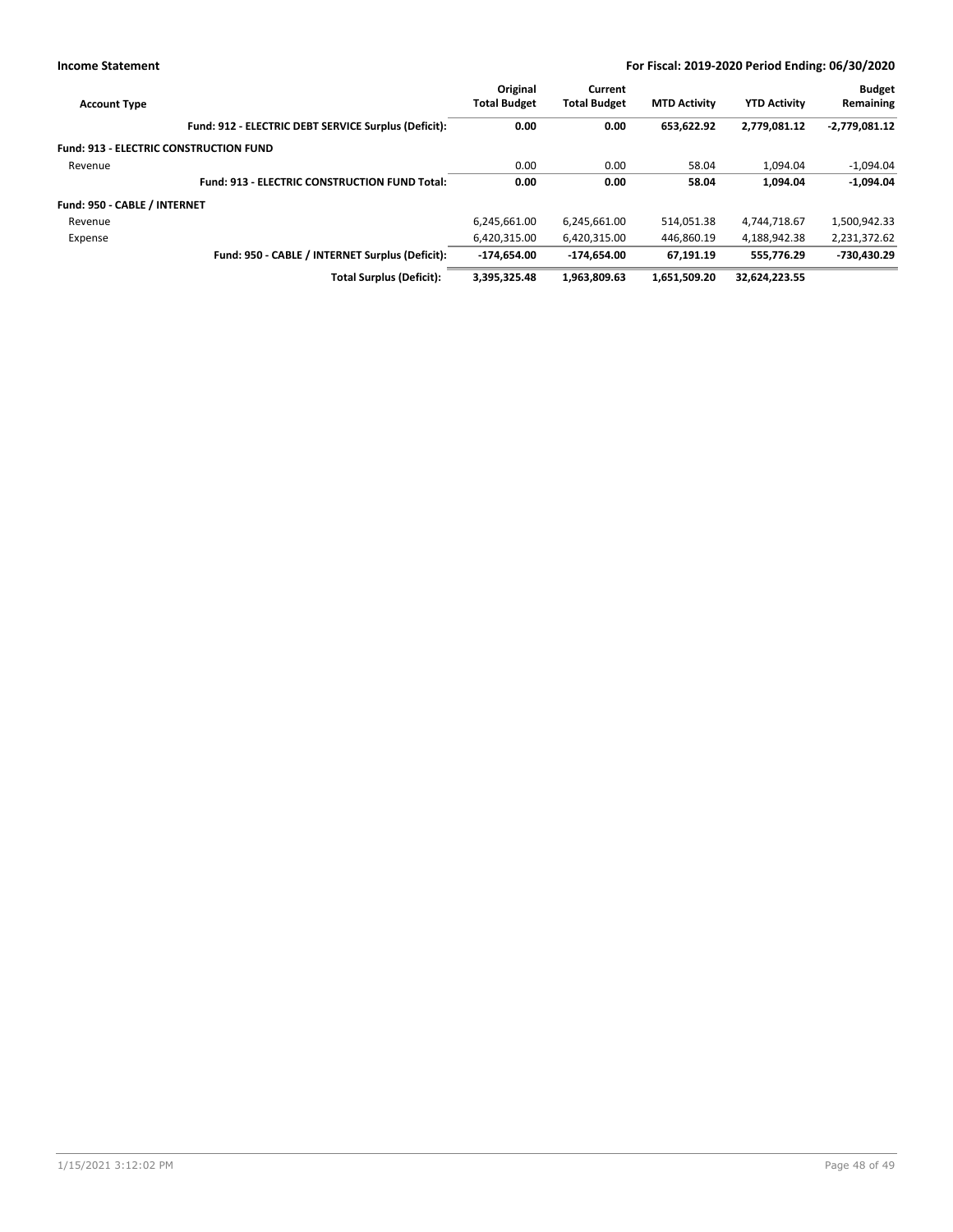| <b>Account Type</b>                           |                                                      | Original<br><b>Total Budget</b> | Current<br><b>Total Budget</b> | <b>MTD Activity</b> | <b>YTD Activity</b> | <b>Budget</b><br>Remaining |
|-----------------------------------------------|------------------------------------------------------|---------------------------------|--------------------------------|---------------------|---------------------|----------------------------|
|                                               | Fund: 912 - ELECTRIC DEBT SERVICE Surplus (Deficit): | 0.00                            | 0.00                           | 653.622.92          | 2,779,081.12        | $-2,779,081.12$            |
| <b>Fund: 913 - ELECTRIC CONSTRUCTION FUND</b> |                                                      |                                 |                                |                     |                     |                            |
| Revenue                                       |                                                      | 0.00                            | 0.00                           | 58.04               | 1.094.04            | $-1,094.04$                |
|                                               | <b>Fund: 913 - ELECTRIC CONSTRUCTION FUND Total:</b> | 0.00                            | 0.00                           | 58.04               | 1.094.04            | $-1,094.04$                |
| Fund: 950 - CABLE / INTERNET                  |                                                      |                                 |                                |                     |                     |                            |
| Revenue                                       |                                                      | 6,245,661.00                    | 6,245,661.00                   | 514,051.38          | 4,744,718.67        | 1,500,942.33               |
| Expense                                       |                                                      | 6.420.315.00                    | 6,420,315.00                   | 446,860.19          | 4.188.942.38        | 2,231,372.62               |
|                                               | Fund: 950 - CABLE / INTERNET Surplus (Deficit):      | $-174.654.00$                   | -174.654.00                    | 67.191.19           | 555.776.29          | -730,430.29                |
|                                               | <b>Total Surplus (Deficit):</b>                      | 3.395.325.48                    | 1.963.809.63                   | 1.651.509.20        | 32.624.223.55       |                            |